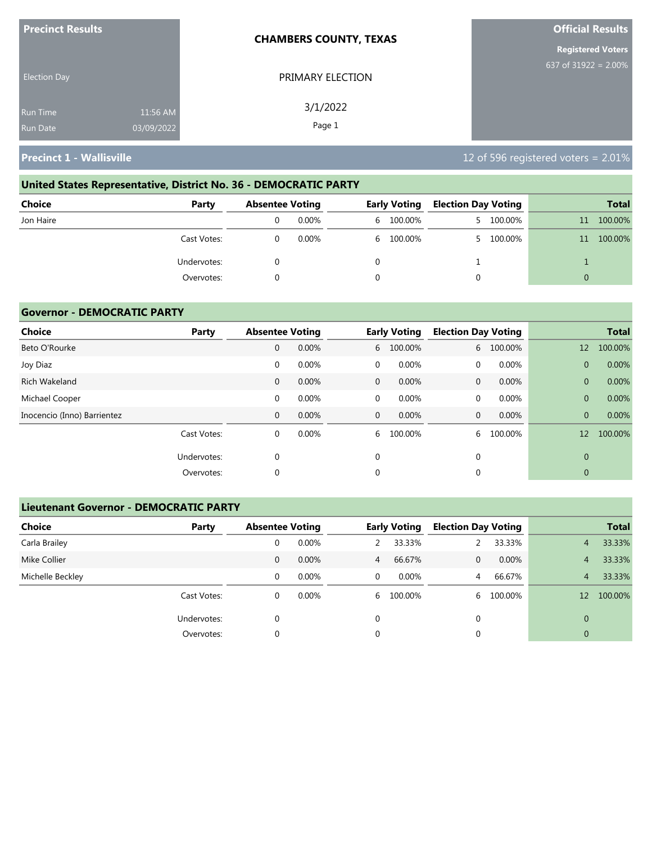| <b>Precinct Results</b> |            | <b>CHAMBERS COUNTY, TEXAS</b> | <b>Official Results</b>  |
|-------------------------|------------|-------------------------------|--------------------------|
|                         |            |                               | <b>Registered Voters</b> |
| <b>Election Day</b>     |            | PRIMARY ELECTION              | 637 of $31922 = 2.00\%$  |
| <b>Run Time</b>         | 11:56 AM   | 3/1/2022                      |                          |
| <b>Run Date</b>         | 03/09/2022 | Page 1                        |                          |

# **United States Representative, District No. 36 - DEMOCRATIC PARTY Choice Party Absentee Voting Early Voting Election Day Voting Total** Jon Haire 0 0.00% 6 100.00% 5 100.00% 11 100.00% Cast Votes: 0 0.00% 6 100.00% 5 100.00% 11 100.00% Undervotes: 0 0 1 1 Overvotes: 0 0 0 0

### **Governor - DEMOCRATIC PARTY**

| <b>Choice</b>               | Party       | <b>Absentee Voting</b> |       |              | <b>Early Voting</b> | <b>Election Day Voting</b> |         |                | <b>Total</b> |
|-----------------------------|-------------|------------------------|-------|--------------|---------------------|----------------------------|---------|----------------|--------------|
| Beto O'Rourke               |             | 0                      | 0.00% | 6            | 100.00%             | 6                          | 100.00% | 12             | 100.00%      |
| Joy Diaz                    |             | $\mathbf 0$            | 0.00% | $\mathbf 0$  | 0.00%               | $\Omega$                   | 0.00%   | $\overline{0}$ | 0.00%        |
| <b>Rich Wakeland</b>        |             | $\mathbf 0$            | 0.00% | $\mathbf{0}$ | 0.00%               | $\mathbf{0}$               | 0.00%   | $\overline{0}$ | 0.00%        |
| Michael Cooper              |             | 0                      | 0.00% | $\mathbf 0$  | 0.00%               | 0                          | 0.00%   | $\overline{0}$ | 0.00%        |
| Inocencio (Inno) Barrientez |             | 0                      | 0.00% | $\mathbf{0}$ | 0.00%               | $\mathbf{0}$               | 0.00%   | $\overline{0}$ | 0.00%        |
|                             | Cast Votes: | 0                      | 0.00% | 6            | 100.00%             | 6                          | 100.00% | 12             | 100.00%      |
|                             | Undervotes: | 0                      |       | 0            |                     | $\mathbf 0$                |         | $\mathbf{0}$   |              |
|                             | Overvotes:  | $\Omega$               |       | 0            |                     | 0                          |         | $\mathbf{0}$   |              |

### **Lieutenant Governor - DEMOCRATIC PARTY**

| <b>Choice</b>    | Party       |   | <b>Absentee Voting</b> |                | <b>Early Voting</b> | <b>Election Day Voting</b> |          | <b>Total</b>   |         |
|------------------|-------------|---|------------------------|----------------|---------------------|----------------------------|----------|----------------|---------|
| Carla Brailey    |             | 0 | 0.00%                  |                | 33.33%              |                            | 33.33%   | $\overline{4}$ | 33.33%  |
| Mike Collier     |             | 0 | $0.00\%$               | $\overline{4}$ | 66.67%              | $\mathbf{0}$               | $0.00\%$ | 4              | 33.33%  |
| Michelle Beckley |             | 0 | $0.00\%$               | $\mathbf{0}$   | 0.00%               | 4                          | 66.67%   | 4              | 33.33%  |
|                  | Cast Votes: | 0 | $0.00\%$               | 6              | 100.00%             | 6                          | 100.00%  | 12             | 100.00% |
|                  | Undervotes: | 0 |                        | $\Omega$       |                     | 0                          |          | $\Omega$       |         |
|                  | Overvotes:  | 0 |                        | 0              |                     | 0                          |          | $\overline{0}$ |         |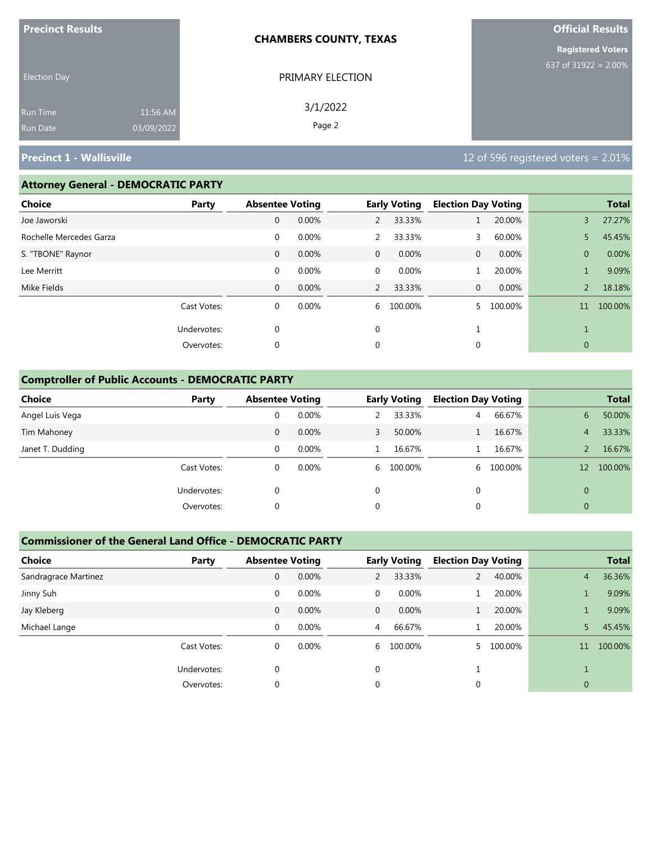| <b>Precinct Results</b> |            | <b>CHAMBERS COUNTY, TEXAS</b> | <b>Official Results</b>  |
|-------------------------|------------|-------------------------------|--------------------------|
|                         |            |                               | <b>Registered Voters</b> |
| <b>Election Day</b>     |            | PRIMARY ELECTION              | 637 of 31922 = $2.00\%$  |
| <b>Run Time</b>         | 11:56 AM   | 3/1/2022                      |                          |
| <b>Run Date</b>         | 03/09/2022 | Page 2                        |                          |

### **Attorney General - DEMOCRATIC PARTY**

| <b>Choice</b>           | Party       | <b>Absentee Voting</b> |       |                | <b>Early Voting</b> | <b>Election Day Voting</b> |         |                | <b>Total</b> |
|-------------------------|-------------|------------------------|-------|----------------|---------------------|----------------------------|---------|----------------|--------------|
| Joe Jaworski            |             | $\mathbf 0$            | 0.00% | $\overline{2}$ | 33.33%              |                            | 20.00%  | 3              | 27.27%       |
| Rochelle Mercedes Garza |             | $\mathbf 0$            | 0.00% | $\overline{2}$ | 33.33%              | 3                          | 60.00%  | 5              | 45.45%       |
| S. "TBONE" Raynor       |             | $\mathbf 0$            | 0.00% | $\overline{0}$ | 0.00%               | 0                          | 0.00%   | $\overline{0}$ | 0.00%        |
| Lee Merritt             |             | $\mathbf 0$            | 0.00% | 0              | 0.00%               |                            | 20.00%  |                | 9.09%        |
| Mike Fields             |             | $\mathbf{0}$           | 0.00% | 2              | 33.33%              | 0                          | 0.00%   | $\overline{2}$ | 18.18%       |
|                         | Cast Votes: | $\mathbf 0$            | 0.00% | 6              | 100.00%             |                            | 100.00% | 11             | 100.00%      |
|                         | Undervotes: | $\mathbf 0$            |       | $\mathbf 0$    |                     |                            |         |                |              |
|                         | Overvotes:  | 0                      |       | 0              |                     | 0                          |         | $\mathbf{0}$   |              |
|                         |             |                        |       |                |                     |                            |         |                |              |

### **Comptroller of Public Accounts - DEMOCRATIC PARTY**

| Choice           | Party       |   | <b>Absentee Voting</b> |              | <b>Early Voting</b> | <b>Election Day Voting</b> |         |                   | <b>Total</b> |
|------------------|-------------|---|------------------------|--------------|---------------------|----------------------------|---------|-------------------|--------------|
| Angel Luis Vega  |             | 0 | 0.00%                  |              | 33.33%              | 4                          | 66.67%  | 6                 | 50.00%       |
| Tim Mahoney      |             | 0 | $0.00\%$               | 3            | 50.00%              |                            | 16.67%  | 4                 | 33.33%       |
| Janet T. Dudding |             | 0 | 0.00%                  |              | 16.67%              |                            | 16.67%  |                   | 16.67%       |
|                  | Cast Votes: | 0 | $0.00\%$               |              | 6 100.00%           | 6                          | 100.00% | $12 \overline{ }$ | 100.00%      |
|                  | Undervotes: | 0 |                        | $\mathbf{0}$ |                     | 0                          |         | $\Omega$          |              |
|                  | Overvotes:  | 0 |                        | 0            |                     | $\mathbf{0}$               |         | $\mathbf{0}$      |              |

### **Commissioner of the General Land Office - DEMOCRATIC PARTY**

| <b>Choice</b><br>Party |              | <b>Absentee Voting</b> |              | <b>Early Voting</b> | <b>Election Day Voting</b> |         |                | <b>Total</b> |
|------------------------|--------------|------------------------|--------------|---------------------|----------------------------|---------|----------------|--------------|
| Sandragrace Martinez   | $\mathbf{0}$ | 0.00%                  | 2            | 33.33%              |                            | 40.00%  | $\overline{4}$ | 36.36%       |
| Jinny Suh              | 0            | 0.00%                  | 0            | $0.00\%$            |                            | 20.00%  |                | 9.09%        |
| Jay Kleberg            | $\mathbf{0}$ | 0.00%                  | $\mathbf{0}$ | $0.00\%$            |                            | 20.00%  |                | 9.09%        |
| Michael Lange          | $\Omega$     | 0.00%                  | 4            | 66.67%              |                            | 20.00%  |                | 45.45%       |
| Cast Votes:            | 0            | 0.00%                  | 6            | 100.00%             |                            | 100.00% | 11             | 100.00%      |
| Undervotes:            | $\Omega$     |                        | $\Omega$     |                     |                            |         |                |              |
| Overvotes:             | 0            |                        | 0            |                     | 0                          |         | 0              |              |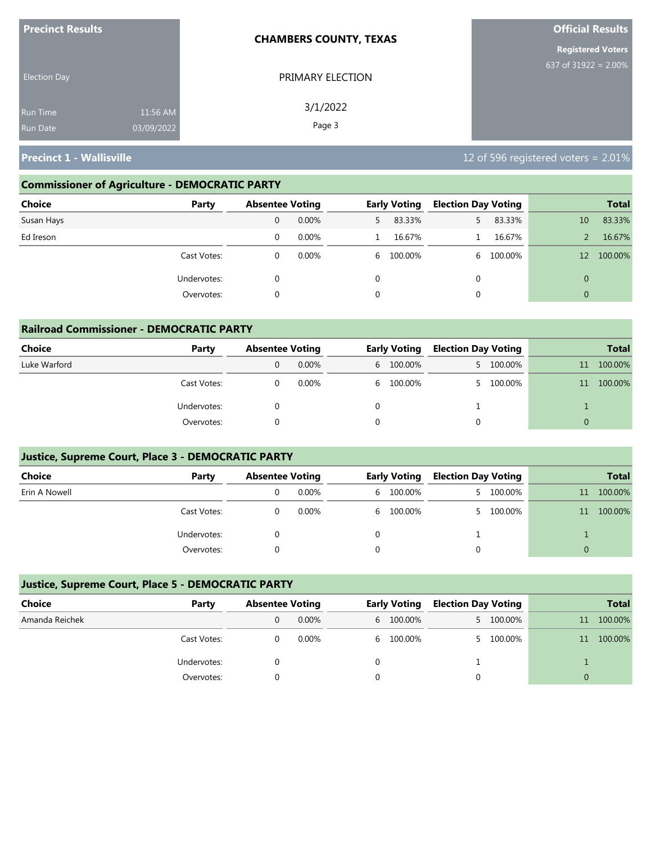| <b>Precinct Results</b>                                      | <b>CHAMBERS COUNTY, TEXAS</b> | <b>Official Results</b>  |
|--------------------------------------------------------------|-------------------------------|--------------------------|
|                                                              |                               | <b>Registered Voters</b> |
| <b>Election Day</b>                                          | PRIMARY ELECTION              | 637 of $31922 = 2.00\%$  |
| 11:56 AM<br><b>Run Time</b><br>03/09/2022<br><b>Run Date</b> | 3/1/2022<br>Page 3            |                          |

### **Commissioner of Agriculture - DEMOCRATIC PARTY**

| Choice<br>Party | <b>Absentee Voting</b> |          |   | <b>Early Voting</b> | <b>Election Day Voting</b> |         |              | <b>Total</b> |
|-----------------|------------------------|----------|---|---------------------|----------------------------|---------|--------------|--------------|
| Susan Hays      | 0                      | $0.00\%$ |   | 83.33%              | 5.                         | 83.33%  | 10           | 83.33%       |
| Ed Ireson       | 0                      | 0.00%    |   | 16.67%              |                            | 16.67%  |              | 16.67%       |
| Cast Votes:     | 0                      | $0.00\%$ |   | 6 100.00%           | 6                          | 100.00% | 12           | 100.00%      |
| Undervotes:     | 0                      |          | 0 |                     | 0                          |         | $\mathbf{0}$ |              |
| Overvotes:      | 0                      |          | 0 |                     | 0                          |         | $\mathbf{0}$ |              |

| <b>Railroad Commissioner - DEMOCRATIC PARTY</b> |             |                        |          |  |                     |                            |           |          |              |  |  |
|-------------------------------------------------|-------------|------------------------|----------|--|---------------------|----------------------------|-----------|----------|--------------|--|--|
| Choice                                          | Party       | <b>Absentee Voting</b> |          |  | <b>Early Voting</b> | <b>Election Day Voting</b> |           |          | <b>Total</b> |  |  |
| Luke Warford                                    |             |                        | $0.00\%$ |  | 6 100.00%           |                            | 5 100.00% | 11       | 100.00%      |  |  |
|                                                 | Cast Votes: |                        | 0.00%    |  | 6 100.00%           |                            | 5 100.00% | 11       | 100.00%      |  |  |
|                                                 | Undervotes: |                        |          |  |                     |                            |           |          |              |  |  |
|                                                 | Overvotes:  |                        |          |  |                     | $\Omega$                   |           | $\Omega$ |              |  |  |

### **Justice, Supreme Court, Place 3 - DEMOCRATIC PARTY**

| <b>Choice</b> | Party       | <b>Absentee Voting</b> |  | <b>Early Voting</b> |    | <b>Election Day Voting</b> |    | <b>Total</b> |
|---------------|-------------|------------------------|--|---------------------|----|----------------------------|----|--------------|
| Erin A Nowell |             | $0.00\%$               |  | 6 100.00%           | 5. | 100.00%                    | 11 | 100.00%      |
|               | Cast Votes: | 0.00%                  |  | 6 100.00%           |    | 5 100.00%                  | 11 | 100.00%      |
|               | Undervotes: |                        |  |                     |    |                            |    |              |
|               | Overvotes:  |                        |  |                     |    |                            |    |              |

### **Justice, Supreme Court, Place 5 - DEMOCRATIC PARTY**

| Choice         | Party       | <b>Absentee Voting</b> |  | <b>Early Voting</b> |  | <b>Election Day Voting</b> |    | <b>Total</b> |
|----------------|-------------|------------------------|--|---------------------|--|----------------------------|----|--------------|
| Amanda Reichek |             | $0.00\%$               |  | 6 100.00%           |  | 5 100.00%                  | 11 | 100.00%      |
|                | Cast Votes: | 0.00%                  |  | 6 100.00%           |  | 5 100.00%                  | 11 | 100.00%      |
|                | Undervotes: |                        |  |                     |  |                            |    |              |
|                | Overvotes:  |                        |  |                     |  |                            |    |              |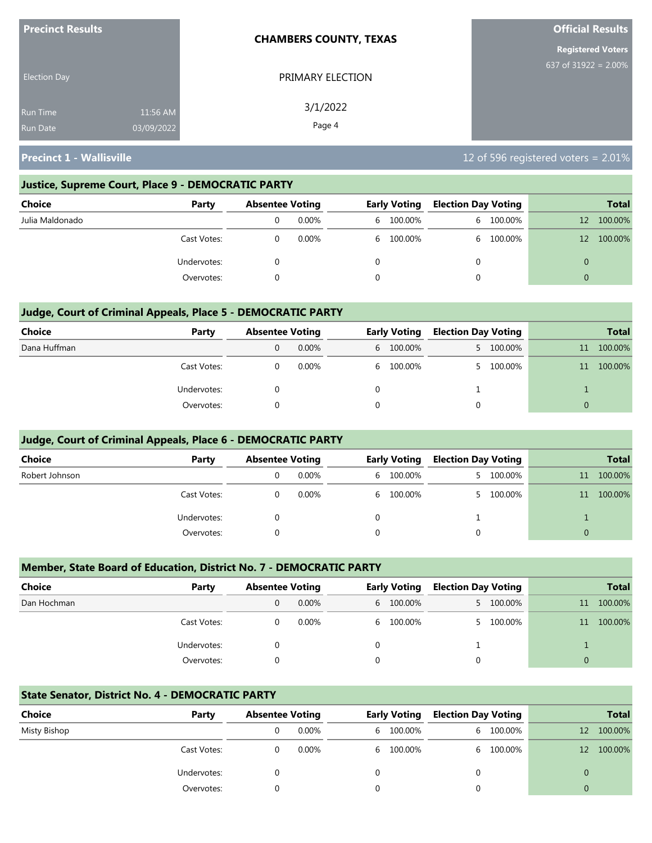| <b>Precinct Results</b>            | <b>CHAMBERS COUNTY, TEXAS</b>                | <b>Official Results</b>  |
|------------------------------------|----------------------------------------------|--------------------------|
|                                    |                                              | <b>Registered Voters</b> |
| <b>Election Day</b>                | PRIMARY ELECTION                             | 637 of 31922 = $2.00\%$  |
| <b>Run Time</b><br><b>Run Date</b> | 3/1/2022<br>11:56 AM<br>Page 4<br>03/09/2022 |                          |

### **Justice, Supreme Court, Place 9 - DEMOCRATIC PARTY**

| Choice          | Party       | <b>Absentee Voting</b> |          | <b>Early Voting</b> | <b>Election Day Voting</b> |           |    | <b>Total</b> |
|-----------------|-------------|------------------------|----------|---------------------|----------------------------|-----------|----|--------------|
| Julia Maldonado |             |                        | $0.00\%$ | 6 100.00%           |                            | 6 100.00% | 12 | 100.00%      |
|                 | Cast Votes: |                        | $0.00\%$ | 6 100.00%           |                            | 6 100.00% | 12 | 100.00%      |
|                 | Undervotes: |                        |          |                     |                            |           | 0  |              |
|                 | Overvotes:  |                        |          |                     |                            |           | 0  |              |

### **Judge, Court of Criminal Appeals, Place 5 - DEMOCRATIC PARTY**

| <b>Choice</b> | Party       | <b>Absentee Voting</b> |          | <b>Early Voting</b> | <b>Election Day Voting</b> |           |          | <b>Total</b> |
|---------------|-------------|------------------------|----------|---------------------|----------------------------|-----------|----------|--------------|
| Dana Huffman  |             |                        | $0.00\%$ | 6 100.00%           |                            | 5 100.00% | 11       | 100.00%      |
|               | Cast Votes: |                        | $0.00\%$ | 6 100.00%           | 5.                         | 100.00%   | 11       | 100.00%      |
|               | Undervotes: |                        |          |                     |                            |           |          |              |
|               | Overvotes:  |                        |          |                     | 0                          |           | $\Omega$ |              |

### **Judge, Court of Criminal Appeals, Place 6 - DEMOCRATIC PARTY**

| <b>Choice</b>  | Party       | <b>Absentee Voting</b> |          | <b>Early Voting</b> | <b>Election Day Voting</b> |         |          | <b>Total</b> |
|----------------|-------------|------------------------|----------|---------------------|----------------------------|---------|----------|--------------|
| Robert Johnson |             | 0                      | $0.00\%$ | 6 100.00%           | 5.                         | 100.00% | 11       | 100.00%      |
|                | Cast Votes: |                        | 0.00%    | 6 100.00%           |                            | 100.00% | 11       | 100.00%      |
|                | Undervotes: |                        |          |                     |                            |         |          |              |
|                | Overvotes:  |                        |          |                     | 0                          |         | $\Omega$ |              |

### **Member, State Board of Education, District No. 7 - DEMOCRATIC PARTY**

| Choice      | Party       | <b>Absentee Voting</b> |       |          | <b>Early Voting</b> | <b>Election Day Voting</b> |           |                 | <b>Total</b> |
|-------------|-------------|------------------------|-------|----------|---------------------|----------------------------|-----------|-----------------|--------------|
| Dan Hochman |             |                        | 0.00% |          | 6 100.00%           |                            | 5 100.00% | 11 <sup>1</sup> | 100.00%      |
|             | Cast Votes: |                        | 0.00% |          | 6 100.00%           | 5.                         | 100.00%   | 11 <sup>1</sup> | 100.00%      |
|             | Undervotes: |                        |       |          |                     |                            |           |                 |              |
|             | Overvotes:  |                        |       | $\Omega$ |                     |                            |           |                 |              |

### **State Senator, District No. 4 - DEMOCRATIC PARTY**

| Choice       | Party       | <b>Absentee Voting</b> |          | <b>Early Voting</b> | <b>Election Day Voting</b> |           |              | <b>Total</b> |
|--------------|-------------|------------------------|----------|---------------------|----------------------------|-----------|--------------|--------------|
| Misty Bishop |             |                        | $0.00\%$ | 6 100.00%           |                            | 6 100.00% | 12           | 100.00%      |
|              | Cast Votes: |                        | 0.00%    | 6 100.00%           |                            | 6 100.00% | $12^{\circ}$ | 100.00%      |
|              | Undervotes: |                        |          |                     |                            |           | 0            |              |
|              | Overvotes:  |                        |          |                     |                            |           | 0            |              |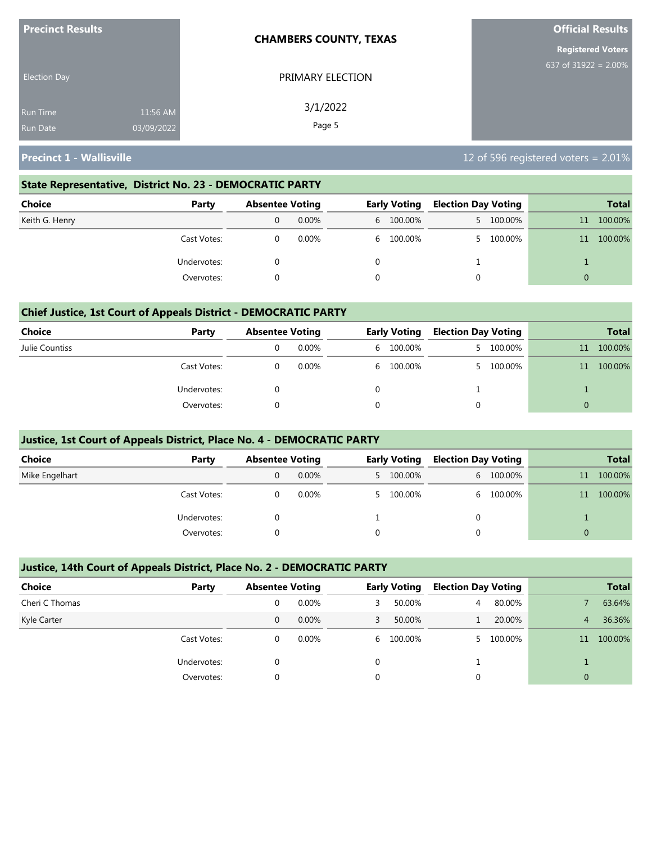| <b>Precinct Results</b> |            | <b>CHAMBERS COUNTY, TEXAS</b> | <b>Official Results</b>  |
|-------------------------|------------|-------------------------------|--------------------------|
|                         |            |                               | <b>Registered Voters</b> |
| <b>Election Day</b>     |            | PRIMARY ELECTION              | 637 of 31922 = $2.00\%$  |
| <b>Run Time</b>         | 11:56 AM   | 3/1/2022                      |                          |
| <b>Run Date</b>         | 03/09/2022 | Page 5                        |                          |

### **State Representative, District No. 23 - DEMOCRATIC PARTY**

| Choice         | Party       | <b>Absentee Voting</b> |          | <b>Early Voting</b> | <b>Election Day Voting</b> |           |          | <b>Total</b> |
|----------------|-------------|------------------------|----------|---------------------|----------------------------|-----------|----------|--------------|
| Keith G. Henry |             | 0                      | $0.00\%$ | 6 100.00%           |                            | 5 100.00% | 11       | 100.00%      |
|                | Cast Votes: |                        | 0.00%    | 6 100.00%           |                            | 5 100.00% | 11       | 100.00%      |
|                | Undervotes: |                        |          |                     |                            |           |          |              |
|                | Overvotes:  |                        |          |                     |                            |           | $\Omega$ |              |

### **Chief Justice, 1st Court of Appeals District - DEMOCRATIC PARTY**

| Choice         | Party       | <b>Absentee Voting</b> |          | <b>Early Voting</b> | <b>Election Day Voting</b> |         |    | <b>Total</b> |
|----------------|-------------|------------------------|----------|---------------------|----------------------------|---------|----|--------------|
| Julie Countiss |             |                        | $0.00\%$ | 6 100.00%           |                            | 100.00% | 11 | 100.00%      |
|                | Cast Votes: |                        | $0.00\%$ | 6 100.00%           | 5.                         | 100.00% | 11 | 100.00%      |
|                | Undervotes: |                        |          |                     |                            |         |    |              |
|                | Overvotes:  |                        |          |                     |                            |         |    |              |

### **Justice, 1st Court of Appeals District, Place No. 4 - DEMOCRATIC PARTY**

| <b>Choice</b>  | Party       | <b>Absentee Voting</b> |          | <b>Early Voting</b> | <b>Election Day Voting</b> |           |          | <b>Total</b> |
|----------------|-------------|------------------------|----------|---------------------|----------------------------|-----------|----------|--------------|
| Mike Engelhart |             | 0                      | $0.00\%$ | 5 100.00%           |                            | 6 100.00% | 11       | 100.00%      |
|                | Cast Votes: |                        | $0.00\%$ | 5 100.00%           | 6.                         | 100.00%   | 11       | 100.00%      |
|                | Undervotes: |                        |          |                     | 0                          |           |          |              |
|                | Overvotes:  |                        |          |                     |                            |           | $\Omega$ |              |

### **Justice, 14th Court of Appeals District, Place No. 2 - DEMOCRATIC PARTY**

| <b>Choice</b>  | Party       | <b>Absentee Voting</b> |          |   | <b>Early Voting</b> | <b>Election Day Voting</b> |         |                | <b>Total</b> |
|----------------|-------------|------------------------|----------|---|---------------------|----------------------------|---------|----------------|--------------|
| Cheri C Thomas |             |                        | 0.00%    | 3 | 50.00%              | 4                          | 80.00%  |                | 63.64%       |
| Kyle Carter    |             | 0                      | $0.00\%$ | 3 | 50.00%              |                            | 20.00%  | 4              | 36.36%       |
|                | Cast Votes: | 0                      | $0.00\%$ |   | 6 100.00%           |                            | 100.00% | 11             | 100.00%      |
|                | Undervotes: |                        |          | 0 |                     |                            |         |                |              |
|                | Overvotes:  |                        |          | 0 |                     |                            |         | $\overline{0}$ |              |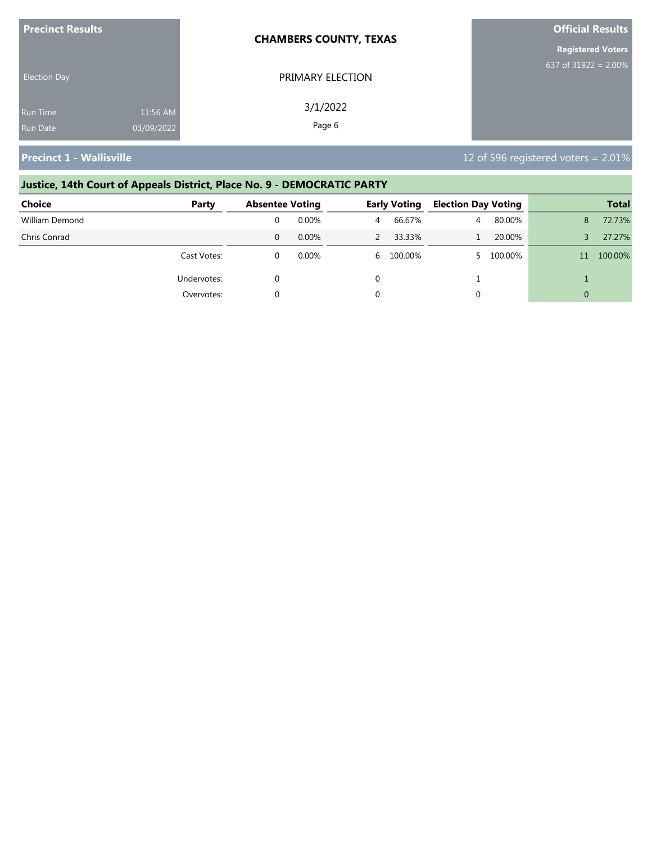| <b>Precinct Results</b> |            | <b>CHAMBERS COUNTY, TEXAS</b> | <b>Official Results</b>  |
|-------------------------|------------|-------------------------------|--------------------------|
|                         |            |                               | <b>Registered Voters</b> |
| <b>Election Day</b>     |            | PRIMARY ELECTION              | 637 of $31922 = 2.00\%$  |
| Run Time                | 11:56 AM   | 3/1/2022                      |                          |
| <b>Run Date</b>         | 03/09/2022 | Page 6                        |                          |

# **Justice, 14th Court of Appeals District, Place No. 9 - DEMOCRATIC PARTY**

| Choice         | Party       | <b>Absentee Voting</b> |          |   | <b>Early Voting</b> |   | <b>Election Day Voting</b> | <b>Total</b> |         |
|----------------|-------------|------------------------|----------|---|---------------------|---|----------------------------|--------------|---------|
| William Demond |             |                        | $0.00\%$ | 4 | 66.67%              | 4 | 80.00%                     | 8            | 72.73%  |
| Chris Conrad   |             |                        | $0.00\%$ |   | 33.33%              |   | 20.00%                     | ₹            | 27.27%  |
|                | Cast Votes: |                        | 0.00%    |   | 6 100.00%           |   | 100.00%                    | 11           | 100.00% |
|                | Undervotes: |                        |          |   |                     |   |                            |              |         |
|                | Overvotes:  |                        |          |   |                     |   |                            |              |         |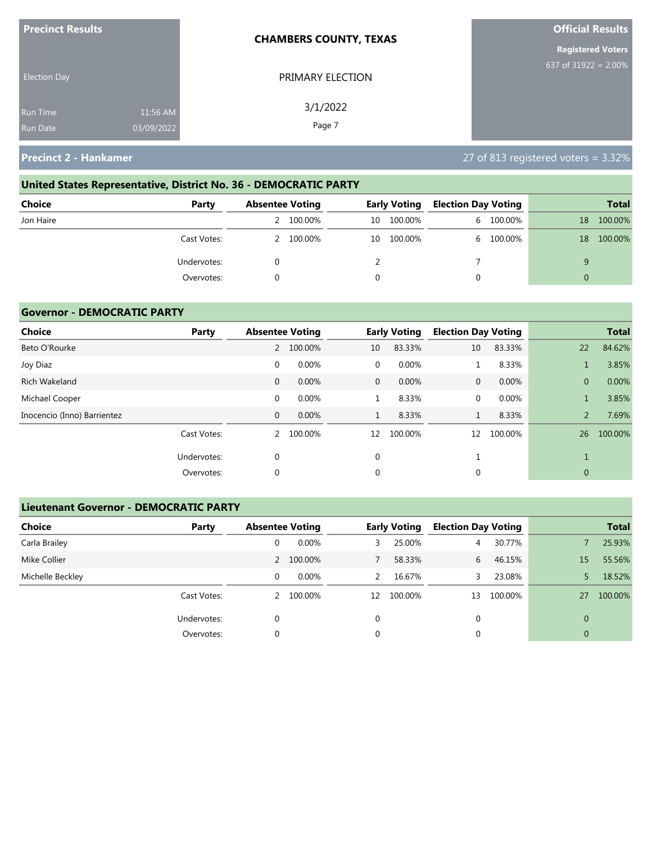| <b>Precinct Results</b>            | <b>CHAMBERS COUNTY, TEXAS</b> |                    | <b>Official Results</b>  |
|------------------------------------|-------------------------------|--------------------|--------------------------|
|                                    |                               |                    | <b>Registered Voters</b> |
| <b>Election Day</b>                |                               | PRIMARY ELECTION   | 637 of 31922 = $2.00\%$  |
| <b>Run Time</b><br><b>Run Date</b> | 11:56 AM<br>03/09/2022        | 3/1/2022<br>Page 7 |                          |
|                                    |                               |                    |                          |

# **United States Representative, District No. 36 - DEMOCRATIC PARTY**

| <b>Choice</b> | Party       | <b>Absentee Voting</b> |           |    | <b>Early Voting</b> | <b>Election Day Voting</b> |           |    | <b>Total</b> |
|---------------|-------------|------------------------|-----------|----|---------------------|----------------------------|-----------|----|--------------|
| Jon Haire     |             |                        | 2 100.00% | 10 | 100.00%             |                            | 6 100.00% | 18 | 100.00%      |
|               | Cast Votes: |                        | 2 100.00% | 10 | 100.00%             |                            | 6 100.00% | 18 | 100.00%      |
|               | Undervotes: |                        |           |    |                     |                            |           |    |              |
|               | Overvotes:  |                        |           |    |                     |                            |           |    |              |

### **Governor - DEMOCRATIC PARTY**

| <b>Choice</b>               | Party       |              | <b>Absentee Voting</b> |              | <b>Early Voting</b> | <b>Election Day Voting</b> |         |                | <b>Total</b> |
|-----------------------------|-------------|--------------|------------------------|--------------|---------------------|----------------------------|---------|----------------|--------------|
| Beto O'Rourke               |             | 2            | 100.00%                | 10           | 83.33%              | 10                         | 83.33%  | 22             | 84.62%       |
| Joy Diaz                    |             | 0            | 0.00%                  | $\mathbf 0$  | 0.00%               | Ŧ.                         | 8.33%   |                | 3.85%        |
| Rich Wakeland               |             | $\mathbf{0}$ | 0.00%                  | $\mathbf{0}$ | 0.00%               | $\mathbf{0}$               | 0.00%   | $\overline{0}$ | 0.00%        |
| Michael Cooper              |             | $\mathbf 0$  | 0.00%                  |              | 8.33%               | 0                          | 0.00%   |                | 3.85%        |
| Inocencio (Inno) Barrientez |             | 0            | 0.00%                  | $\mathbf{1}$ | 8.33%               | $\mathbf{1}$               | 8.33%   | $\overline{2}$ | 7.69%        |
|                             | Cast Votes: | 2            | 100.00%                | 12           | 100.00%             | 12                         | 100.00% | 26             | 100.00%      |
|                             | Undervotes: | 0            |                        | 0            |                     |                            |         |                |              |
|                             | Overvotes:  | 0            |                        | 0            |                     | 0                          |         | $\mathbf{0}$   |              |

### **Lieutenant Governor - DEMOCRATIC PARTY**

| <b>Choice</b>    | Party       | <b>Absentee Voting</b> |           |          | <b>Early Voting</b> | <b>Election Day Voting</b> |         |                | <b>Total</b> |
|------------------|-------------|------------------------|-----------|----------|---------------------|----------------------------|---------|----------------|--------------|
| Carla Brailey    |             | 0                      | 0.00%     | 3        | 25.00%              | 4                          | 30.77%  |                | 25.93%       |
| Mike Collier     |             |                        | 2 100.00% |          | 58.33%              | 6                          | 46.15%  | 15             | 55.56%       |
| Michelle Beckley |             | 0                      | $0.00\%$  | 2        | 16.67%              | 3                          | 23.08%  |                | 18.52%       |
|                  | Cast Votes: |                        | 2 100.00% | 12       | 100.00%             | 13                         | 100.00% | 27             | 100.00%      |
|                  | Undervotes: | 0                      |           | $\Omega$ |                     | 0                          |         | $\Omega$       |              |
|                  | Overvotes:  | 0                      |           | 0        |                     | 0                          |         | $\overline{0}$ |              |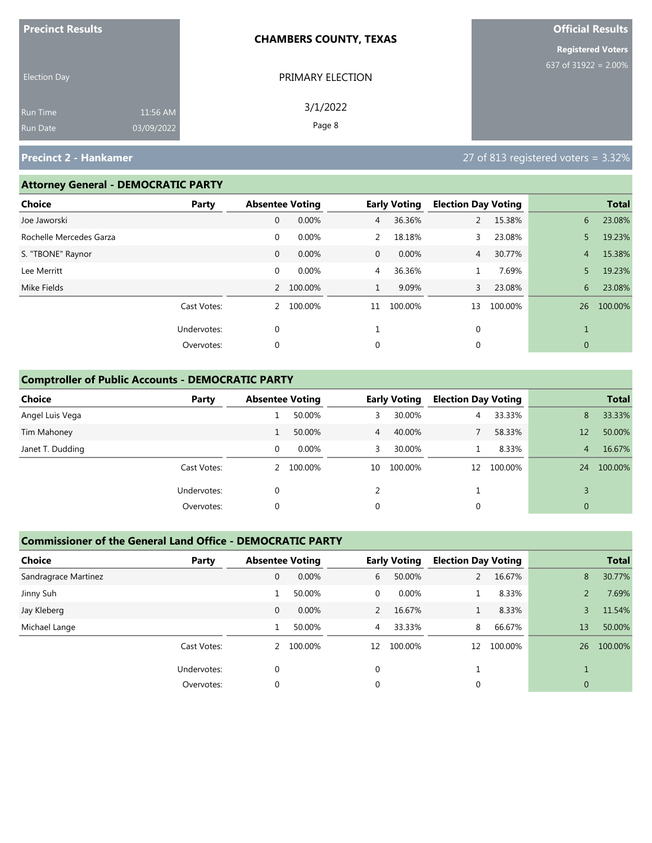| <b>Precinct Results</b> |            | <b>CHAMBERS COUNTY, TEXAS</b> | <b>Official Results</b>  |
|-------------------------|------------|-------------------------------|--------------------------|
|                         |            |                               | <b>Registered Voters</b> |
| <b>Election Day</b>     |            | PRIMARY ELECTION              | 637 of 31922 = $2.00\%$  |
| Run Time                | 11:56 AM   | 3/1/2022                      |                          |
| <b>Run Date</b>         | 03/09/2022 | Page 8                        |                          |

### **Attorney General - DEMOCRATIC PARTY**

| <b>Choice</b>           | Party       | <b>Absentee Voting</b> |           |                | <b>Early Voting</b> | <b>Election Day Voting</b> |         |                | <b>Total</b> |
|-------------------------|-------------|------------------------|-----------|----------------|---------------------|----------------------------|---------|----------------|--------------|
| Joe Jaworski            |             | 0                      | 0.00%     | $\overline{4}$ | 36.36%              | $\overline{2}$             | 15.38%  | 6              | 23.08%       |
| Rochelle Mercedes Garza |             | $\mathbf 0$            | 0.00%     | 2              | 18.18%              | 3.                         | 23.08%  | 5              | 19.23%       |
| S. "TBONE" Raynor       |             | $\mathbf{0}$           | 0.00%     | $\overline{0}$ | $0.00\%$            | $\overline{4}$             | 30.77%  | $\overline{4}$ | 15.38%       |
| Lee Merritt             |             | $\mathbf 0$            | 0.00%     | $\overline{4}$ | 36.36%              |                            | 7.69%   | 5              | 19.23%       |
| Mike Fields             |             |                        | 2 100.00% | $\mathbf{1}$   | 9.09%               | $\mathbf{3}$               | 23.08%  | 6              | 23.08%       |
|                         | Cast Votes: |                        | 2 100.00% | 11             | 100.00%             | 13                         | 100.00% | 26             | 100.00%      |
|                         | Undervotes: | 0                      |           |                |                     | $\mathbf{0}$               |         |                |              |
|                         | Overvotes:  | 0                      |           | 0              |                     | 0                          |         | $\mathbf{0}$   |              |
|                         |             |                        |           |                |                     |                            |         |                |              |

### **Comptroller of Public Accounts - DEMOCRATIC PARTY**

| <b>Choice</b>    | Party       | <b>Absentee Voting</b> |           |                | <b>Early Voting</b> | <b>Election Day Voting</b> |         |              | <b>Total</b> |
|------------------|-------------|------------------------|-----------|----------------|---------------------|----------------------------|---------|--------------|--------------|
| Angel Luis Vega  |             |                        | 50.00%    | 3              | 30.00%              | $\overline{4}$             | 33.33%  | 8            | 33.33%       |
| Tim Mahoney      |             |                        | 50.00%    | 4 <sup>7</sup> | 40.00%              |                            | 58.33%  | 12           | 50.00%       |
| Janet T. Dudding |             | 0                      | $0.00\%$  | 3              | 30.00%              |                            | 8.33%   | 4            | 16.67%       |
|                  | Cast Votes: |                        | 2 100.00% | 10             | 100.00%             | 12 <sup>2</sup>            | 100.00% | 24           | 100.00%      |
|                  | Undervotes: | 0                      |           |                |                     |                            |         |              |              |
|                  | Overvotes:  | 0                      |           | 0              |                     | 0                          |         | $\mathbf{0}$ |              |

### **Commissioner of the General Land Office - DEMOCRATIC PARTY**

| <b>Choice</b>        | Party       | <b>Absentee Voting</b> |         |          | <b>Early Voting</b> | <b>Election Day Voting</b> |         |              | <b>Total</b> |
|----------------------|-------------|------------------------|---------|----------|---------------------|----------------------------|---------|--------------|--------------|
| Sandragrace Martinez |             | $\mathbf{0}$           | 0.00%   | 6        | 50.00%              | 2                          | 16.67%  | 8            | 30.77%       |
| Jinny Suh            |             |                        | 50.00%  | 0        | $0.00\%$            |                            | 8.33%   |              | 7.69%        |
| Jay Kleberg          |             | $\mathbf{0}$           | 0.00%   | 2        | 16.67%              |                            | 8.33%   | 3            | 11.54%       |
| Michael Lange        |             |                        | 50.00%  | 4        | 33.33%              | 8                          | 66.67%  | 13           | 50.00%       |
|                      | Cast Votes: | $\mathcal{P}$          | 100.00% | 12       | 100.00%             | 12                         | 100.00% | 26           | 100.00%      |
| Undervotes:          |             | $\Omega$               |         | $\Omega$ |                     |                            |         |              |              |
|                      | Overvotes:  | 0                      |         | 0        |                     | 0                          |         | $\mathbf{0}$ |              |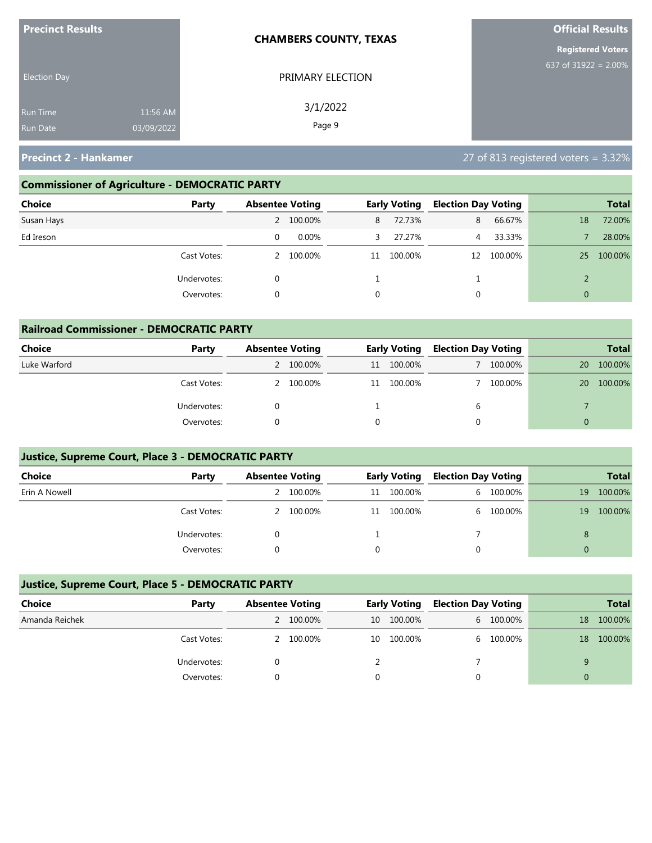| <b>Precinct Results</b>                                      | <b>CHAMBERS COUNTY, TEXAS</b> | <b>Official Results</b>  |
|--------------------------------------------------------------|-------------------------------|--------------------------|
|                                                              |                               | <b>Registered Voters</b> |
| <b>Election Day</b>                                          | PRIMARY ELECTION              | 637 of 31922 = $2.00\%$  |
| 11:56 AM<br><b>Run Time</b><br>03/09/2022<br><b>Run Date</b> | 3/1/2022<br>Page 9            |                          |

# **Commissioner of Agriculture - DEMOCRATIC PARTY**

| Choice<br>Party |   | <b>Absentee Voting</b> |    | <b>Early Voting</b> | <b>Election Day Voting</b> |         |          | <b>Total</b> |
|-----------------|---|------------------------|----|---------------------|----------------------------|---------|----------|--------------|
| Susan Hays      |   | 100.00%                | 8  | 72.73%              | 8                          | 66.67%  | 18       | 72.00%       |
| Ed Ireson       | 0 | $0.00\%$               | 3  | 27.27%              | 4                          | 33.33%  |          | 28.00%       |
| Cast Votes:     | 2 | 100.00%                | 11 | 100.00%             | 12                         | 100.00% | 25       | 100.00%      |
| Undervotes:     | 0 |                        |    |                     |                            |         |          |              |
| Overvotes:      | 0 |                        | 0  |                     | 0                          |         | $\Omega$ |              |

| <b>Railroad Commissioner - DEMOCRATIC PARTY</b> |             |                        |           |    |                     |                            |         |           |              |  |
|-------------------------------------------------|-------------|------------------------|-----------|----|---------------------|----------------------------|---------|-----------|--------------|--|
| Choice                                          | Party       | <b>Absentee Voting</b> |           |    | <b>Early Voting</b> | <b>Election Day Voting</b> |         |           | <b>Total</b> |  |
| Luke Warford                                    |             |                        | 2 100.00% | 11 | 100.00%             |                            | 100.00% | <b>20</b> | 100.00%      |  |
|                                                 | Cast Votes: |                        | 2 100.00% | 11 | 100.00%             |                            | 100.00% | 20        | 100.00%      |  |
|                                                 | Undervotes: | 0                      |           |    |                     | b                          |         |           |              |  |
|                                                 | Overvotes:  |                        |           | 0  |                     |                            |         | $\Omega$  |              |  |

### **Justice, Supreme Court, Place 3 - DEMOCRATIC PARTY**

| <b>Choice</b> | Party       | <b>Absentee Voting</b><br><b>Early Voting</b> |    | <b>Election Day Voting</b> |    | <b>Total</b> |    |         |
|---------------|-------------|-----------------------------------------------|----|----------------------------|----|--------------|----|---------|
| Erin A Nowell |             | 2 100.00%                                     | 11 | 100.00%                    |    | 6 100.00%    | 19 | 100.00% |
|               | Cast Votes: | 2 100.00%                                     | 11 | 100.00%                    | 6. | 100.00%      | 19 | 100.00% |
|               | Undervotes: |                                               |    |                            |    |              | 8  |         |
|               | Overvotes:  |                                               |    |                            |    |              |    |         |

### **Justice, Supreme Court, Place 5 - DEMOCRATIC PARTY**

| Choice         | Party       | <b>Absentee Voting</b> |           | <b>Early Voting</b> |         | <b>Election Day Voting</b> |           |    | <b>Total</b> |
|----------------|-------------|------------------------|-----------|---------------------|---------|----------------------------|-----------|----|--------------|
| Amanda Reichek |             |                        | 2 100.00% | 10                  | 100.00% |                            | 6 100.00% | 18 | 100.00%      |
|                | Cast Votes: |                        | 2 100.00% | 10                  | 100.00% |                            | 6 100.00% | 18 | 100.00%      |
|                | Undervotes: |                        |           |                     |         |                            |           |    |              |
|                | Overvotes:  |                        |           |                     |         |                            |           |    |              |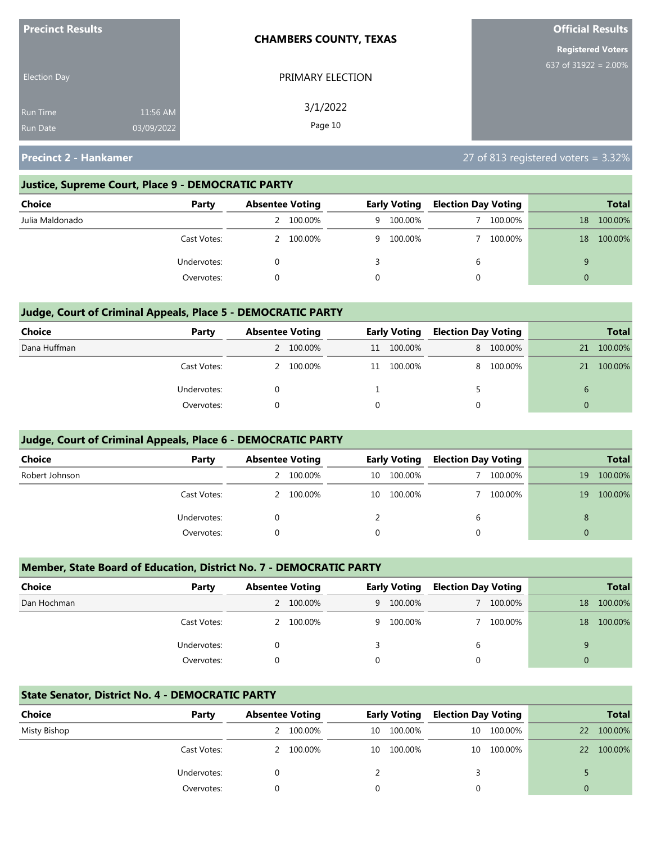| <b>Precinct Results</b>            |                        | <b>CHAMBERS COUNTY, TEXAS</b> | <b>Official Results</b>  |
|------------------------------------|------------------------|-------------------------------|--------------------------|
|                                    |                        |                               | <b>Registered Voters</b> |
| <b>Election Day</b>                |                        | PRIMARY ELECTION              | 637 of 31922 = $2.00\%$  |
| <b>Run Time</b><br><b>Run Date</b> | 11:56 AM<br>03/09/2022 | 3/1/2022<br>Page 10           |                          |

### **Justice, Supreme Court, Place 9 - DEMOCRATIC PARTY**

| Choice          | Party       | <b>Absentee Voting</b> |         | <b>Early Voting</b> |           | <b>Election Day Voting</b> |         |    | <b>Total</b> |
|-----------------|-------------|------------------------|---------|---------------------|-----------|----------------------------|---------|----|--------------|
| Julia Maldonado |             |                        | 100.00% |                     | 9 100.00% |                            | 100.00% | 18 | 100.00%      |
|                 | Cast Votes: |                        | 100.00% |                     | 9 100.00% |                            | 100.00% | 18 | 100.00%      |
|                 | Undervotes: |                        |         |                     |           | b                          |         |    |              |
|                 | Overvotes:  |                        |         | $\Omega$            |           |                            |         |    |              |

### **Judge, Court of Criminal Appeals, Place 5 - DEMOCRATIC PARTY**

| <b>Choice</b> | Party       | <b>Absentee Voting</b> |           | <b>Early Voting</b> |            | <b>Election Day Voting</b> |           |               | <b>Total</b> |
|---------------|-------------|------------------------|-----------|---------------------|------------|----------------------------|-----------|---------------|--------------|
| Dana Huffman  |             |                        | 2 100.00% |                     | 11 100.00% |                            | 8 100.00% | 21            | 100.00%      |
|               | Cast Votes: |                        | 2 100.00% |                     | 11 100.00% | 8                          | 100.00%   | 21            | 100.00%      |
|               | Undervotes: |                        |           |                     |            |                            |           | $\mathfrak b$ |              |
|               | Overvotes:  |                        |           |                     |            | 0                          |           | $\Omega$      |              |

### **Judge, Court of Criminal Appeals, Place 6 - DEMOCRATIC PARTY**

| <b>Choice</b>  | Party       | <b>Absentee Voting</b> |           | <b>Early Voting</b> |         | <b>Election Day Voting</b> |         |          | <b>Total</b> |
|----------------|-------------|------------------------|-----------|---------------------|---------|----------------------------|---------|----------|--------------|
| Robert Johnson |             |                        | 100.00%   | 10                  | 100.00% |                            | 100.00% | 19       | 100.00%      |
|                | Cast Votes: |                        | 2 100.00% | 10                  | 100.00% |                            | 100.00% | 19       | 100.00%      |
|                | Undervotes: |                        |           |                     |         | b                          |         | 8        |              |
|                | Overvotes:  |                        |           | 0                   |         | 0                          |         | $\Omega$ |              |

### **Member, State Board of Education, District No. 7 - DEMOCRATIC PARTY**

| <b>Choice</b> | Party       | <b>Absentee Voting</b> |           | <b>Early Voting</b> |           | <b>Election Day Voting</b> |         |    | <b>Total</b> |
|---------------|-------------|------------------------|-----------|---------------------|-----------|----------------------------|---------|----|--------------|
| Dan Hochman   |             |                        | 2 100.00% |                     | 9 100.00% |                            | 100.00% | 18 | 100.00%      |
|               | Cast Votes: |                        | 100.00%   |                     | 9 100.00% |                            | 100.00% | 18 | 100.00%      |
|               | Undervotes: |                        |           |                     |           | 6                          |         |    |              |
|               | Overvotes:  |                        |           | $\Omega$            |           | $\Omega$                   |         | 0  |              |

### **State Senator, District No. 4 - DEMOCRATIC PARTY**

| Choice       | Party       | <b>Absentee Voting</b> |           | <b>Early Voting</b> |         | <b>Election Day Voting</b> |            |           | <b>Total</b> |
|--------------|-------------|------------------------|-----------|---------------------|---------|----------------------------|------------|-----------|--------------|
| Misty Bishop |             |                        | 2 100.00% | 10                  | 100.00% |                            | 10 100.00% | 22        | 100.00%      |
|              | Cast Votes: |                        | 2 100.00% | 10                  | 100.00% |                            | 10 100.00% | <b>22</b> | 100.00%      |
|              | Undervotes: |                        |           |                     |         |                            |            |           |              |
|              | Overvotes:  |                        |           |                     |         |                            |            | 0         |              |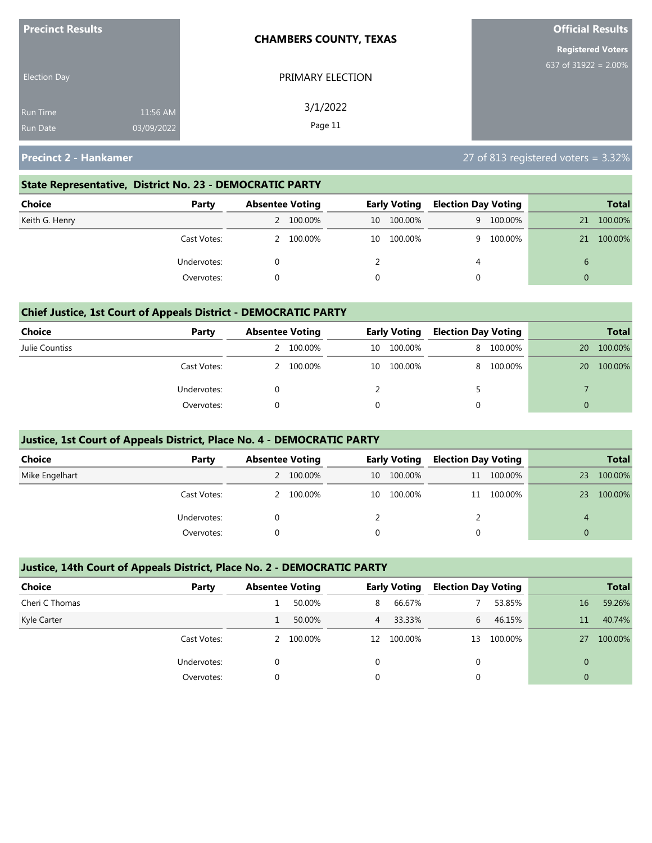| <b>Precinct Results</b> |            | <b>CHAMBERS COUNTY, TEXAS</b> | <b>Official Results</b>  |
|-------------------------|------------|-------------------------------|--------------------------|
|                         |            |                               | <b>Registered Voters</b> |
| <b>Election Day</b>     |            | PRIMARY ELECTION              | 637 of 31922 = $2.00\%$  |
| <b>Run Time</b>         | 11:56 AM   | 3/1/2022                      |                          |
| <b>Run Date</b>         | 03/09/2022 | Page 11                       |                          |

### **State Representative, District No. 23 - DEMOCRATIC PARTY**

| Choice         | Party       | <b>Absentee Voting</b> |           | <b>Early Voting</b> |         | <b>Election Day Voting</b> |           |          | Total   |
|----------------|-------------|------------------------|-----------|---------------------|---------|----------------------------|-----------|----------|---------|
| Keith G. Henry |             |                        | 2 100.00% | 10                  | 100.00% |                            | 9 100.00% | 21       | 100.00% |
|                | Cast Votes: |                        | 2 100.00% | 10                  | 100.00% |                            | 9 100.00% | 21       | 100.00% |
|                | Undervotes: |                        |           |                     |         | 4                          |           |          |         |
|                | Overvotes:  |                        |           |                     |         |                            |           | $\Omega$ |         |

### **Chief Justice, 1st Court of Appeals District - DEMOCRATIC PARTY**

| Choice         | Party       | <b>Absentee Voting</b> |         |        | <b>Early Voting</b> |   |         |    | <b>Election Day Voting</b> |  | <b>Total</b> |
|----------------|-------------|------------------------|---------|--------|---------------------|---|---------|----|----------------------------|--|--------------|
| Julie Countiss |             |                        | 100.00% | 10     | 100.00%             | 8 | 100.00% | 20 | 100.00%                    |  |              |
|                | Cast Votes: |                        | 100.00% | 10     | 100.00%             | 8 | 100.00% | 20 | 100.00%                    |  |              |
|                | Undervotes: |                        |         |        |                     |   |         |    |                            |  |              |
|                | Overvotes:  |                        |         | $\cap$ |                     |   |         |    |                            |  |              |

### **Justice, 1st Court of Appeals District, Place No. 4 - DEMOCRATIC PARTY**

| Choice         | Party       | <b>Absentee Voting</b> |           | <b>Early Voting</b> |            | <b>Election Day Voting</b> |            |          | <b>Total</b> |
|----------------|-------------|------------------------|-----------|---------------------|------------|----------------------------|------------|----------|--------------|
| Mike Engelhart |             |                        | 2 100.00% | 10                  | 100.00%    |                            | 11 100.00% | 23       | 100.00%      |
|                | Cast Votes: |                        | 2 100.00% |                     | 10 100.00% |                            | 11 100.00% | 23       | 100.00%      |
|                | Undervotes: |                        |           |                     |            |                            |            | 4        |              |
|                | Overvotes:  |                        |           |                     |            |                            |            | $\Omega$ |              |

### **Justice, 14th Court of Appeals District, Place No. 2 - DEMOCRATIC PARTY**

| <b>Choice</b>  | Party       |          | <b>Absentee Voting</b> |    | <b>Early Voting</b> |    | <b>Election Day Voting</b> |                | <b>Total</b> |
|----------------|-------------|----------|------------------------|----|---------------------|----|----------------------------|----------------|--------------|
| Cheri C Thomas |             |          | 50.00%                 | 8  | 66.67%              |    | 53.85%                     | 16             | 59.26%       |
| Kyle Carter    |             |          | 50.00%                 | 4  | 33.33%              | 6. | 46.15%                     | 11             | 40.74%       |
|                | Cast Votes: |          | 100.00%                | 12 | 100.00%             | 13 | 100.00%                    | 27             | 100.00%      |
|                | Undervotes: |          |                        | 0  |                     |    |                            | $\overline{0}$ |              |
|                | Overvotes:  | $\Omega$ |                        | 0  |                     |    |                            | $\overline{0}$ |              |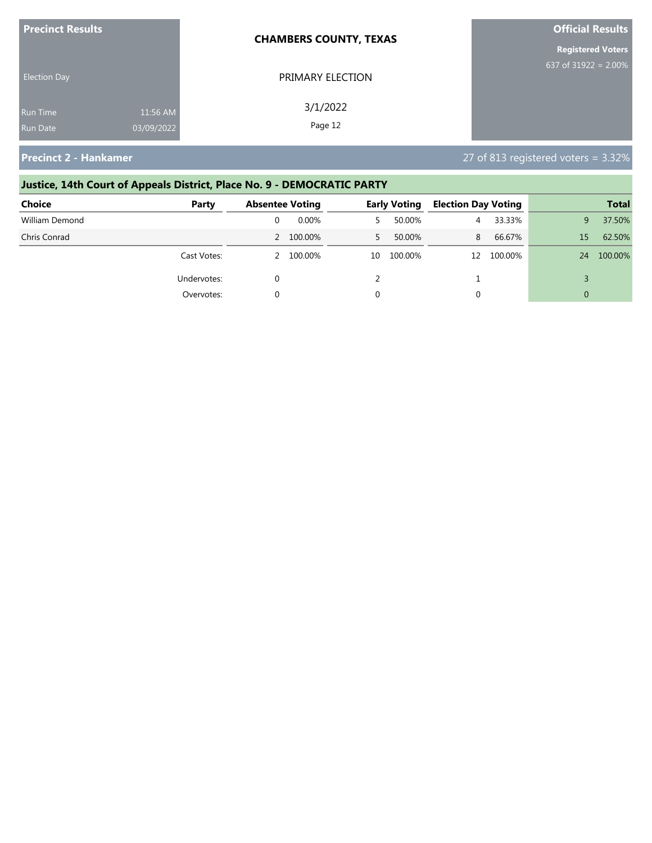| <b>Precinct Results</b> |            | <b>CHAMBERS COUNTY, TEXAS</b> | <b>Official Results</b>  |
|-------------------------|------------|-------------------------------|--------------------------|
|                         |            |                               | <b>Registered Voters</b> |
| <b>Election Day</b>     |            | PRIMARY ELECTION              | 637 of 31922 = $2.00\%$  |
| Run Time                | 11:56 AM   | 3/1/2022                      |                          |
| <b>Run Date</b>         | 03/09/2022 | Page 12                       |                          |

# **Justice, 14th Court of Appeals District, Place No. 9 - DEMOCRATIC PARTY Choice Party Absentee Voting Early Voting Election Day Voting Total** William Demond 0 0.00% 5 50.00% 4 33.33% 9 37.50% Chris Conrad 2 100.00% 5 50.00% 8 66.67% 15 62.50% Cast Votes: 2 100.00% 10 100.00% 12 100.00% 24 100.00% Undervotes:  $0$  2  $1$  3

Overvotes: 0 0 0 0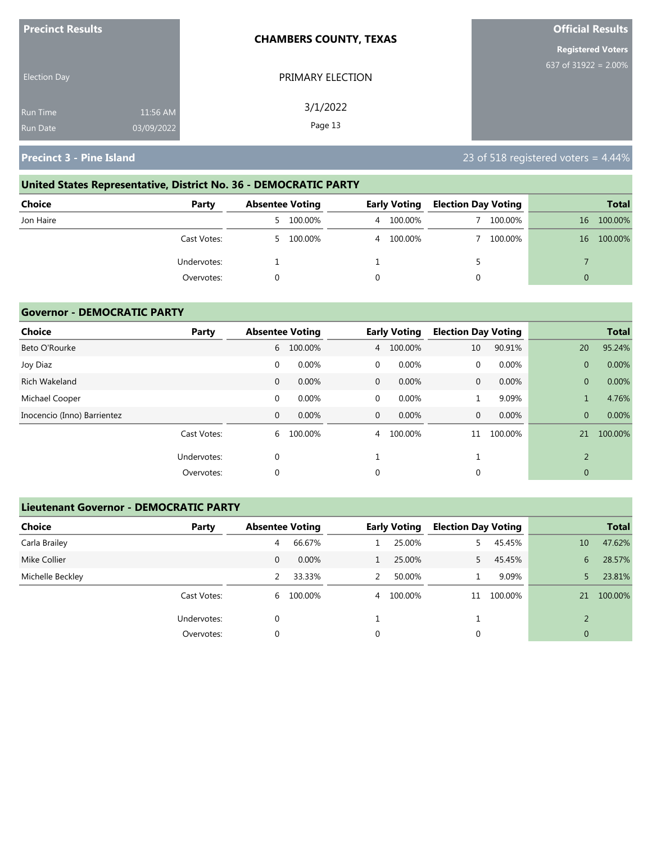| <b>Precinct Results</b>            |                        | <b>CHAMBERS COUNTY, TEXAS</b> | <b>Official Results</b>  |
|------------------------------------|------------------------|-------------------------------|--------------------------|
|                                    |                        |                               | <b>Registered Voters</b> |
| <b>Election Day</b>                |                        | PRIMARY ELECTION              | 637 of $31922 = 2.00\%$  |
| <b>Run Time</b><br><b>Run Date</b> | 11:56 AM<br>03/09/2022 | 3/1/2022<br>Page 13           |                          |

# **United States Representative, District No. 36 - DEMOCRATIC PARTY**

| Choice      | Party       | <b>Absentee Voting</b> |           | <b>Early Voting</b> |           | <b>Election Day Voting</b> |         |    | <b>Total</b> |
|-------------|-------------|------------------------|-----------|---------------------|-----------|----------------------------|---------|----|--------------|
| Jon Haire   |             |                        | 5 100.00% |                     | 4 100.00% |                            | 100.00% | 16 | 100.00%      |
|             | Cast Votes: | 5.                     | 100.00%   |                     | 4 100.00% |                            | 100.00% | 16 | 100.00%      |
| Undervotes: |             |                        |           |                     |           |                            |         |    |              |
|             | Overvotes:  |                        |           |                     |           |                            |         | 0  |              |

### **Governor - DEMOCRATIC PARTY**

| <b>Choice</b>               | Party       |              | <b>Absentee Voting</b> |              | <b>Early Voting</b> | <b>Election Day Voting</b> |         |                | <b>Total</b> |
|-----------------------------|-------------|--------------|------------------------|--------------|---------------------|----------------------------|---------|----------------|--------------|
| Beto O'Rourke               |             | 6            | 100.00%                | 4            | 100.00%             | 10                         | 90.91%  | 20             | 95.24%       |
| Joy Diaz                    |             | 0            | 0.00%                  | $\mathbf 0$  | 0.00%               | $\mathbf{0}$               | 0.00%   | $\overline{0}$ | 0.00%        |
| Rich Wakeland               |             | $\mathbf{0}$ | 0.00%                  | $\mathbf{0}$ | 0.00%               | $\mathbf{0}$               | 0.00%   | $\overline{0}$ | 0.00%        |
| Michael Cooper              |             | $\mathbf 0$  | 0.00%                  | $\mathbf 0$  | 0.00%               |                            | 9.09%   |                | 4.76%        |
| Inocencio (Inno) Barrientez |             | 0            | 0.00%                  | $\mathbf{0}$ | 0.00%               | $\mathbf{0}$               | 0.00%   | $\overline{0}$ | 0.00%        |
|                             | Cast Votes: | 6            | 100.00%                | 4            | 100.00%             | 11                         | 100.00% | 21             | 100.00%      |
|                             | Undervotes: | 0            |                        |              |                     |                            |         | $\overline{2}$ |              |
|                             | Overvotes:  | 0            |                        | 0            |                     | 0                          |         | $\mathbf{0}$   |              |

### **Lieutenant Governor - DEMOCRATIC PARTY**

| <b>Choice</b>    | Party       | <b>Absentee Voting</b> |           |   | <b>Early Voting</b> | <b>Election Day Voting</b> |         |                 | <b>Total</b> |
|------------------|-------------|------------------------|-----------|---|---------------------|----------------------------|---------|-----------------|--------------|
| Carla Brailey    |             | 4                      | 66.67%    |   | 25.00%              | 5.                         | 45.45%  | 10 <sup>°</sup> | 47.62%       |
| Mike Collier     |             | 0                      | $0.00\%$  |   | 25.00%              | 5.                         | 45.45%  | 6               | 28.57%       |
| Michelle Beckley |             | 2                      | 33.33%    | 2 | 50.00%              |                            | 9.09%   | 5.              | 23.81%       |
|                  | Cast Votes: |                        | 6 100.00% |   | 4 100.00%           | 11                         | 100.00% | 21              | 100.00%      |
|                  | Undervotes: | 0                      |           |   |                     |                            |         | $\mathcal{D}$   |              |
|                  | Overvotes:  | 0                      |           | 0 |                     | 0                          |         | $\overline{0}$  |              |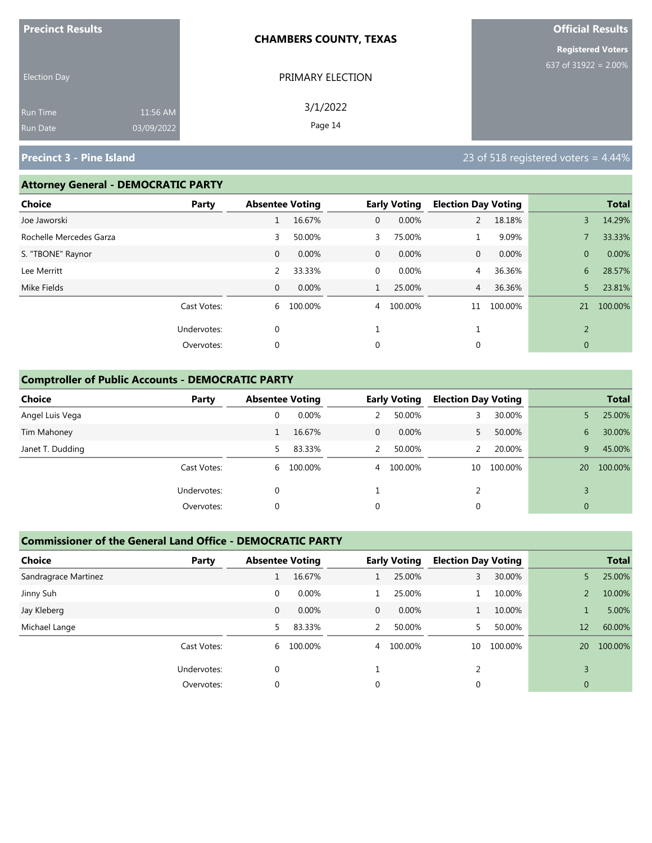| <b>Precinct Results</b>            |                        | <b>CHAMBERS COUNTY, TEXAS</b> | <b>Official Results</b>  |
|------------------------------------|------------------------|-------------------------------|--------------------------|
|                                    |                        |                               | <b>Registered Voters</b> |
| <b>Election Day</b>                |                        | PRIMARY ELECTION              | 637 of 31922 = 2.00%     |
| <b>Run Time</b><br><b>Run Date</b> | 11:56 AM<br>03/09/2022 | 3/1/2022<br>Page 14           |                          |

### **Attorney General - DEMOCRATIC PARTY**

| <b>Choice</b>           | Party       | <b>Absentee Voting</b> |         |                | <b>Early Voting</b> | <b>Election Day Voting</b> |         |                | <b>Total</b> |
|-------------------------|-------------|------------------------|---------|----------------|---------------------|----------------------------|---------|----------------|--------------|
| Joe Jaworski            |             |                        | 16.67%  | $\mathbf{0}$   | 0.00%               | $\overline{2}$             | 18.18%  | 3              | 14.29%       |
| Rochelle Mercedes Garza |             | 3                      | 50.00%  | 3              | 75.00%              |                            | 9.09%   |                | 33.33%       |
| S. "TBONE" Raynor       |             | $\mathbf{0}$           | 0.00%   | $\mathbf{0}$   | $0.00\%$            | $\mathbf{0}$               | 0.00%   | $\mathbf{0}$   | 0.00%        |
| Lee Merritt             |             | 2                      | 33.33%  | $\mathbf 0$    | 0.00%               | $\overline{4}$             | 36.36%  | 6              | 28.57%       |
| Mike Fields             |             | $\mathbf{0}$           | 0.00%   |                | 25.00%              | $\overline{4}$             | 36.36%  | 5              | 23.81%       |
|                         | Cast Votes: | 6                      | 100.00% | $\overline{4}$ | 100.00%             | 11                         | 100.00% | 21             | 100.00%      |
|                         | Undervotes: | $\mathbf 0$            |         |                |                     |                            |         | $\overline{2}$ |              |
|                         | Overvotes:  | $\mathbf 0$            |         | 0              |                     | 0                          |         | $\mathbf{0}$   |              |
|                         |             |                        |         |                |                     |                            |         |                |              |

### **Comptroller of Public Accounts - DEMOCRATIC PARTY**

| <b>Choice</b>    | Party       | <b>Absentee Voting</b> |           |                | <b>Early Voting</b> | <b>Election Day Voting</b> |         |              | <b>Total</b> |
|------------------|-------------|------------------------|-----------|----------------|---------------------|----------------------------|---------|--------------|--------------|
| Angel Luis Vega  |             | 0                      | 0.00%     |                | 50.00%              |                            | 30.00%  |              | 25.00%       |
| Tim Mahoney      |             |                        | 16.67%    | $\overline{0}$ | $0.00\%$            |                            | 50.00%  | 6            | 30.00%       |
| Janet T. Dudding |             | 5.                     | 83.33%    | $\mathcal{P}$  | 50.00%              |                            | 20.00%  | 9            | 45.00%       |
|                  | Cast Votes: |                        | 6 100.00% |                | 4 100.00%           | 10                         | 100.00% | 20           | 100.00%      |
|                  | Undervotes: | 0                      |           |                |                     |                            |         |              |              |
|                  | Overvotes:  | 0                      |           | 0              |                     | 0                          |         | $\mathbf{0}$ |              |

### **Commissioner of the General Land Office - DEMOCRATIC PARTY**

| <b>Choice</b>        | Party       | <b>Absentee Voting</b> |         |               | <b>Early Voting</b> | <b>Election Day Voting</b> |         |                | <b>Total</b> |
|----------------------|-------------|------------------------|---------|---------------|---------------------|----------------------------|---------|----------------|--------------|
| Sandragrace Martinez |             |                        | 16.67%  |               | 25.00%              | 3                          | 30.00%  | 5.             | 25.00%       |
| Jinny Suh            |             | 0                      | 0.00%   |               | 25.00%              |                            | 10.00%  |                | 10.00%       |
| Jay Kleberg          |             | $\mathbf{0}$           | 0.00%   | $\mathbf{0}$  | $0.00\%$            |                            | 10.00%  |                | 5.00%        |
| Michael Lange        |             | 5.                     | 83.33%  | $\mathcal{P}$ | 50.00%              |                            | 50.00%  | 12             | 60.00%       |
|                      | Cast Votes: | 6                      | 100.00% | 4             | 100.00%             | 10                         | 100.00% | 20             | 100.00%      |
|                      | Undervotes: | $\Omega$               |         |               |                     |                            |         |                |              |
|                      | Overvotes:  | 0                      |         | 0             |                     | 0                          |         | $\overline{0}$ |              |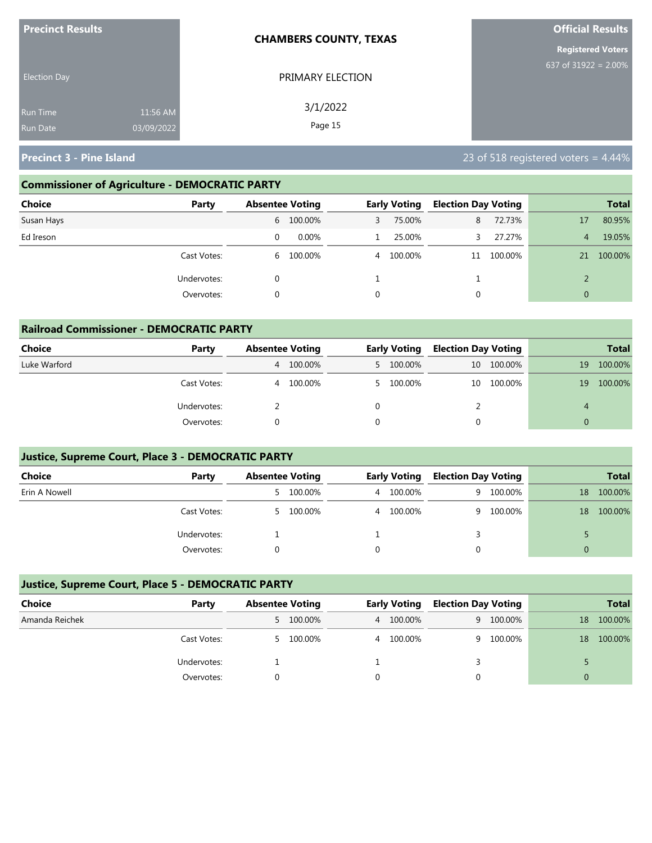| <b>Precinct Results</b> |            | <b>CHAMBERS COUNTY, TEXAS</b> | <b>Official Results</b>  |
|-------------------------|------------|-------------------------------|--------------------------|
|                         |            |                               | <b>Registered Voters</b> |
| <b>Election Day</b>     |            | PRIMARY ELECTION              | 637 of $31922 = 2.00\%$  |
| <b>Run Time</b>         | 11:56 AM   | 3/1/2022                      |                          |
| <b>Run Date</b>         | 03/09/2022 | Page 15                       |                          |

### **Commissioner of Agriculture - DEMOCRATIC PARTY**

| Choice<br>Party |   | <b>Absentee Voting</b> |   | <b>Early Voting</b> | <b>Election Day Voting</b> |            |              | <b>Total</b> |
|-----------------|---|------------------------|---|---------------------|----------------------------|------------|--------------|--------------|
| Susan Hays      |   | 6 100.00%              | 3 | 75.00%              | 8                          | 72.73%     | 17           | 80.95%       |
| Ed Ireson       | 0 | $0.00\%$               |   | 25.00%              |                            | 27.27%     | 4            | 19.05%       |
| Cast Votes:     |   | 6 100.00%              |   | 4 100.00%           |                            | 11 100.00% | 21           | 100.00%      |
| Undervotes:     |   |                        |   |                     |                            |            |              |              |
| Overvotes:      | 0 |                        | 0 |                     | 0                          |            | $\mathbf{0}$ |              |

| <b>Railroad Commissioner - DEMOCRATIC PARTY</b> |             |                        |         |   |                     |                            |         |          |              |
|-------------------------------------------------|-------------|------------------------|---------|---|---------------------|----------------------------|---------|----------|--------------|
| Choice                                          | Party       | <b>Absentee Voting</b> |         |   | <b>Early Voting</b> | <b>Election Day Voting</b> |         |          | <b>Total</b> |
| Luke Warford                                    |             | 4                      | 100.00% |   | 5 100.00%           | 10                         | 100.00% | 19       | 100.00%      |
|                                                 | Cast Votes: | 4                      | 100.00% |   | 5 100.00%           | 10                         | 100.00% | 19       | 100.00%      |
|                                                 | Undervotes: |                        |         | 0 |                     |                            |         | 4        |              |
|                                                 | Overvotes:  |                        |         | 0 |                     |                            |         | $\Omega$ |              |

### **Justice, Supreme Court, Place 3 - DEMOCRATIC PARTY**

| <b>Choice</b> | Party       | <b>Absentee Voting</b> |           | <b>Early Voting</b> |           | <b>Election Day Voting</b> |         |    | <b>Total</b> |
|---------------|-------------|------------------------|-----------|---------------------|-----------|----------------------------|---------|----|--------------|
| Erin A Nowell |             |                        | 5 100.00% |                     | 4 100.00% | 9                          | 100.00% | 18 | 100.00%      |
|               | Cast Votes: |                        | 5 100.00% |                     | 4 100.00% | 9.                         | 100.00% | 18 | 100.00%      |
|               | Undervotes: |                        |           |                     |           |                            |         |    |              |
|               | Overvotes:  |                        |           |                     |           |                            |         |    |              |

### **Justice, Supreme Court, Place 5 - DEMOCRATIC PARTY**

| Choice         | Party       | <b>Absentee Voting</b> | <b>Early Voting</b> | <b>Election Day Voting</b> |           |    | <b>Total</b> |
|----------------|-------------|------------------------|---------------------|----------------------------|-----------|----|--------------|
| Amanda Reichek |             | 5 100.00%              | 4 100.00%           |                            | 9 100.00% | 18 | 100.00%      |
|                | Cast Votes: | 5 100.00%              | 4 100.00%           |                            | 9 100.00% | 18 | 100.00%      |
|                | Undervotes: |                        |                     |                            |           |    |              |
|                | Overvotes:  |                        |                     |                            |           |    |              |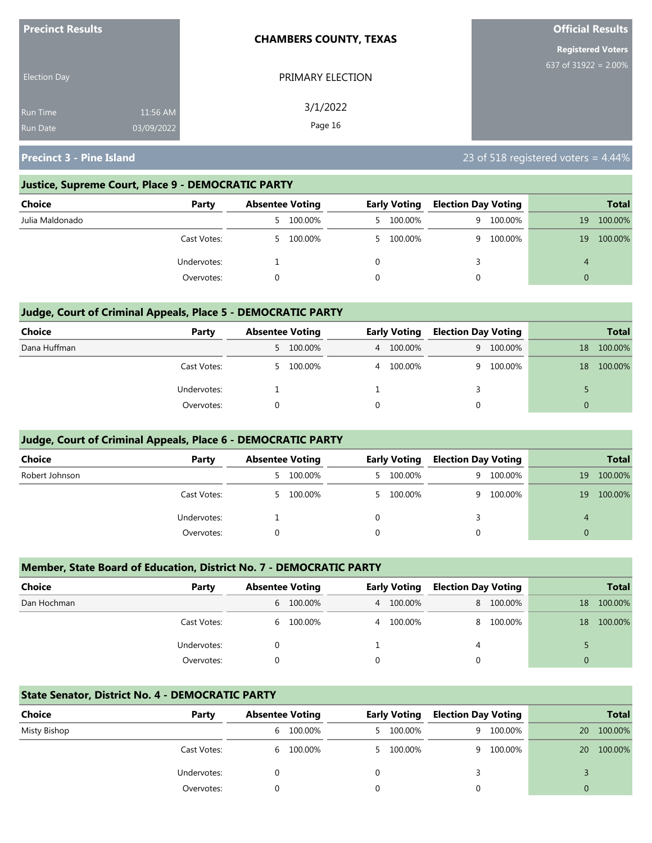| <b>Precinct Results</b>            |                        | <b>CHAMBERS COUNTY, TEXAS</b> | <b>Official Results</b>  |
|------------------------------------|------------------------|-------------------------------|--------------------------|
|                                    |                        |                               | <b>Registered Voters</b> |
| <b>Election Day</b>                |                        | PRIMARY ELECTION              | 637 of $31922 = 2.00\%$  |
| <b>Run Time</b><br><b>Run Date</b> | 11:56 AM<br>03/09/2022 | 3/1/2022<br>Page 16           |                          |

### **Justice, Supreme Court, Place 9 - DEMOCRATIC PARTY**

| Choice          | Party       | <b>Absentee Voting</b> |         |   | <b>Early Voting</b> | <b>Election Day Voting</b> |         |    | <b>Total</b> |
|-----------------|-------------|------------------------|---------|---|---------------------|----------------------------|---------|----|--------------|
| Julia Maldonado |             | $\mathcal{P}$          | 100.00% |   | 5 100.00%           | 9                          | 100.00% | 19 | 100.00%      |
|                 | Cast Votes: | $5 -$                  | 100.00% |   | 5 100.00%           | q                          | 100.00% | 19 | 100.00%      |
|                 | Undervotes: |                        |         |   |                     |                            |         | 4  |              |
|                 | Overvotes:  |                        |         | 0 |                     |                            |         |    |              |

### **Judge, Court of Criminal Appeals, Place 5 - DEMOCRATIC PARTY**

| <b>Choice</b> | Party       | <b>Absentee Voting</b> |           | <b>Early Voting</b> |   | <b>Election Day Voting</b> |          | <b>Total</b> |
|---------------|-------------|------------------------|-----------|---------------------|---|----------------------------|----------|--------------|
| Dana Huffman  |             |                        | 5 100.00% | 4 100.00%           |   | 9 100.00%                  | 18       | 100.00%      |
|               | Cast Votes: |                        | 5 100.00% | 4 100.00%           | q | 100.00%                    | 18       | 100.00%      |
|               | Undervotes: |                        |           |                     |   |                            |          |              |
|               | Overvotes:  |                        |           |                     | 0 |                            | $\Omega$ |              |

### **Judge, Court of Criminal Appeals, Place 6 - DEMOCRATIC PARTY**

| <b>Choice</b>  | Party       | <b>Absentee Voting</b> |         | <b>Early Voting</b> |           | <b>Election Day Voting</b> |         |          | <b>Total</b> |
|----------------|-------------|------------------------|---------|---------------------|-----------|----------------------------|---------|----------|--------------|
| Robert Johnson |             | 5.                     | 100.00% |                     | 5 100.00% | 9                          | 100.00% | 19       | 100.00%      |
|                | Cast Votes: | 5.                     | 100.00% |                     | 5 100.00% | Q.                         | 100.00% | 19       | 100.00%      |
|                | Undervotes: |                        |         |                     |           |                            |         | 4        |              |
|                | Overvotes:  |                        |         | $\Omega$            |           | 0                          |         | $\Omega$ |              |

### **Member, State Board of Education, District No. 7 - DEMOCRATIC PARTY**

| <b>Choice</b> | Party       | <b>Absentee Voting</b> |           | <b>Early Voting</b> |           | <b>Election Day Voting</b> |           |    | <b>Total</b> |
|---------------|-------------|------------------------|-----------|---------------------|-----------|----------------------------|-----------|----|--------------|
| Dan Hochman   |             |                        | 6 100.00% |                     | 4 100.00% |                            | 8 100.00% | 18 | 100.00%      |
|               | Cast Votes: |                        | 6 100.00% |                     | 4 100.00% | 8                          | 100.00%   | 18 | 100.00%      |
|               | Undervotes: |                        |           |                     |           | 4                          |           |    |              |
|               | Overvotes:  |                        |           |                     |           |                            |           |    |              |

### **State Senator, District No. 4 - DEMOCRATIC PARTY**

| Choice       | Party       | <b>Absentee Voting</b> |         | <b>Early Voting</b> | <b>Election Day Voting</b> |           |          | <b>Total</b> |
|--------------|-------------|------------------------|---------|---------------------|----------------------------|-----------|----------|--------------|
| Misty Bishop |             | 6                      | 100.00% | 5 100.00%           |                            | 9 100.00% | 20       | 100.00%      |
|              | Cast Votes: | 6                      | 100.00% | 5 100.00%           |                            | 9 100.00% | 20       | 100.00%      |
|              | Undervotes: |                        |         |                     |                            |           |          |              |
|              | Overvotes:  |                        |         |                     |                            |           | $\Omega$ |              |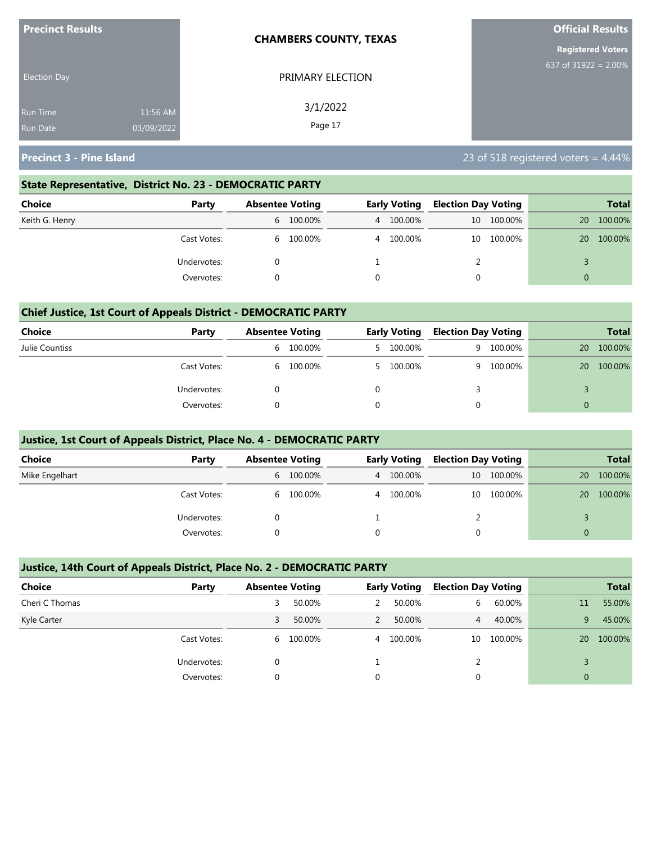| <b>Precinct Results</b> |            | <b>CHAMBERS COUNTY, TEXAS</b> | <b>Official Results</b>  |
|-------------------------|------------|-------------------------------|--------------------------|
|                         |            |                               | <b>Registered Voters</b> |
| <b>Election Day</b>     |            | PRIMARY ELECTION              | 637 of 31922 = 2.00%     |
| <b>Run Time</b>         | 11:56 AM   | 3/1/2022<br>Page 17           |                          |
| <b>Run Date</b>         | 03/09/2022 |                               |                          |

### **State Representative, District No. 23 - DEMOCRATIC PARTY**

| Choice         | Party       | <b>Absentee Voting</b> |           | <b>Early Voting</b> |           | <b>Election Day Voting</b> |            |    | Total   |
|----------------|-------------|------------------------|-----------|---------------------|-----------|----------------------------|------------|----|---------|
| Keith G. Henry |             |                        | 6 100.00% |                     | 4 100.00% |                            | 10 100.00% | 20 | 100.00% |
|                | Cast Votes: |                        | 6 100.00% |                     | 4 100.00% | 10                         | 100.00%    | 20 | 100.00% |
|                | Undervotes: |                        |           |                     |           |                            |            |    |         |
|                | Overvotes:  |                        |           |                     |           |                            |            | 0  |         |

### **Chief Justice, 1st Court of Appeals District - DEMOCRATIC PARTY**

| Choice         | Party       | <b>Absentee Voting</b> |         | <b>Early Voting</b> | <b>Election Day Voting</b> |         |    | <b>Total</b> |
|----------------|-------------|------------------------|---------|---------------------|----------------------------|---------|----|--------------|
| Julie Countiss |             | 6                      | 100.00% | 5 100.00%           | 9.                         | 100.00% | 20 | 100.00%      |
|                | Cast Votes: | 6                      | 100.00% | 5 100.00%           | Q.                         | 100.00% | 20 | 100.00%      |
|                | Undervotes: |                        |         |                     |                            |         |    |              |
|                | Overvotes:  |                        |         |                     |                            |         |    |              |

### **Justice, 1st Court of Appeals District, Place No. 4 - DEMOCRATIC PARTY**

| Choice         | Party       | <b>Absentee Voting</b> |           | <b>Early Voting</b> |           | <b>Election Day Voting</b> |         |           | <b>Total</b> |
|----------------|-------------|------------------------|-----------|---------------------|-----------|----------------------------|---------|-----------|--------------|
| Mike Engelhart |             |                        | 6 100.00% |                     | 4 100.00% | 10 <sup>°</sup>            | 100.00% | 20        | 100.00%      |
|                | Cast Votes: |                        | 6 100.00% |                     | 4 100.00% | 10                         | 100.00% | <b>20</b> | 100.00%      |
|                | Undervotes: |                        |           |                     |           |                            |         |           |              |
|                | Overvotes:  |                        |           |                     |           |                            |         | $\Omega$  |              |

### **Justice, 14th Court of Appeals District, Place No. 2 - DEMOCRATIC PARTY**

| <b>Choice</b>  | Party       |          | <b>Absentee Voting</b> |   | <b>Early Voting</b> |                | <b>Election Day Voting</b> |    | <b>Total</b> |
|----------------|-------------|----------|------------------------|---|---------------------|----------------|----------------------------|----|--------------|
| Cheri C Thomas |             | 3        | 50.00%                 | 2 | 50.00%              | 6              | 60.00%                     | 11 | 55.00%       |
| Kyle Carter    |             | 3        | 50.00%                 |   | 50.00%              | 4 <sup>1</sup> | 40.00%                     | 9  | 45.00%       |
|                | Cast Votes: | 6        | 100.00%                | 4 | 100.00%             | 10             | 100.00%                    | 20 | 100.00%      |
|                | Undervotes: | 0        |                        |   |                     |                |                            |    |              |
|                | Overvotes:  | $\Omega$ |                        | 0 |                     |                |                            | 0  |              |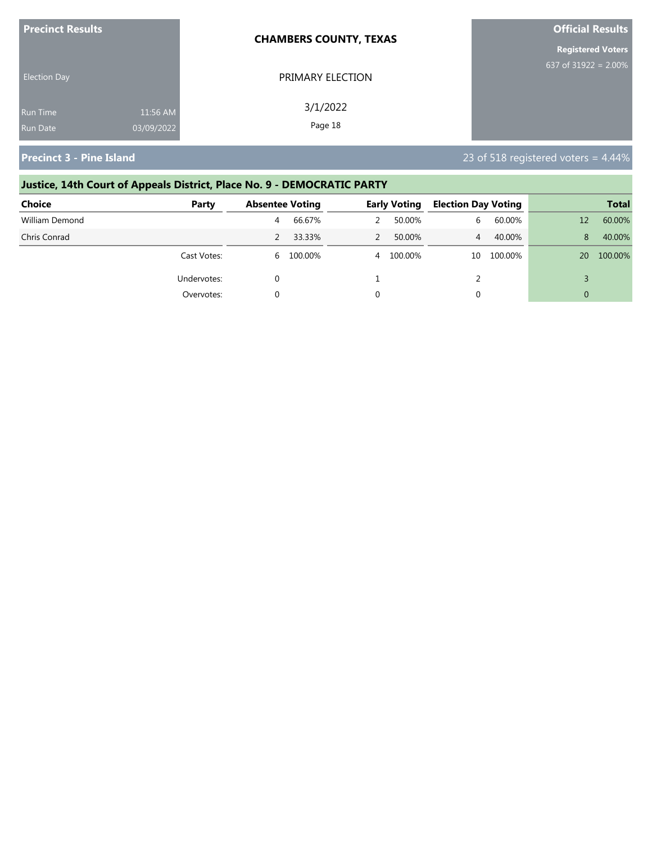| <b>Precinct Results</b> |            | <b>CHAMBERS COUNTY, TEXAS</b> | <b>Official Results</b>  |
|-------------------------|------------|-------------------------------|--------------------------|
|                         |            |                               | <b>Registered Voters</b> |
| <b>Election Day</b>     |            | PRIMARY ELECTION              | 637 of $31922 = 2.00\%$  |
| Run Time                | 11:56 AM   | 3/1/2022                      |                          |
| <b>Run Date</b>         | 03/09/2022 | Page 18                       |                          |

# **Justice, 14th Court of Appeals District, Place No. 9 - DEMOCRATIC PARTY Choice Party Absentee Voting Early Voting Election Day Voting Total** William Demond 4 66.67% 2 50.00% 6 60.00% 12 60.00% Chris Conrad 2 33.33% 2 50.00% 4 40.00% 8 40.00% Cast Votes: 6 100.00% 4 100.00% 10 100.00% 20 100.00% Undervotes:  $0$  and  $1$  and  $2$   $1$   $2$   $3$ Overvotes: 0 0 0 0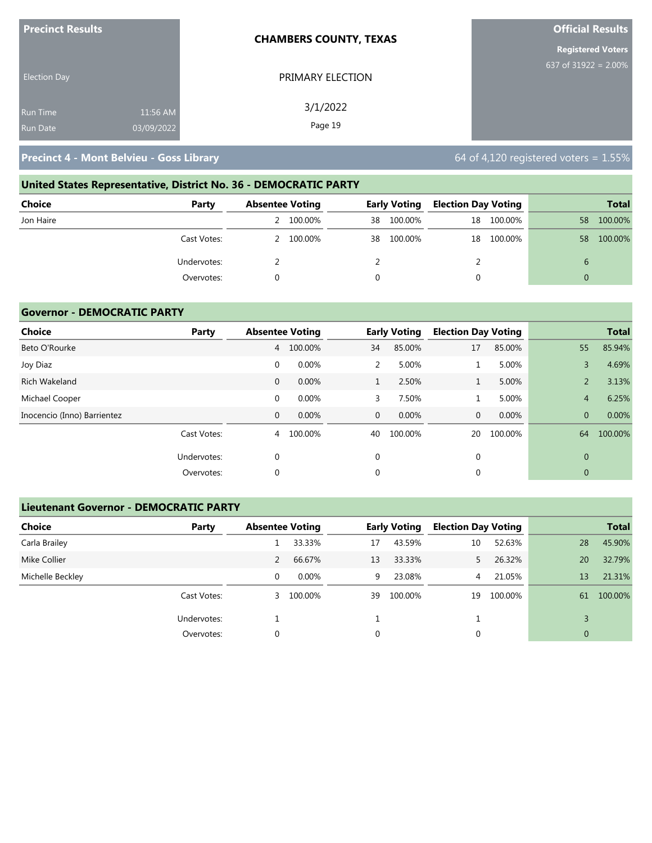| <b>Precinct Results</b> |            | <b>CHAMBERS COUNTY, TEXAS</b> | <b>Official Results</b>  |
|-------------------------|------------|-------------------------------|--------------------------|
|                         |            |                               | <b>Registered Voters</b> |
| <b>Election Day</b>     |            | PRIMARY ELECTION              | 637 of 31922 = 2.00%     |
| <b>Run Time</b>         | 11:56 AM   | 3/1/2022                      |                          |
| <b>Run Date</b>         | 03/09/2022 | Page 19                       |                          |

# **United States Representative, District No. 36 - DEMOCRATIC PARTY Choice Party Absentee Voting Early Voting Election Day Voting Total** Jon Haire 2 100.00% 38 100.00% 18 100.00% 58 100.00% Cast Votes: 2 100.00% 38 100.00% 18 100.00% 58 100.00% Undervotes: 2 2 2 6 Overvotes: 0 0 0 0

### **Governor - DEMOCRATIC PARTY**

| <b>Choice</b>               | Party       |              | <b>Absentee Voting</b> |              | <b>Early Voting</b> | <b>Election Day Voting</b> |         |                | <b>Total</b> |
|-----------------------------|-------------|--------------|------------------------|--------------|---------------------|----------------------------|---------|----------------|--------------|
| Beto O'Rourke               |             | 4            | 100.00%                | 34           | 85.00%              | 17                         | 85.00%  | 55             | 85.94%       |
| Joy Diaz                    |             | $\mathbf 0$  | 0.00%                  | 2            | 5.00%               | 1                          | 5.00%   | 3              | 4.69%        |
| <b>Rich Wakeland</b>        |             | $\mathbf 0$  | 0.00%                  |              | 2.50%               | $\mathbf{1}$               | 5.00%   | $\overline{2}$ | 3.13%        |
| Michael Cooper              |             | $\mathbf 0$  | 0.00%                  | 3            | 7.50%               |                            | 5.00%   | $\overline{4}$ | 6.25%        |
| Inocencio (Inno) Barrientez |             | $\mathbf{0}$ | 0.00%                  | $\mathbf{0}$ | 0.00%               | $\mathbf{0}$               | 0.00%   | $\overline{0}$ | 0.00%        |
|                             | Cast Votes: | 4            | 100.00%                | 40           | 100.00%             | 20                         | 100.00% | 64             | 100.00%      |
|                             | Undervotes: | 0            |                        | 0            |                     | $\mathbf 0$                |         | $\mathbf{0}$   |              |
|                             | Overvotes:  | $\Omega$     |                        | 0            |                     | 0                          |         | $\mathbf{0}$   |              |

### **Lieutenant Governor - DEMOCRATIC PARTY**

| <b>Choice</b>    | Party       | <b>Absentee Voting</b> |           |    | <b>Early Voting</b> | <b>Election Day Voting</b> |         |                | <b>Total</b> |
|------------------|-------------|------------------------|-----------|----|---------------------|----------------------------|---------|----------------|--------------|
| Carla Brailey    |             |                        | 33.33%    | 17 | 43.59%              | 10                         | 52.63%  | 28             | 45.90%       |
| Mike Collier     |             |                        | 66.67%    | 13 | 33.33%              | 5.                         | 26.32%  | 20             | 32.79%       |
| Michelle Beckley |             | 0                      | $0.00\%$  | 9  | 23.08%              | 4                          | 21.05%  | 13             | 21.31%       |
|                  | Cast Votes: |                        | 3 100.00% | 39 | 100.00%             | 19                         | 100.00% | 61             | 100.00%      |
|                  | Undervotes: |                        |           |    |                     |                            |         |                |              |
|                  | Overvotes:  | 0                      |           | 0  |                     | 0                          |         | $\overline{0}$ |              |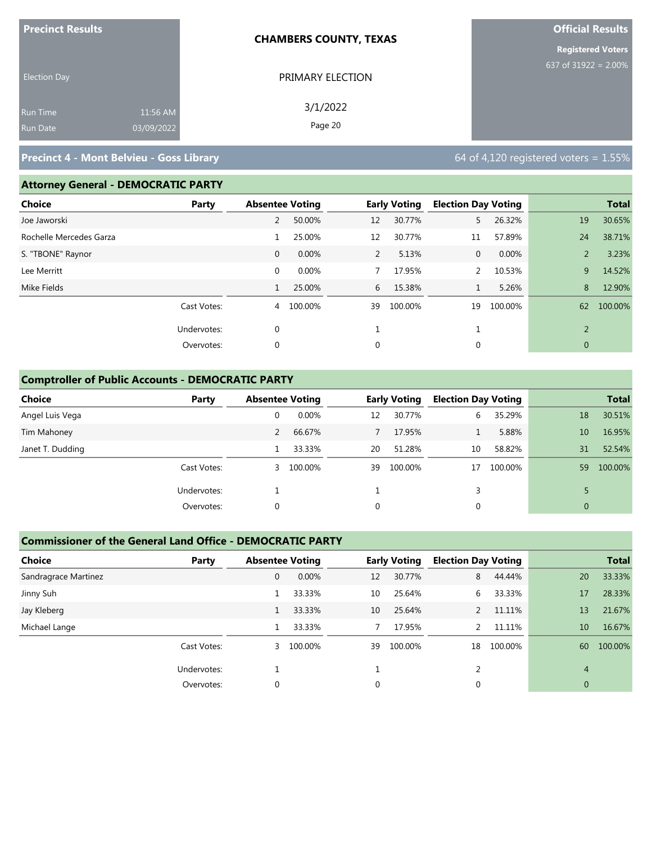| <b>Precinct Results</b> |            | <b>CHAMBERS COUNTY, TEXAS</b> | <b>Official Results</b>  |
|-------------------------|------------|-------------------------------|--------------------------|
|                         |            |                               | <b>Registered Voters</b> |
| <b>Election Day</b>     |            | PRIMARY ELECTION              | 637 of 31922 = $2.00\%$  |
| Run Time                | 11:56 AM   | 3/1/2022                      |                          |
| Run Date                | 03/09/2022 | Page 20                       |                          |

### **Attorney General - DEMOCRATIC PARTY**

| <b>Choice</b>           | Party       | <b>Absentee Voting</b> |         |                | <b>Early Voting</b> | <b>Election Day Voting</b> |         |                | <b>Total</b> |
|-------------------------|-------------|------------------------|---------|----------------|---------------------|----------------------------|---------|----------------|--------------|
| Joe Jaworski            |             | 2                      | 50.00%  | 12             | 30.77%              | 5                          | 26.32%  | 19             | 30.65%       |
| Rochelle Mercedes Garza |             |                        | 25.00%  | 12             | 30.77%              | 11                         | 57.89%  | 24             | 38.71%       |
| S. "TBONE" Raynor       |             | $\mathbf{0}$           | 0.00%   | $\overline{2}$ | 5.13%               | $\mathbf{0}$               | 0.00%   | 2              | 3.23%        |
| Lee Merritt             |             | $\mathbf 0$            | 0.00%   |                | 17.95%              | 2                          | 10.53%  | 9              | 14.52%       |
| Mike Fields             |             | 1                      | 25.00%  | 6              | 15.38%              | $\mathbf{1}$               | 5.26%   | 8              | 12.90%       |
|                         | Cast Votes: | 4                      | 100.00% | 39             | 100.00%             | 19                         | 100.00% | 62             | 100.00%      |
|                         | Undervotes: | 0                      |         |                |                     |                            |         | $\overline{2}$ |              |
|                         | Overvotes:  | 0                      |         | 0              |                     | 0                          |         | $\mathbf 0$    |              |
|                         |             |                        |         |                |                     |                            |         |                |              |

### **Comptroller of Public Accounts - DEMOCRATIC PARTY**

| <b>Choice</b>    | Party       | <b>Absentee Voting</b> |           |    | <b>Early Voting</b> | <b>Election Day Voting</b> |         |                | <b>Total</b> |
|------------------|-------------|------------------------|-----------|----|---------------------|----------------------------|---------|----------------|--------------|
| Angel Luis Vega  |             | 0                      | 0.00%     | 12 | 30.77%              | 6.                         | 35.29%  | 18             | 30.51%       |
| Tim Mahoney      |             | 2                      | 66.67%    |    | 17.95%              |                            | 5.88%   | 10             | 16.95%       |
| Janet T. Dudding |             |                        | 33.33%    | 20 | 51.28%              | 10                         | 58.82%  | 31             | 52.54%       |
|                  | Cast Votes: |                        | 3 100.00% | 39 | 100.00%             | 17                         | 100.00% | 59             | 100.00%      |
|                  | Undervotes: |                        |           |    |                     | 3                          |         |                |              |
|                  | Overvotes:  | 0                      |           | 0  |                     | 0                          |         | $\overline{0}$ |              |

### **Commissioner of the General Land Office - DEMOCRATIC PARTY**

| <b>Choice</b>        | Party       | <b>Absentee Voting</b> |         |    | <b>Early Voting</b> | <b>Election Day Voting</b> |         |                | <b>Total</b> |
|----------------------|-------------|------------------------|---------|----|---------------------|----------------------------|---------|----------------|--------------|
| Sandragrace Martinez |             | 0                      | 0.00%   | 12 | 30.77%              | 8                          | 44.44%  | 20             | 33.33%       |
| Jinny Suh            |             |                        | 33.33%  | 10 | 25.64%              | 6                          | 33.33%  | 17             | 28.33%       |
| Jay Kleberg          |             |                        | 33.33%  | 10 | 25.64%              | 2                          | 11.11%  | 13             | 21.67%       |
| Michael Lange        |             |                        | 33.33%  |    | 17.95%              | $\overline{2}$             | 11.11%  | 10             | 16.67%       |
|                      | Cast Votes: | 3                      | 100.00% | 39 | 100.00%             | 18                         | 100.00% | 60             | 100.00%      |
|                      | Undervotes: |                        |         |    |                     |                            |         | $\overline{4}$ |              |
|                      | Overvotes:  | $\Omega$               |         | 0  |                     | 0                          |         | $\mathbf{0}$   |              |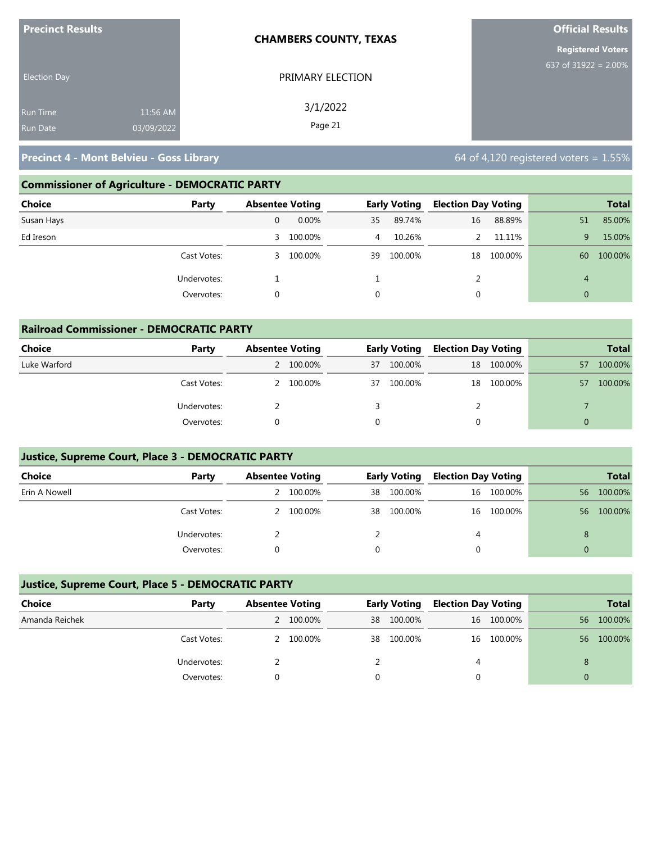| <b>Precinct Results</b> |            | <b>CHAMBERS COUNTY, TEXAS</b> | <b>Official Results</b>  |
|-------------------------|------------|-------------------------------|--------------------------|
|                         |            |                               | <b>Registered Voters</b> |
| <b>Election Day</b>     |            | PRIMARY ELECTION              | 637 of $31922 = 2.00\%$  |
| <b>Run Time</b>         | 11:56 AM   | 3/1/2022                      |                          |
| <b>Run Date</b>         | 03/09/2022 | Page 21                       |                          |

### **Commissioner of Agriculture - DEMOCRATIC PARTY**

| <b>Choice</b><br>Party |   | <b>Absentee Voting</b> |    | <b>Early Voting</b> |    | <b>Election Day Voting</b> |                | <b>Total</b> |
|------------------------|---|------------------------|----|---------------------|----|----------------------------|----------------|--------------|
| Susan Hays             |   | $0.00\%$               | 35 | 89.74%              | 16 | 88.89%                     | 51             | 85.00%       |
| Ed Ireson              | 3 | 100.00%                | 4  | 10.26%              |    | 11.11%                     | 9              | 15.00%       |
| Cast Votes:            | 3 | 100.00%                | 39 | 100.00%             |    | 18 100.00%                 | 60             | 100.00%      |
| Undervotes:            |   |                        |    |                     |    |                            | 4              |              |
| Overvotes:             |   |                        |    |                     |    |                            | $\overline{0}$ |              |

| <b>Railroad Commissioner - DEMOCRATIC PARTY</b> |             |                        |           |    |                     |    |                            |          |              |  |
|-------------------------------------------------|-------------|------------------------|-----------|----|---------------------|----|----------------------------|----------|--------------|--|
| <b>Choice</b>                                   | Party       | <b>Absentee Voting</b> |           |    | <b>Early Voting</b> |    | <b>Election Day Voting</b> |          | <b>Total</b> |  |
| Luke Warford                                    |             |                        | 2 100.00% | 37 | 100.00%             | 18 | 100.00%                    | 57       | 100.00%      |  |
|                                                 | Cast Votes: |                        | 2 100.00% | 37 | 100.00%             | 18 | 100.00%                    | 57       | 100.00%      |  |
|                                                 | Undervotes: |                        |           |    |                     |    |                            |          |              |  |
|                                                 | Overvotes:  |                        |           |    |                     | 0  |                            | $\Omega$ |              |  |

### **Justice, Supreme Court, Place 3 - DEMOCRATIC PARTY**

| <b>Choice</b> | Party       | <b>Absentee Voting</b> |           |    | <b>Early Voting</b> |   | <b>Election Day Voting</b> | <b>Total</b> |         |
|---------------|-------------|------------------------|-----------|----|---------------------|---|----------------------------|--------------|---------|
| Erin A Nowell |             |                        | 100.00%   | 38 | 100.00%             |   | 16 100.00%                 | 56           | 100.00% |
|               | Cast Votes: |                        | 2 100.00% | 38 | 100.00%             |   | 16 100.00%                 | 56           | 100.00% |
|               | Undervotes: |                        |           |    |                     | 4 |                            |              |         |
|               | Overvotes:  |                        |           |    |                     |   |                            |              |         |

### **Justice, Supreme Court, Place 5 - DEMOCRATIC PARTY**

| Choice         | Party       | <b>Absentee Voting</b> |           | <b>Early Voting</b> |         | <b>Election Day Voting</b> |            |    | <b>Total</b> |
|----------------|-------------|------------------------|-----------|---------------------|---------|----------------------------|------------|----|--------------|
| Amanda Reichek |             |                        | 2 100.00% | 38                  | 100.00% |                            | 16 100.00% | 56 | 100.00%      |
|                | Cast Votes: |                        | 2 100.00% | 38                  | 100.00% |                            | 16 100.00% | 56 | 100.00%      |
|                | Undervotes: |                        |           |                     |         | 4                          |            | 8  |              |
|                | Overvotes:  |                        |           |                     |         |                            |            |    |              |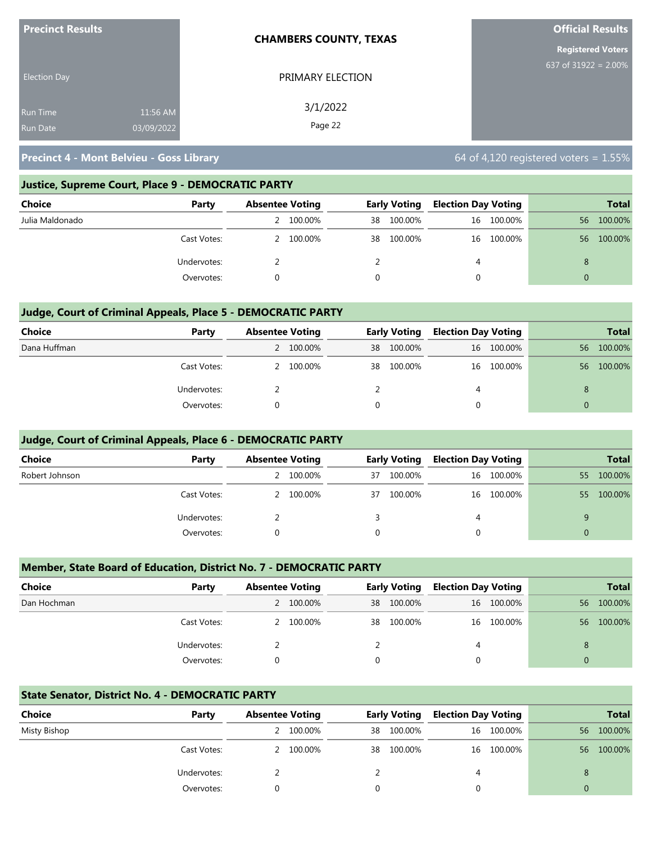| <b>Precinct Results</b> | <b>CHAMBERS COUNTY, TEXAS</b> |                  | <b>Official Results</b>  |
|-------------------------|-------------------------------|------------------|--------------------------|
|                         |                               |                  | <b>Registered Voters</b> |
| <b>Election Day</b>     |                               | PRIMARY ELECTION | 637 of 31922 = $2.00\%$  |
| <b>Run Time</b>         | 11:56 AM                      | 3/1/2022         |                          |
| <b>Run Date</b>         | 03/09/2022                    | Page 22          |                          |

### **Justice, Supreme Court, Place 9 - DEMOCRATIC PARTY**

| <b>Choice</b>   | Party       | <b>Absentee Voting</b> |           | <b>Early Voting</b> |         | <b>Election Day Voting</b> |            |    | <b>Total</b> |
|-----------------|-------------|------------------------|-----------|---------------------|---------|----------------------------|------------|----|--------------|
| Julia Maldonado |             |                        | 100.00%   | 38                  | 100.00% |                            | 16 100.00% | 56 | 100.00%      |
|                 | Cast Votes: |                        | 2 100.00% | 38                  | 100.00% |                            | 16 100.00% | 56 | 100.00%      |
|                 | Undervotes: |                        |           |                     |         | 4                          |            | 8  |              |
|                 | Overvotes:  |                        |           | 0                   |         | 0                          |            |    |              |

### **Judge, Court of Criminal Appeals, Place 5 - DEMOCRATIC PARTY**

| <b>Choice</b> | Party       | <b>Absentee Voting</b> |           | <b>Early Voting</b> |         | <b>Election Day Voting</b> |            |    | <b>Total</b> |
|---------------|-------------|------------------------|-----------|---------------------|---------|----------------------------|------------|----|--------------|
| Dana Huffman  |             |                        | 2 100.00% | 38                  | 100.00% |                            | 16 100.00% | 56 | 100.00%      |
|               | Cast Votes: |                        | 2 100.00% | 38                  | 100.00% |                            | 16 100.00% | 56 | 100.00%      |
|               | Undervotes: |                        |           |                     |         | 4                          |            |    |              |
|               | Overvotes:  |                        |           | $\Omega$            |         | 0                          |            |    |              |

### **Judge, Court of Criminal Appeals, Place 6 - DEMOCRATIC PARTY**

| <b>Choice</b>  | Party       | <b>Absentee Voting</b> |           |    |         |   | <b>Early Voting</b> |    |         |  | <b>Election Day Voting</b> |  | <b>Total</b> |
|----------------|-------------|------------------------|-----------|----|---------|---|---------------------|----|---------|--|----------------------------|--|--------------|
| Robert Johnson |             |                        | 100.00%   | 37 | 100.00% |   | 16 100.00%          | 55 | 100.00% |  |                            |  |              |
|                | Cast Votes: |                        | 2 100.00% | 37 | 100.00% |   | 16 100.00%          | 55 | 100.00% |  |                            |  |              |
|                | Undervotes: |                        |           |    |         | 4 |                     | q  |         |  |                            |  |              |
|                | Overvotes:  |                        |           |    |         | 0 |                     | 0  |         |  |                            |  |              |

### **Member, State Board of Education, District No. 7 - DEMOCRATIC PARTY**

| <b>Choice</b> | Party       | <b>Absentee Voting</b> |           | <b>Early Voting</b> |         | <b>Election Day Voting</b> |            |     | <b>Total</b> |
|---------------|-------------|------------------------|-----------|---------------------|---------|----------------------------|------------|-----|--------------|
| Dan Hochman   |             |                        | 2 100.00% | 38                  | 100.00% |                            | 16 100.00% | 56  | 100.00%      |
|               | Cast Votes: |                        | 100.00%   | 38                  | 100.00% |                            | 16 100.00% | -56 | 100.00%      |
|               | Undervotes: |                        |           |                     |         | 4                          |            | 8   |              |
|               | Overvotes:  |                        |           | $\Omega$            |         | $\Omega$                   |            | 0   |              |

### **State Senator, District No. 4 - DEMOCRATIC PARTY**

| Choice       | Party       | <b>Absentee Voting</b> |           | <b>Early Voting</b> |         | <b>Election Day Voting</b> |            |    | <b>Total</b> |
|--------------|-------------|------------------------|-----------|---------------------|---------|----------------------------|------------|----|--------------|
| Misty Bishop |             |                        | 2 100.00% | 38                  | 100.00% |                            | 16 100.00% | 56 | 100.00%      |
|              | Cast Votes: |                        | 2 100.00% | 38                  | 100.00% |                            | 16 100.00% | 56 | 100.00%      |
|              | Undervotes: |                        |           |                     |         | 4                          |            |    |              |
|              | Overvotes:  |                        |           |                     |         |                            |            | 0  |              |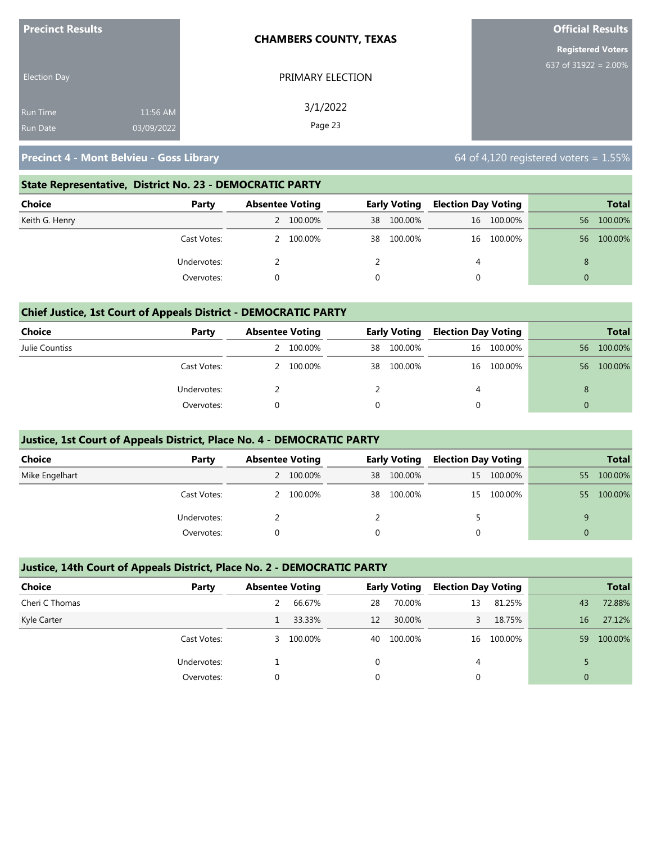| <b>Precinct Results</b> |            | <b>CHAMBERS COUNTY, TEXAS</b> | <b>Official Results</b>  |
|-------------------------|------------|-------------------------------|--------------------------|
|                         |            |                               | <b>Registered Voters</b> |
| <b>Election Day</b>     |            | PRIMARY ELECTION              | 637 of $31922 = 2.00\%$  |
| <b>Run Time</b>         | 11:56 AM   | 3/1/2022                      |                          |
| <b>Run Date</b>         | 03/09/2022 | Page 23                       |                          |

### **State Representative, District No. 23 - DEMOCRATIC PARTY**

| Choice<br>Party | <b>Absentee Voting</b> |           | <b>Early Voting</b> |         | <b>Election Day Voting</b> |            |                | <b>Total</b> |
|-----------------|------------------------|-----------|---------------------|---------|----------------------------|------------|----------------|--------------|
| Keith G. Henry  |                        | 2 100.00% | 38                  | 100.00% |                            | 16 100.00% | 56             | 100.00%      |
| Cast Votes:     |                        | 2 100.00% | 38                  | 100.00% |                            | 16 100.00% | 56             | 100.00%      |
| Undervotes:     |                        |           |                     |         | 4                          |            | 8              |              |
| Overvotes:      |                        |           |                     |         |                            |            | $\overline{0}$ |              |

### **Chief Justice, 1st Court of Appeals District - DEMOCRATIC PARTY**

| Choice         | Party       | <b>Absentee Voting</b> |           |    | <b>Early Voting</b> |   | <b>Election Day Voting</b> |          | <b>Total</b> |
|----------------|-------------|------------------------|-----------|----|---------------------|---|----------------------------|----------|--------------|
| Julie Countiss |             |                        | 100.00%   | 38 | 100.00%             |   | 16 100.00%                 | 56       | 100.00%      |
|                | Cast Votes: |                        | 2 100.00% | 38 | 100.00%             |   | 16 100.00%                 | 56       | 100.00%      |
|                | Undervotes: |                        |           |    |                     | 4 |                            | 8        |              |
|                | Overvotes:  |                        |           | 0  |                     | 0 |                            | $\Omega$ |              |

### **Justice, 1st Court of Appeals District, Place No. 4 - DEMOCRATIC PARTY**

| <b>Choice</b>  | Party       | <b>Absentee Voting</b> |    | Early Voting |  | <b>Election Day Voting</b> |          | <b>Total</b> |
|----------------|-------------|------------------------|----|--------------|--|----------------------------|----------|--------------|
| Mike Engelhart |             | 2 100.00%              | 38 | 100.00%      |  | 15 100.00%                 | 55       | 100.00%      |
|                | Cast Votes: | 100.00%                |    | 38 100.00%   |  | 15 100.00%                 | 55       | 100.00%      |
|                | Undervotes: |                        |    |              |  |                            | a        |              |
|                | Overvotes:  |                        |    |              |  |                            | $\Omega$ |              |

### **Justice, 14th Court of Appeals District, Place No. 2 - DEMOCRATIC PARTY**

| <b>Choice</b>  | Party       | <b>Absentee Voting</b> |         |    | <b>Early Voting</b> | <b>Election Day Voting</b> |            |    | <b>Total</b> |
|----------------|-------------|------------------------|---------|----|---------------------|----------------------------|------------|----|--------------|
| Cheri C Thomas |             |                        | 66.67%  | 28 | 70.00%              | 13                         | 81.25%     | 43 | 72.88%       |
| Kyle Carter    |             |                        | 33.33%  | 12 | 30.00%              |                            | 18.75%     | 16 | 27.12%       |
|                | Cast Votes: | 3.                     | 100.00% | 40 | 100.00%             |                            | 16 100.00% | 59 | 100.00%      |
|                | Undervotes: |                        |         | 0  |                     | 4                          |            |    |              |
|                | Overvotes:  | $\Omega$               |         | 0  |                     |                            |            | 0  |              |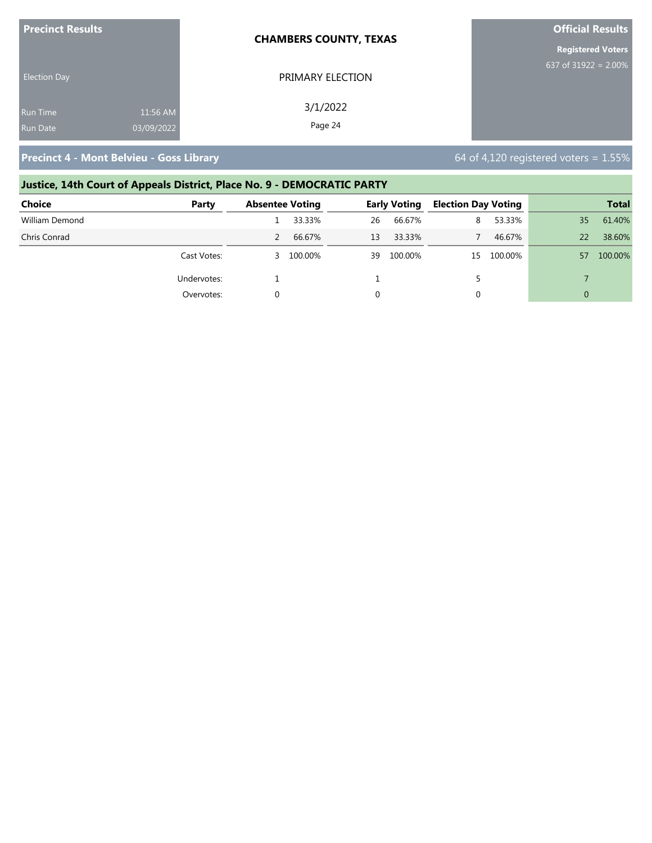| <b>Precinct Results</b> |            | <b>CHAMBERS COUNTY, TEXAS</b> | <b>Official Results</b>  |
|-------------------------|------------|-------------------------------|--------------------------|
|                         |            |                               | <b>Registered Voters</b> |
| <b>Election Day</b>     |            | PRIMARY ELECTION              | 637 of 31922 = $2.00\%$  |
| <b>Run Time</b>         | 11:56 AM   | 3/1/2022                      |                          |
| <b>Run Date</b>         | 03/09/2022 | Page 24                       |                          |

### **Justice, 14th Court of Appeals District, Place No. 9 - DEMOCRATIC PARTY**

| <b>Choice</b>  | Party       | <b>Absentee Voting</b> |           |    | <b>Early Voting</b> | <b>Election Day Voting</b> |            |          | <b>Total</b> |
|----------------|-------------|------------------------|-----------|----|---------------------|----------------------------|------------|----------|--------------|
| William Demond |             |                        | 33.33%    | 26 | 66.67%              | 8                          | 53.33%     | 35       | 61.40%       |
| Chris Conrad   |             |                        | 66.67%    | 13 | 33.33%              |                            | 46.67%     | 22       | 38.60%       |
|                | Cast Votes: |                        | 3 100.00% |    | 39 100.00%          |                            | 15 100.00% | 57       | 100.00%      |
|                | Undervotes: |                        |           |    |                     |                            |            |          |              |
|                | Overvotes:  |                        |           |    |                     | 0                          |            | $\Omega$ |              |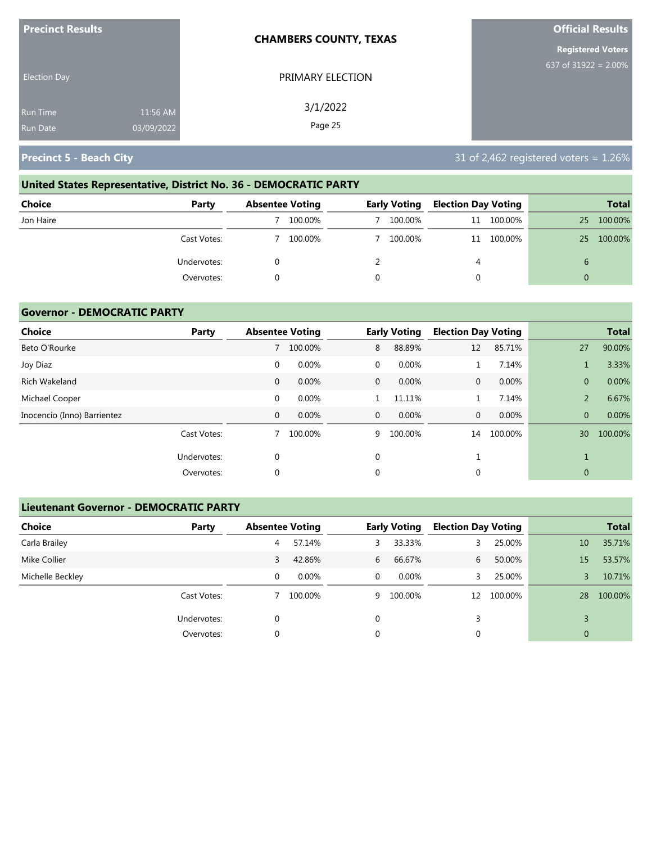| <b>Precinct Results</b>            |                        | <b>CHAMBERS COUNTY, TEXAS</b> | <b>Official Results</b>  |
|------------------------------------|------------------------|-------------------------------|--------------------------|
|                                    |                        |                               | <b>Registered Voters</b> |
| <b>Election Day</b>                |                        | PRIMARY ELECTION              | 637 of 31922 = $2.00\%$  |
| <b>Run Time</b><br><b>Run Date</b> | 11:56 AM<br>03/09/2022 | 3/1/2022<br>Page 25           |                          |
|                                    |                        |                               |                          |

# **United States Representative, District No. 36 - DEMOCRATIC PARTY**

| <b>Choice</b><br>Party | <b>Absentee Voting</b> | <b>Early Voting</b> | <b>Election Day Voting</b> |            |    | <b>Total</b> |
|------------------------|------------------------|---------------------|----------------------------|------------|----|--------------|
| Jon Haire              | 100.00%                | 100.00%             |                            | 11 100.00% | 25 | 100.00%      |
| Cast Votes:            | 100.00%                | 100.00%             |                            | 11 100.00% | 25 | 100.00%      |
| Undervotes:            |                        |                     | 4                          |            |    |              |
| Overvotes:             |                        |                     |                            |            |    |              |

### **Governor - DEMOCRATIC PARTY**

| <b>Choice</b>               | Party       |              | <b>Absentee Voting</b> |              | <b>Early Voting</b> | <b>Election Day Voting</b> |         |                | <b>Total</b> |
|-----------------------------|-------------|--------------|------------------------|--------------|---------------------|----------------------------|---------|----------------|--------------|
| Beto O'Rourke               |             |              | 100.00%                | 8            | 88.89%              | 12                         | 85.71%  | 27             | 90.00%       |
| Joy Diaz                    |             | 0            | 0.00%                  | $\mathbf{0}$ | 0.00%               | 1                          | 7.14%   |                | 3.33%        |
| Rich Wakeland               |             | $\mathbf{0}$ | 0.00%                  | $\mathbf{0}$ | 0.00%               | $\mathbf{0}$               | 0.00%   | $\overline{0}$ | 0.00%        |
| Michael Cooper              |             | $\mathbf 0$  | 0.00%                  |              | 11.11%              |                            | 7.14%   | 2              | 6.67%        |
| Inocencio (Inno) Barrientez |             | 0            | 0.00%                  | $\mathbf{0}$ | 0.00%               | $\mathbf{0}$               | 0.00%   | $\overline{0}$ | 0.00%        |
|                             | Cast Votes: |              | 100.00%                | 9            | 100.00%             | 14                         | 100.00% | 30             | 100.00%      |
|                             | Undervotes: | 0            |                        | 0            |                     |                            |         |                |              |
|                             | Overvotes:  | 0            |                        | 0            |                     | 0                          |         | $\mathbf{0}$   |              |

### **Lieutenant Governor - DEMOCRATIC PARTY**

| <b>Choice</b>    | Party       | <b>Absentee Voting</b> |          |          | <b>Early Voting</b> | <b>Election Day Voting</b> |         |              | <b>Total</b> |
|------------------|-------------|------------------------|----------|----------|---------------------|----------------------------|---------|--------------|--------------|
| Carla Brailey    |             | 4                      | 57.14%   | 3        | 33.33%              | 3                          | 25.00%  | 10           | 35.71%       |
| Mike Collier     |             | 3                      | 42.86%   | 6        | 66.67%              | 6                          | 50.00%  | 15           | 53.57%       |
| Michelle Beckley |             | 0                      | $0.00\%$ | $\Omega$ | $0.00\%$            | 3                          | 25.00%  |              | 10.71%       |
|                  | Cast Votes: |                        | 100.00%  | 9        | 100.00%             | 12                         | 100.00% | 28           | 100.00%      |
|                  | Undervotes: | 0                      |          | 0        |                     | 3                          |         |              |              |
|                  | Overvotes:  | 0                      |          | 0        |                     | 0                          |         | $\mathbf{0}$ |              |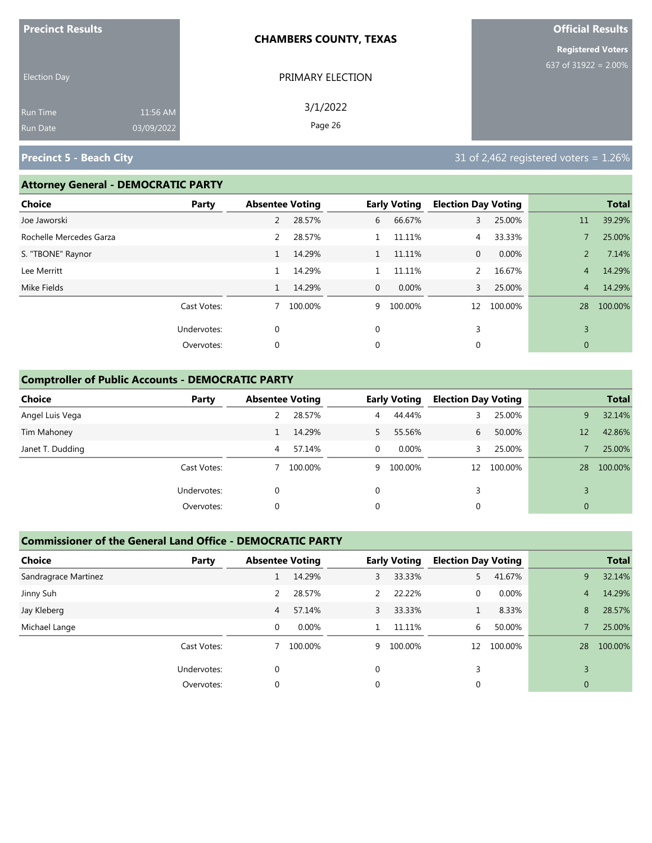| <b>Precinct Results</b> |            | <b>CHAMBERS COUNTY, TEXAS</b> | <b>Official Results</b>  |
|-------------------------|------------|-------------------------------|--------------------------|
|                         |            |                               | <b>Registered Voters</b> |
| <b>Election Day</b>     |            | PRIMARY ELECTION              | 637 of 31922 = $2.00\%$  |
| Run Time                | 11:56 AM   | 3/1/2022                      |                          |
| Run Date                | 03/09/2022 | Page 26                       |                          |

### **Attorney General - DEMOCRATIC PARTY**

| <b>Choice</b>           | Party       | <b>Absentee Voting</b> |         |              | <b>Early Voting</b> | <b>Election Day Voting</b> |         |                | <b>Total</b> |
|-------------------------|-------------|------------------------|---------|--------------|---------------------|----------------------------|---------|----------------|--------------|
| Joe Jaworski            |             | 2                      | 28.57%  | 6            | 66.67%              | 3                          | 25.00%  | 11             | 39.29%       |
| Rochelle Mercedes Garza |             | 2                      | 28.57%  |              | 11.11%              | 4                          | 33.33%  |                | 25.00%       |
| S. "TBONE" Raynor       |             | $\mathbf{1}$           | 14.29%  | $\mathbf{1}$ | 11.11%              | $\mathbf{0}$               | 0.00%   | $\overline{2}$ | 7.14%        |
| Lee Merritt             |             | 1                      | 14.29%  |              | 11.11%              | $\overline{2}$             | 16.67%  | 4              | 14.29%       |
| Mike Fields             |             |                        | 14.29%  | $\mathbf{0}$ | 0.00%               | 3                          | 25.00%  | $\overline{4}$ | 14.29%       |
|                         | Cast Votes: | 7                      | 100.00% | 9            | 100.00%             | 12                         | 100.00% | 28             | 100.00%      |
|                         | Undervotes: | $\mathbf 0$            |         | $\mathbf 0$  |                     | 3                          |         | 3              |              |
|                         | Overvotes:  | $\mathbf 0$            |         | 0            |                     | 0                          |         | $\mathbf{0}$   |              |
|                         |             |                        |         |              |                     |                            |         |                |              |

### **Comptroller of Public Accounts - DEMOCRATIC PARTY**

| <b>Choice</b>    | Party       | <b>Absentee Voting</b> |         |          | <b>Early Voting</b> | <b>Election Day Voting</b> |         |              | <b>Total</b> |
|------------------|-------------|------------------------|---------|----------|---------------------|----------------------------|---------|--------------|--------------|
| Angel Luis Vega  |             |                        | 28.57%  | 4        | 44.44%              |                            | 25.00%  | 9            | 32.14%       |
| Tim Mahoney      |             |                        | 14.29%  | 5.       | 55.56%              | 6                          | 50.00%  | 12           | 42.86%       |
| Janet T. Dudding |             | 4                      | 57.14%  | $\Omega$ | $0.00\%$            |                            | 25.00%  |              | 25.00%       |
|                  | Cast Votes: |                        | 100.00% |          | 9 100.00%           | 12                         | 100.00% | 28           | 100.00%      |
|                  | Undervotes: | 0                      |         | 0        |                     | 3                          |         |              |              |
|                  | Overvotes:  | 0                      |         | 0        |                     | 0                          |         | $\mathbf{0}$ |              |

### **Commissioner of the General Land Office - DEMOCRATIC PARTY**

| <b>Choice</b>        | Party       | <b>Absentee Voting</b> |         |          | <b>Early Voting</b> | <b>Election Day Voting</b> |          |                | <b>Total</b> |
|----------------------|-------------|------------------------|---------|----------|---------------------|----------------------------|----------|----------------|--------------|
| Sandragrace Martinez |             |                        | 14.29%  | 3        | 33.33%              | 5.                         | 41.67%   | 9              | 32.14%       |
| Jinny Suh            |             |                        | 28.57%  | 2        | 22.22%              | 0                          | $0.00\%$ | 4              | 14.29%       |
| Jay Kleberg          |             | 4                      | 57.14%  | 3        | 33.33%              | 1                          | 8.33%    | 8              | 28.57%       |
| Michael Lange        |             | 0                      | 0.00%   |          | 11.11%              | 6                          | 50.00%   |                | 25.00%       |
|                      | Cast Votes: |                        | 100.00% | 9        | 100.00%             | 12                         | 100.00%  | 28             | 100.00%      |
|                      | Undervotes: | $\Omega$               |         | $\Omega$ |                     | 3                          |          |                |              |
|                      | Overvotes:  |                        |         | 0        |                     |                            |          | $\overline{0}$ |              |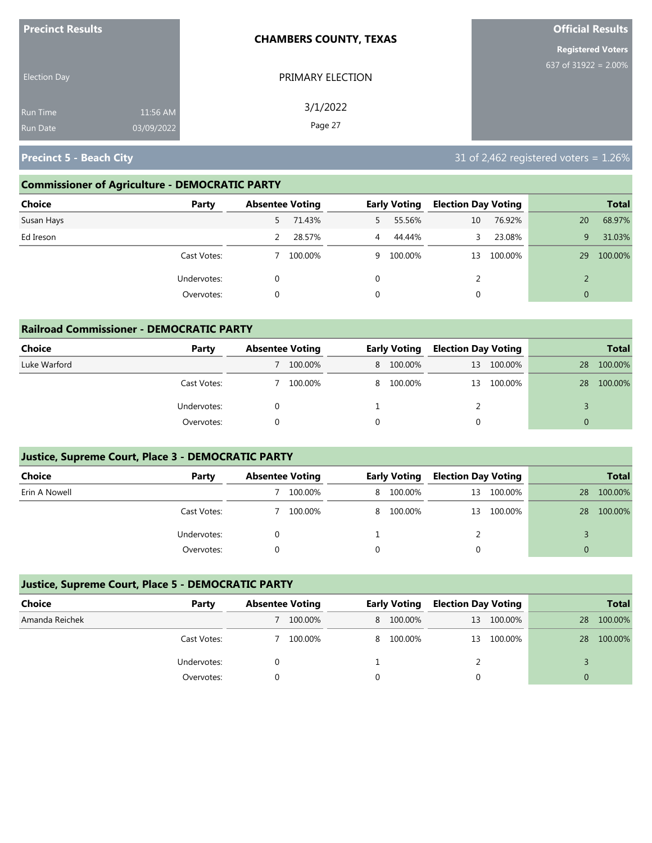| <b>Precinct Results</b> |            | <b>CHAMBERS COUNTY, TEXAS</b> | <b>Official Results</b>  |
|-------------------------|------------|-------------------------------|--------------------------|
|                         |            |                               | <b>Registered Voters</b> |
| <b>Election Day</b>     |            | PRIMARY ELECTION              | 637 of $31922 = 2.00\%$  |
| <b>Run Time</b>         | 11:56 AM   | 3/1/2022                      |                          |
| <b>Run Date</b>         | 03/09/2022 | Page 27                       |                          |

### **Commissioner of Agriculture - DEMOCRATIC PARTY**

| <b>Choice</b><br>Party | <b>Absentee Voting</b> |         |                | <b>Early Voting</b> | <b>Election Day Voting</b> |         |              | <b>Total</b> |
|------------------------|------------------------|---------|----------------|---------------------|----------------------------|---------|--------------|--------------|
| Susan Hays             | 5.                     | 71.43%  | 5              | 55.56%              | 10                         | 76.92%  | 20           | 68.97%       |
| Ed Ireson              |                        | 28.57%  | $\overline{4}$ | 44.44%              | 3.                         | 23.08%  | 9            | 31.03%       |
| Cast Votes:            |                        | 100.00% |                | 9 100.00%           | 13                         | 100.00% | 29           | 100.00%      |
| Undervotes:            | 0                      |         | $\mathbf 0$    |                     | 2                          |         |              |              |
| Overvotes:             | 0                      |         | 0              |                     | 0                          |         | $\mathbf{0}$ |              |

| <b>Railroad Commissioner - DEMOCRATIC PARTY</b> |             |                        |         |   |                     |                            |         |          |              |
|-------------------------------------------------|-------------|------------------------|---------|---|---------------------|----------------------------|---------|----------|--------------|
| <b>Choice</b>                                   | Party       | <b>Absentee Voting</b> |         |   | <b>Early Voting</b> | <b>Election Day Voting</b> |         |          | <b>Total</b> |
| Luke Warford                                    |             |                        | 100.00% |   | 8 100.00%           | 13                         | 100.00% | 28       | 100.00%      |
|                                                 | Cast Votes: |                        | 100.00% |   | 8 100.00%           | 13                         | 100.00% | 28       | 100.00%      |
|                                                 | Undervotes: |                        |         |   |                     |                            |         |          |              |
|                                                 | Overvotes:  | 0                      |         | 0 |                     |                            |         | $\Omega$ |              |

### **Justice, Supreme Court, Place 3 - DEMOCRATIC PARTY**

| <b>Choice</b> | Party       | <b>Absentee Voting</b> |         | <b>Early Voting</b> |           | <b>Election Day Voting</b> |            |    | <b>Total</b> |
|---------------|-------------|------------------------|---------|---------------------|-----------|----------------------------|------------|----|--------------|
| Erin A Nowell |             |                        | 100.00% |                     | 8 100.00% | 13                         | 100.00%    | 28 | 100.00%      |
|               | Cast Votes: |                        | 100.00% |                     | 8 100.00% |                            | 13 100.00% | 28 | 100.00%      |
|               | Undervotes: |                        |         |                     |           |                            |            |    |              |
|               | Overvotes:  |                        |         |                     |           |                            |            |    |              |

### **Justice, Supreme Court, Place 5 - DEMOCRATIC PARTY**

| Choice         | Party       | <b>Absentee Voting</b> |         | <b>Early Voting</b> | <b>Election Day Voting</b> |            |    | <b>Total</b> |
|----------------|-------------|------------------------|---------|---------------------|----------------------------|------------|----|--------------|
| Amanda Reichek |             |                        | 100.00% | 8 100.00%           |                            | 13 100.00% | 28 | 100.00%      |
|                | Cast Votes: |                        | 100.00% | 8 100.00%           |                            | 13 100.00% | 28 | 100.00%      |
|                | Undervotes: |                        |         |                     |                            |            |    |              |
|                | Overvotes:  |                        |         |                     |                            |            |    |              |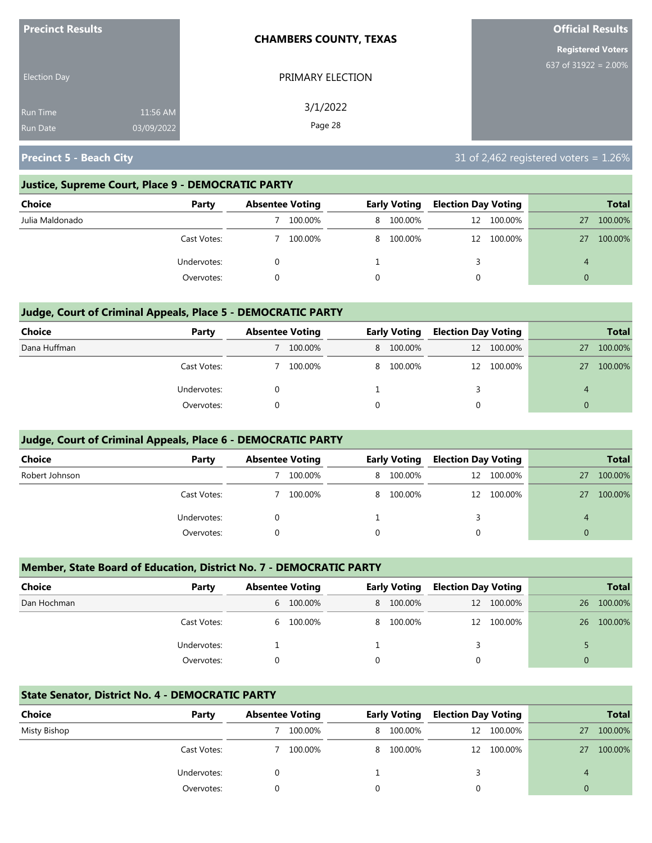| <b>Precinct Results</b>                                      | <b>CHAMBERS COUNTY, TEXAS</b> | <b>Official Results</b>  |
|--------------------------------------------------------------|-------------------------------|--------------------------|
|                                                              |                               | <b>Registered Voters</b> |
| <b>Election Day</b>                                          | PRIMARY ELECTION              | 637 of $31922 = 2.00\%$  |
| 11:56 AM<br><b>Run Time</b><br>03/09/2022<br><b>Run Date</b> | 3/1/2022<br>Page 28           |                          |

### **Justice, Supreme Court, Place 9 - DEMOCRATIC PARTY**

| Choice          | Party       | <b>Absentee Voting</b> |         | <b>Early Voting</b> | <b>Election Day Voting</b> |            |    | <b>Total</b> |
|-----------------|-------------|------------------------|---------|---------------------|----------------------------|------------|----|--------------|
| Julia Maldonado |             |                        | 100.00% | 8 100.00%           |                            | 12 100.00% | 27 | 100.00%      |
|                 | Cast Votes: |                        | 100.00% | 8 100.00%           |                            | 12 100.00% | 27 | 100.00%      |
|                 | Undervotes: |                        |         |                     |                            |            | 4  |              |
|                 | Overvotes:  |                        |         |                     |                            |            | 0  |              |

### **Judge, Court of Criminal Appeals, Place 5 - DEMOCRATIC PARTY**

| Choice       | Party       | <b>Absentee Voting</b> |         | <b>Early Voting</b> | <b>Election Day Voting</b> |            |          | <b>Total</b> |
|--------------|-------------|------------------------|---------|---------------------|----------------------------|------------|----------|--------------|
| Dana Huffman |             |                        | 100.00% | 8 100.00%           |                            | 12 100.00% | 27       | 100.00%      |
|              | Cast Votes: |                        | 100.00% | 8 100.00%           |                            | 12 100.00% | 27       | 100.00%      |
|              | Undervotes: |                        |         |                     |                            |            |          |              |
|              | Overvotes:  |                        |         |                     | 0                          |            | $\Omega$ |              |

### **Judge, Court of Criminal Appeals, Place 6 - DEMOCRATIC PARTY**

| <b>Choice</b>  | Party       | <b>Absentee Voting</b> |         | <b>Early Voting</b> | <b>Election Day Voting</b> |            |          | <b>Total</b> |
|----------------|-------------|------------------------|---------|---------------------|----------------------------|------------|----------|--------------|
| Robert Johnson |             |                        | 100.00% | 8 100.00%           |                            | 12 100.00% | 27       | 100.00%      |
|                | Cast Votes: |                        | 100.00% | 8 100.00%           |                            | 12 100.00% | 27       | 100.00%      |
|                | Undervotes: |                        |         |                     |                            |            | 4        |              |
|                | Overvotes:  |                        |         |                     | 0                          |            | $\Omega$ |              |

### **Member, State Board of Education, District No. 7 - DEMOCRATIC PARTY**

| <b>Choice</b> | Party       | <b>Absentee Voting</b> |           |          | <b>Early Voting</b> | <b>Election Day Voting</b> |            |    | <b>Total</b> |
|---------------|-------------|------------------------|-----------|----------|---------------------|----------------------------|------------|----|--------------|
| Dan Hochman   |             |                        | 6 100.00% |          | 8 100.00%           |                            | 12 100.00% | 26 | 100.00%      |
|               | Cast Votes: |                        | 6 100.00% |          | 8 100.00%           |                            | 12 100.00% | 26 | 100.00%      |
|               | Undervotes: |                        |           |          |                     |                            |            |    |              |
|               | Overvotes:  |                        |           | $\Omega$ |                     | $\Omega$                   |            | 0  |              |

### **State Senator, District No. 4 - DEMOCRATIC PARTY**

| Choice       | Party       | <b>Absentee Voting</b> |         | <b>Early Voting</b> | <b>Election Day Voting</b> |            |    | <b>Total</b> |
|--------------|-------------|------------------------|---------|---------------------|----------------------------|------------|----|--------------|
| Misty Bishop |             |                        | 100.00% | 8 100.00%           |                            | 12 100.00% | 27 | 100.00%      |
|              | Cast Votes: |                        | 100.00% | 8 100.00%           |                            | 12 100.00% | 27 | 100.00%      |
|              | Undervotes: |                        |         |                     |                            |            | 4  |              |
|              | Overvotes:  |                        |         |                     |                            |            |    |              |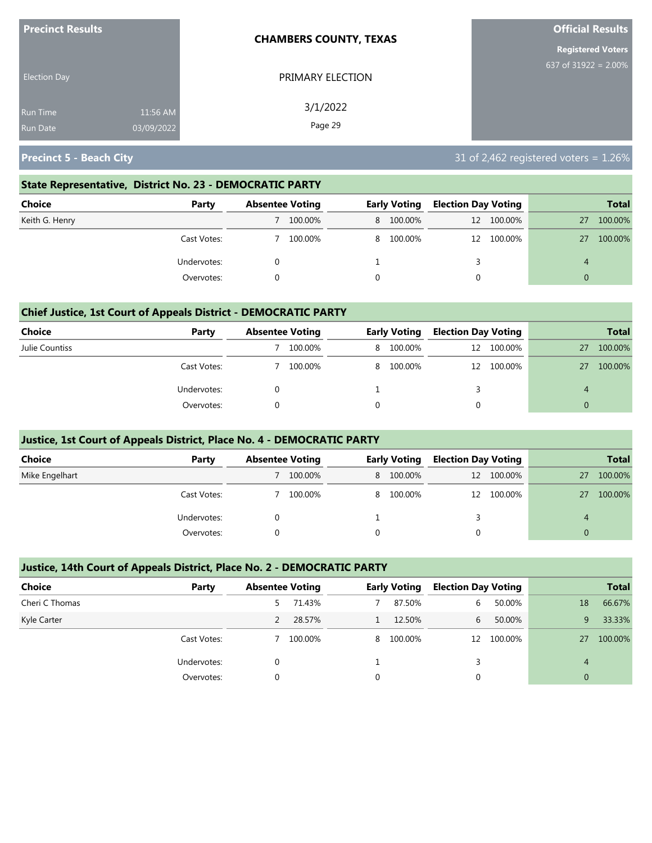| <b>Precinct Results</b> |            | <b>CHAMBERS COUNTY, TEXAS</b> | <b>Official Results</b>  |
|-------------------------|------------|-------------------------------|--------------------------|
|                         |            |                               | <b>Registered Voters</b> |
| <b>Election Day</b>     |            | PRIMARY ELECTION              | 637 of $31922 = 2.00\%$  |
| <b>Run Time</b>         | 11:56 AM   | 3/1/2022                      |                          |
| <b>Run Date</b>         | 03/09/2022 | Page 29                       |                          |

### **State Representative, District No. 23 - DEMOCRATIC PARTY**

| Choice         | Party       | <b>Absentee Voting</b> |         | <b>Early Voting</b> | <b>Election Day Voting</b> |            |    | <b>Total</b> |
|----------------|-------------|------------------------|---------|---------------------|----------------------------|------------|----|--------------|
| Keith G. Henry |             |                        | 100.00% | 8 100.00%           |                            | 12 100.00% | 27 | 100.00%      |
|                | Cast Votes: |                        | 100.00% | 8 100.00%           |                            | 12 100.00% | 27 | 100.00%      |
|                | Undervotes: |                        |         |                     |                            |            | 4  |              |
|                | Overvotes:  |                        |         |                     |                            |            | 0  |              |

### **Chief Justice, 1st Court of Appeals District - DEMOCRATIC PARTY**

| Choice         | Party       | <b>Absentee Voting</b> |         | <b>Early Voting</b> | <b>Election Day Voting</b> |            |                  | <b>Total</b> |
|----------------|-------------|------------------------|---------|---------------------|----------------------------|------------|------------------|--------------|
| Julie Countiss |             |                        | 100.00% | 8 100.00%           |                            | 12 100.00% | 27               | 100.00%      |
|                | Cast Votes: |                        | 100.00% | 8 100.00%           |                            | 12 100.00% | 27               | 100.00%      |
|                | Undervotes: |                        |         |                     |                            |            | $\boldsymbol{A}$ |              |
|                | Overvotes:  |                        |         |                     |                            |            | $\Omega$         |              |

### **Justice, 1st Court of Appeals District, Place No. 4 - DEMOCRATIC PARTY**

| <b>Choice</b>  | Party       | <b>Absentee Voting</b> | <b>Early Voting</b> | <b>Election Day Voting</b> |            |          | <b>Total</b> |
|----------------|-------------|------------------------|---------------------|----------------------------|------------|----------|--------------|
| Mike Engelhart |             | 100.00%                | 8 100.00%           |                            | 12 100.00% | 27       | 100.00%      |
|                | Cast Votes: | 100.00%                | 8 100.00%           | 12                         | 100.00%    | 27       | 100.00%      |
|                | Undervotes: |                        |                     |                            |            | 4        |              |
|                | Overvotes:  |                        |                     | 0                          |            | $\Omega$ |              |

### **Justice, 14th Court of Appeals District, Place No. 2 - DEMOCRATIC PARTY**

| <b>Choice</b>  | Party       | <b>Absentee Voting</b> |         |   | <b>Early Voting</b> | <b>Election Day Voting</b> |            |          | <b>Total</b> |
|----------------|-------------|------------------------|---------|---|---------------------|----------------------------|------------|----------|--------------|
| Cheri C Thomas |             | 5.                     | 71.43%  |   | 87.50%              | 6                          | 50.00%     | 18       | 66.67%       |
| Kyle Carter    |             |                        | 28.57%  |   | 12.50%              | 6                          | 50.00%     | 9        | 33.33%       |
|                | Cast Votes: |                        | 100.00% |   | 8 100.00%           |                            | 12 100.00% | 27       | 100.00%      |
|                | Undervotes: |                        |         |   |                     | 3                          |            | 4        |              |
|                | Overvotes:  | $\Omega$               |         | 0 |                     |                            |            | $\Omega$ |              |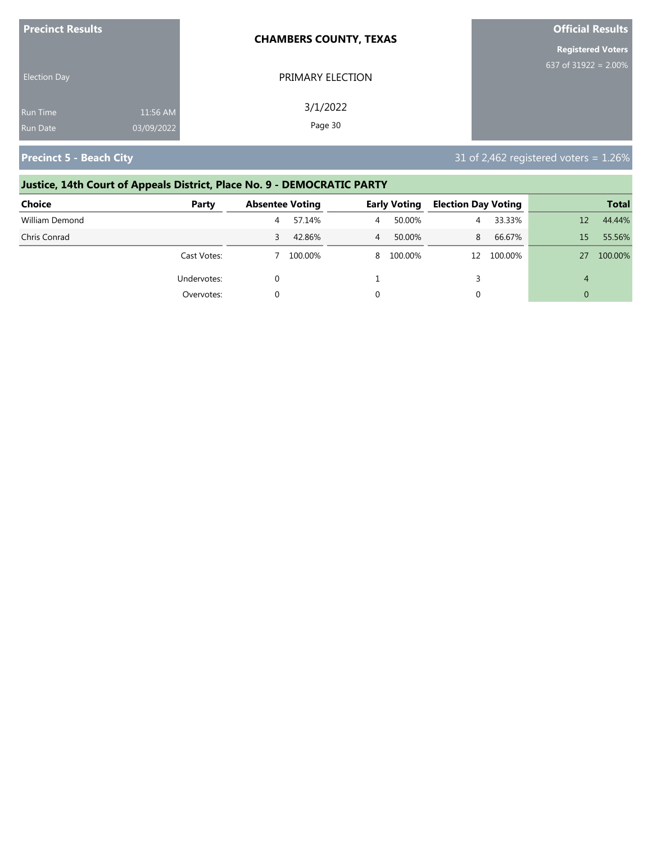| <b>Precinct Results</b> |            | <b>CHAMBERS COUNTY, TEXAS</b> | <b>Official Results</b>  |
|-------------------------|------------|-------------------------------|--------------------------|
|                         |            |                               | <b>Registered Voters</b> |
| <b>Election Day</b>     |            | PRIMARY ELECTION              | 637 of 31922 = $2.00\%$  |
| Run Time                | 11:56 AM   | 3/1/2022                      |                          |
| <b>Run Date</b>         | 03/09/2022 | Page 30                       |                          |

# **Justice, 14th Court of Appeals District, Place No. 9 - DEMOCRATIC PARTY**

| Choice         | Party       | <b>Absentee Voting</b> |         |   | <b>Early Voting</b> | <b>Election Day Voting</b> |            |    | <b>Total</b> |
|----------------|-------------|------------------------|---------|---|---------------------|----------------------------|------------|----|--------------|
| William Demond |             | 4                      | 57.14%  | 4 | 50.00%              | 4                          | 33.33%     | 12 | 44.44%       |
| Chris Conrad   |             |                        | 42.86%  | 4 | 50.00%              | 8                          | 66.67%     | 15 | 55.56%       |
|                | Cast Votes: |                        | 100.00% |   | 8 100.00%           |                            | 12 100.00% | 27 | 100.00%      |
|                | Undervotes: |                        |         |   |                     |                            |            | 4  |              |
|                | Overvotes:  |                        |         |   |                     | 0                          |            |    |              |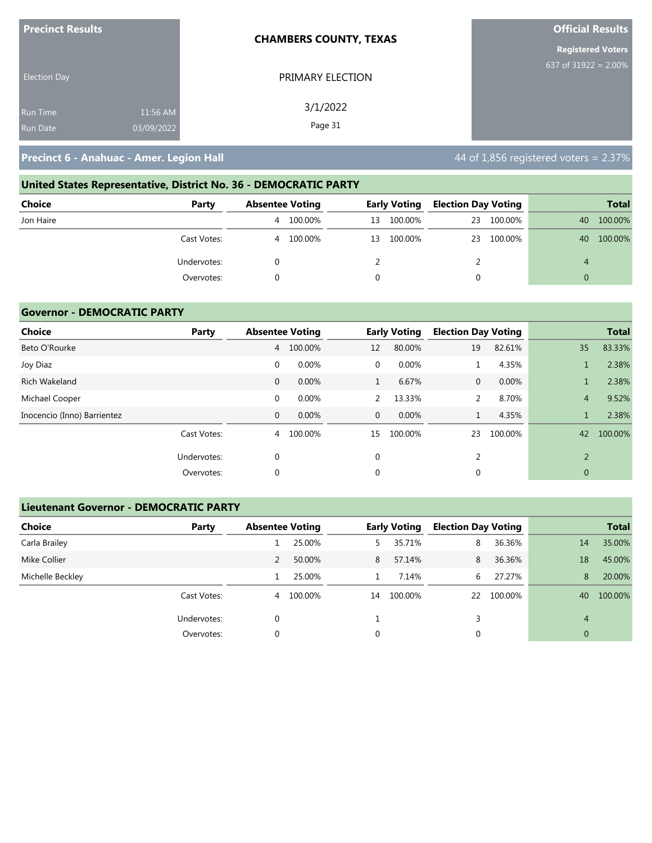| <b>Precinct Results</b>                                      | <b>CHAMBERS COUNTY, TEXAS</b> | <b>Official Results</b>  |
|--------------------------------------------------------------|-------------------------------|--------------------------|
|                                                              |                               | <b>Registered Voters</b> |
| <b>Election Day</b>                                          | PRIMARY ELECTION              | 637 of 31922 = $2.00\%$  |
| 11:56 AM<br><b>Run Time</b><br>03/09/2022<br><b>Run Date</b> | 3/1/2022<br>Page 31           |                          |

# **United States Representative, District No. 36 - DEMOCRATIC PARTY Choice Party Absentee Voting Early Voting Election Day Voting Total** Jon Haire 4 100.00% 13 100.00% 23 100.00% 40 100.00% Cast Votes: 4 100.00% 13 100.00% 23 100.00% 40 100.00% Undervotes: 0 2 2 4 Overvotes: 0 0 0 0

### **Governor - DEMOCRATIC PARTY**

| <b>Choice</b>               | Party       |              | <b>Absentee Voting</b> |              | <b>Early Voting</b> | <b>Election Day Voting</b> |         |                | <b>Total</b> |
|-----------------------------|-------------|--------------|------------------------|--------------|---------------------|----------------------------|---------|----------------|--------------|
| Beto O'Rourke               |             | 4            | 100.00%                | 12           | 80.00%              | 19                         | 82.61%  | 35             | 83.33%       |
| Joy Diaz                    |             | $\mathbf 0$  | 0.00%                  | 0            | 0.00%               |                            | 4.35%   |                | 2.38%        |
| <b>Rich Wakeland</b>        |             | 0            | 0.00%                  | $\mathbf{1}$ | 6.67%               | $\mathbf{0}$               | 0.00%   |                | 2.38%        |
| Michael Cooper              |             | $\mathbf 0$  | 0.00%                  | 2            | 13.33%              | 2                          | 8.70%   | $\overline{4}$ | 9.52%        |
| Inocencio (Inno) Barrientez |             | $\mathbf{0}$ | 0.00%                  | $\mathbf{0}$ | 0.00%               |                            | 4.35%   |                | 2.38%        |
|                             | Cast Votes: | 4            | 100.00%                | 15           | 100.00%             | 23                         | 100.00% | 42             | 100.00%      |
|                             | Undervotes: | $\mathbf 0$  |                        | $\mathbf 0$  |                     | 2                          |         | $\overline{2}$ |              |
|                             | Overvotes:  | $\mathbf 0$  |                        | 0            |                     | $\mathbf{0}$               |         | $\overline{0}$ |              |

### **Lieutenant Governor - DEMOCRATIC PARTY**

| <b>Choice</b>    | Party       | <b>Absentee Voting</b> |         |    | <b>Early Voting</b> | <b>Election Day Voting</b> |         |                | <b>Total</b> |
|------------------|-------------|------------------------|---------|----|---------------------|----------------------------|---------|----------------|--------------|
| Carla Brailey    |             |                        | 25.00%  | 5. | 35.71%              | 8                          | 36.36%  | 14             | 35.00%       |
| Mike Collier     |             | $\overline{2}$         | 50.00%  | 8  | 57.14%              | 8                          | 36.36%  | 18             | 45.00%       |
| Michelle Beckley |             |                        | 25.00%  |    | 7.14%               | 6                          | 27.27%  | 8              | 20.00%       |
|                  | Cast Votes: | 4                      | 100.00% | 14 | 100.00%             | 22                         | 100.00% | 40             | 100.00%      |
|                  | Undervotes: | 0                      |         |    |                     | 3                          |         | $\overline{4}$ |              |
|                  | Overvotes:  | 0                      |         | 0  |                     | 0                          |         | $\overline{0}$ |              |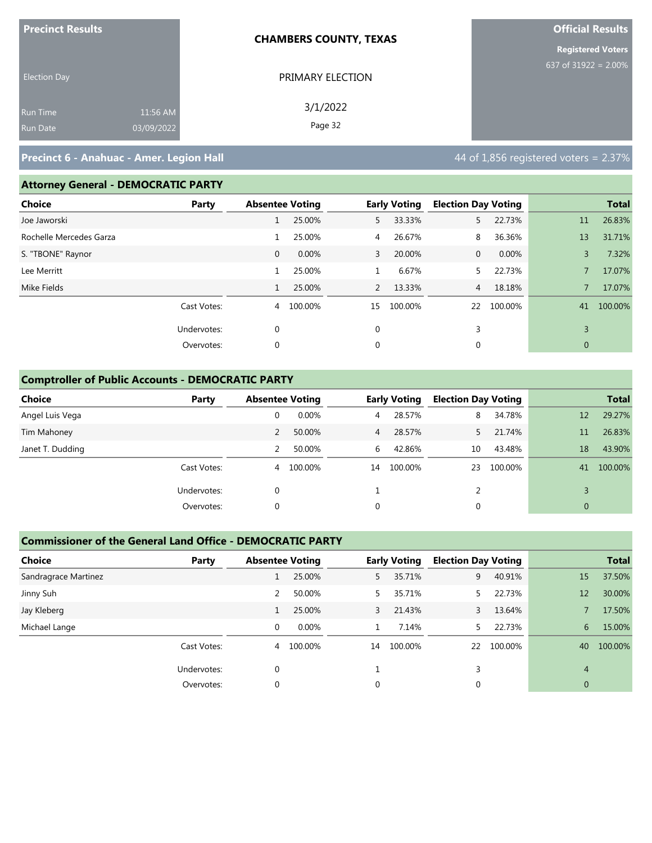| <b>Precinct Results</b> |            | <b>CHAMBERS COUNTY, TEXAS</b> | <b>Official Results</b>  |
|-------------------------|------------|-------------------------------|--------------------------|
|                         |            |                               | <b>Registered Voters</b> |
| <b>Election Day</b>     |            | PRIMARY ELECTION              | 637 of 31922 = $2.00\%$  |
| Run Time                | 11:56 AM   | 3/1/2022                      |                          |
| Run Date                | 03/09/2022 | Page 32                       |                          |

### **Attorney General - DEMOCRATIC PARTY**

| Choice                  | Party       |              | <b>Absentee Voting</b> |                | <b>Early Voting</b> | <b>Election Day Voting</b> |            |    | <b>Total</b> |
|-------------------------|-------------|--------------|------------------------|----------------|---------------------|----------------------------|------------|----|--------------|
| Joe Jaworski            |             | T            | 25.00%                 | 5              | 33.33%              | 5 <sup>2</sup>             | 22.73%     | 11 | 26.83%       |
| Rochelle Mercedes Garza |             |              | 25.00%                 | $\overline{4}$ | 26.67%              | 8                          | 36.36%     | 13 | 31.71%       |
| S. "TBONE" Raynor       |             | $\mathbf{0}$ | 0.00%                  | 3              | 20.00%              | $\mathbf{0}$               | 0.00%      | 3  | 7.32%        |
| Lee Merritt             |             | 1            | 25.00%                 |                | 6.67%               | 5.                         | 22.73%     |    | 17.07%       |
| Mike Fields             |             |              | 25.00%                 | $\mathbf{2}$   | 13.33%              | $\overline{4}$             | 18.18%     |    | 17.07%       |
|                         | Cast Votes: | 4            | 100.00%                | 15             | 100.00%             |                            | 22 100.00% | 41 | 100.00%      |
|                         | Undervotes: | $\mathbf 0$  |                        | $\mathbf 0$    |                     | 3                          |            | 3  |              |
|                         | Overvotes:  | 0            |                        | 0              |                     | 0                          |            | 0  |              |
|                         |             |              |                        |                |                     |                            |            |    |              |

### **Comptroller of Public Accounts - DEMOCRATIC PARTY**

| <b>Choice</b>    | Party       | <b>Absentee Voting</b> |         |                | <b>Early Voting</b> | <b>Election Day Voting</b> |         |                | <b>Total</b> |
|------------------|-------------|------------------------|---------|----------------|---------------------|----------------------------|---------|----------------|--------------|
| Angel Luis Vega  |             | 0                      | 0.00%   | 4              | 28.57%              | 8                          | 34.78%  | 12             | 29.27%       |
| Tim Mahoney      |             |                        | 50.00%  | $\overline{4}$ | 28.57%              | 5.                         | 21.74%  | 11             | 26.83%       |
| Janet T. Dudding |             |                        | 50.00%  | 6              | 42.86%              | 10                         | 43.48%  | 18             | 43.90%       |
|                  | Cast Votes: | 4                      | 100.00% | 14             | 100.00%             | 23                         | 100.00% | 41             | 100.00%      |
|                  | Undervotes: | 0                      |         |                |                     | 2                          |         |                |              |
|                  | Overvotes:  | 0                      |         | 0              |                     | 0                          |         | $\overline{0}$ |              |

### **Commissioner of the General Land Office - DEMOCRATIC PARTY**

| <b>Choice</b>        | Party       | <b>Absentee Voting</b> |         |    | <b>Early Voting</b> | <b>Election Day Voting</b> |         |                | <b>Total</b> |
|----------------------|-------------|------------------------|---------|----|---------------------|----------------------------|---------|----------------|--------------|
| Sandragrace Martinez |             |                        | 25.00%  | 5  | 35.71%              | 9                          | 40.91%  | 15             | 37.50%       |
| Jinny Suh            |             | 2                      | 50.00%  | 5  | 35.71%              |                            | 22.73%  | 12             | 30.00%       |
| Jay Kleberg          |             |                        | 25.00%  | 3  | 21.43%              | $\mathbf{3}$               | 13.64%  |                | 17.50%       |
| Michael Lange        |             | 0                      | 0.00%   |    | 7.14%               | 5.                         | 22.73%  | 6              | 15.00%       |
|                      | Cast Votes: | $\overline{4}$         | 100.00% | 14 | 100.00%             | 22                         | 100.00% | 40             | 100.00%      |
|                      | Undervotes: | $\Omega$               |         |    |                     | 3                          |         | $\overline{4}$ |              |
|                      | Overvotes:  | 0                      |         | 0  |                     | 0                          |         | $\mathbf{0}$   |              |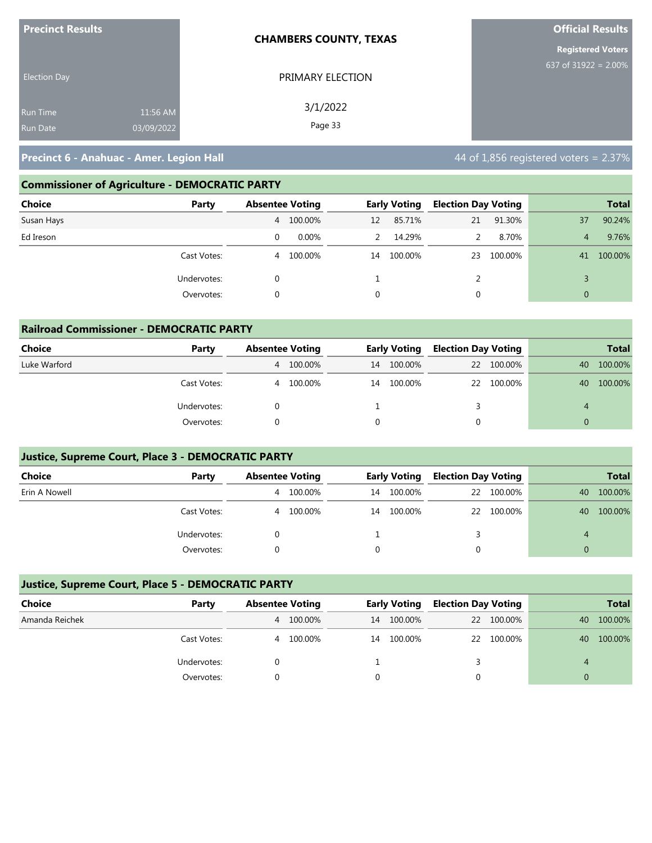| <b>Precinct Results</b> |            | <b>CHAMBERS COUNTY, TEXAS</b> | <b>Official Results</b>  |
|-------------------------|------------|-------------------------------|--------------------------|
|                         |            |                               | <b>Registered Voters</b> |
| <b>Election Day</b>     |            | PRIMARY ELECTION              | 637 of $31922 = 2.00\%$  |
| <b>Run Time</b>         | 11:56 AM   | 3/1/2022                      |                          |
| <b>Run Date</b>         | 03/09/2022 | Page 33                       |                          |

### **Commissioner of Agriculture - DEMOCRATIC PARTY**

| <b>Choice</b><br>Party | <b>Absentee Voting</b> |          |    | <b>Early Voting</b> | <b>Election Day Voting</b> |            |                | <b>Total</b> |
|------------------------|------------------------|----------|----|---------------------|----------------------------|------------|----------------|--------------|
| Susan Hays             | 4                      | 100.00%  | 12 | 85.71%              | 21                         | 91.30%     | 37             | 90.24%       |
| Ed Ireson              | 0                      | $0.00\%$ | 2  | 14.29%              | 2                          | 8.70%      | 4              | 9.76%        |
| Cast Votes:            | 4                      | 100.00%  | 14 | 100.00%             |                            | 23 100.00% | 41             | 100.00%      |
| Undervotes:            |                        |          |    |                     |                            |            |                |              |
| Overvotes:             |                        |          |    |                     | $\Omega$                   |            | $\overline{0}$ |              |

| <b>Railroad Commissioner - DEMOCRATIC PARTY</b> |             |   |                        |    |                     |                            |            |                |              |
|-------------------------------------------------|-------------|---|------------------------|----|---------------------|----------------------------|------------|----------------|--------------|
| Choice                                          | Party       |   | <b>Absentee Voting</b> |    | <b>Early Voting</b> | <b>Election Day Voting</b> |            |                | <b>Total</b> |
| Luke Warford                                    |             | 4 | 100.00%                | 14 | 100.00%             |                            | 22 100.00% | 40             | 100.00%      |
|                                                 | Cast Votes: | 4 | 100.00%                | 14 | 100.00%             |                            | 22 100.00% | 40             | 100.00%      |
|                                                 | Undervotes: |   |                        |    |                     | 3                          |            | $\overline{4}$ |              |
|                                                 | Overvotes:  |   |                        |    |                     | $\Omega$                   |            |                |              |

### **Justice, Supreme Court, Place 3 - DEMOCRATIC PARTY**

| <b>Choice</b> | Party       | <b>Absentee Voting</b> |         | <b>Early Voting</b> |         | <b>Election Day Voting</b> |            | <b>Total</b> |         |
|---------------|-------------|------------------------|---------|---------------------|---------|----------------------------|------------|--------------|---------|
| Erin A Nowell |             | 4                      | 100.00% | 14                  | 100.00% |                            | 22 100.00% | 40           | 100.00% |
|               | Cast Votes: | 4                      | 100.00% | 14                  | 100.00% |                            | 22 100.00% | 40           | 100.00% |
|               | Undervotes: |                        |         |                     |         |                            |            | 4            |         |
|               | Overvotes:  |                        |         |                     |         |                            |            |              |         |

### **Justice, Supreme Court, Place 5 - DEMOCRATIC PARTY**

| Choice         | Party       | <b>Absentee Voting</b> |         | <b>Early Voting</b> |         | <b>Election Day Voting</b> |            |    | <b>Total</b> |
|----------------|-------------|------------------------|---------|---------------------|---------|----------------------------|------------|----|--------------|
| Amanda Reichek |             | 4                      | 100.00% | 14                  | 100.00% |                            | 22 100.00% | 40 | 100.00%      |
|                | Cast Votes: | 4                      | 100.00% | 14                  | 100.00% |                            | 22 100.00% | 40 | 100.00%      |
|                | Undervotes: |                        |         |                     |         |                            |            | 4  |              |
|                | Overvotes:  |                        |         |                     |         |                            |            |    |              |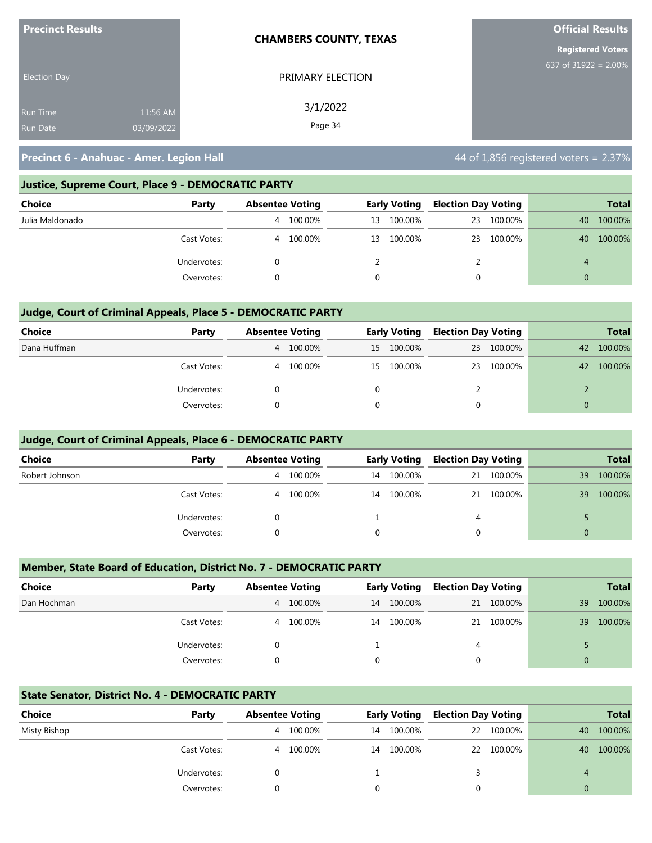| <b>Precinct Results</b> |            | <b>CHAMBERS COUNTY, TEXAS</b> | <b>Official Results</b>  |  |  |  |
|-------------------------|------------|-------------------------------|--------------------------|--|--|--|
|                         |            |                               | <b>Registered Voters</b> |  |  |  |
| <b>Election Day</b>     |            | PRIMARY ELECTION              | 637 of 31922 = $2.00\%$  |  |  |  |
| <b>Run Time</b>         | 11:56 AM   | 3/1/2022                      |                          |  |  |  |
| <b>Run Date</b>         | 03/09/2022 | Page 34                       |                          |  |  |  |

### **Justice, Supreme Court, Place 9 - DEMOCRATIC PARTY**

| <b>Choice</b>   | Party       | <b>Absentee Voting</b> |         | <b>Early Voting</b> |         | <b>Election Day Voting</b> |         |    | <b>Total</b> |
|-----------------|-------------|------------------------|---------|---------------------|---------|----------------------------|---------|----|--------------|
| Julia Maldonado |             | 4                      | 100.00% | 13                  | 100.00% | 23                         | 100.00% | 40 | 100.00%      |
|                 | Cast Votes: | 4                      | 100.00% | 13                  | 100.00% | 23                         | 100.00% | 40 | 100.00%      |
|                 | Undervotes: |                        |         |                     |         |                            |         | 4  |              |
|                 | Overvotes:  |                        |         | 0                   |         | 0                          |         |    |              |

### **Judge, Court of Criminal Appeals, Place 5 - DEMOCRATIC PARTY**

| <b>Choice</b> | Party       | <b>Absentee Voting</b> |         | <b>Early Voting</b> |            | <b>Election Day Voting</b> |         | <b>Total</b> |         |
|---------------|-------------|------------------------|---------|---------------------|------------|----------------------------|---------|--------------|---------|
| Dana Huffman  |             | 4                      | 100.00% |                     | 15 100.00% | 23                         | 100.00% | 42           | 100.00% |
|               | Cast Votes: | 4                      | 100.00% | 15                  | 100.00%    | 23                         | 100.00% | 42           | 100.00% |
|               | Undervotes: |                        |         |                     |            |                            |         |              |         |
|               | Overvotes:  |                        |         | $\Omega$            |            |                            |         |              |         |

### **Judge, Court of Criminal Appeals, Place 6 - DEMOCRATIC PARTY**

| <b>Choice</b>  | Party       | <b>Absentee Voting</b> |         | <b>Early Voting</b> |         | <b>Election Day Voting</b> |            |    | <b>Total</b> |
|----------------|-------------|------------------------|---------|---------------------|---------|----------------------------|------------|----|--------------|
| Robert Johnson |             | 4                      | 100.00% | 14                  | 100.00% |                            | 21 100.00% | 39 | 100.00%      |
|                | Cast Votes: | 4                      | 100.00% | 14                  | 100.00% |                            | 21 100.00% | 39 | 100.00%      |
|                | Undervotes: |                        |         |                     |         | 4                          |            |    |              |
|                | Overvotes:  |                        |         |                     |         |                            |            |    |              |

### **Member, State Board of Education, District No. 7 - DEMOCRATIC PARTY**

| Choice      | Party       | <b>Absentee Voting</b> |           |          | <b>Early Voting</b> |   | <b>Election Day Voting</b> |    | <b>Total</b> |
|-------------|-------------|------------------------|-----------|----------|---------------------|---|----------------------------|----|--------------|
| Dan Hochman |             |                        | 4 100.00% | 14       | 100.00%             |   | 21 100.00%                 | 39 | 100.00%      |
|             | Cast Votes: | 4                      | 100.00%   | 14       | 100.00%             |   | 21 100.00%                 | 39 | 100.00%      |
|             | Undervotes: |                        |           |          |                     | 4 |                            |    |              |
|             | Overvotes:  |                        |           | $\Omega$ |                     |   |                            |    |              |

### **State Senator, District No. 4 - DEMOCRATIC PARTY**

| Choice       | Party       | <b>Absentee Voting</b> |         | <b>Early Voting</b> |         | <b>Election Day Voting</b> |            |    | <b>Total</b> |
|--------------|-------------|------------------------|---------|---------------------|---------|----------------------------|------------|----|--------------|
| Misty Bishop |             | 4                      | 100.00% | 14                  | 100.00% |                            | 22 100.00% | 40 | 100.00%      |
|              | Cast Votes: | 4                      | 100.00% | 14                  | 100.00% |                            | 22 100.00% | 40 | 100.00%      |
|              | Undervotes: |                        |         |                     |         |                            |            | 4  |              |
|              | Overvotes:  |                        |         |                     |         |                            |            |    |              |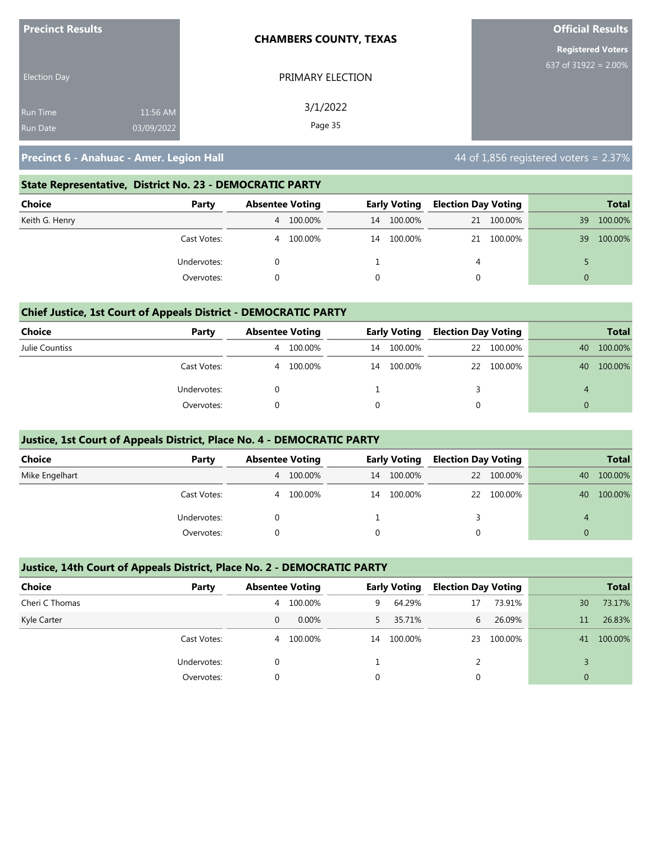| <b>Precinct Results</b> |            | <b>CHAMBERS COUNTY, TEXAS</b> | <b>Official Results</b><br><b>Registered Voters</b> |  |  |
|-------------------------|------------|-------------------------------|-----------------------------------------------------|--|--|
|                         |            |                               |                                                     |  |  |
| <b>Election Day</b>     |            | PRIMARY ELECTION              | 637 of $31922 = 2.00\%$                             |  |  |
| <b>Run Time</b>         | 11:56 AM   | 3/1/2022                      |                                                     |  |  |
| <b>Run Date</b>         | 03/09/2022 | Page 35                       |                                                     |  |  |

### **State Representative, District No. 23 - DEMOCRATIC PARTY**

| Choice         | Party       | <b>Absentee Voting</b> |         | <b>Early Voting</b> |         | <b>Election Day Voting</b> |            |    | Total   |
|----------------|-------------|------------------------|---------|---------------------|---------|----------------------------|------------|----|---------|
| Keith G. Henry |             | $\overline{4}$         | 100.00% | 14                  | 100.00% |                            | 21 100.00% | 39 | 100.00% |
|                | Cast Votes: | 4                      | 100.00% | 14                  | 100.00% |                            | 21 100.00% | 39 | 100.00% |
|                | Undervotes: |                        |         |                     |         | 4                          |            |    |         |
|                | Overvotes:  |                        |         |                     |         |                            |            |    |         |

### **Chief Justice, 1st Court of Appeals District - DEMOCRATIC PARTY**

| Choice         | Party       | <b>Absentee Voting</b> |         | <b>Early Voting</b> |         | <b>Election Day Voting</b> |            |          | <b>Total</b> |
|----------------|-------------|------------------------|---------|---------------------|---------|----------------------------|------------|----------|--------------|
| Julie Countiss |             | 4                      | 100.00% | 14                  | 100.00% |                            | 22 100.00% | 40       | 100.00%      |
|                | Cast Votes: | 4                      | 100.00% | 14                  | 100.00% |                            | 22 100.00% | 40       | 100.00%      |
|                | Undervotes: |                        |         |                     |         |                            |            | 4        |              |
|                | Overvotes:  |                        |         | 0                   |         | 0                          |            | $\Omega$ |              |

### **Justice, 1st Court of Appeals District, Place No. 4 - DEMOCRATIC PARTY**

| <b>Choice</b>  | Party       | <b>Absentee Voting</b> |         | <b>Early Voting</b> |         | <b>Election Day Voting</b> |            | <b>Total</b> |         |
|----------------|-------------|------------------------|---------|---------------------|---------|----------------------------|------------|--------------|---------|
| Mike Engelhart |             | 4                      | 100.00% | 14                  | 100.00% |                            | 22 100.00% | 40           | 100.00% |
|                | Cast Votes: | 4                      | 100.00% | 14                  | 100.00% |                            | 22 100.00% | 40           | 100.00% |
|                | Undervotes: |                        |         |                     |         |                            |            | 4            |         |
|                | Overvotes:  |                        |         |                     |         |                            |            | $\Omega$     |         |

### **Justice, 14th Court of Appeals District, Place No. 2 - DEMOCRATIC PARTY**

| <b>Choice</b>  | Party                     |   | <b>Absentee Voting</b> |    | <b>Early Voting</b> |    | <b>Election Day Voting</b> |    | <b>Total</b> |
|----------------|---------------------------|---|------------------------|----|---------------------|----|----------------------------|----|--------------|
| Cheri C Thomas |                           | 4 | 100.00%                | 9  | 64.29%              | 17 | 73.91%                     | 30 | 73.17%       |
| Kyle Carter    |                           | 0 | $0.00\%$               | 5  | 35.71%              | 6  | 26.09%                     | 11 | 26.83%       |
|                | Cast Votes:               | 4 | 100.00%                | 14 | 100.00%             | 23 | 100.00%                    | 41 | 100.00%      |
|                | Undervotes:<br>Overvotes: |   |                        |    |                     |    |                            |    |              |
|                |                           |   |                        | 0  |                     |    |                            | 0  |              |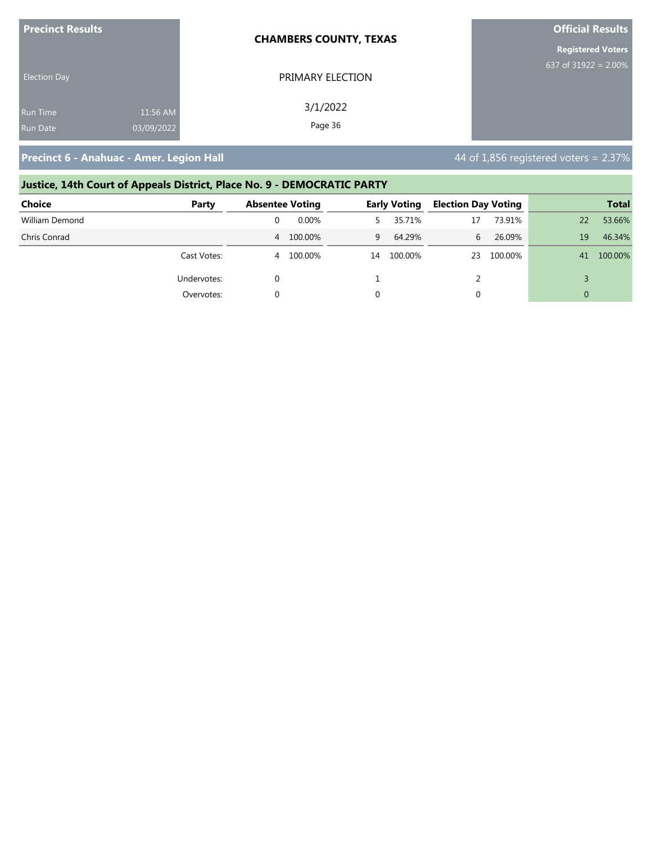| <b>Precinct Results</b> |            | <b>CHAMBERS COUNTY, TEXAS</b> | <b>Official Results</b><br><b>Registered Voters</b> |  |  |
|-------------------------|------------|-------------------------------|-----------------------------------------------------|--|--|
|                         |            |                               |                                                     |  |  |
| <b>Election Day</b>     |            | PRIMARY ELECTION              | 637 of 31922 = $2.00\%$                             |  |  |
| <b>Run Time</b>         | 11:56 AM   | 3/1/2022                      |                                                     |  |  |
| <b>Run Date</b>         | 03/09/2022 | Page 36                       |                                                     |  |  |

# **Justice, 14th Court of Appeals District, Place No. 9 - DEMOCRATIC PARTY**

| <b>Choice</b>  | Party       |   | <b>Absentee Voting</b><br><b>Early Voting</b> |    |         | <b>Election Day Voting</b> |         | <b>Total</b> |         |
|----------------|-------------|---|-----------------------------------------------|----|---------|----------------------------|---------|--------------|---------|
| William Demond |             |   | 0.00%                                         |    | 35.71%  | 17                         | 73.91%  | 22           | 53.66%  |
| Chris Conrad   |             |   | 4 100.00%                                     | 9  | 64.29%  | 6                          | 26.09%  | 19           | 46.34%  |
|                | Cast Votes: | 4 | 100.00%                                       | 14 | 100.00% | 23                         | 100.00% | 41           | 100.00% |
|                | Undervotes: |   |                                               |    |         |                            |         |              |         |
|                | Overvotes:  |   |                                               |    |         | 0                          |         | $\Omega$     |         |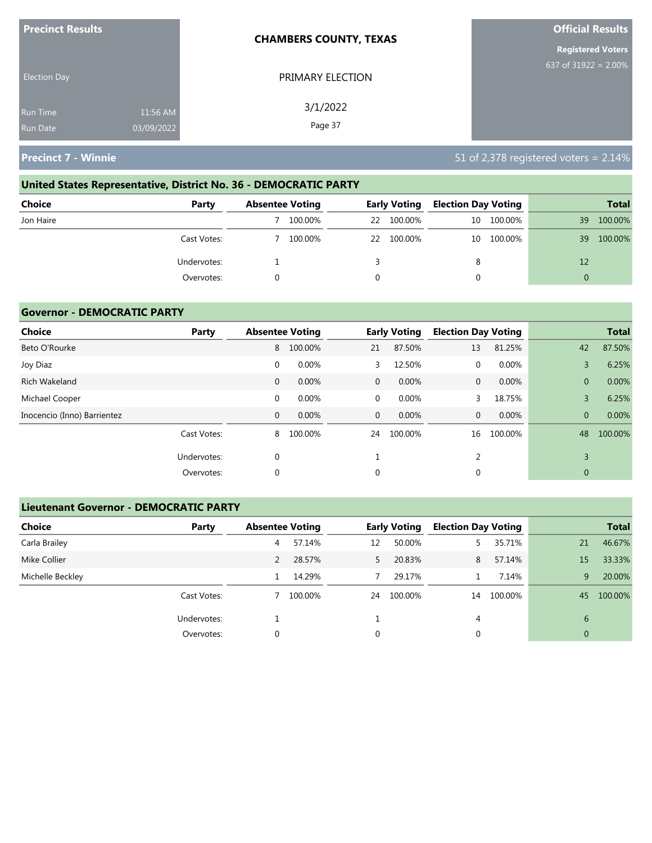| <b>Precinct Results</b>            |                        | <b>CHAMBERS COUNTY, TEXAS</b> | <b>Official Results</b>  |
|------------------------------------|------------------------|-------------------------------|--------------------------|
|                                    |                        |                               | <b>Registered Voters</b> |
| <b>Election Day</b>                |                        | PRIMARY ELECTION              | 637 of 31922 = $2.00\%$  |
| <b>Run Time</b><br><b>Run Date</b> | 11:56 AM<br>03/09/2022 | 3/1/2022<br>Page 37           |                          |

# **United States Representative, District No. 36 - DEMOCRATIC PARTY**

| Choice    | Party       | <b>Absentee Voting</b> |         |          | <b>Early Voting</b> | <b>Election Day Voting</b> |         |    | <b>Total</b> |
|-----------|-------------|------------------------|---------|----------|---------------------|----------------------------|---------|----|--------------|
| Jon Haire |             |                        | 100.00% | 22       | 100.00%             | 10                         | 100.00% | 39 | 100.00%      |
|           | Cast Votes: |                        | 100.00% |          | 22 100.00%          | 10                         | 100.00% | 39 | 100.00%      |
|           | Undervotes: |                        |         |          |                     | 8                          |         | 12 |              |
|           | Overvotes:  |                        |         | $\Omega$ |                     |                            |         | 0  |              |

## **Governor - DEMOCRATIC PARTY**

| <b>Choice</b>               | Party       |              | <b>Absentee Voting</b> |              | <b>Early Voting</b> | <b>Election Day Voting</b> |         |                | <b>Total</b> |
|-----------------------------|-------------|--------------|------------------------|--------------|---------------------|----------------------------|---------|----------------|--------------|
| Beto O'Rourke               |             | 8            | 100.00%                | 21           | 87.50%              | 13                         | 81.25%  | 42             | 87.50%       |
| Joy Diaz                    |             | 0            | 0.00%                  | 3            | 12.50%              | 0                          | 0.00%   | 3              | 6.25%        |
| Rich Wakeland               |             | $\mathbf{0}$ | 0.00%                  | $\mathbf{0}$ | 0.00%               | $\mathbf{0}$               | 0.00%   | $\overline{0}$ | 0.00%        |
| Michael Cooper              |             | $\mathbf 0$  | 0.00%                  | $\mathbf 0$  | 0.00%               | 3                          | 18.75%  | 3              | 6.25%        |
| Inocencio (Inno) Barrientez |             | 0            | 0.00%                  | $\mathbf{0}$ | 0.00%               | $\mathbf{0}$               | 0.00%   | $\overline{0}$ | 0.00%        |
|                             | Cast Votes: | 8            | 100.00%                | 24           | 100.00%             | 16                         | 100.00% | 48             | 100.00%      |
|                             | Undervotes: | 0            |                        |              |                     | 2                          |         | 3              |              |
|                             | Overvotes:  | 0            |                        | 0            |                     | 0                          |         | $\mathbf{0}$   |              |

# **Lieutenant Governor - DEMOCRATIC PARTY**

| <b>Choice</b>    | Party       | <b>Absentee Voting</b> |         |    | <b>Early Voting</b> | <b>Election Day Voting</b> |         |                | <b>Total</b> |
|------------------|-------------|------------------------|---------|----|---------------------|----------------------------|---------|----------------|--------------|
| Carla Brailey    |             | 4                      | 57.14%  | 12 | 50.00%              | 5.                         | 35.71%  | 21             | 46.67%       |
| Mike Collier     |             |                        | 28.57%  | 5. | 20.83%              | 8                          | 57.14%  | 15             | 33.33%       |
| Michelle Beckley |             |                        | 14.29%  |    | 29.17%              |                            | 7.14%   | 9              | 20.00%       |
|                  | Cast Votes: |                        | 100.00% | 24 | 100.00%             | 14                         | 100.00% | 45             | 100.00%      |
|                  | Undervotes: |                        |         |    |                     | 4                          |         | 6              |              |
|                  | Overvotes:  | 0                      |         | 0  |                     | 0                          |         | $\overline{0}$ |              |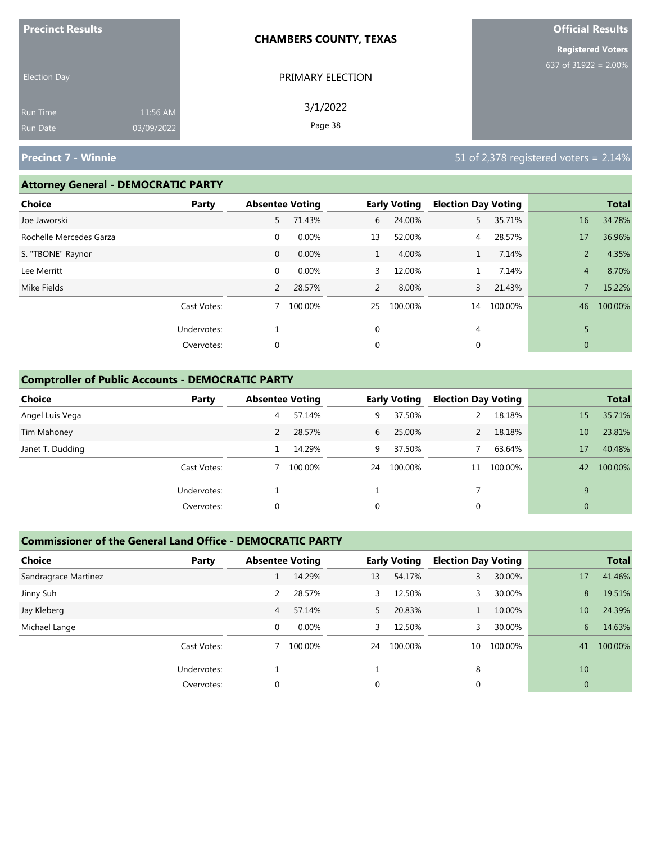| <b>Precinct Results</b> |            | <b>CHAMBERS COUNTY, TEXAS</b> | <b>Official Results</b>  |
|-------------------------|------------|-------------------------------|--------------------------|
|                         |            |                               | <b>Registered Voters</b> |
| <b>Election Day</b>     |            | PRIMARY ELECTION              | 637 of 31922 = $2.00\%$  |
| Run Time                | 11:56 AM   | 3/1/2022                      |                          |
| <b>Run Date</b>         | 03/09/2022 | Page 38                       |                          |

#### **Attorney General - DEMOCRATIC PARTY**

| Choice                  | Party       | <b>Absentee Voting</b> |         |              | <b>Early Voting</b> | <b>Election Day Voting</b> |         |                | <b>Total</b> |
|-------------------------|-------------|------------------------|---------|--------------|---------------------|----------------------------|---------|----------------|--------------|
| Joe Jaworski            |             | 5                      | 71.43%  | 6            | 24.00%              | 5.                         | 35.71%  | 16             | 34.78%       |
| Rochelle Mercedes Garza |             | $\mathbf 0$            | 0.00%   | 13           | 52.00%              | 4                          | 28.57%  | 17             | 36.96%       |
| S. "TBONE" Raynor       |             | $\mathbf 0$            | 0.00%   | $\mathbf{1}$ | 4.00%               |                            | 7.14%   | $\overline{2}$ | 4.35%        |
| Lee Merritt             |             | $\mathbf 0$            | 0.00%   | 3            | 12.00%              |                            | 7.14%   | $\overline{4}$ | 8.70%        |
| Mike Fields             |             | $\overline{2}$         | 28.57%  | 2            | 8.00%               | 3                          | 21.43%  |                | 15.22%       |
|                         | Cast Votes: | 7                      | 100.00% | 25           | 100.00%             | 14                         | 100.00% | 46             | 100.00%      |
|                         | Undervotes: |                        |         | $\mathbf 0$  |                     | 4                          |         | 5              |              |
|                         | Overvotes:  | 0                      |         | 0            |                     | 0                          |         | $\mathbf{0}$   |              |
|                         |             |                        |         |              |                     |                            |         |                |              |

## **Comptroller of Public Accounts - DEMOCRATIC PARTY**

| <b>Choice</b>    | Party       | <b>Absentee Voting</b> |         |             | <b>Early Voting</b> | <b>Election Day Voting</b> |         |              | <b>Total</b> |
|------------------|-------------|------------------------|---------|-------------|---------------------|----------------------------|---------|--------------|--------------|
| Angel Luis Vega  |             | 4                      | 57.14%  | 9           | 37.50%              |                            | 18.18%  | 15           | 35.71%       |
| Tim Mahoney      |             | 2                      | 28.57%  | 6           | 25.00%              |                            | 18.18%  | 10           | 23.81%       |
| Janet T. Dudding |             |                        | 14.29%  | 9           | 37.50%              |                            | 63.64%  | 17           | 40.48%       |
|                  | Cast Votes: |                        | 100.00% | 24          | 100.00%             | 11                         | 100.00% | 42           | 100.00%      |
|                  | Undervotes: |                        |         |             |                     |                            |         | 9            |              |
|                  | Overvotes:  | 0                      |         | $\mathbf 0$ |                     | 0                          |         | $\mathbf{0}$ |              |

#### **Commissioner of the General Land Office - DEMOCRATIC PARTY**

| <b>Choice</b>        | Party       | <b>Absentee Voting</b> |         |    | <b>Early Voting</b> | <b>Election Day Voting</b> |         |                | <b>Total</b> |
|----------------------|-------------|------------------------|---------|----|---------------------|----------------------------|---------|----------------|--------------|
| Sandragrace Martinez |             |                        | 14.29%  | 13 | 54.17%              | 3                          | 30.00%  | 17             | 41.46%       |
| Jinny Suh            |             | 2                      | 28.57%  | 3  | 12.50%              |                            | 30.00%  | 8              | 19.51%       |
| Jay Kleberg          |             | 4                      | 57.14%  | 5. | 20.83%              |                            | 10.00%  | 10             | 24.39%       |
| Michael Lange        |             | $\Omega$               | 0.00%   | 3  | 12.50%              |                            | 30.00%  | 6              | 14.63%       |
|                      | Cast Votes: |                        | 100.00% | 24 | 100.00%             | 10                         | 100.00% | 41             | 100.00%      |
|                      | Undervotes: |                        |         |    |                     | 8                          |         | 10             |              |
|                      | Overvotes:  | 0                      |         | 0  |                     | $\mathbf 0$                |         | $\overline{0}$ |              |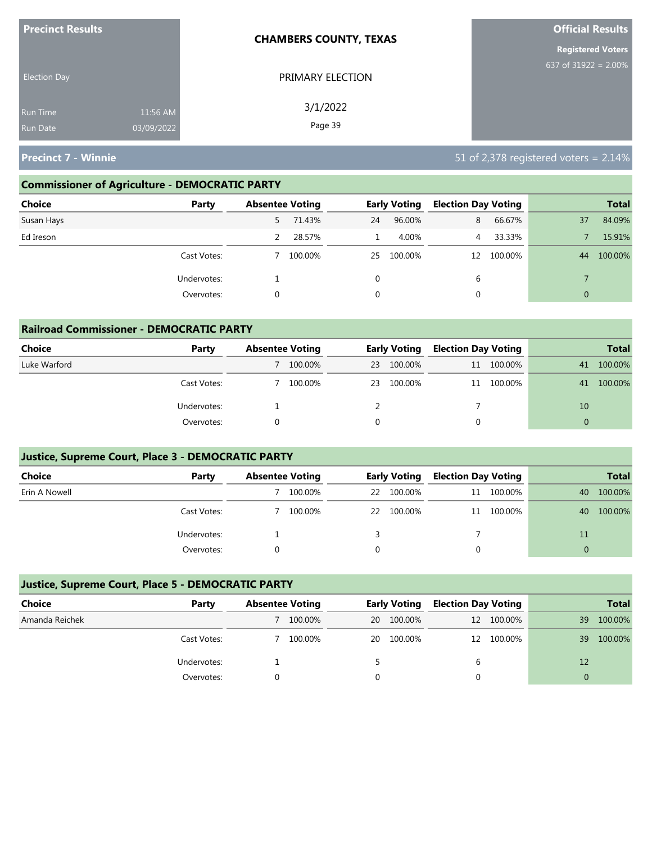| <b>Precinct Results</b> |            | <b>CHAMBERS COUNTY, TEXAS</b> | <b>Official Results</b>  |
|-------------------------|------------|-------------------------------|--------------------------|
|                         |            |                               | <b>Registered Voters</b> |
| <b>Election Day</b>     |            | PRIMARY ELECTION              | 637 of $31922 = 2.00\%$  |
| <b>Run Time</b>         | 11:56 AM   | 3/1/2022                      |                          |
| <b>Run Date</b>         | 03/09/2022 | Page 39                       |                          |

## **Commissioner of Agriculture - DEMOCRATIC PARTY**

| Choice<br>Party |    | <b>Absentee Voting</b> |          | <b>Early Voting</b> | <b>Election Day Voting</b> |            |              | <b>Total</b> |
|-----------------|----|------------------------|----------|---------------------|----------------------------|------------|--------------|--------------|
| Susan Hays      | 5. | 71.43%                 | 24       | 96.00%              | 8                          | 66.67%     | 37           | 84.09%       |
| Ed Ireson       |    | 28.57%                 |          | 4.00%               | 4                          | 33.33%     |              | 15.91%       |
| Cast Votes:     |    | 100.00%                | 25       | 100.00%             |                            | 12 100.00% | 44           | 100.00%      |
| Undervotes:     |    |                        | $\Omega$ |                     | b                          |            |              |              |
| Overvotes:      | 0  |                        | 0        |                     | 0                          |            | $\mathbf{0}$ |              |

| <b>Railroad Commissioner - DEMOCRATIC PARTY</b> |             |                        |         |    |                     |                            |         |                |              |  |
|-------------------------------------------------|-------------|------------------------|---------|----|---------------------|----------------------------|---------|----------------|--------------|--|
| Choice                                          | Party       | <b>Absentee Voting</b> |         |    | <b>Early Voting</b> | <b>Election Day Voting</b> |         |                | <b>Total</b> |  |
| Luke Warford                                    |             |                        | 100.00% | 23 | 100.00%             | 11                         | 100.00% | 41             | 100.00%      |  |
|                                                 | Cast Votes: |                        | 100.00% | 23 | 100.00%             | 11                         | 100.00% | 41             | 100.00%      |  |
|                                                 | Undervotes: |                        |         |    |                     |                            |         | 10             |              |  |
|                                                 | Overvotes:  |                        |         | 0  |                     |                            |         | $\overline{0}$ |              |  |

# **Justice, Supreme Court, Place 3 - DEMOCRATIC PARTY**

| <b>Choice</b> | Party       | <b>Absentee Voting</b> |         | <b>Early Voting</b> | <b>Election Day Voting</b> |            |          | <b>Total</b> |
|---------------|-------------|------------------------|---------|---------------------|----------------------------|------------|----------|--------------|
| Erin A Nowell |             |                        | 100.00% | 22 100.00%          | 11                         | 100.00%    | 40       | 100.00%      |
|               | Cast Votes: |                        | 100.00% | 22 100.00%          |                            | 11 100.00% | 40       | 100.00%      |
|               | Undervotes: |                        |         |                     |                            |            | 11       |              |
|               | Overvotes:  |                        |         |                     |                            |            | $\Omega$ |              |

## **Justice, Supreme Court, Place 5 - DEMOCRATIC PARTY**

| Choice         | Party       | <b>Absentee Voting</b> |         |    | <b>Early Voting</b> |   | <b>Election Day Voting</b> |    | <b>Total</b> |
|----------------|-------------|------------------------|---------|----|---------------------|---|----------------------------|----|--------------|
| Amanda Reichek |             |                        | 100.00% | 20 | 100.00%             |   | 12 100.00%                 | 39 | 100.00%      |
|                | Cast Votes: |                        | 100.00% | 20 | 100.00%             |   | 12 100.00%                 | 39 | 100.00%      |
|                | Undervotes: |                        |         |    |                     | b |                            | 12 |              |
|                | Overvotes:  |                        |         |    |                     |   |                            |    |              |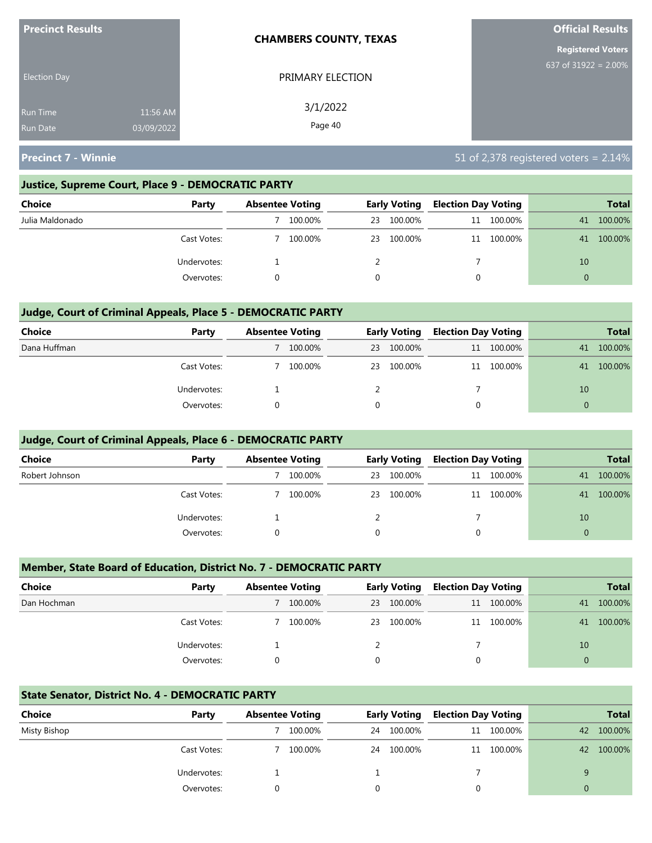| <b>Precinct Results</b> |            | <b>CHAMBERS COUNTY, TEXAS</b> | <b>Official Results</b>  |
|-------------------------|------------|-------------------------------|--------------------------|
|                         |            |                               | <b>Registered Voters</b> |
| <b>Election Day</b>     |            | PRIMARY ELECTION              | 637 of 31922 = $2.00\%$  |
| <b>Run Time</b>         | 11:56 AM   | 3/1/2022                      |                          |
| <b>Run Date</b>         | 03/09/2022 | Page 40                       |                          |

#### **Justice, Supreme Court, Place 9 - DEMOCRATIC PARTY**

| Choice          | Party       | <b>Absentee Voting</b> |    | <b>Early Voting</b> | <b>Election Day Voting</b> |            |    | <b>Total</b> |
|-----------------|-------------|------------------------|----|---------------------|----------------------------|------------|----|--------------|
| Julia Maldonado |             | 100.00%                | 23 | 100.00%             |                            | 11 100.00% | 41 | 100.00%      |
|                 | Cast Votes: | 100.00%                | 23 | 100.00%             |                            | 11 100.00% | 41 | 100.00%      |
|                 | Undervotes: |                        |    |                     |                            |            | 10 |              |
|                 | Overvotes:  |                        |    |                     |                            |            | 0  |              |

## **Judge, Court of Criminal Appeals, Place 5 - DEMOCRATIC PARTY**

| <b>Choice</b> | Party       | <b>Absentee Voting</b> |    | <b>Early Voting</b> |   | <b>Election Day Voting</b> |          | <b>Total</b> |
|---------------|-------------|------------------------|----|---------------------|---|----------------------------|----------|--------------|
| Dana Huffman  |             | 100.00%                | 23 | 100.00%             |   | 11 100.00%                 | 41       | 100.00%      |
|               | Cast Votes: | 100.00%                |    | 23 100.00%          |   | 11 100.00%                 | 41       | 100.00%      |
|               | Undervotes: |                        |    |                     |   |                            | 10       |              |
|               | Overvotes:  |                        |    |                     | 0 |                            | $\Omega$ |              |

#### **Judge, Court of Criminal Appeals, Place 6 - DEMOCRATIC PARTY**

| <b>Choice</b>  | Party       | <b>Absentee Voting</b> |         |    | <b>Early Voting</b> | <b>Election Day Voting</b> |            |          | <b>Total</b> |
|----------------|-------------|------------------------|---------|----|---------------------|----------------------------|------------|----------|--------------|
| Robert Johnson |             |                        | 100.00% | 23 | 100.00%             |                            | 11 100.00% | 41       | 100.00%      |
|                | Cast Votes: |                        | 100.00% |    | 23 100.00%          |                            | 11 100.00% | 41       | 100.00%      |
|                | Undervotes: |                        |         |    |                     |                            |            | 10       |              |
|                | Overvotes:  |                        |         | 0  |                     | 0                          |            | $\Omega$ |              |

#### **Member, State Board of Education, District No. 7 - DEMOCRATIC PARTY**

| Choice      | Party       | <b>Absentee Voting</b> |         |    | <b>Early Voting</b> | <b>Election Day Voting</b> |            |          | <b>Total</b> |
|-------------|-------------|------------------------|---------|----|---------------------|----------------------------|------------|----------|--------------|
| Dan Hochman |             |                        | 100.00% | 23 | 100.00%             |                            | 11 100.00% | 41       | 100.00%      |
|             | Cast Votes: |                        | 100.00% |    | 23 100.00%          |                            | 11 100.00% | 41       | 100.00%      |
|             | Undervotes: |                        |         |    |                     |                            |            | 10       |              |
|             | Overvotes:  |                        |         |    |                     | 0                          |            | $\Omega$ |              |

#### **State Senator, District No. 4 - DEMOCRATIC PARTY**

| Choice       | Party       | <b>Absentee Voting</b> |         |    | <b>Early Voting</b> | <b>Election Day Voting</b> |            |    | <b>Total</b> |
|--------------|-------------|------------------------|---------|----|---------------------|----------------------------|------------|----|--------------|
| Misty Bishop |             |                        | 100.00% | 24 | 100.00%             |                            | 11 100.00% | 42 | 100.00%      |
|              | Cast Votes: |                        | 100.00% | 24 | 100.00%             |                            | 11 100.00% | 42 | 100.00%      |
|              | Undervotes: |                        |         |    |                     |                            |            |    |              |
|              | Overvotes:  |                        |         |    |                     |                            |            | 0  |              |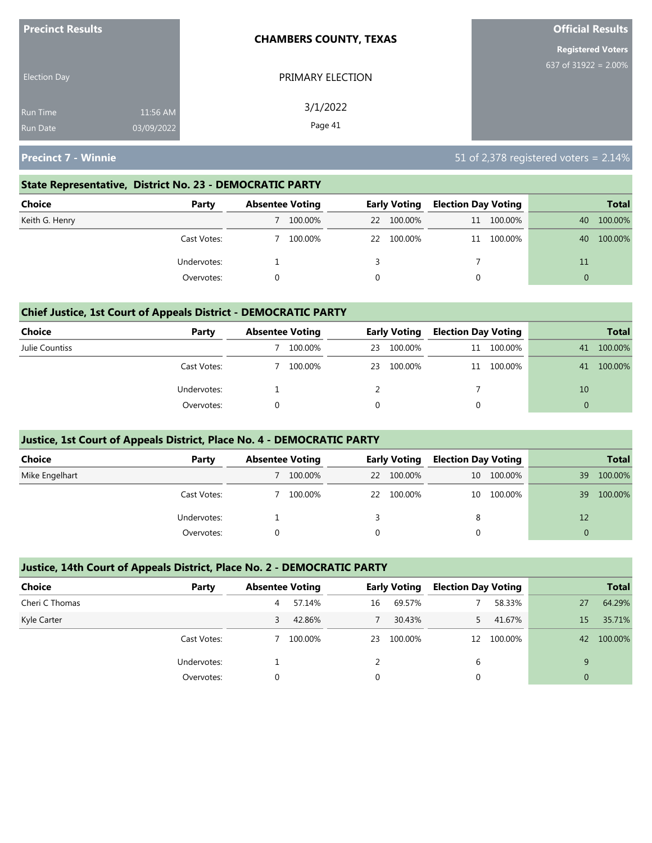| <b>Precinct Results</b>            |                        | <b>CHAMBERS COUNTY, TEXAS</b> | <b>Official Results</b>  |
|------------------------------------|------------------------|-------------------------------|--------------------------|
|                                    |                        |                               | <b>Registered Voters</b> |
| <b>Election Day</b>                |                        | PRIMARY ELECTION              | 637 of $31922 = 2.00\%$  |
| <b>Run Time</b><br><b>Run Date</b> | 11:56 AM<br>03/09/2022 | 3/1/2022<br>Page 41           |                          |

#### **State Representative, District No. 23 - DEMOCRATIC PARTY**

| Choice         | Party       | <b>Absentee Voting</b> |    | <b>Early Voting</b> |  | <b>Election Day Voting</b> |          | <b>Total</b> |
|----------------|-------------|------------------------|----|---------------------|--|----------------------------|----------|--------------|
| Keith G. Henry |             | 100.00%                | 22 | 100.00%             |  | 11 100.00%                 | 40       | 100.00%      |
|                | Cast Votes: | 100.00%                | 22 | 100.00%             |  | 11 100.00%                 | 40       | 100.00%      |
|                | Undervotes: |                        |    |                     |  |                            | 11       |              |
|                | Overvotes:  |                        |    |                     |  |                            | $\Omega$ |              |

#### **Chief Justice, 1st Court of Appeals District - DEMOCRATIC PARTY**

| Choice         | Party       | <b>Absentee Voting</b> |         |    | <b>Early Voting</b> | <b>Election Day Voting</b> |         |    | <b>Total</b> |
|----------------|-------------|------------------------|---------|----|---------------------|----------------------------|---------|----|--------------|
| Julie Countiss |             |                        | 100.00% | 23 | 100.00%             | 11                         | 100.00% | 41 | 100.00%      |
|                | Cast Votes: |                        | 100.00% | 23 | 100.00%             | 11                         | 100.00% | 41 | 100.00%      |
|                | Undervotes: |                        |         |    |                     |                            |         | 10 |              |
|                | Overvotes:  |                        |         |    |                     |                            |         |    |              |

#### **Justice, 1st Court of Appeals District, Place No. 4 - DEMOCRATIC PARTY**

| Choice         | Party       | <b>Absentee Voting</b> |         |    |         | <b>Early Voting</b> |            | <b>Election Day Voting</b> |         |  | <b>Total</b> |
|----------------|-------------|------------------------|---------|----|---------|---------------------|------------|----------------------------|---------|--|--------------|
| Mike Engelhart |             |                        | 100.00% | 22 | 100.00% |                     | 10 100.00% | 39                         | 100.00% |  |              |
|                | Cast Votes: |                        | 100.00% | 22 | 100.00% | 10                  | 100.00%    | 39                         | 100.00% |  |              |
|                | Undervotes: |                        |         |    |         | 8                   |            | 12                         |         |  |              |
|                | Overvotes:  |                        |         |    |         |                     |            |                            |         |  |              |

#### **Justice, 14th Court of Appeals District, Place No. 2 - DEMOCRATIC PARTY**

| <b>Choice</b>  | Party       | <b>Absentee Voting</b> |         |          | <b>Early Voting</b> | <b>Election Day Voting</b> |            |                | <b>Total</b> |
|----------------|-------------|------------------------|---------|----------|---------------------|----------------------------|------------|----------------|--------------|
| Cheri C Thomas |             | 4                      | 57.14%  | 16       | 69.57%              |                            | 58.33%     | 27             | 64.29%       |
| Kyle Carter    |             | 3.                     | 42.86%  |          | 30.43%              |                            | 41.67%     | 15             | 35.71%       |
|                | Cast Votes: |                        | 100.00% | 23       | 100.00%             |                            | 12 100.00% | 42             | 100.00%      |
|                | Undervotes: |                        |         |          |                     | 6                          |            | 9              |              |
|                | Overvotes:  | $\Omega$               |         | $\Omega$ |                     |                            |            | $\overline{0}$ |              |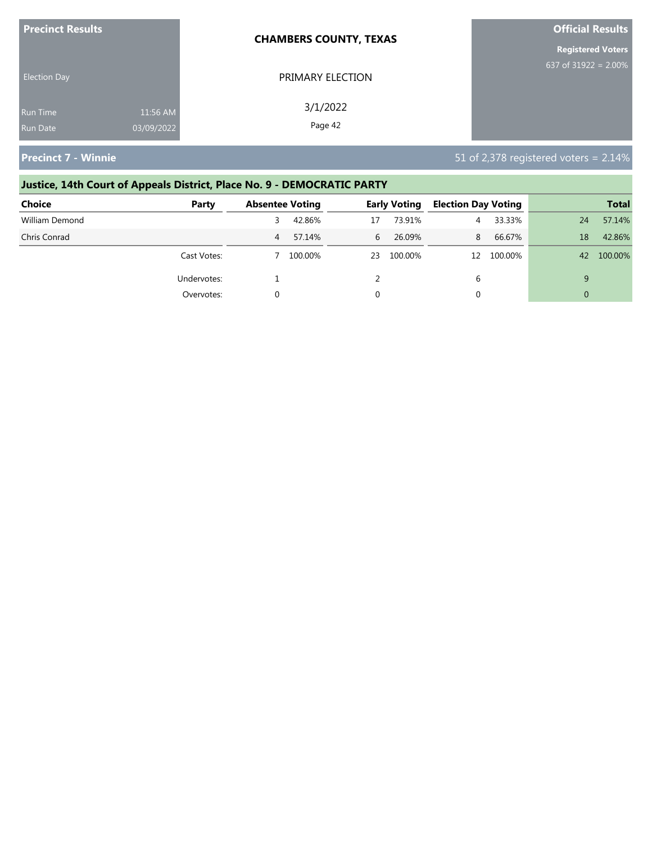| <b>Precinct Results</b>            |                        | <b>CHAMBERS COUNTY, TEXAS</b> | <b>Official Results</b>  |
|------------------------------------|------------------------|-------------------------------|--------------------------|
|                                    |                        |                               | <b>Registered Voters</b> |
| <b>Election Day</b>                |                        | PRIMARY ELECTION              | 637 of $31922 = 2.00\%$  |
| <b>Run Time</b><br><b>Run Date</b> | 11:56 AM<br>03/09/2022 | 3/1/2022<br>Page 42           |                          |

# **Justice, 14th Court of Appeals District, Place No. 9 - DEMOCRATIC PARTY**

| <b>Choice</b>  | Party       | <b>Absentee Voting</b> |         |    | <b>Early Voting</b> | <b>Election Day Voting</b> |         |    | <b>Total</b> |
|----------------|-------------|------------------------|---------|----|---------------------|----------------------------|---------|----|--------------|
| William Demond |             |                        | 42.86%  | 17 | 73.91%              | 4                          | 33.33%  | 24 | 57.14%       |
| Chris Conrad   |             | 4                      | 57.14%  | 6  | 26.09%              | 8                          | 66.67%  | 18 | 42.86%       |
|                | Cast Votes: |                        | 100.00% | 23 | 100.00%             | 12                         | 100.00% | 42 | 100.00%      |
|                | Undervotes: |                        |         |    |                     | 6                          |         |    |              |
|                | Overvotes:  |                        |         |    |                     | 0                          |         |    |              |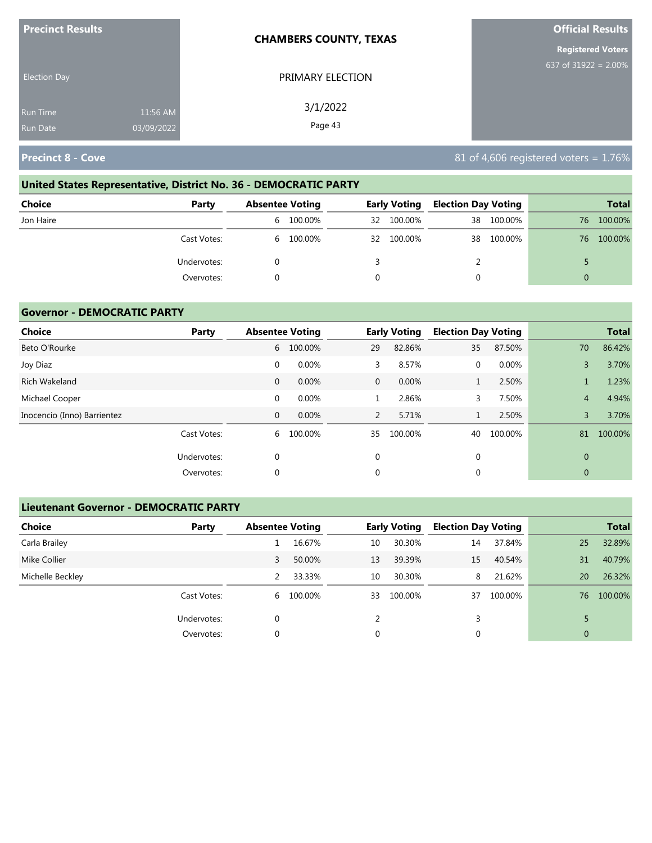| <b>Precinct Results</b> |            | <b>CHAMBERS COUNTY, TEXAS</b> | <b>Official Results</b>  |
|-------------------------|------------|-------------------------------|--------------------------|
|                         |            |                               | <b>Registered Voters</b> |
| <b>Election Day</b>     |            | PRIMARY ELECTION              | 637 of $31922 = 2.00\%$  |
| <b>Run Time</b>         | 11:56 AM   | 3/1/2022<br>Page 43           |                          |
| <b>Run Date</b>         | 03/09/2022 |                               |                          |

# **United States Representative, District No. 36 - DEMOCRATIC PARTY**

| Choice    | Party       | <b>Absentee Voting</b> |           | <b>Early Voting</b> |            | <b>Election Day Voting</b> |            |    | <b>Total</b> |
|-----------|-------------|------------------------|-----------|---------------------|------------|----------------------------|------------|----|--------------|
| Jon Haire |             |                        | 6 100.00% | 32                  | 100.00%    | 38                         | 100.00%    | 76 | 100.00%      |
|           | Cast Votes: |                        | 6 100.00% |                     | 32 100.00% |                            | 38 100.00% | 76 | 100.00%      |
|           | Undervotes: |                        |           |                     |            |                            |            |    |              |
|           | Overvotes:  |                        |           | $\Omega$            |            |                            |            | 0  |              |

## **Governor - DEMOCRATIC PARTY**

| Choice                      | Party       |              | <b>Absentee Voting</b> |                | <b>Early Voting</b> | <b>Election Day Voting</b> |         |                | <b>Total</b> |
|-----------------------------|-------------|--------------|------------------------|----------------|---------------------|----------------------------|---------|----------------|--------------|
| Beto O'Rourke               |             | 6            | 100.00%                | 29             | 82.86%              | 35                         | 87.50%  | 70             | 86.42%       |
| Joy Diaz                    |             | 0            | 0.00%                  | 3              | 8.57%               | $\mathbf{0}$               | 0.00%   | 3              | 3.70%        |
| Rich Wakeland               |             | 0            | 0.00%                  | $\mathbf{0}$   | 0.00%               | Τ.                         | 2.50%   |                | 1.23%        |
| Michael Cooper              |             | $\mathbf 0$  | 0.00%                  |                | 2.86%               | 3                          | 7.50%   | $\overline{4}$ | 4.94%        |
| Inocencio (Inno) Barrientez |             | $\mathbf{0}$ | 0.00%                  | $\overline{2}$ | 5.71%               | $\mathbf{1}$               | 2.50%   | 3              | 3.70%        |
|                             | Cast Votes: | 6            | 100.00%                | 35             | 100.00%             | 40                         | 100.00% | 81             | 100.00%      |
|                             | Undervotes: | $\mathbf 0$  |                        | $\mathbf 0$    |                     | $\mathbf{0}$               |         | $\overline{0}$ |              |
|                             | Overvotes:  | 0            |                        | 0              |                     | 0                          |         | 0              |              |

# **Lieutenant Governor - DEMOCRATIC PARTY**

| <b>Choice</b>    | Party       | <b>Absentee Voting</b> |           |    | <b>Early Voting</b> | <b>Election Day Voting</b> |         |                | <b>Total</b> |
|------------------|-------------|------------------------|-----------|----|---------------------|----------------------------|---------|----------------|--------------|
| Carla Brailey    |             |                        | 16.67%    | 10 | 30.30%              | 14                         | 37.84%  | 25             | 32.89%       |
| Mike Collier     |             | 3                      | 50.00%    | 13 | 39.39%              | 15                         | 40.54%  | 31             | 40.79%       |
| Michelle Beckley |             | 2                      | 33.33%    | 10 | 30.30%              | 8                          | 21.62%  | 20             | 26.32%       |
|                  | Cast Votes: |                        | 6 100.00% | 33 | 100.00%             | 37                         | 100.00% | 76             | 100.00%      |
|                  | Undervotes: | 0                      |           |    |                     | 3                          |         |                |              |
|                  | Overvotes:  | 0                      |           | 0  |                     | 0                          |         | $\overline{0}$ |              |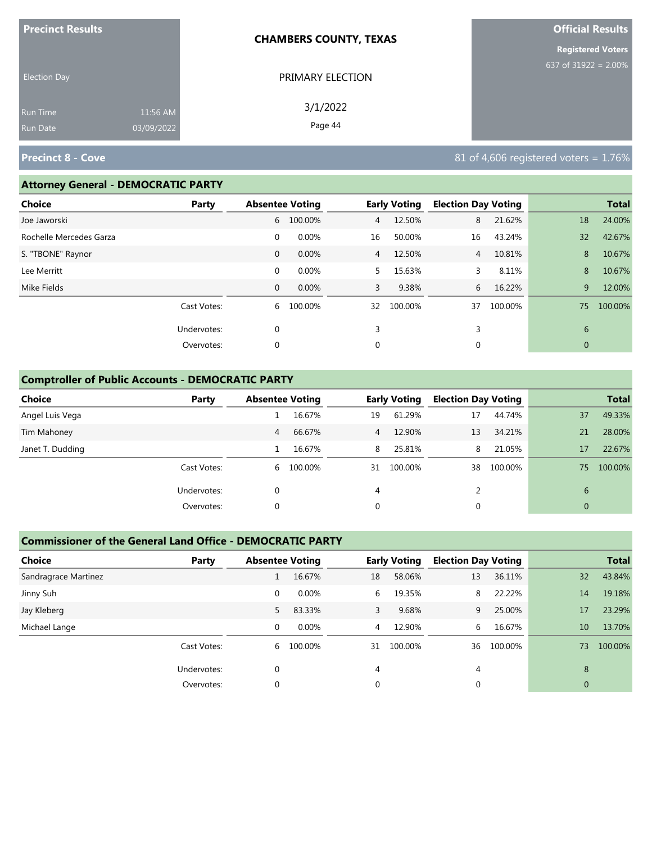| <b>Precinct Results</b> |            | <b>CHAMBERS COUNTY, TEXAS</b> | <b>Official Results</b>  |
|-------------------------|------------|-------------------------------|--------------------------|
|                         |            |                               | <b>Registered Voters</b> |
| <b>Election Day</b>     |            | PRIMARY ELECTION              | 637 of 31922 = 2.00%     |
| <b>Run Time</b>         | 11:56 AM   | 3/1/2022                      |                          |
| <b>Run Date</b>         | 03/09/2022 | Page 44                       |                          |

#### **Attorney General - DEMOCRATIC PARTY**

| Choice                  | Party       |              | <b>Absentee Voting</b> |                | <b>Early Voting</b> | <b>Election Day Voting</b> |         |              | <b>Total</b> |
|-------------------------|-------------|--------------|------------------------|----------------|---------------------|----------------------------|---------|--------------|--------------|
| Joe Jaworski            |             | 6            | 100.00%                | $\overline{4}$ | 12.50%              | 8                          | 21.62%  | 18           | 24.00%       |
| Rochelle Mercedes Garza |             | $\mathbf 0$  | 0.00%                  | 16             | 50.00%              | 16                         | 43.24%  | 32           | 42.67%       |
| S. "TBONE" Raynor       |             | $\mathbf 0$  | 0.00%                  | $\overline{4}$ | 12.50%              | $\overline{4}$             | 10.81%  | 8            | 10.67%       |
| Lee Merritt             |             | $\mathbf 0$  | 0.00%                  | 5.             | 15.63%              | 3                          | 8.11%   | 8            | 10.67%       |
| Mike Fields             |             | $\mathbf{0}$ | 0.00%                  | 3              | 9.38%               | 6                          | 16.22%  | 9            | 12.00%       |
|                         | Cast Votes: | 6            | 100.00%                | 32             | 100.00%             | 37                         | 100.00% | 75           | 100.00%      |
|                         | Undervotes: | 0            |                        | 3              |                     | 3                          |         | 6            |              |
|                         | Overvotes:  | 0            |                        | 0              |                     | 0                          |         | $\mathbf{0}$ |              |
|                         |             |              |                        |                |                     |                            |         |              |              |

# **Comptroller of Public Accounts - DEMOCRATIC PARTY**

| Choice           | Party       | <b>Absentee Voting</b> |           |                | <b>Early Voting</b> | <b>Election Day Voting</b> |         |              | <b>Total</b> |
|------------------|-------------|------------------------|-----------|----------------|---------------------|----------------------------|---------|--------------|--------------|
| Angel Luis Vega  |             |                        | 16.67%    | 19             | 61.29%              | 17                         | 44.74%  | 37           | 49.33%       |
| Tim Mahoney      |             | 4                      | 66.67%    | $\overline{4}$ | 12.90%              | 13                         | 34.21%  | 21           | 28.00%       |
| Janet T. Dudding |             |                        | 16.67%    | 8              | 25.81%              | 8                          | 21.05%  | 17           | 22.67%       |
|                  | Cast Votes: |                        | 6 100.00% |                | 31 100.00%          | 38                         | 100.00% | 75           | 100.00%      |
|                  | Undervotes: | 0                      |           | 4              |                     |                            |         | 6            |              |
|                  | Overvotes:  | 0                      |           | 0              |                     | 0                          |         | $\mathbf{0}$ |              |

#### **Commissioner of the General Land Office - DEMOCRATIC PARTY**

| <b>Choice</b>        | Party       | <b>Absentee Voting</b> |         |    | <b>Early Voting</b> |    | <b>Election Day Voting</b> |              | <b>Total</b> |
|----------------------|-------------|------------------------|---------|----|---------------------|----|----------------------------|--------------|--------------|
| Sandragrace Martinez |             |                        | 16.67%  | 18 | 58.06%              | 13 | 36.11%                     | 32           | 43.84%       |
| Jinny Suh            |             | 0                      | 0.00%   | 6  | 19.35%              | 8  | 22.22%                     | 14           | 19.18%       |
| Jay Kleberg          |             | 5.                     | 83.33%  | 3  | 9.68%               | 9  | 25.00%                     | 17           | 23.29%       |
| Michael Lange        |             | 0                      | 0.00%   | 4  | 12.90%              | 6  | 16.67%                     | 10           | 13.70%       |
|                      | Cast Votes: | 6                      | 100.00% | 31 | 100.00%             | 36 | 100.00%                    | 73           | 100.00%      |
|                      | Undervotes: | $\Omega$               |         | 4  |                     | 4  |                            | 8            |              |
|                      | Overvotes:  | 0                      |         | 0  |                     | 0  |                            | $\mathbf{0}$ |              |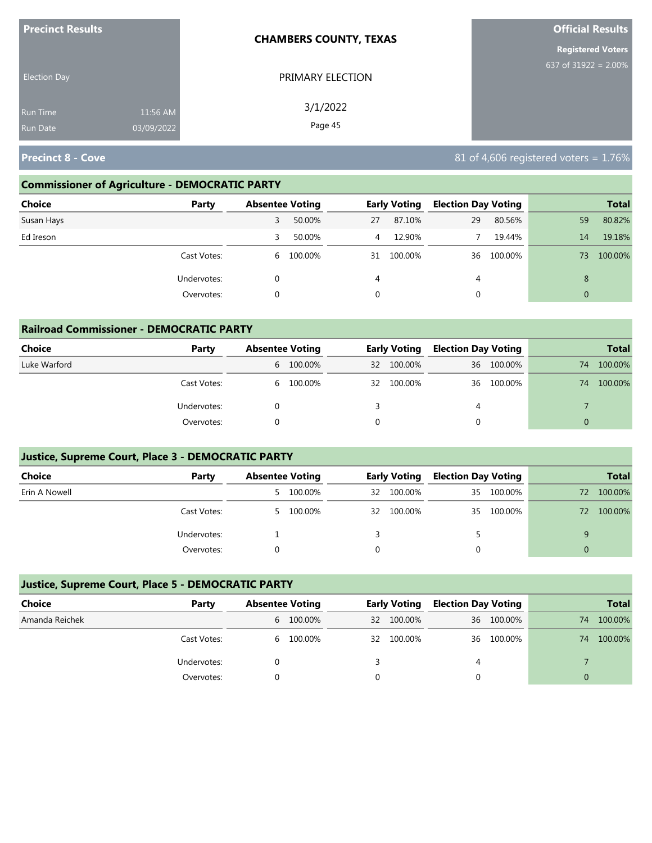| <b>Precinct Results</b> |            | <b>CHAMBERS COUNTY, TEXAS</b> | <b>Official Results</b>  |
|-------------------------|------------|-------------------------------|--------------------------|
|                         |            |                               | <b>Registered Voters</b> |
| <b>Election Day</b>     |            | PRIMARY ELECTION              | 637 of 31922 = $2.00\%$  |
| <b>Run Time</b>         | 11:56 AM   | 3/1/2022                      |                          |
| <b>Run Date</b>         | 03/09/2022 | Page 45                       |                          |

## **Commissioner of Agriculture - DEMOCRATIC PARTY**

| <b>Choice</b><br>Party |   | <b>Absentee Voting</b> |             | <b>Early Voting</b> | <b>Election Day Voting</b> |         |                | <b>Total</b> |
|------------------------|---|------------------------|-------------|---------------------|----------------------------|---------|----------------|--------------|
| Susan Hays             | 3 | 50.00%                 | 27          | 87.10%              | 29                         | 80.56%  | 59             | 80.82%       |
| Ed Ireson              | 3 | 50.00%                 | 4           | 12.90%              |                            | 19.44%  | 14             | 19.18%       |
| Cast Votes:            | 6 | 100.00%                | 31          | 100.00%             | 36                         | 100.00% | 73             | 100.00%      |
| Undervotes:            |   |                        | 4           |                     | 4                          |         | 8              |              |
| Overvotes:             |   |                        | $\mathbf 0$ |                     |                            |         | $\overline{0}$ |              |

| <b>Railroad Commissioner - DEMOCRATIC PARTY</b> |             |                        |           |    |                     |                            |            |          |              |  |
|-------------------------------------------------|-------------|------------------------|-----------|----|---------------------|----------------------------|------------|----------|--------------|--|
| Choice                                          | Party       | <b>Absentee Voting</b> |           |    | <b>Early Voting</b> | <b>Election Day Voting</b> |            |          | <b>Total</b> |  |
| Luke Warford                                    |             |                        | 6 100.00% | 32 | 100.00%             |                            | 36 100.00% | 74       | 100.00%      |  |
|                                                 | Cast Votes: |                        | 6 100.00% | 32 | 100.00%             | 36                         | 100.00%    | 74       | 100.00%      |  |
|                                                 | Undervotes: | 0                      |           |    |                     | 4                          |            |          |              |  |
|                                                 | Overvotes:  |                        |           | 0  |                     |                            |            | $\Omega$ |              |  |

# **Justice, Supreme Court, Place 3 - DEMOCRATIC PARTY**

| <b>Choice</b> | Party       | <b>Absentee Voting</b> |           | <b>Early Voting</b> |         | <b>Election Day Voting</b> |            |    | <b>Total</b> |
|---------------|-------------|------------------------|-----------|---------------------|---------|----------------------------|------------|----|--------------|
| Erin A Nowell |             |                        | 5 100.00% | 32                  | 100.00% | 35                         | 100.00%    | 72 | 100.00%      |
|               | Cast Votes: |                        | 5 100.00% | 32                  | 100.00% |                            | 35 100.00% | 72 | 100.00%      |
|               | Undervotes: |                        |           |                     |         |                            |            |    |              |
|               | Overvotes:  |                        |           |                     |         |                            |            |    |              |

## **Justice, Supreme Court, Place 5 - DEMOCRATIC PARTY**

| <b>Choice</b>  | Party       | <b>Absentee Voting</b> |         |    | <b>Early Voting</b> | <b>Election Day Voting</b> |            |    | <b>Total</b> |
|----------------|-------------|------------------------|---------|----|---------------------|----------------------------|------------|----|--------------|
| Amanda Reichek |             | 6                      | 100.00% | 32 | 100.00%             |                            | 36 100.00% | 74 | 100.00%      |
|                | Cast Votes: | 6                      | 100.00% | 32 | 100.00%             |                            | 36 100.00% | 74 | 100.00%      |
|                | Undervotes: |                        |         |    |                     | 4                          |            |    |              |
|                | Overvotes:  |                        |         |    |                     |                            |            |    |              |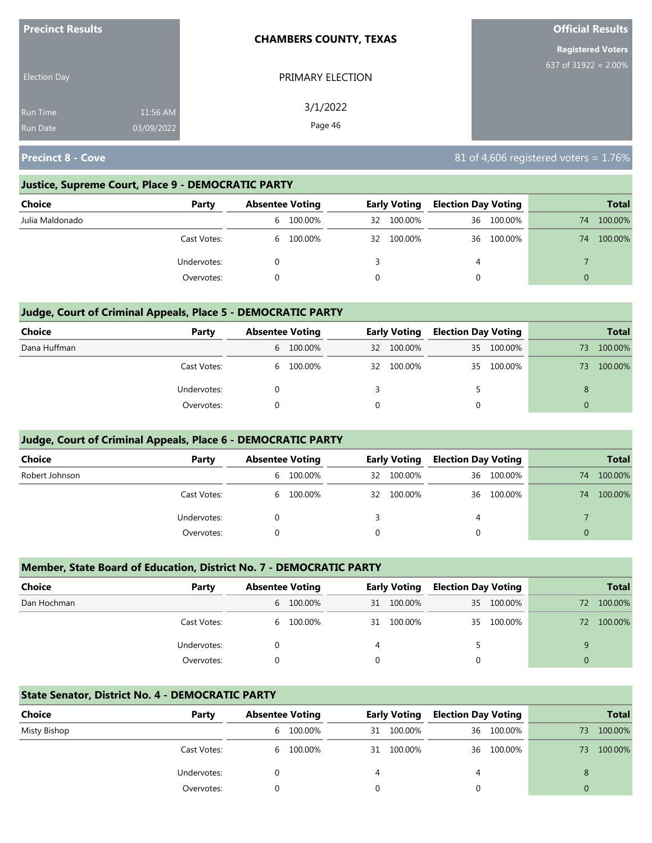| <b>Precinct Results</b> |            | <b>CHAMBERS COUNTY, TEXAS</b> | <b>Official Results</b> |
|-------------------------|------------|-------------------------------|-------------------------|
|                         |            | <b>Registered Voters</b>      |                         |
| <b>Election Day</b>     |            | PRIMARY ELECTION              | 637 of $31922 = 2.00\%$ |
| <b>Run Time</b>         | 11:56 AM   | 3/1/2022                      |                         |
| <b>Run Date</b>         | 03/09/2022 | Page 46                       |                         |

#### **Justice, Supreme Court, Place 9 - DEMOCRATIC PARTY**

| <b>Choice</b>   | Party       | <b>Absentee Voting</b> |           |    | <b>Early Voting</b> | <b>Election Day Voting</b> |            |    | <b>Total</b> |
|-----------------|-------------|------------------------|-----------|----|---------------------|----------------------------|------------|----|--------------|
| Julia Maldonado |             | 6                      | 100.00%   | 32 | 100.00%             |                            | 36 100.00% | 74 | 100.00%      |
|                 | Cast Votes: |                        | 6 100.00% | 32 | 100.00%             | 36                         | 100.00%    | 74 | 100.00%      |
|                 | Undervotes: |                        |           |    |                     | 4                          |            |    |              |
|                 | Overvotes:  |                        |           | 0  |                     | 0                          |            |    |              |

## **Judge, Court of Criminal Appeals, Place 5 - DEMOCRATIC PARTY**

| <b>Choice</b> | Party       | <b>Absentee Voting</b> |           | <b>Early Voting</b> | <b>Election Day Voting</b> |            |          | <b>Total</b> |
|---------------|-------------|------------------------|-----------|---------------------|----------------------------|------------|----------|--------------|
| Dana Huffman  |             |                        | 6 100.00% | 32 100.00%          |                            | 35 100.00% | 73       | 100.00%      |
|               | Cast Votes: |                        | 6 100.00% | 32 100.00%          |                            | 35 100.00% | 73.      | 100.00%      |
|               | Undervotes: |                        |           |                     |                            |            |          |              |
|               | Overvotes:  |                        |           |                     | 0                          |            | $\Omega$ |              |

#### **Judge, Court of Criminal Appeals, Place 6 - DEMOCRATIC PARTY**

| Choice         | Party       | <b>Absentee Voting</b> |           |    | <b>Early Voting</b> | <b>Election Day Voting</b> |            |    | <b>Total</b> |
|----------------|-------------|------------------------|-----------|----|---------------------|----------------------------|------------|----|--------------|
| Robert Johnson |             | 6                      | 100.00%   | 32 | 100.00%             |                            | 36 100.00% | 74 | 100.00%      |
|                | Cast Votes: |                        | 6 100.00% | 32 | 100.00%             | 36                         | 100.00%    | 74 | 100.00%      |
|                | Undervotes: |                        |           |    |                     | 4                          |            |    |              |
|                | Overvotes:  |                        |           |    |                     |                            |            |    |              |

#### **Member, State Board of Education, District No. 7 - DEMOCRATIC PARTY**

| <b>Choice</b> | Party       | <b>Absentee Voting</b> |           |          | <b>Early Voting</b> |          | <b>Election Day Voting</b> |    | <b>Total</b> |
|---------------|-------------|------------------------|-----------|----------|---------------------|----------|----------------------------|----|--------------|
| Dan Hochman   |             |                        | 6 100.00% | 31       | 100.00%             |          | 35 100.00%                 | 72 | 100.00%      |
|               | Cast Votes: |                        | 6 100.00% | 31       | 100.00%             |          | 35 100.00%                 | 72 | 100.00%      |
|               | Undervotes: |                        |           | 4        |                     |          |                            |    |              |
|               | Overvotes:  |                        |           | $\Omega$ |                     | $\Omega$ |                            | 0  |              |

#### **State Senator, District No. 4 - DEMOCRATIC PARTY**

| Choice       | Party       | <b>Absentee Voting</b> |         |    | <b>Early Voting</b> | <b>Election Day Voting</b> |            |    | <b>Total</b> |
|--------------|-------------|------------------------|---------|----|---------------------|----------------------------|------------|----|--------------|
| Misty Bishop |             | 6                      | 100.00% | 31 | 100.00%             |                            | 36 100.00% | 73 | 100.00%      |
|              | Cast Votes: | b.                     | 100.00% | 31 | 100.00%             |                            | 36 100.00% | 73 | 100.00%      |
|              | Undervotes: |                        |         |    |                     | 4                          |            | 8  |              |
|              | Overvotes:  |                        |         |    |                     |                            |            |    |              |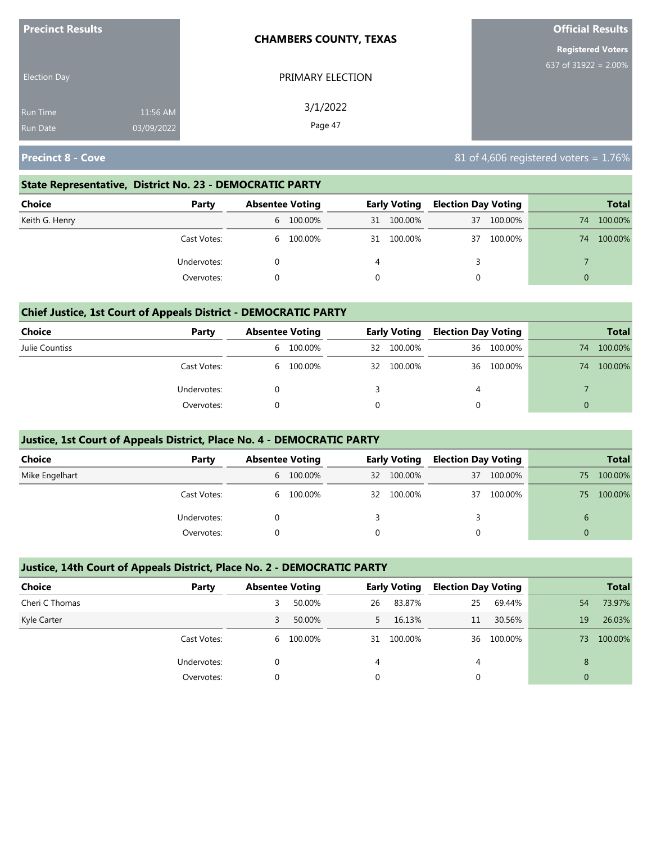| <b>Precinct Results</b>            |                        | <b>CHAMBERS COUNTY, TEXAS</b> | <b>Official Results</b>  |
|------------------------------------|------------------------|-------------------------------|--------------------------|
|                                    |                        |                               | <b>Registered Voters</b> |
| <b>Election Day</b>                |                        | PRIMARY ELECTION              | 637 of $31922 = 2.00\%$  |
| <b>Run Time</b><br><b>Run Date</b> | 11:56 AM<br>03/09/2022 | 3/1/2022<br>Page 47           |                          |

#### **State Representative, District No. 23 - DEMOCRATIC PARTY**

| Choice         | Party       | <b>Absentee Voting</b> |           | <b>Early Voting</b> |         | <b>Election Day Voting</b> |         |    | <b>Total</b> |
|----------------|-------------|------------------------|-----------|---------------------|---------|----------------------------|---------|----|--------------|
| Keith G. Henry |             |                        | 6 100.00% | 31                  | 100.00% | 37                         | 100.00% | 74 | 100.00%      |
|                | Cast Votes: |                        | 6 100.00% | 31                  | 100.00% | 37                         | 100.00% | 74 | 100.00%      |
|                | Undervotes: |                        |           | 4                   |         |                            |         |    |              |
|                | Overvotes:  |                        |           |                     |         |                            |         | 0  |              |

#### **Chief Justice, 1st Court of Appeals District - DEMOCRATIC PARTY**

| Choice         | Party       | <b>Absentee Voting</b> |           |     | <b>Early Voting</b> | <b>Election Day Voting</b> |         |    | <b>Total</b> |
|----------------|-------------|------------------------|-----------|-----|---------------------|----------------------------|---------|----|--------------|
| Julie Countiss |             | 6                      | 100.00%   | 32  | 100.00%             | 36                         | 100.00% | 74 | 100.00%      |
|                | Cast Votes: |                        | 6 100.00% | -32 | 100.00%             | 36                         | 100.00% | 74 | 100.00%      |
|                | Undervotes: |                        |           |     |                     | 4                          |         |    |              |
|                | Overvotes:  |                        |           |     |                     |                            |         |    |              |

#### **Justice, 1st Court of Appeals District, Place No. 4 - DEMOCRATIC PARTY**

| <b>Choice</b>  | Party       | <b>Absentee Voting</b> |              | <b>Early Voting</b> |    | <b>Election Day Voting</b> |    | <b>Total</b> |
|----------------|-------------|------------------------|--------------|---------------------|----|----------------------------|----|--------------|
| Mike Engelhart |             | 6 100.00%              | $32^{\circ}$ | 100.00%             | 37 | 100.00%                    | 75 | 100.00%      |
|                | Cast Votes: | 6 100.00%              | 32           | 100.00%             | 37 | 100.00%                    | 75 | 100.00%      |
|                | Undervotes: |                        |              |                     |    |                            |    |              |
|                | Overvotes:  |                        | $\Omega$     |                     |    |                            | 0  |              |

#### **Justice, 14th Court of Appeals District, Place No. 2 - DEMOCRATIC PARTY**

| <b>Choice</b>  | Party       | <b>Absentee Voting</b> |         |    | <b>Early Voting</b> | <b>Election Day Voting</b> |         |          | <b>Total</b> |
|----------------|-------------|------------------------|---------|----|---------------------|----------------------------|---------|----------|--------------|
| Cheri C Thomas |             | 3                      | 50.00%  | 26 | 83.87%              | 25                         | 69.44%  | 54       | 73.97%       |
| Kyle Carter    |             | 3                      | 50.00%  |    | 16.13%              | 11                         | 30.56%  | 19       | 26.03%       |
|                | Cast Votes: | 6                      | 100.00% | 31 | 100.00%             | 36                         | 100.00% | 73       | 100.00%      |
|                | Undervotes: |                        |         | 4  |                     | 4                          |         | 8        |              |
|                | Overvotes:  | $\Omega$               |         | 0  |                     |                            |         | $\Omega$ |              |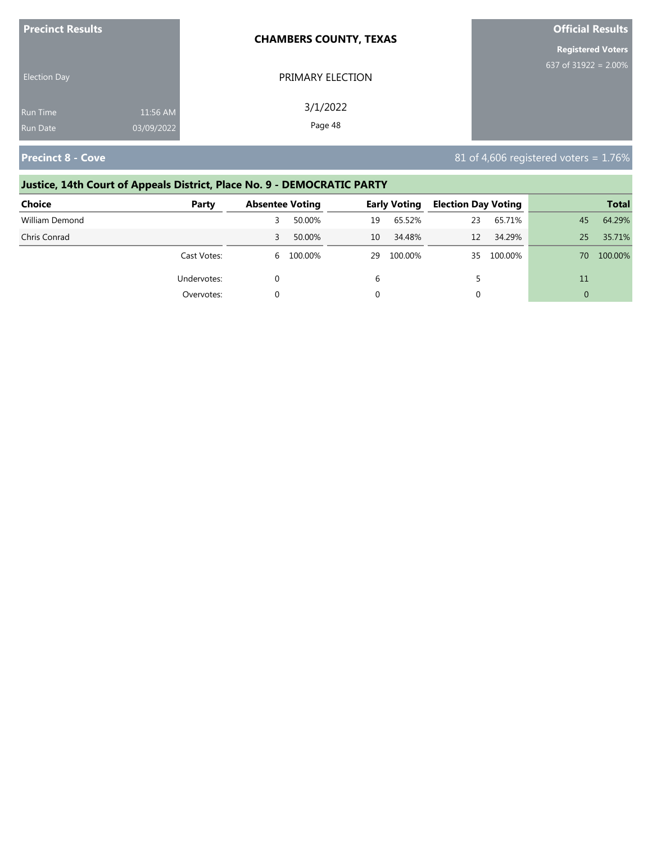| <b>Precinct Results</b> |            | <b>CHAMBERS COUNTY, TEXAS</b> | <b>Official Results</b>  |
|-------------------------|------------|-------------------------------|--------------------------|
|                         |            |                               | <b>Registered Voters</b> |
| <b>Election Day</b>     |            | PRIMARY ELECTION              | 637 of 31922 = $2.00\%$  |
| <b>Run Time</b>         | 11:56 AM   | 3/1/2022                      |                          |
| <b>Run Date</b>         | 03/09/2022 | Page 48                       |                          |

# **Justice, 14th Court of Appeals District, Place No. 9 - DEMOCRATIC PARTY**

| Choice         | Party       | <b>Absentee Voting</b> |         |    | <b>Early Voting</b> | <b>Election Day Voting</b> |         |                 | <b>Total</b> |
|----------------|-------------|------------------------|---------|----|---------------------|----------------------------|---------|-----------------|--------------|
| William Demond |             |                        | 50.00%  | 19 | 65.52%              | 23                         | 65.71%  | 45              | 64.29%       |
| Chris Conrad   |             | 3                      | 50.00%  | 10 | 34.48%              | 12                         | 34.29%  | 25 <sub>1</sub> | 35.71%       |
|                | Cast Votes: | 6                      | 100.00% | 29 | 100.00%             | 35.                        | 100.00% | 70.             | 100.00%      |
|                | Undervotes: |                        |         | 6  |                     |                            |         | 11              |              |
|                | Overvotes:  |                        |         |    |                     | υ                          |         | $\Omega$        |              |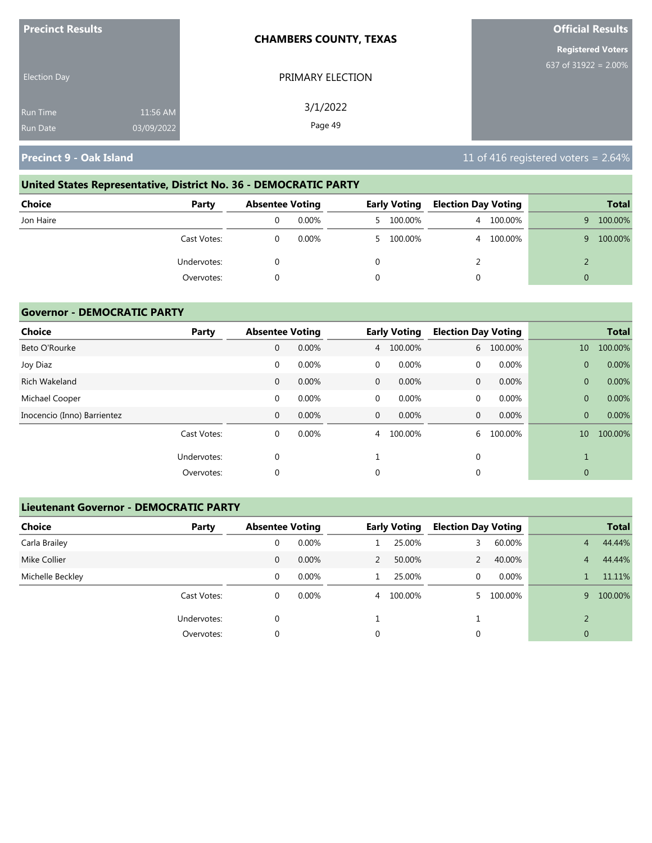| <b>Precinct Results</b> |            | <b>CHAMBERS COUNTY, TEXAS</b> | <b>Official Results</b>  |
|-------------------------|------------|-------------------------------|--------------------------|
|                         |            |                               | <b>Registered Voters</b> |
| <b>Election Day</b>     |            | PRIMARY ELECTION              | 637 of 31922 = $2.00\%$  |
| <b>Run Time</b>         | 11:56 AM   | 3/1/2022                      |                          |
| <b>Run Date</b>         | 03/09/2022 | Page 49                       |                          |

# **United States Representative, District No. 36 - DEMOCRATIC PARTY**

| Choice<br>Party | <b>Absentee Voting</b> |  | <b>Early Voting</b> |   | <b>Election Day Voting</b> |   | <b>Total</b> |
|-----------------|------------------------|--|---------------------|---|----------------------------|---|--------------|
| Jon Haire       | $0.00\%$               |  | 5 100.00%           | 4 | 100.00%                    | 9 | 100.00%      |
| Cast Votes:     | $0.00\%$               |  | 5 100.00%           |   | 4 100.00%                  | 9 | 100.00%      |
| Undervotes:     |                        |  |                     |   |                            |   |              |
| Overvotes:      |                        |  |                     |   |                            | 0 |              |

## **Governor - DEMOCRATIC PARTY**

| <b>Choice</b>               | Party       | <b>Absentee Voting</b> |       |              | <b>Early Voting</b> | <b>Election Day Voting</b> |         |                | <b>Total</b> |
|-----------------------------|-------------|------------------------|-------|--------------|---------------------|----------------------------|---------|----------------|--------------|
| Beto O'Rourke               |             | 0                      | 0.00% | 4            | 100.00%             | 6                          | 100.00% | 10             | 100.00%      |
| Joy Diaz                    |             | 0                      | 0.00% | $\mathbf 0$  | 0.00%               | $\mathbf{0}$               | 0.00%   | $\overline{0}$ | 0.00%        |
| Rich Wakeland               |             | $\mathbf{0}$           | 0.00% | $\mathbf{0}$ | 0.00%               | $\mathbf{0}$               | 0.00%   | $\overline{0}$ | 0.00%        |
| Michael Cooper              |             | 0                      | 0.00% | $\mathbf 0$  | 0.00%               | $\mathbf{0}$               | 0.00%   | $\overline{0}$ | 0.00%        |
| Inocencio (Inno) Barrientez |             | 0                      | 0.00% | $\mathbf{0}$ | 0.00%               | $\mathbf{0}$               | 0.00%   | $\overline{0}$ | 0.00%        |
|                             | Cast Votes: | 0                      | 0.00% | 4            | 100.00%             | 6                          | 100.00% | 10             | 100.00%      |
|                             | Undervotes: | 0                      |       |              |                     | $\mathbf{0}$               |         |                |              |
|                             | Overvotes:  | 0                      |       | 0            |                     | 0                          |         | $\mathbf{0}$   |              |

## **Lieutenant Governor - DEMOCRATIC PARTY**

| <b>Choice</b>    | Party       | <b>Absentee Voting</b> |          |               | <b>Early Voting</b> | <b>Election Day Voting</b> |          |                | <b>Total</b> |
|------------------|-------------|------------------------|----------|---------------|---------------------|----------------------------|----------|----------------|--------------|
| Carla Brailey    |             | 0                      | 0.00%    |               | 25.00%              |                            | 60.00%   | 4              | 44.44%       |
| Mike Collier     |             | 0                      | 0.00%    | $\mathcal{P}$ | 50.00%              |                            | 40.00%   | $\overline{4}$ | 44.44%       |
| Michelle Beckley |             | 0                      | $0.00\%$ |               | 25.00%              | 0                          | $0.00\%$ |                | 11.11%       |
|                  | Cast Votes: | 0                      | $0.00\%$ |               | 4 100.00%           |                            | 100.00%  | 9              | 100.00%      |
|                  | Undervotes: | 0                      |          |               |                     |                            |          | $\mathcal{D}$  |              |
|                  | Overvotes:  | 0                      |          | 0             |                     | 0                          |          | $\mathbf{0}$   |              |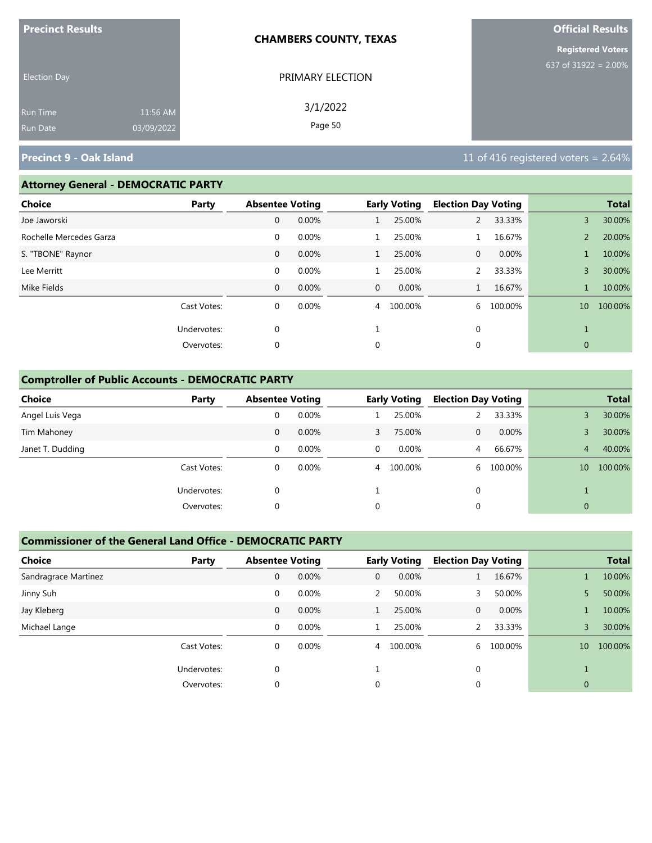|                     | <b>Precinct Results</b><br><b>CHAMBERS COUNTY, TEXAS</b> |                  | <b>Official Results</b>  |
|---------------------|----------------------------------------------------------|------------------|--------------------------|
|                     |                                                          |                  | <b>Registered Voters</b> |
| <b>Election Day</b> |                                                          | PRIMARY ELECTION | 637 of 31922 = $2.00\%$  |
| Run Time            | 11:56 AM                                                 | 3/1/2022         |                          |
| Run Date            | 03/09/2022                                               | Page 50          |                          |

## **Attorney General - DEMOCRATIC PARTY**

| <b>Choice</b>           | Party       | <b>Absentee Voting</b> |       |                | <b>Early Voting</b> | <b>Election Day Voting</b> |         |                 | <b>Total</b> |
|-------------------------|-------------|------------------------|-------|----------------|---------------------|----------------------------|---------|-----------------|--------------|
| Joe Jaworski            |             | 0                      | 0.00% |                | 25.00%              | $\overline{2}$             | 33.33%  | 3               | 30.00%       |
| Rochelle Mercedes Garza |             | $\mathbf 0$            | 0.00% |                | 25.00%              |                            | 16.67%  | $\overline{2}$  | 20.00%       |
| S. "TBONE" Raynor       |             | $\mathbf 0$            | 0.00% |                | 25.00%              | 0                          | 0.00%   |                 | 10.00%       |
| Lee Merritt             |             | $\mathbf 0$            | 0.00% |                | 25.00%              |                            | 33.33%  | 3               | 30.00%       |
| Mike Fields             |             | $\mathbf{0}$           | 0.00% | $\mathbf{0}$   | 0.00%               |                            | 16.67%  |                 | 10.00%       |
|                         | Cast Votes: | 0                      | 0.00% | $\overline{4}$ | 100.00%             | 6                          | 100.00% | 10 <sup>°</sup> | 100.00%      |
|                         | Undervotes: | 0                      |       |                |                     | 0                          |         |                 |              |
|                         | Overvotes:  | 0                      |       | 0              |                     | 0                          |         | $\mathbf{0}$    |              |
|                         |             |                        |       |                |                     |                            |         |                 |              |

## **Comptroller of Public Accounts - DEMOCRATIC PARTY**

| Choice           | Party       | <b>Absentee Voting</b> |          |          | <b>Early Voting</b> | <b>Election Day Voting</b> |         |              | <b>Total</b> |
|------------------|-------------|------------------------|----------|----------|---------------------|----------------------------|---------|--------------|--------------|
| Angel Luis Vega  |             | 0                      | 0.00%    |          | 25.00%              |                            | 33.33%  |              | 30.00%       |
| Tim Mahoney      |             | 0                      | $0.00\%$ | 3        | 75.00%              | 0                          | 0.00%   |              | 30.00%       |
| Janet T. Dudding |             | 0                      | 0.00%    | $\Omega$ | $0.00\%$            | 4                          | 66.67%  | 4            | 40.00%       |
|                  | Cast Votes: | 0                      | $0.00\%$ |          | 4 100.00%           | 6.                         | 100.00% | 10           | 100.00%      |
|                  | Undervotes: | 0                      |          |          |                     | 0                          |         |              |              |
|                  | Overvotes:  | 0                      |          | 0        |                     | $\mathbf{0}$               |         | $\mathbf{0}$ |              |

#### **Commissioner of the General Land Office - DEMOCRATIC PARTY**

| <b>Choice</b><br>Party | <b>Absentee Voting</b> |       |   | <b>Early Voting</b> | <b>Election Day Voting</b> |         |                 | <b>Total</b> |
|------------------------|------------------------|-------|---|---------------------|----------------------------|---------|-----------------|--------------|
| Sandragrace Martinez   | 0                      | 0.00% | 0 | 0.00%               |                            | 16.67%  |                 | 10.00%       |
| Jinny Suh              | 0                      | 0.00% | 2 | 50.00%              | 3                          | 50.00%  |                 | 50.00%       |
| Jay Kleberg            | $\mathbf{0}$           | 0.00% |   | 25.00%              | $\mathbf{0}$               | 0.00%   |                 | 10.00%       |
| Michael Lange          | $\Omega$               | 0.00% |   | 25.00%              |                            | 33.33%  | 3               | 30.00%       |
| Cast Votes:            | 0                      | 0.00% | 4 | 100.00%             | 6                          | 100.00% | 10 <sup>°</sup> | 100.00%      |
| Undervotes:            | $\Omega$               |       |   |                     | $\Omega$                   |         |                 |              |
| Overvotes:             |                        |       | 0 |                     | 0                          |         | 0               |              |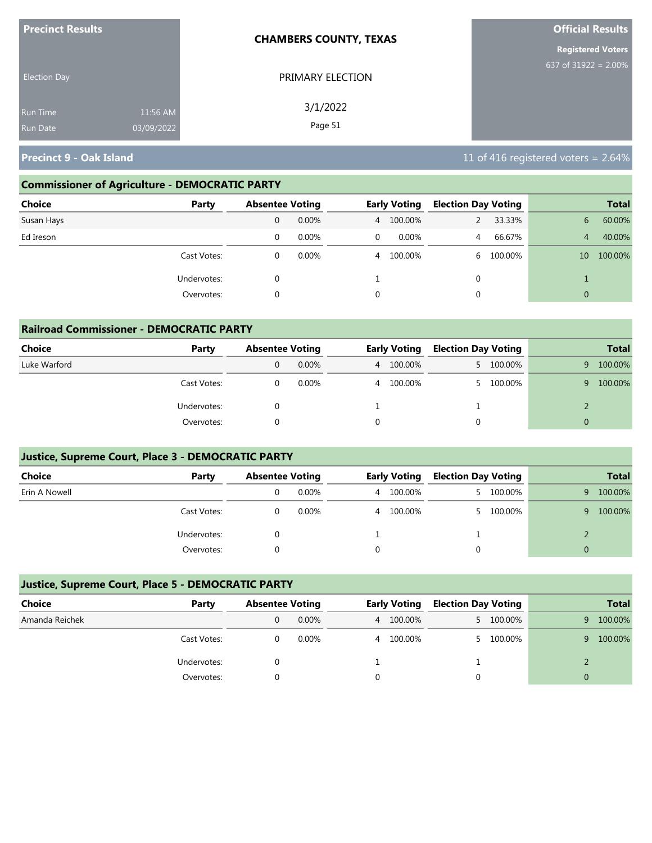| <b>Precinct Results</b> |            | <b>CHAMBERS COUNTY, TEXAS</b> | <b>Official Results</b>  |
|-------------------------|------------|-------------------------------|--------------------------|
|                         |            |                               | <b>Registered Voters</b> |
| <b>Election Day</b>     |            | PRIMARY ELECTION              | 637 of $31922 = 2.00\%$  |
| <b>Run Time</b>         | 11:56 AM   | 3/1/2022                      |                          |
| <b>Run Date</b>         | 03/09/2022 | Page 51                       |                          |

## **Commissioner of Agriculture - DEMOCRATIC PARTY**

| Choice<br>Party |   | <b>Absentee Voting</b> |             | <b>Early Voting</b> | <b>Election Day Voting</b> |         |                 | <b>Total</b> |
|-----------------|---|------------------------|-------------|---------------------|----------------------------|---------|-----------------|--------------|
| Susan Hays      | 0 | 0.00%                  |             | 4 100.00%           |                            | 33.33%  | 6               | 60.00%       |
| Ed Ireson       | 0 | 0.00%                  | $\mathbf 0$ | 0.00%               | 4                          | 66.67%  | 4               | 40.00%       |
| Cast Votes:     | 0 | 0.00%                  |             | 4 100.00%           | 6.                         | 100.00% | 10 <sup>°</sup> | 100.00%      |
| Undervotes:     | 0 |                        |             |                     | 0                          |         |                 |              |
| Overvotes:      | 0 |                        | 0           |                     | 0                          |         | $\Omega$        |              |

| <b>Railroad Commissioner - DEMOCRATIC PARTY</b> |             |                        |          |   |                     |                            |           |          |              |
|-------------------------------------------------|-------------|------------------------|----------|---|---------------------|----------------------------|-----------|----------|--------------|
| Choice                                          | Party       | <b>Absentee Voting</b> |          |   | <b>Early Voting</b> | <b>Election Day Voting</b> |           |          | <b>Total</b> |
| Luke Warford                                    |             | 0                      | $0.00\%$ |   | 4 100.00%           |                            | 5 100.00% | 9        | 100.00%      |
|                                                 | Cast Votes: | 0                      | 0.00%    |   | 4 100.00%           |                            | 100.00%   | 9.       | 100.00%      |
|                                                 | Undervotes: | 0                      |          |   |                     |                            |           |          |              |
|                                                 | Overvotes:  |                        |          | 0 |                     |                            |           | $\Omega$ |              |

## **Justice, Supreme Court, Place 3 - DEMOCRATIC PARTY**

| Choice        | Party       | <b>Absentee Voting</b> |          | <b>Early Voting</b> | <b>Election Day Voting</b> |           |   | <b>Total</b> |
|---------------|-------------|------------------------|----------|---------------------|----------------------------|-----------|---|--------------|
| Erin A Nowell |             |                        | $0.00\%$ | 4 100.00%           |                            | 5 100.00% | 9 | 100.00%      |
|               | Cast Votes: |                        | $0.00\%$ | 4 100.00%           |                            | 100.00%   |   | 100.00%      |
|               | Undervotes: |                        |          |                     |                            |           |   |              |
|               | Overvotes:  |                        |          |                     |                            |           |   |              |

## **Justice, Supreme Court, Place 5 - DEMOCRATIC PARTY**

| Choice         | Party       | <b>Absentee Voting</b> |          | <b>Early Voting</b> | <b>Election Day Voting</b> |           |    | <b>Total</b> |
|----------------|-------------|------------------------|----------|---------------------|----------------------------|-----------|----|--------------|
| Amanda Reichek |             |                        | $0.00\%$ | 4 100.00%           |                            | 5 100.00% | 9. | 100.00%      |
|                | Cast Votes: |                        | $0.00\%$ | 4 100.00%           |                            | 5 100.00% | 9. | 100.00%      |
|                | Undervotes: |                        |          |                     |                            |           |    |              |
|                | Overvotes:  |                        |          |                     |                            |           |    |              |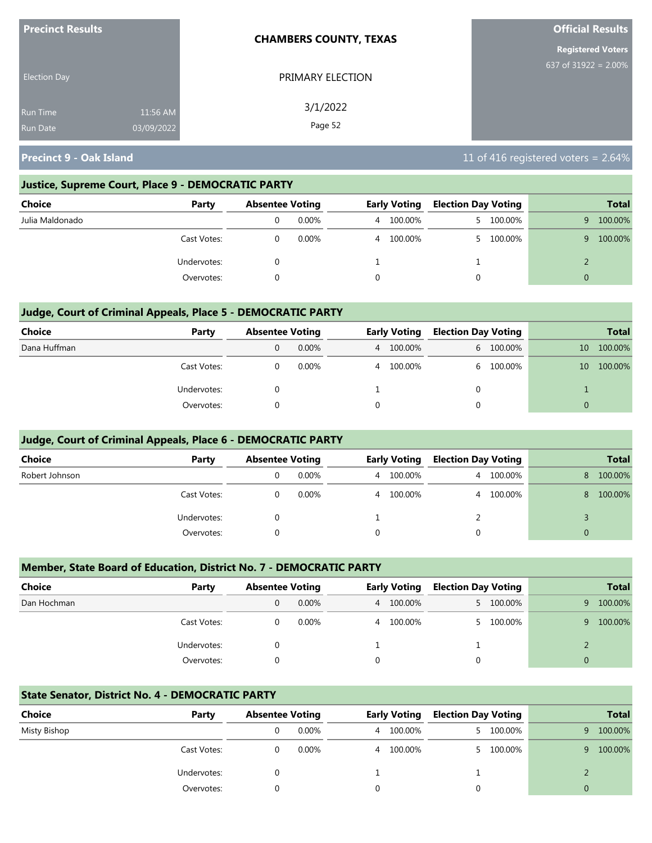| <b>Precinct Results</b> |                        | <b>CHAMBERS COUNTY, TEXAS</b> | <b>Official Results</b>  |
|-------------------------|------------------------|-------------------------------|--------------------------|
|                         |                        |                               | <b>Registered Voters</b> |
| <b>Election Day</b>     |                        | PRIMARY ELECTION              | 637 of $31922 = 2.00\%$  |
| <b>Run Time</b>         | 11:56 AM<br>03/09/2022 | 3/1/2022<br>Page 52           |                          |
| <b>Run Date</b>         |                        |                               |                          |

#### **Justice, Supreme Court, Place 9 - DEMOCRATIC PARTY**

| Choice          | Party       | <b>Absentee Voting</b> |          |                | <b>Early Voting</b> | <b>Election Day Voting</b> |         |    | <b>Total</b> |
|-----------------|-------------|------------------------|----------|----------------|---------------------|----------------------------|---------|----|--------------|
| Julia Maldonado |             |                        | 0.00%    | 4              | 100.00%             |                            | 100.00% | 9. | 100.00%      |
|                 | Cast Votes: |                        | $0.00\%$ | $\overline{4}$ | 100.00%             | 5.                         | 100.00% | q  | 100.00%      |
|                 | Undervotes: |                        |          |                |                     |                            |         |    |              |
|                 | Overvotes:  |                        |          | 0              |                     |                            |         |    |              |

## **Judge, Court of Criminal Appeals, Place 5 - DEMOCRATIC PARTY**

| Choice       | Party       | <b>Absentee Voting</b> |          | <b>Early Voting</b> | <b>Election Day Voting</b> |           |                 | <b>Total</b> |
|--------------|-------------|------------------------|----------|---------------------|----------------------------|-----------|-----------------|--------------|
| Dana Huffman |             | 0                      | $0.00\%$ | 4 100.00%           |                            | 6 100.00% | 10              | 100.00%      |
|              | Cast Votes: |                        | $0.00\%$ | 4 100.00%           |                            | 6 100.00% | 10 <sup>°</sup> | 100.00%      |
|              | Undervotes: |                        |          |                     | 0                          |           |                 |              |
|              | Overvotes:  |                        |          |                     | 0                          |           | 0               |              |

#### **Judge, Court of Criminal Appeals, Place 6 - DEMOCRATIC PARTY**

| <b>Choice</b>  | Party       | <b>Absentee Voting</b> |          |   | <b>Early Voting</b> | <b>Election Day Voting</b> |         |    | <b>Total</b> |
|----------------|-------------|------------------------|----------|---|---------------------|----------------------------|---------|----|--------------|
| Robert Johnson |             |                        | $0.00\%$ |   | 4 100.00%           | 4                          | 100.00% | 8  | 100.00%      |
|                | Cast Votes: |                        | 0.00%    | 4 | 100.00%             | 4                          | 100.00% | 8. | 100.00%      |
|                | Undervotes: |                        |          |   |                     |                            |         |    |              |
|                | Overvotes:  |                        |          |   |                     |                            |         |    |              |

#### **Member, State Board of Education, District No. 7 - DEMOCRATIC PARTY**

| <b>Choice</b> | Party       | <b>Absentee Voting</b> |          |          | <b>Early Voting</b> | <b>Election Day Voting</b> |         |          | <b>Total</b> |
|---------------|-------------|------------------------|----------|----------|---------------------|----------------------------|---------|----------|--------------|
| Dan Hochman   |             |                        | $0.00\%$ |          | 4 100.00%           | $5 -$                      | 100.00% | 9        | 100.00%      |
|               | Cast Votes: |                        | 0.00%    |          | 4 100.00%           |                            | 100.00% | 9        | 100.00%      |
|               | Undervotes: |                        |          |          |                     |                            |         |          |              |
|               | Overvotes:  |                        |          | $\Omega$ |                     | $\Omega$                   |         | $\Omega$ |              |

#### **State Senator, District No. 4 - DEMOCRATIC PARTY**

| Choice       | Party       | <b>Absentee Voting</b> |          |   | <b>Early Voting</b> | <b>Election Day Voting</b> |           |          | <b>Total</b> |
|--------------|-------------|------------------------|----------|---|---------------------|----------------------------|-----------|----------|--------------|
| Misty Bishop |             |                        | $0.00\%$ | 4 | 100.00%             |                            | 5 100.00% | q.       | 100.00%      |
|              | Cast Votes: |                        | 0.00%    | 4 | 100.00%             |                            | 5 100.00% | 9.       | 100.00%      |
|              | Undervotes: |                        |          |   |                     |                            |           |          |              |
|              | Overvotes:  |                        |          |   |                     |                            |           | $\Omega$ |              |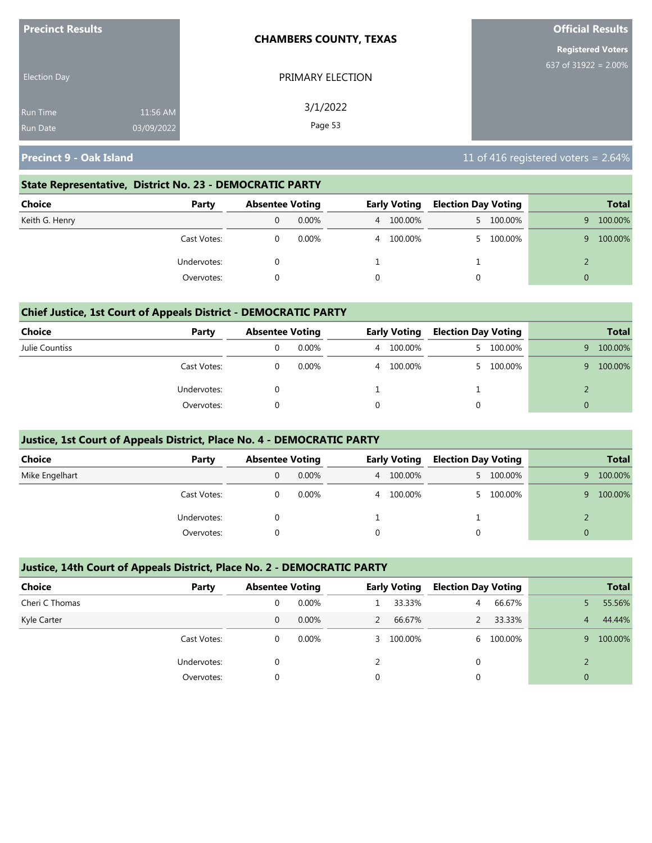| <b>Precinct Results</b> |            | <b>CHAMBERS COUNTY, TEXAS</b> | <b>Official Results</b>  |
|-------------------------|------------|-------------------------------|--------------------------|
|                         |            |                               | <b>Registered Voters</b> |
| <b>Election Day</b>     |            | PRIMARY ELECTION              | 637 of $31922 = 2.00\%$  |
| <b>Run Time</b>         | 11:56 AM   | 3/1/2022                      |                          |
| <b>Run Date</b>         | 03/09/2022 | Page 53                       |                          |

#### **State Representative, District No. 23 - DEMOCRATIC PARTY**

| Choice         | Party       | <b>Absentee Voting</b> |       | <b>Early Voting</b> |           | <b>Election Day Voting</b> |           |          |         |  | <b>Total</b> |
|----------------|-------------|------------------------|-------|---------------------|-----------|----------------------------|-----------|----------|---------|--|--------------|
| Keith G. Henry |             | $0.00\%$               |       |                     | 4 100.00% | 5 100.00%                  |           | 9.       | 100.00% |  |              |
|                | Cast Votes: |                        | 0.00% |                     | 4 100.00% |                            | 5 100.00% | 9.       | 100.00% |  |              |
|                | Undervotes: |                        |       |                     |           | ᅩ                          |           |          |         |  |              |
|                | Overvotes:  |                        |       |                     |           |                            |           | $\Omega$ |         |  |              |

#### **Chief Justice, 1st Court of Appeals District - DEMOCRATIC PARTY**

| Choice         | Party       |   | <b>Absentee Voting</b> |   | <b>Early Voting</b> |    | <b>Election Day Voting</b> |   |         |  | <b>Total</b> |
|----------------|-------------|---|------------------------|---|---------------------|----|----------------------------|---|---------|--|--------------|
| Julie Countiss |             | υ | 0.00%                  | 4 | 100.00%             | 5. | 100.00%                    | 9 | 100.00% |  |              |
|                | Cast Votes: |   | $0.00\%$               | 4 | 100.00%             |    | 100.00%                    | q | 100.00% |  |              |
|                | Undervotes: |   |                        |   |                     |    |                            |   |         |  |              |
|                | Overvotes:  |   |                        |   |                     |    |                            |   |         |  |              |

#### **Justice, 1st Court of Appeals District, Place No. 4 - DEMOCRATIC PARTY**

| <b>Choice</b>  | Party       |   | <b>Absentee Voting</b> |  | <b>Early Voting</b> |  | <b>Election Day Voting</b> | <b>Total</b> |         |
|----------------|-------------|---|------------------------|--|---------------------|--|----------------------------|--------------|---------|
| Mike Engelhart |             | 0 | $0.00\%$               |  | 4 100.00%           |  | 5 100.00%                  | 9            | 100.00% |
|                | Cast Votes: |   | $0.00\%$               |  | 4 100.00%           |  | 100.00%                    | 9            | 100.00% |
|                | Undervotes: |   |                        |  |                     |  |                            |              |         |
|                | Overvotes:  |   |                        |  |                     |  |                            |              |         |

#### **Justice, 14th Court of Appeals District, Place No. 2 - DEMOCRATIC PARTY**

| <b>Choice</b>  | Party       |          | <b>Absentee Voting</b> |   | <b>Early Voting</b> |   | <b>Election Day Voting</b> |   | <b>Total</b>   |
|----------------|-------------|----------|------------------------|---|---------------------|---|----------------------------|---|----------------|
| Cheri C Thomas |             | 0        | $0.00\%$               |   | 33.33%              | 4 | 66.67%                     |   | 55.56%         |
| Kyle Carter    |             | 0        | $0.00\%$               |   | 66.67%              |   | 33.33%                     | 4 | 44.44%         |
|                | Cast Votes: | 0        | $0.00\%$               |   | 3 100.00%           |   | 6 100.00%                  | 9 | 100.00%        |
|                | Undervotes: | 0        |                        |   |                     |   |                            |   |                |
|                | Overvotes:  | $\Omega$ |                        | 0 |                     |   |                            |   | $\overline{0}$ |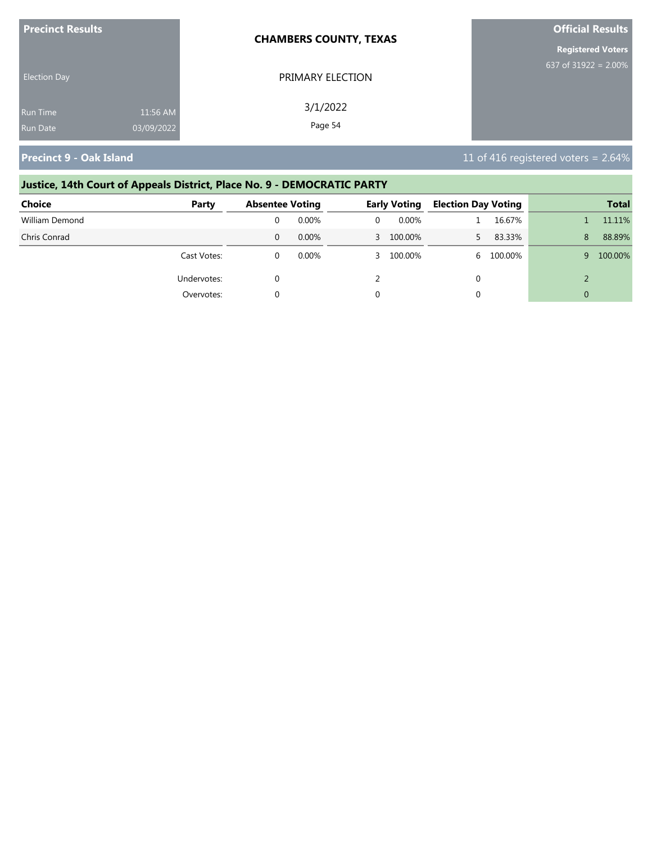| <b>Precinct Results</b> |            | <b>CHAMBERS COUNTY, TEXAS</b> | <b>Official Results</b>  |
|-------------------------|------------|-------------------------------|--------------------------|
|                         |            |                               | <b>Registered Voters</b> |
| <b>Election Day</b>     |            | PRIMARY ELECTION              | 637 of $31922 = 2.00\%$  |
| Run Time                | 11:56 AM   | 3/1/2022                      |                          |
| <b>Run Date</b>         | 03/09/2022 | Page 54                       |                          |

#### **Justice, 14th Court of Appeals District, Place No. 9 - DEMOCRATIC PARTY Choice Party Absentee Voting Early Voting Election Day Voting Total**

| cnoice         | rarty       | Absentee voting |          | cariy voting | <b>Election Day Voting</b> |         |   | Total   |
|----------------|-------------|-----------------|----------|--------------|----------------------------|---------|---|---------|
| William Demond |             |                 | $0.00\%$ | $0.00\%$     |                            | 16.67%  |   | 11.11%  |
| Chris Conrad   |             |                 | 0.00%    | 3 100.00%    |                            | 83.33%  | 8 | 88.89%  |
|                | Cast Votes: |                 | $0.00\%$ | 3 100.00%    | 6.                         | 100.00% | 9 | 100.00% |
|                | Undervotes: |                 |          |              |                            |         |   |         |
|                | Overvotes:  |                 |          |              |                            |         |   |         |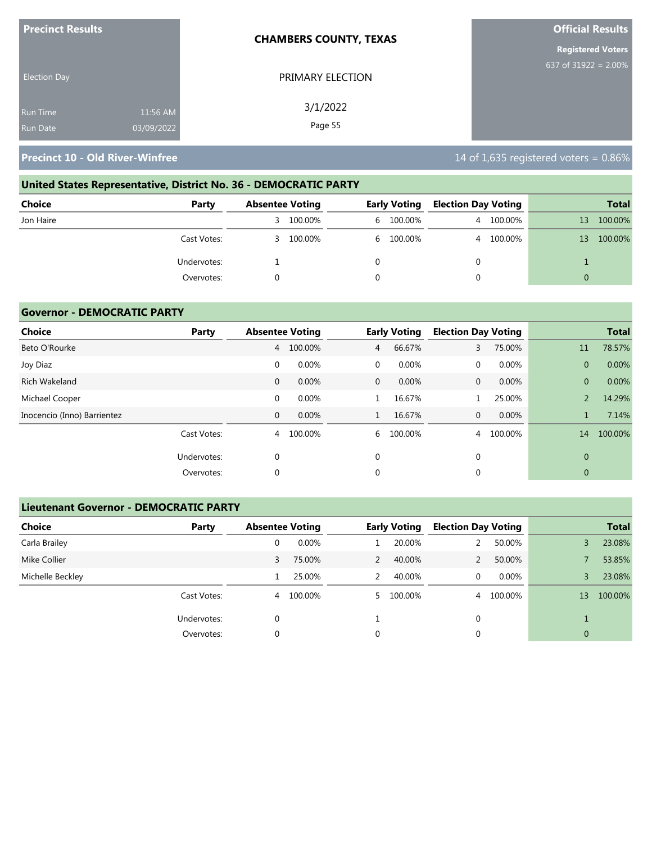| <b>Precinct Results</b> |            | <b>CHAMBERS COUNTY, TEXAS</b> | <b>Official Results</b>  |
|-------------------------|------------|-------------------------------|--------------------------|
|                         |            |                               | <b>Registered Voters</b> |
| <b>Election Day</b>     |            | PRIMARY ELECTION              | 637 of 31922 = $2.00\%$  |
| <b>Run Time</b>         | 11:56 AM   | 3/1/2022                      |                          |
| <b>Run Date</b>         | 03/09/2022 | Page 55                       |                          |

# **United States Representative, District No. 36 - DEMOCRATIC PARTY**

| Choice    | Party       | <b>Absentee Voting</b> |         | <b>Early Voting</b> |           | <b>Election Day Voting</b> |           |    | <b>Total</b> |
|-----------|-------------|------------------------|---------|---------------------|-----------|----------------------------|-----------|----|--------------|
| Jon Haire |             | 3.                     | 100.00% |                     | 6 100.00% |                            | 4 100.00% | 13 | 100.00%      |
|           | Cast Votes: | 3.                     | 100.00% |                     | 6 100.00% |                            | 4 100.00% | 13 | 100.00%      |
|           | Undervotes: |                        |         |                     |           |                            |           |    |              |
|           | Overvotes:  |                        |         |                     |           |                            |           | 0  |              |

#### **Governor - DEMOCRATIC PARTY**

| <b>Choice</b>               | Party       |              | <b>Absentee Voting</b> |                | <b>Early Voting</b> | <b>Election Day Voting</b> |         |                | <b>Total</b> |
|-----------------------------|-------------|--------------|------------------------|----------------|---------------------|----------------------------|---------|----------------|--------------|
| Beto O'Rourke               |             | 4            | 100.00%                | $\overline{4}$ | 66.67%              | 3                          | 75.00%  | 11             | 78.57%       |
| Joy Diaz                    |             | $\mathbf 0$  | 0.00%                  | 0              | 0.00%               | $\mathbf 0$                | 0.00%   | $\overline{0}$ | 0.00%        |
| Rich Wakeland               |             | 0            | 0.00%                  | $\mathbf{0}$   | 0.00%               | $\mathbf{0}$               | 0.00%   | $\overline{0}$ | 0.00%        |
| Michael Cooper              |             | $\mathbf 0$  | 0.00%                  |                | 16.67%              |                            | 25.00%  |                | 14.29%       |
| Inocencio (Inno) Barrientez |             | $\mathbf{0}$ | 0.00%                  | $\mathbf{1}$   | 16.67%              | $\mathbf{0}$               | 0.00%   |                | 7.14%        |
|                             | Cast Votes: | 4            | 100.00%                | 6              | 100.00%             | 4                          | 100.00% | 14             | 100.00%      |
|                             | Undervotes: | 0            |                        | $\mathbf 0$    |                     | $\mathbf{0}$               |         | $\overline{0}$ |              |
|                             | Overvotes:  | 0            |                        | 0              |                     | 0                          |         | $\overline{0}$ |              |

## **Lieutenant Governor - DEMOCRATIC PARTY**

| <b>Choice</b>    | Party       | <b>Absentee Voting</b> |         |               | <b>Early Voting</b> | <b>Election Day Voting</b> |         |                | <b>Total</b> |
|------------------|-------------|------------------------|---------|---------------|---------------------|----------------------------|---------|----------------|--------------|
| Carla Brailey    |             | 0                      | 0.00%   |               | 20.00%              |                            | 50.00%  | 3              | 23.08%       |
| Mike Collier     |             | 3                      | 75.00%  | $\mathcal{P}$ | 40.00%              |                            | 50.00%  |                | 53.85%       |
| Michelle Beckley |             |                        | 25.00%  | 2             | 40.00%              | 0                          | 0.00%   | 3              | 23.08%       |
|                  | Cast Votes: | 4                      | 100.00% |               | 5 100.00%           | $\overline{4}$             | 100.00% | 13             | 100.00%      |
|                  | Undervotes: | 0                      |         |               |                     | 0                          |         |                |              |
|                  | Overvotes:  | 0                      |         | 0             |                     | 0                          |         | $\overline{0}$ |              |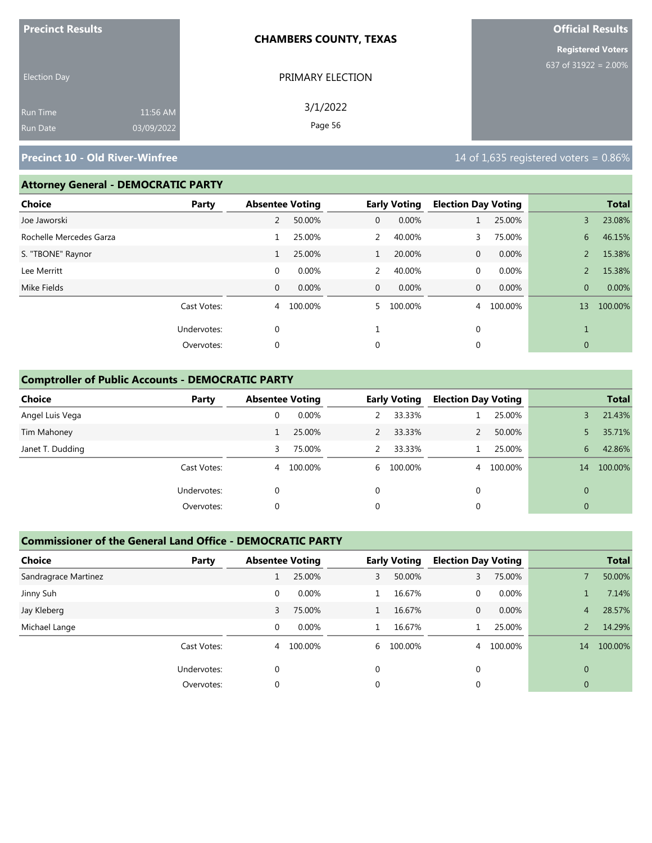| <b>Precinct Results</b> |            | <b>CHAMBERS COUNTY, TEXAS</b> | <b>Official Results</b>  |  |  |
|-------------------------|------------|-------------------------------|--------------------------|--|--|
|                         |            |                               | <b>Registered Voters</b> |  |  |
| <b>Election Day</b>     |            | PRIMARY ELECTION              | 637 of 31922 = $2.00\%$  |  |  |
| Run Time                | 11:56 AM   | 3/1/2022                      |                          |  |  |
| Run Date                | 03/09/2022 | Page 56                       |                          |  |  |

#### **Attorney General - DEMOCRATIC PARTY**

| <b>Choice</b>           | Party       | <b>Absentee Voting</b> |         |              | <b>Early Voting</b> | <b>Election Day Voting</b> |         |                | <b>Total</b> |
|-------------------------|-------------|------------------------|---------|--------------|---------------------|----------------------------|---------|----------------|--------------|
| Joe Jaworski            |             | 2                      | 50.00%  | 0            | 0.00%               |                            | 25.00%  | 3              | 23.08%       |
| Rochelle Mercedes Garza |             |                        | 25.00%  | 2            | 40.00%              | 3.                         | 75.00%  | 6              | 46.15%       |
| S. "TBONE" Raynor       |             | 1                      | 25.00%  |              | 20.00%              | $\mathbf{0}$               | 0.00%   | $\overline{2}$ | 15.38%       |
| Lee Merritt             |             | 0                      | 0.00%   | 2            | 40.00%              | $\mathbf{0}$               | 0.00%   | $\overline{2}$ | 15.38%       |
| Mike Fields             |             | $\mathbf{0}$           | 0.00%   | $\mathbf{0}$ | 0.00%               | $\mathbf 0$                | 0.00%   | $\overline{0}$ | 0.00%        |
|                         | Cast Votes: | 4                      | 100.00% | 5.           | 100.00%             | $\overline{4}$             | 100.00% | 13             | 100.00%      |
|                         | Undervotes: | $\mathbf 0$            |         |              |                     | $\mathbf{0}$               |         |                |              |
|                         | Overvotes:  | 0                      |         | 0            |                     | 0                          |         | $\mathbf 0$    |              |
|                         |             |                        |         |              |                     |                            |         |                |              |

## **Comptroller of Public Accounts - DEMOCRATIC PARTY**

| <b>Choice</b>    | Party       | <b>Absentee Voting</b> |         |               | <b>Early Voting</b> | <b>Election Day Voting</b> |         |              | <b>Total</b> |
|------------------|-------------|------------------------|---------|---------------|---------------------|----------------------------|---------|--------------|--------------|
| Angel Luis Vega  |             | 0                      | 0.00%   |               | 33.33%              |                            | 25.00%  |              | 21.43%       |
| Tim Mahoney      |             |                        | 25.00%  |               | 33.33%              |                            | 50.00%  |              | 35.71%       |
| Janet T. Dudding |             | 3                      | 75.00%  | $\mathcal{P}$ | 33.33%              |                            | 25.00%  | 6            | 42.86%       |
|                  | Cast Votes: | 4                      | 100.00% |               | 6 100.00%           | 4                          | 100.00% | 14           | 100.00%      |
|                  | Undervotes: | 0                      |         | 0             |                     | $\mathbf{0}$               |         | $\Omega$     |              |
|                  | Overvotes:  | 0                      |         | 0             |                     | 0                          |         | $\mathbf{0}$ |              |

#### **Commissioner of the General Land Office - DEMOCRATIC PARTY**

| <b>Choice</b>        | Party       | <b>Absentee Voting</b> |         |          | <b>Early Voting</b> | <b>Election Day Voting</b> |          |                | <b>Total</b> |
|----------------------|-------------|------------------------|---------|----------|---------------------|----------------------------|----------|----------------|--------------|
| Sandragrace Martinez |             |                        | 25.00%  | 3        | 50.00%              | 3                          | 75.00%   |                | 50.00%       |
| Jinny Suh            |             | 0                      | 0.00%   |          | 16.67%              | 0                          | $0.00\%$ |                | 7.14%        |
| Jay Kleberg          |             | 3                      | 75.00%  |          | 16.67%              | $\mathbf{0}$               | 0.00%    | 4              | 28.57%       |
| Michael Lange        |             | 0                      | 0.00%   |          | 16.67%              |                            | 25.00%   |                | 14.29%       |
|                      | Cast Votes: | 4                      | 100.00% | 6        | 100.00%             | 4                          | 100.00%  | 14             | 100.00%      |
|                      | Undervotes: |                        |         | $\Omega$ |                     |                            |          | $\Omega$       |              |
|                      | Overvotes:  |                        |         | 0        |                     |                            |          | $\overline{0}$ |              |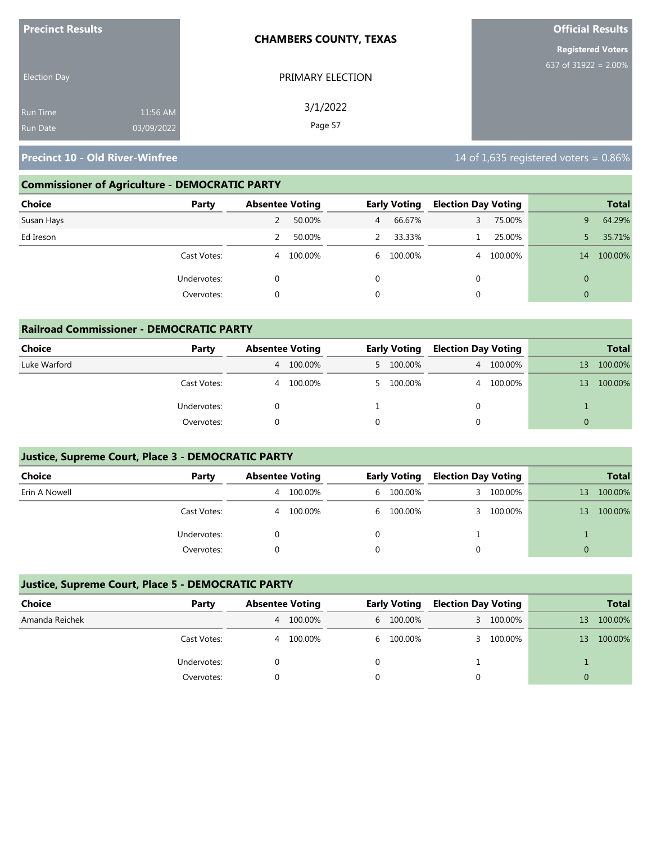|                     | <b>Official Results</b>       |  |  |
|---------------------|-------------------------------|--|--|
|                     | <b>Registered Voters</b>      |  |  |
| PRIMARY ELECTION    | 637 of 31922 = $2.00\%$       |  |  |
| 3/1/2022<br>Page 57 |                               |  |  |
|                     | <b>CHAMBERS COUNTY, TEXAS</b> |  |  |

# **Commissioner of Agriculture - DEMOCRATIC PARTY**

| <b>Choice</b><br>Party |   | <b>Absentee Voting</b> |   | <b>Early Voting</b> | <b>Election Day Voting</b> |           |                | <b>Total</b> |
|------------------------|---|------------------------|---|---------------------|----------------------------|-----------|----------------|--------------|
| Susan Hays             | 2 | 50.00%                 | 4 | 66.67%              | 3                          | 75.00%    | 9              | 64.29%       |
| Ed Ireson              | 2 | 50.00%                 | 2 | 33.33%              |                            | 25.00%    |                | 35.71%       |
| Cast Votes:            | 4 | 100.00%                |   | 6 100.00%           |                            | 4 100.00% | 14             | 100.00%      |
| Undervotes:            |   |                        |   |                     | $\Omega$                   |           | $\overline{0}$ |              |
| Overvotes:             |   |                        |   |                     | $\Omega$                   |           | $\overline{0}$ |              |

| <b>Railroad Commissioner - DEMOCRATIC PARTY</b> |             |                        |         |  |                     |                            |           |          |              |  |
|-------------------------------------------------|-------------|------------------------|---------|--|---------------------|----------------------------|-----------|----------|--------------|--|
| Choice                                          | Party       | <b>Absentee Voting</b> |         |  | <b>Early Voting</b> | <b>Election Day Voting</b> |           |          | <b>Total</b> |  |
| Luke Warford                                    |             | 4                      | 100.00% |  | 5 100.00%           |                            | 4 100.00% | 13       | 100.00%      |  |
|                                                 | Cast Votes: | $\overline{4}$         | 100.00% |  | 5 100.00%           |                            | 4 100.00% | 13       | 100.00%      |  |
|                                                 | Undervotes: |                        |         |  |                     | $\Omega$                   |           |          |              |  |
|                                                 | Overvotes:  |                        |         |  |                     | $\Omega$                   |           | $\Omega$ |              |  |

# **Justice, Supreme Court, Place 3 - DEMOCRATIC PARTY**

| <b>Choice</b> | Party       |   | <b>Absentee Voting</b> |  | <b>Early Voting</b> | <b>Election Day Voting</b> |         |    | <b>Total</b> |
|---------------|-------------|---|------------------------|--|---------------------|----------------------------|---------|----|--------------|
| Erin A Nowell |             | 4 | 100.00%                |  | 6 100.00%           | 3 I                        | 100.00% | 13 | 100.00%      |
|               | Cast Votes: | 4 | 100.00%                |  | 6 100.00%           | 3                          | 100.00% | 13 | 100.00%      |
|               | Undervotes: |   |                        |  |                     |                            |         |    |              |
|               | Overvotes:  |   |                        |  |                     |                            |         |    |              |

#### **Justice, Supreme Court, Place 5 - DEMOCRATIC PARTY**

| Choice         | Party       |   | <b>Absentee Voting</b> |  | <b>Early Voting</b> |  | <b>Election Day Voting</b> |    | <b>Total</b> |
|----------------|-------------|---|------------------------|--|---------------------|--|----------------------------|----|--------------|
| Amanda Reichek |             | 4 | 100.00%                |  | 6 100.00%           |  | 3 100.00%                  | 13 | 100.00%      |
|                | Cast Votes: | 4 | 100.00%                |  | 6 100.00%           |  | 3 100.00%                  | 13 | 100.00%      |
|                | Undervotes: |   |                        |  |                     |  |                            |    |              |
|                | Overvotes:  |   |                        |  |                     |  |                            |    |              |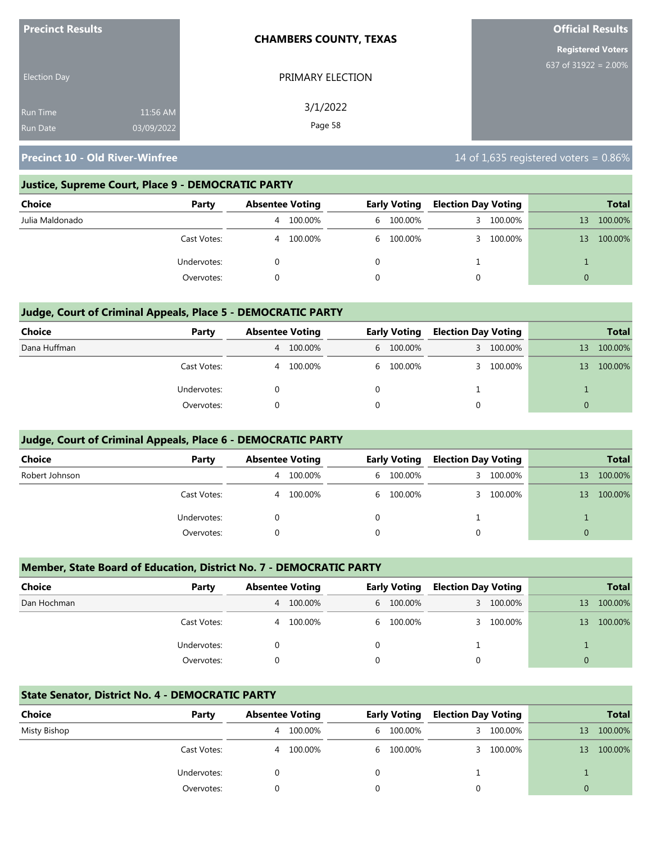| <b>Precinct Results</b> |            | <b>CHAMBERS COUNTY, TEXAS</b> | <b>Official Results</b>  |
|-------------------------|------------|-------------------------------|--------------------------|
|                         |            |                               | <b>Registered Voters</b> |
| <b>Election Day</b>     |            | PRIMARY ELECTION              | 637 of 31922 = $2.00\%$  |
| <b>Run Time</b>         | 11:56 AM   | 3/1/2022                      |                          |
| <b>Run Date</b>         | 03/09/2022 | Page 58                       |                          |

#### **Justice, Supreme Court, Place 9 - DEMOCRATIC PARTY**

| <b>Choice</b>   | Party       |   | <b>Absentee Voting</b> |  | <b>Early Voting</b> |    | <b>Election Day Voting</b> |    | <b>Total</b> |
|-----------------|-------------|---|------------------------|--|---------------------|----|----------------------------|----|--------------|
| Julia Maldonado |             | 4 | 100.00%                |  | 6 100.00%           | 3. | 100.00%                    | 13 | 100.00%      |
|                 | Cast Votes: | 4 | 100.00%                |  | 6 100.00%           | 3. | 100.00%                    | 13 | 100.00%      |
|                 | Undervotes: |   |                        |  |                     |    |                            |    |              |
|                 | Overvotes:  |   |                        |  |                     | 0  |                            |    |              |

## **Judge, Court of Criminal Appeals, Place 5 - DEMOCRATIC PARTY**

| Choice       | Party       |   | <b>Absentee Voting</b> |  | <b>Early Voting</b> |    | <b>Election Day Voting</b> |          | <b>Total</b> |
|--------------|-------------|---|------------------------|--|---------------------|----|----------------------------|----------|--------------|
| Dana Huffman |             |   | 4 100.00%              |  | 6 100.00%           | 3  | 100.00%                    | 13       | 100.00%      |
|              | Cast Votes: | 4 | 100.00%                |  | 6 100.00%           | 3. | 100.00%                    | 13       | 100.00%      |
|              | Undervotes: |   |                        |  |                     |    |                            |          |              |
|              | Overvotes:  |   |                        |  |                     | 0  |                            | $\Omega$ |              |

#### **Judge, Court of Criminal Appeals, Place 6 - DEMOCRATIC PARTY**

| <b>Choice</b>  | Party       | <b>Absentee Voting</b> |         | <b>Early Voting</b> |           | <b>Election Day Voting</b> |         |          | <b>Total</b> |
|----------------|-------------|------------------------|---------|---------------------|-----------|----------------------------|---------|----------|--------------|
| Robert Johnson |             | 4                      | 100.00% |                     | 6 100.00% | 3.                         | 100.00% | 13       | 100.00%      |
|                | Cast Votes: | 4                      | 100.00% |                     | 6 100.00% |                            | 100.00% | 13       | 100.00%      |
|                | Undervotes: |                        |         | 0                   |           |                            |         |          |              |
|                | Overvotes:  |                        |         |                     |           | 0                          |         | $\Omega$ |              |

#### **Member, State Board of Education, District No. 7 - DEMOCRATIC PARTY**

| <b>Choice</b> | Party       | <b>Absentee Voting</b> |           | <b>Early Voting</b> |           | <b>Election Day Voting</b> |         |          | <b>Total</b> |
|---------------|-------------|------------------------|-----------|---------------------|-----------|----------------------------|---------|----------|--------------|
| Dan Hochman   |             |                        | 4 100.00% |                     | 6 100.00% | 3.                         | 100.00% | 13       | 100.00%      |
|               | Cast Votes: | 4                      | 100.00%   |                     | 6 100.00% |                            | 100.00% | 13       | 100.00%      |
|               | Undervotes: |                        |           | 0                   |           |                            |         |          |              |
|               | Overvotes:  |                        |           | 0                   |           | 0                          |         | $\Omega$ |              |

#### **State Senator, District No. 4 - DEMOCRATIC PARTY**

| Choice       | Party       | <b>Absentee Voting</b> |         | <b>Early Voting</b> | <b>Election Day Voting</b> |           |          | <b>Total</b> |
|--------------|-------------|------------------------|---------|---------------------|----------------------------|-----------|----------|--------------|
| Misty Bishop |             | 4                      | 100.00% | 6 100.00%           |                            | 3 100.00% | 13       | 100.00%      |
|              | Cast Votes: | 4                      | 100.00% | 6 100.00%           |                            | 3 100.00% | 13       | 100.00%      |
|              | Undervotes: |                        |         |                     |                            |           |          |              |
|              | Overvotes:  |                        |         |                     |                            |           | $\Omega$ |              |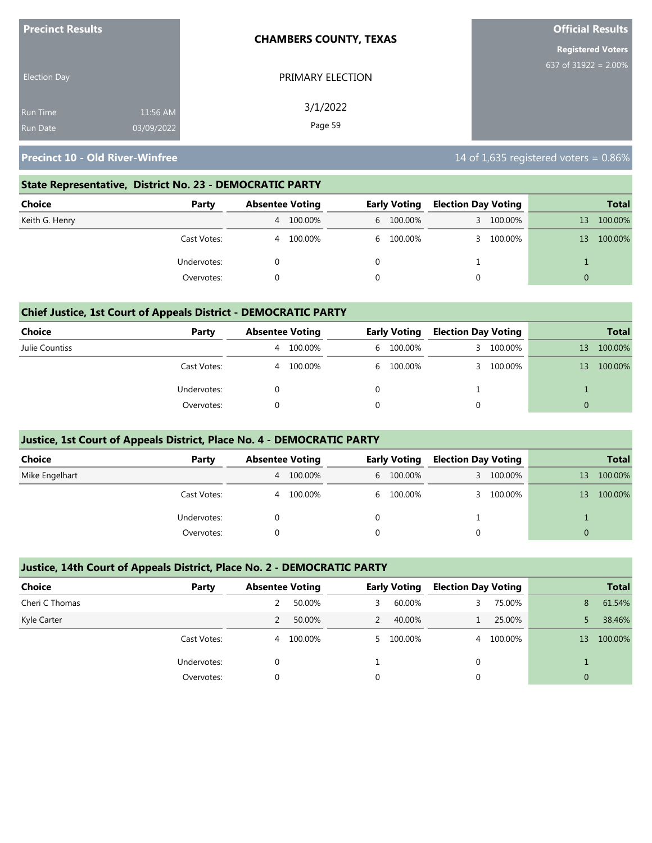| <b>Precinct Results</b> |            | <b>CHAMBERS COUNTY, TEXAS</b> | <b>Official Results</b>  |  |  |
|-------------------------|------------|-------------------------------|--------------------------|--|--|
|                         |            |                               | <b>Registered Voters</b> |  |  |
| <b>Election Day</b>     |            | PRIMARY ELECTION              | 637 of $31922 = 2.00\%$  |  |  |
| <b>Run Time</b>         | 11:56 AM   | 3/1/2022                      |                          |  |  |
| <b>Run Date</b>         | 03/09/2022 | Page 59                       |                          |  |  |

#### **State Representative, District No. 23 - DEMOCRATIC PARTY**

| Choice         | Party       | <b>Absentee Voting</b> |         | <b>Early Voting</b> | <b>Election Day Voting</b> |           |          | Total   |
|----------------|-------------|------------------------|---------|---------------------|----------------------------|-----------|----------|---------|
| Keith G. Henry |             | 4                      | 100.00% | 6 100.00%           |                            | 3 100.00% | 13       | 100.00% |
|                | Cast Votes: | 4                      | 100.00% | 6 100.00%           |                            | 3 100.00% | 13       | 100.00% |
|                | Undervotes: |                        |         |                     |                            |           |          |         |
|                | Overvotes:  |                        |         |                     |                            |           | $\Omega$ |         |

#### **Chief Justice, 1st Court of Appeals District - DEMOCRATIC PARTY**

| Choice         | Party       | <b>Absentee Voting</b> |         | <b>Early Voting</b> | <b>Election Day Voting</b> |         |    | <b>Total</b> |
|----------------|-------------|------------------------|---------|---------------------|----------------------------|---------|----|--------------|
| Julie Countiss |             | 4                      | 100.00% | 6 100.00%           | 3.                         | 100.00% | 13 | 100.00%      |
|                | Cast Votes: | 4                      | 100.00% | 6 100.00%           |                            | 100.00% | 13 | 100.00%      |
|                | Undervotes: |                        |         |                     |                            |         |    |              |
|                | Overvotes:  |                        |         |                     |                            |         |    |              |

#### **Justice, 1st Court of Appeals District, Place No. 4 - DEMOCRATIC PARTY**

| <b>Choice</b>  | Party       | <b>Absentee Voting</b> | <b>Early Voting</b> | <b>Election Day Voting</b> |         |                 | <b>Total</b> |
|----------------|-------------|------------------------|---------------------|----------------------------|---------|-----------------|--------------|
| Mike Engelhart |             | 100.00%<br>4           | 6 100.00%           | 3                          | 100.00% | 13              | 100.00%      |
|                | Cast Votes: | 100.00%<br>4           | 6 100.00%           | 3                          | 100.00% | 13 <sup>°</sup> | 100.00%      |
|                | Undervotes: |                        |                     |                            |         |                 |              |
|                | Overvotes:  |                        | $\Omega$            | 0                          |         | $\Omega$        |              |

#### **Justice, 14th Court of Appeals District, Place No. 2 - DEMOCRATIC PARTY**

| Choice         | Party       | <b>Absentee Voting</b> |         |   | <b>Early Voting</b> | <b>Election Day Voting</b> |           |                | <b>Total</b> |
|----------------|-------------|------------------------|---------|---|---------------------|----------------------------|-----------|----------------|--------------|
| Cheri C Thomas |             |                        | 50.00%  | 3 | 60.00%              |                            | 75.00%    | 8              | 61.54%       |
| Kyle Carter    |             |                        | 50.00%  | 2 | 40.00%              |                            | 25.00%    |                | 38.46%       |
|                | Cast Votes: | 4                      | 100.00% |   | 5 100.00%           |                            | 4 100.00% | 13             | 100.00%      |
|                | Undervotes: | 0                      |         |   |                     |                            |           |                |              |
|                | Overvotes:  | 0                      |         | 0 |                     |                            |           | $\overline{0}$ |              |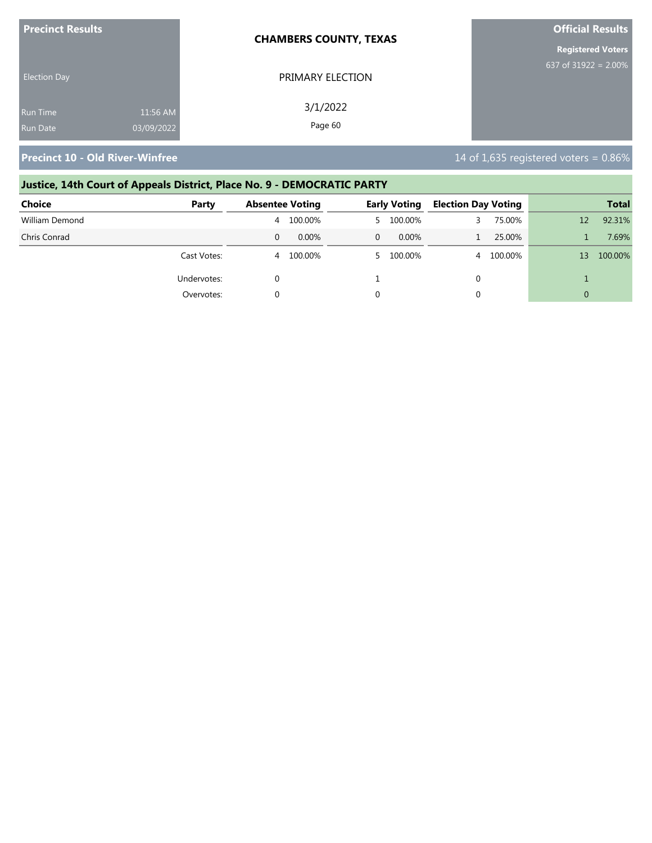| <b>Precinct Results</b> |            | <b>CHAMBERS COUNTY, TEXAS</b> | <b>Official Results</b>  |  |  |
|-------------------------|------------|-------------------------------|--------------------------|--|--|
|                         |            |                               | <b>Registered Voters</b> |  |  |
| <b>Election Day</b>     |            | PRIMARY ELECTION              | 637 of $31922 = 2.00\%$  |  |  |
| Run Time                | 11:56 AM   | 3/1/2022                      |                          |  |  |
| <b>Run Date</b>         | 03/09/2022 | Page 60                       |                          |  |  |

# **Justice, 14th Court of Appeals District, Place No. 9 - DEMOCRATIC PARTY**

| <b>Choice</b>  | Party       | <b>Absentee Voting</b> |          |          | <b>Early Voting</b> | <b>Election Day Voting</b> |         |    | <b>Total</b> |
|----------------|-------------|------------------------|----------|----------|---------------------|----------------------------|---------|----|--------------|
| William Demond |             | 4                      | 100.00%  |          | 5 100.00%           |                            | 75.00%  | 12 | 92.31%       |
| Chris Conrad   |             | 0                      | $0.00\%$ | $\Omega$ | $0.00\%$            |                            | 25.00%  |    | 7.69%        |
|                | Cast Votes: | 4                      | 100.00%  |          | 5 100.00%           | 4                          | 100.00% | 13 | 100.00%      |
|                | Undervotes: |                        |          |          |                     | 0                          |         |    |              |
|                | Overvotes:  |                        |          |          |                     | 0                          |         |    |              |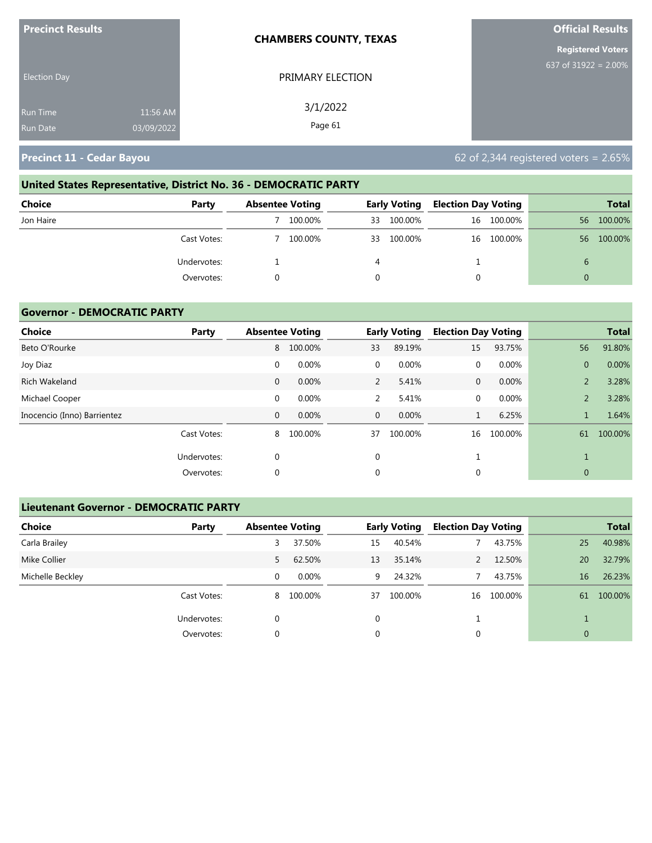| <b>Precinct Results</b> |            | <b>CHAMBERS COUNTY, TEXAS</b> | <b>Official Results</b>  |  |  |
|-------------------------|------------|-------------------------------|--------------------------|--|--|
|                         |            |                               | <b>Registered Voters</b> |  |  |
| <b>Election Day</b>     |            | PRIMARY ELECTION              | 637 of $31922 = 2.00\%$  |  |  |
| <b>Run Time</b>         | 11:56 AM   | 3/1/2022                      |                          |  |  |
| <b>Run Date</b>         | 03/09/2022 | Page 61                       |                          |  |  |

**Precinct 11 - Cedar Bayou 11 - Cedar Bayou 62 of 2,344 registered voters = 2.65%** 

# **United States Representative, District No. 36 - DEMOCRATIC PARTY Choice Party Absentee Voting Early Voting Election Day Voting Total** Jon Haire 7 100.00% 33 100.00% 16 100.00% 56 100.00% Cast Votes: 7 100.00% 33 100.00% 16 100.00% 56 100.00% Undervotes: 1 4 1 6 Overvotes: 0 0 0 0

#### **Governor - DEMOCRATIC PARTY**

| Choice                      | Party       |              | <b>Absentee Voting</b> |                | <b>Early Voting</b> | <b>Election Day Voting</b> |         |                | <b>Total</b> |
|-----------------------------|-------------|--------------|------------------------|----------------|---------------------|----------------------------|---------|----------------|--------------|
| Beto O'Rourke               |             | 8            | 100.00%                | 33             | 89.19%              | 15                         | 93.75%  | 56             | 91.80%       |
| Joy Diaz                    |             | $\mathbf 0$  | 0.00%                  | $\mathbf{0}$   | 0.00%               | 0                          | 0.00%   | $\overline{0}$ | 0.00%        |
| Rich Wakeland               |             | $\mathbf{0}$ | 0.00%                  | $\overline{2}$ | 5.41%               | $\mathbf{0}$               | 0.00%   | $\overline{2}$ | 3.28%        |
| Michael Cooper              |             | $\mathbf 0$  | 0.00%                  | 2              | 5.41%               | 0                          | 0.00%   | $\overline{2}$ | 3.28%        |
| Inocencio (Inno) Barrientez |             | 0            | 0.00%                  | $\mathbf{0}$   | $0.00\%$            | $\mathbf{1}$               | 6.25%   |                | 1.64%        |
|                             | Cast Votes: | 8            | 100.00%                | 37             | 100.00%             | 16                         | 100.00% | 61             | 100.00%      |
|                             | Undervotes: | 0            |                        | 0              |                     |                            |         |                |              |
|                             | Overvotes:  | $\Omega$     |                        | 0              |                     | 0                          |         | $\mathbf{0}$   |              |

#### **Lieutenant Governor - DEMOCRATIC PARTY**

| <b>Choice</b>    | Party       | <b>Absentee Voting</b> |          |          | <b>Early Voting</b> | <b>Election Day Voting</b> |         |                | <b>Total</b> |
|------------------|-------------|------------------------|----------|----------|---------------------|----------------------------|---------|----------------|--------------|
| Carla Brailey    |             | 3                      | 37.50%   | 15       | 40.54%              |                            | 43.75%  | 25             | 40.98%       |
| Mike Collier     |             | 5.                     | 62.50%   | 13       | 35.14%              |                            | 12.50%  | 20             | 32.79%       |
| Michelle Beckley |             | 0                      | $0.00\%$ | 9        | 24.32%              |                            | 43.75%  | 16             | 26.23%       |
|                  | Cast Votes: | 8                      | 100.00%  | 37       | 100.00%             | 16                         | 100.00% | 61             | 100.00%      |
|                  | Undervotes: | 0                      |          | $\Omega$ |                     |                            |         |                |              |
|                  | Overvotes:  | 0                      |          | 0        |                     | 0                          |         | $\overline{0}$ |              |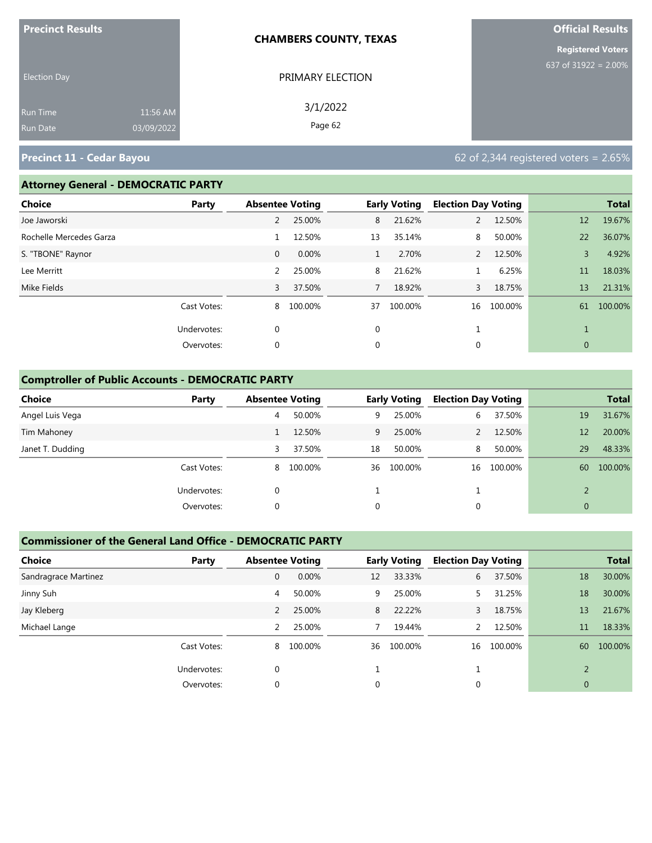| <b>Precinct Results</b> |            | <b>CHAMBERS COUNTY, TEXAS</b> | <b>Official Results</b>  |
|-------------------------|------------|-------------------------------|--------------------------|
|                         |            |                               | <b>Registered Voters</b> |
| <b>Election Day</b>     |            | PRIMARY ELECTION              | 637 of 31922 = $2.00\%$  |
| <b>Run Time</b>         | 11:56 AM   | 3/1/2022                      |                          |
| <b>Run Date</b>         | 03/09/2022 | Page 62                       |                          |

# **Precinct 11 - Cedar Bayou 62 of 2,344 registered voters = 2.65%**

## **Attorney General - DEMOCRATIC PARTY**

| <b>Choice</b>           | Party       | <b>Absentee Voting</b> |         |              | <b>Early Voting</b> | <b>Election Day Voting</b> |         |              | <b>Total</b> |
|-------------------------|-------------|------------------------|---------|--------------|---------------------|----------------------------|---------|--------------|--------------|
| Joe Jaworski            |             | 2                      | 25.00%  | 8            | 21.62%              | 2                          | 12.50%  | 12           | 19.67%       |
| Rochelle Mercedes Garza |             |                        | 12.50%  | 13           | 35.14%              | 8                          | 50.00%  | 22           | 36.07%       |
| S. "TBONE" Raynor       |             | $\mathbf{0}$           | 0.00%   | $\mathbf{1}$ | 2.70%               | 2                          | 12.50%  | 3            | 4.92%        |
| Lee Merritt             |             | 2                      | 25.00%  | 8            | 21.62%              |                            | 6.25%   | 11           | 18.03%       |
| Mike Fields             |             | 3                      | 37.50%  | $7^{\circ}$  | 18.92%              | 3                          | 18.75%  | 13           | 21.31%       |
|                         | Cast Votes: | 8                      | 100.00% | 37           | 100.00%             | 16                         | 100.00% | 61           | 100.00%      |
|                         | Undervotes: | $\mathbf 0$            |         | $\mathbf 0$  |                     |                            |         |              |              |
|                         | Overvotes:  | $\mathbf 0$            |         | 0            |                     | 0                          |         | $\mathbf{0}$ |              |

## **Comptroller of Public Accounts - DEMOCRATIC PARTY**

| <b>Choice</b>    | Party       | <b>Absentee Voting</b> |         |    | <b>Early Voting</b> | <b>Election Day Voting</b> |         |                | <b>Total</b> |
|------------------|-------------|------------------------|---------|----|---------------------|----------------------------|---------|----------------|--------------|
| Angel Luis Vega  |             | 4                      | 50.00%  | 9  | 25.00%              | 6                          | 37.50%  | 19             | 31.67%       |
| Tim Mahoney      |             |                        | 12.50%  | 9  | 25.00%              |                            | 12.50%  | 12             | 20.00%       |
| Janet T. Dudding |             | 3                      | 37.50%  | 18 | 50.00%              | 8                          | 50.00%  | 29             | 48.33%       |
|                  | Cast Votes: | 8                      | 100.00% | 36 | 100.00%             | 16                         | 100.00% | 60             | 100.00%      |
|                  | Undervotes: | 0                      |         |    |                     |                            |         |                |              |
|                  | Overvotes:  | 0                      |         | 0  |                     | 0                          |         | $\overline{0}$ |              |

# **Commissioner of the General Land Office - DEMOCRATIC PARTY**

| <b>Choice</b><br>Party | <b>Absentee Voting</b> |         |    | <b>Early Voting</b> | <b>Election Day Voting</b> |         |                          | <b>Total</b> |
|------------------------|------------------------|---------|----|---------------------|----------------------------|---------|--------------------------|--------------|
| Sandragrace Martinez   | $\mathbf{0}$           | 0.00%   | 12 | 33.33%              | 6                          | 37.50%  | 18                       | 30.00%       |
| Jinny Suh              | 4                      | 50.00%  | 9  | 25.00%              |                            | 31.25%  | 18                       | 30.00%       |
| Jay Kleberg            | 2                      | 25.00%  | 8  | 22.22%              |                            | 18.75%  | 13                       | 21.67%       |
| Michael Lange          | 2                      | 25.00%  | 7  | 19.44%              | $\mathcal{P}$              | 12.50%  | 11                       | 18.33%       |
| Cast Votes:            | 8                      | 100.00% | 36 | 100.00%             | 16                         | 100.00% | 60                       | 100.00%      |
| Undervotes:            | $\Omega$               |         |    |                     |                            |         | $\overline{\phantom{0}}$ |              |
| Overvotes:             | 0                      |         | 0  |                     | 0                          |         | $\overline{0}$           |              |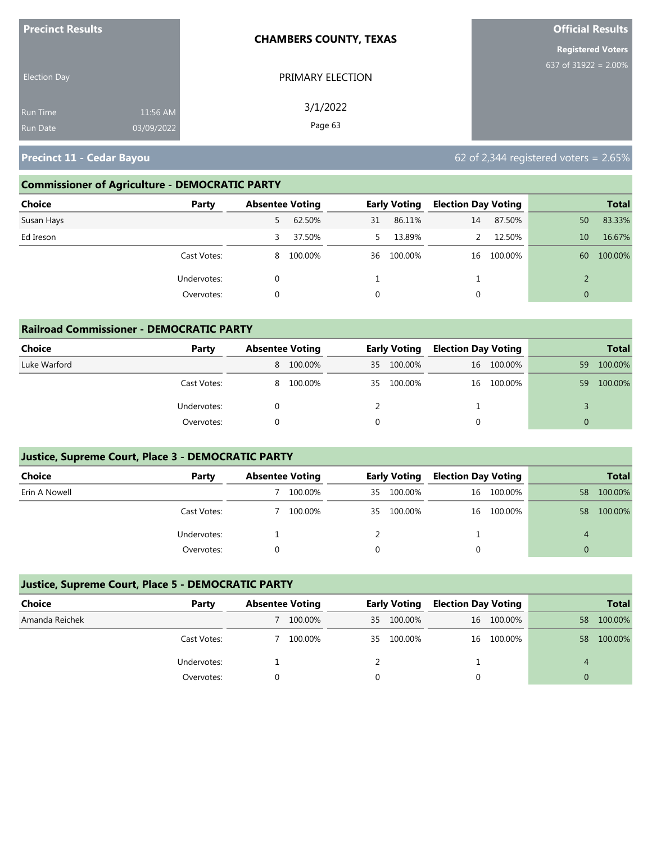| <b>Precinct Results</b>                                      | <b>CHAMBERS COUNTY, TEXAS</b> |                          |
|--------------------------------------------------------------|-------------------------------|--------------------------|
|                                                              |                               | <b>Registered Voters</b> |
| <b>Election Day</b>                                          | PRIMARY ELECTION              | 637 of $31922 = 2.00\%$  |
| 11:56 AM<br><b>Run Time</b><br>03/09/2022<br><b>Run Date</b> | 3/1/2022<br>Page 63           |                          |

**Precinct 11 - Cedar Bayou 62 of 2,344 registered voters = 2.65%** 

# **Commissioner of Agriculture - DEMOCRATIC PARTY**

| Choice<br>Party | <b>Absentee Voting</b> |           |             | <b>Early Voting</b> | <b>Election Day Voting</b> |            |                | <b>Total</b> |
|-----------------|------------------------|-----------|-------------|---------------------|----------------------------|------------|----------------|--------------|
| Susan Hays      | 5.                     | 62.50%    | 31          | 86.11%              | 14                         | 87.50%     | 50             | 83.33%       |
| Ed Ireson       | 3                      | 37.50%    |             | 13.89%              |                            | 12.50%     | 10             | 16.67%       |
| Cast Votes:     |                        | 8 100.00% | 36          | 100.00%             |                            | 16 100.00% | 60             | 100.00%      |
| Undervotes:     |                        |           |             |                     |                            |            |                |              |
| Overvotes:      |                        |           | $\mathbf 0$ |                     |                            |            | $\overline{0}$ |              |

| <b>Railroad Commissioner - DEMOCRATIC PARTY</b> |             |                        |         |     |                     |                            |            |          |              |  |
|-------------------------------------------------|-------------|------------------------|---------|-----|---------------------|----------------------------|------------|----------|--------------|--|
| Choice                                          | Party       | <b>Absentee Voting</b> |         |     | <b>Early Voting</b> | <b>Election Day Voting</b> |            |          | <b>Total</b> |  |
| Luke Warford                                    |             | 8                      | 100.00% | 35  | 100.00%             |                            | 16 100.00% | 59       | 100.00%      |  |
|                                                 | Cast Votes: | 8                      | 100.00% | 35. | 100.00%             |                            | 16 100.00% | 59       | 100.00%      |  |
|                                                 | Undervotes: |                        |         |     |                     |                            |            |          |              |  |
|                                                 | Overvotes:  |                        |         |     |                     |                            |            | $\Omega$ |              |  |

## **Justice, Supreme Court, Place 3 - DEMOCRATIC PARTY**

| <b>Choice</b> | Party       | <b>Absentee Voting</b> |     | <b>Early Voting</b> | <b>Election Day Voting</b> |            |    | <b>Total</b> |
|---------------|-------------|------------------------|-----|---------------------|----------------------------|------------|----|--------------|
| Erin A Nowell |             | 100.00%                | 35. | 100.00%             |                            | 16 100.00% | 58 | 100.00%      |
|               | Cast Votes: | 100.00%                | 35  | 100.00%             |                            | 16 100.00% | 58 | 100.00%      |
|               | Undervotes: |                        |     |                     |                            |            | 4  |              |
|               | Overvotes:  |                        |     |                     |                            |            |    |              |

# **Justice, Supreme Court, Place 5 - DEMOCRATIC PARTY**

| Choice         | Party       | <b>Absentee Voting</b> |    | <b>Early Voting</b> |  | <b>Election Day Voting</b> |    | <b>Total</b> |
|----------------|-------------|------------------------|----|---------------------|--|----------------------------|----|--------------|
| Amanda Reichek |             | 100.00%                | 35 | 100.00%             |  | 16 100.00%                 | 58 | 100.00%      |
|                | Cast Votes: | 100.00%                | 35 | 100.00%             |  | 16 100.00%                 | 58 | 100.00%      |
|                | Undervotes: |                        |    |                     |  |                            | 4  |              |
|                | Overvotes:  |                        |    |                     |  |                            |    |              |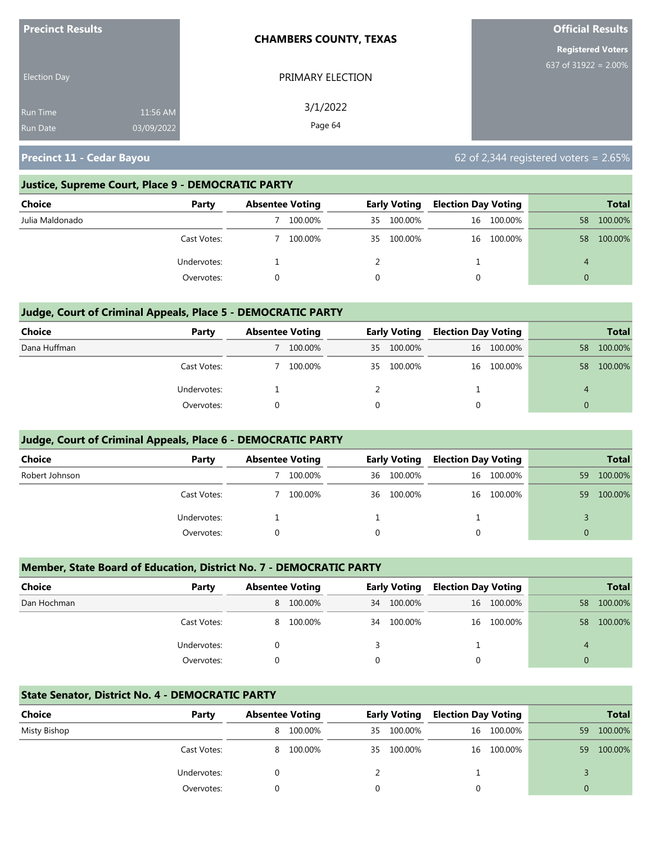| <b>Precinct Results</b> |            | <b>CHAMBERS COUNTY, TEXAS</b> | <b>Official Results</b>  |
|-------------------------|------------|-------------------------------|--------------------------|
|                         |            |                               | <b>Registered Voters</b> |
| <b>Election Day</b>     |            | PRIMARY ELECTION              | 637 of 31922 = $2.00\%$  |
| <b>Run Time</b>         | 11:56 AM   | 3/1/2022                      |                          |
| <b>Run Date</b>         | 03/09/2022 | Page 64                       |                          |

**Precinct 11 - Cedar Bayou 11 - Cedar Bayou 62 of 2,344 registered voters = 2.65%** 

#### **Justice, Supreme Court, Place 9 - DEMOCRATIC PARTY**

| Choice          | Party       | <b>Absentee Voting</b> |    | <b>Early Voting</b> |  | <b>Election Day Voting</b> |    | <b>Total</b> |
|-----------------|-------------|------------------------|----|---------------------|--|----------------------------|----|--------------|
| Julia Maldonado |             | 100.00%                | 35 | 100.00%             |  | 16 100.00%                 | 58 | 100.00%      |
|                 | Cast Votes: | 100.00%                | 35 | 100.00%             |  | 16 100.00%                 | 58 | 100.00%      |
|                 | Undervotes: |                        |    |                     |  |                            | 4  |              |
|                 | Overvotes:  |                        |    |                     |  |                            | 0  |              |

## **Judge, Court of Criminal Appeals, Place 5 - DEMOCRATIC PARTY**

| <b>Choice</b> | Party       | <b>Absentee Voting</b> |    | <b>Early Voting</b> |   | <b>Election Day Voting</b> |          | <b>Total</b> |
|---------------|-------------|------------------------|----|---------------------|---|----------------------------|----------|--------------|
| Dana Huffman  |             | 100.00%                | 35 | 100.00%             |   | 16 100.00%                 | 58       | 100.00%      |
|               | Cast Votes: | 100.00%                |    | 35 100.00%          |   | 16 100.00%                 | 58       | 100.00%      |
|               | Undervotes: |                        |    |                     |   |                            | 4        |              |
|               | Overvotes:  |                        |    |                     | 0 |                            | $\Omega$ |              |

#### **Judge, Court of Criminal Appeals, Place 6 - DEMOCRATIC PARTY**

| <b>Choice</b>  | Party       | <b>Absentee Voting</b> |    | <b>Early Voting</b> |   | <b>Election Day Voting</b> |          | <b>Total</b> |
|----------------|-------------|------------------------|----|---------------------|---|----------------------------|----------|--------------|
| Robert Johnson |             | 100.00%                | 36 | 100.00%             |   | 16 100.00%                 | 59.      | 100.00%      |
|                | Cast Votes: | 100.00%                | 36 | 100.00%             |   | 16 100.00%                 | 59       | 100.00%      |
|                | Undervotes: |                        |    |                     |   |                            |          |              |
|                | Overvotes:  |                        | 0  |                     | 0 |                            | $\Omega$ |              |

#### **Member, State Board of Education, District No. 7 - DEMOCRATIC PARTY**

| <b>Choice</b> | Party       | <b>Absentee Voting</b> |           |          | <b>Early Voting</b> | <b>Election Day Voting</b> |            |    | <b>Total</b> |
|---------------|-------------|------------------------|-----------|----------|---------------------|----------------------------|------------|----|--------------|
| Dan Hochman   |             |                        | 8 100.00% | 34       | 100.00%             |                            | 16 100.00% | 58 | 100.00%      |
|               | Cast Votes: | 8                      | 100.00%   | 34       | 100.00%             |                            | 16 100.00% | 58 | 100.00%      |
|               | Undervotes: |                        |           |          |                     |                            |            |    |              |
|               | Overvotes:  |                        |           | $\Omega$ |                     | $\Omega$                   |            | 0  |              |

#### **State Senator, District No. 4 - DEMOCRATIC PARTY**

| Choice       | Party       | <b>Absentee Voting</b> |         | <b>Early Voting</b> |         | <b>Election Day Voting</b> |            |    | <b>Total</b> |
|--------------|-------------|------------------------|---------|---------------------|---------|----------------------------|------------|----|--------------|
| Misty Bishop |             | 8.                     | 100.00% | 35                  | 100.00% |                            | 16 100.00% | 59 | 100.00%      |
|              | Cast Votes: | 8.                     | 100.00% | 35                  | 100.00% |                            | 16 100.00% | 59 | 100.00%      |
|              | Undervotes: |                        |         |                     |         |                            |            |    |              |
|              | Overvotes:  |                        |         |                     |         |                            |            | 0  |              |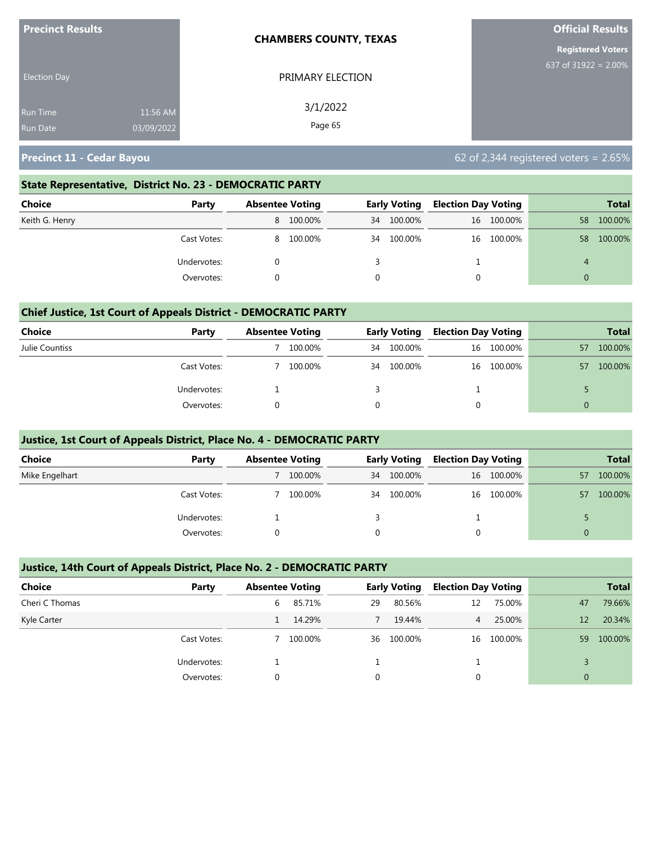| <b>Precinct Results</b>            |                        | <b>CHAMBERS COUNTY, TEXAS</b> | <b>Official Results</b>  |
|------------------------------------|------------------------|-------------------------------|--------------------------|
|                                    |                        |                               | <b>Registered Voters</b> |
| <b>Election Day</b>                |                        | PRIMARY ELECTION              | 637 of $31922 = 2.00\%$  |
| <b>Run Time</b><br><b>Run Date</b> | 11:56 AM<br>03/09/2022 | 3/1/2022<br>Page 65           |                          |
|                                    |                        |                               |                          |

**Precinct 11 - Cedar Bayou 62 of 2,344 registered voters = 2.65%** 

#### **State Representative, District No. 23 - DEMOCRATIC PARTY**

| Choice         | Party       | <b>Absentee Voting</b> |           |    | <b>Early Voting</b> | <b>Election Day Voting</b> |            |          | Total   |
|----------------|-------------|------------------------|-----------|----|---------------------|----------------------------|------------|----------|---------|
| Keith G. Henry |             |                        | 8 100.00% | 34 | 100.00%             |                            | 16 100.00% | 58       | 100.00% |
|                | Cast Votes: |                        | 8 100.00% | 34 | 100.00%             |                            | 16 100.00% | 58       | 100.00% |
|                | Undervotes: |                        |           |    |                     |                            |            | 4        |         |
|                | Overvotes:  |                        |           |    |                     |                            |            | $\Omega$ |         |

#### **Chief Justice, 1st Court of Appeals District - DEMOCRATIC PARTY**

| Choice         | Party       | <b>Absentee Voting</b> |    | <b>Early Voting</b> | <b>Election Day Voting</b> |            |          | <b>Total</b> |
|----------------|-------------|------------------------|----|---------------------|----------------------------|------------|----------|--------------|
| Julie Countiss |             | 100.00%                | 34 | 100.00%             |                            | 16 100.00% | 57       | 100.00%      |
|                | Cast Votes: | 100.00%                | 34 | 100.00%             |                            | 16 100.00% | 57       | 100.00%      |
|                | Undervotes: |                        |    |                     |                            |            |          |              |
|                | Overvotes:  |                        | 0  |                     | 0                          |            | $\Omega$ |              |

#### **Justice, 1st Court of Appeals District, Place No. 4 - DEMOCRATIC PARTY**

| <b>Choice</b>  | Party       | <b>Absentee Voting</b> |         |    | Early Voting | <b>Election Day Voting</b> |            |          | <b>Total</b> |
|----------------|-------------|------------------------|---------|----|--------------|----------------------------|------------|----------|--------------|
| Mike Engelhart |             |                        | 100.00% | 34 | 100.00%      |                            | 16 100.00% | 57       | 100.00%      |
|                | Cast Votes: |                        | 100.00% | 34 | 100.00%      |                            | 16 100.00% | 57       | 100.00%      |
|                | Undervotes: |                        |         |    |              |                            |            |          |              |
|                | Overvotes:  |                        |         |    |              |                            |            | $\Omega$ |              |

#### **Justice, 14th Court of Appeals District, Place No. 2 - DEMOCRATIC PARTY**

| <b>Choice</b>  | Party       | <b>Absentee Voting</b> |         |    | <b>Early Voting</b> | <b>Election Day Voting</b> |            |          | <b>Total</b> |
|----------------|-------------|------------------------|---------|----|---------------------|----------------------------|------------|----------|--------------|
| Cheri C Thomas |             | 6                      | 85.71%  | 29 | 80.56%              | 12                         | 75.00%     | 47       | 79.66%       |
| Kyle Carter    |             |                        | 14.29%  |    | 19.44%              | $\overline{4}$             | 25.00%     | 12       | 20.34%       |
|                | Cast Votes: |                        | 100.00% | 36 | 100.00%             |                            | 16 100.00% | 59       | 100.00%      |
|                | Undervotes: |                        |         |    |                     |                            |            |          |              |
|                | Overvotes:  | $\Omega$               |         | 0  |                     |                            |            | $\Omega$ |              |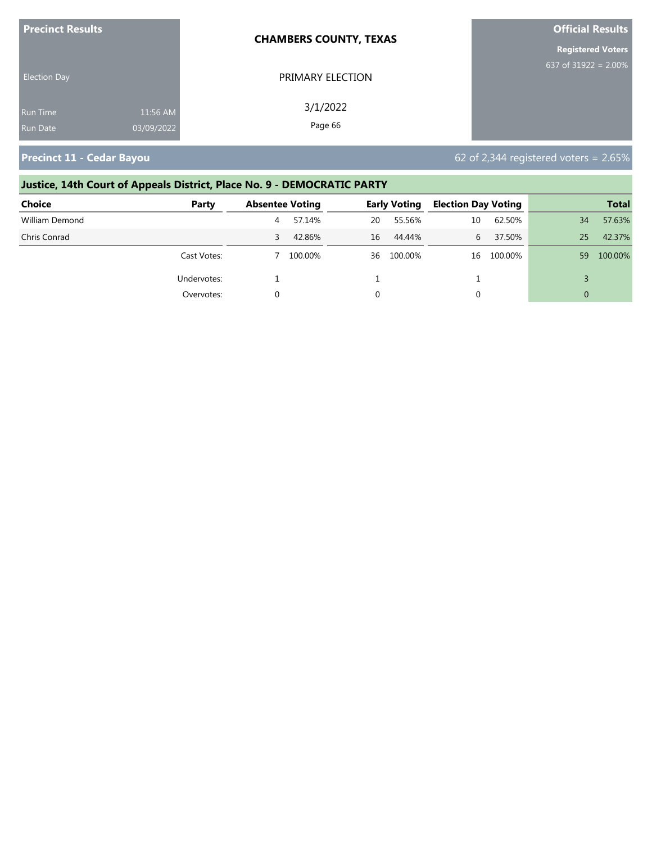| <b>Precinct Results</b> |            | <b>CHAMBERS COUNTY, TEXAS</b> | <b>Official Results</b>  |
|-------------------------|------------|-------------------------------|--------------------------|
|                         |            |                               | <b>Registered Voters</b> |
| <b>Election Day</b>     |            | PRIMARY ELECTION              | 637 of 31922 = $2.00\%$  |
| <b>Run Time</b>         | 11:56 AM   | 3/1/2022                      |                          |
| <b>Run Date</b>         | 03/09/2022 | Page 66                       |                          |

**Precinct 11 - Cedar Bayou 62 of 2,344 registered voters = 2.65%** 

# **Justice, 14th Court of Appeals District, Place No. 9 - DEMOCRATIC PARTY**

| <b>Choice</b>  | Party       | <b>Absentee Voting</b> |         |    | <b>Early Voting</b> | <b>Election Day Voting</b> |         |          | <b>Total</b> |
|----------------|-------------|------------------------|---------|----|---------------------|----------------------------|---------|----------|--------------|
| William Demond |             | 4                      | 57.14%  | 20 | 55.56%              | 10                         | 62.50%  | 34       | 57.63%       |
| Chris Conrad   |             | 3.                     | 42.86%  | 16 | 44.44%              | 6.                         | 37.50%  | 25       | 42.37%       |
|                | Cast Votes: |                        | 100.00% |    | 36 100.00%          | 16                         | 100.00% | 59       | 100.00%      |
|                | Undervotes: |                        |         |    |                     |                            |         |          |              |
|                | Overvotes:  |                        |         |    |                     | 0                          |         | $\Omega$ |              |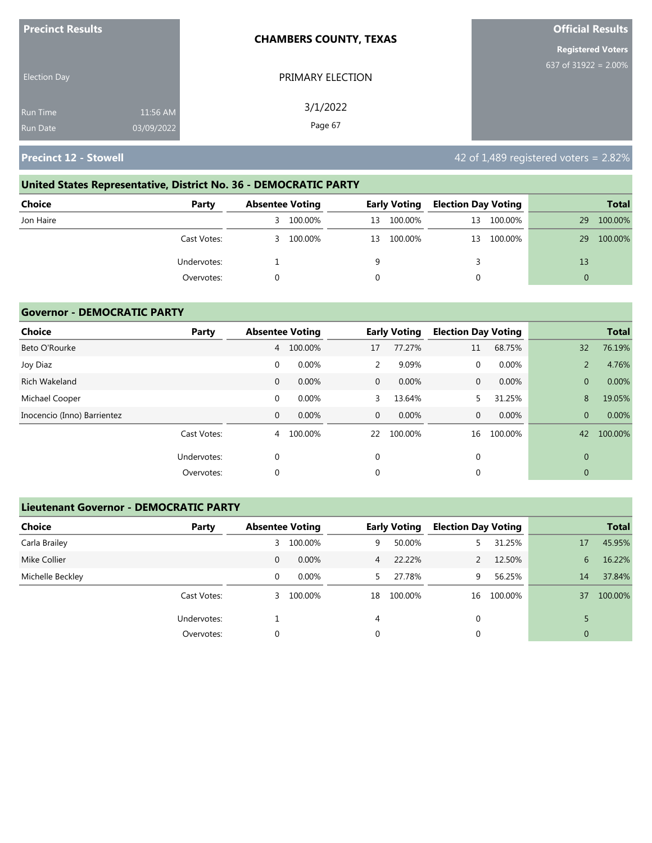| <b>Precinct Results</b> |            | <b>CHAMBERS COUNTY, TEXAS</b> | <b>Official Results</b>  |
|-------------------------|------------|-------------------------------|--------------------------|
|                         |            |                               | <b>Registered Voters</b> |
| <b>Election Day</b>     |            | PRIMARY ELECTION              | 637 of $31922 = 2.00\%$  |
| <b>Run Time</b>         | 11:56 AM   | 3/1/2022                      |                          |
| <b>Run Date</b>         | 03/09/2022 | Page 67                       |                          |

# **United States Representative, District No. 36 - DEMOCRATIC PARTY Choice Party Absentee Voting Early Voting Election Day Voting Total** Jon Haire 3 100.00% 13 100.00% 13 100.00% 29 100.00% Cast Votes: 3 100.00% 13 100.00% 13 100.00% 29 100.00% Undervotes: The contract of the contract of the contract of the contract of the contract of the contract of the contract of the contract of the contract of the contract of the contract of the contract of the contract of th Overvotes: 0 0 0 0

#### **Governor - DEMOCRATIC PARTY**

| Choice                      | Party       |              | <b>Absentee Voting</b> |              | <b>Early Voting</b> | <b>Election Day Voting</b> |         |                | <b>Total</b> |
|-----------------------------|-------------|--------------|------------------------|--------------|---------------------|----------------------------|---------|----------------|--------------|
| Beto O'Rourke               |             | 4            | 100.00%                | 17           | 77.27%              | 11                         | 68.75%  | 32             | 76.19%       |
| Joy Diaz                    |             | 0            | 0.00%                  | 2            | 9.09%               | 0                          | 0.00%   | $\overline{2}$ | 4.76%        |
| Rich Wakeland               |             | $\mathbf{0}$ | 0.00%                  | $\mathbf{0}$ | 0.00%               | $\mathbf{0}$               | 0.00%   | $\overline{0}$ | 0.00%        |
| Michael Cooper              |             | $\mathbf 0$  | 0.00%                  | 3            | 13.64%              | 5.                         | 31.25%  | 8              | 19.05%       |
| Inocencio (Inno) Barrientez |             | $\mathbf{0}$ | 0.00%                  | $\mathbf{0}$ | $0.00\%$            | $\mathbf{0}$               | 0.00%   | $\overline{0}$ | 0.00%        |
|                             | Cast Votes: | 4            | 100.00%                | 22           | 100.00%             | 16                         | 100.00% | 42             | 100.00%      |
|                             | Undervotes: | 0            |                        | 0            |                     | $\mathbf{0}$               |         | $\mathbf{0}$   |              |
|                             | Overvotes:  | $\Omega$     |                        | 0            |                     | $\mathbf{0}$               |         | $\mathbf{0}$   |              |

#### **Lieutenant Governor - DEMOCRATIC PARTY**

| <b>Choice</b>    | Party       | <b>Absentee Voting</b> |          |                | <b>Early Voting</b> | <b>Election Day Voting</b> |         |                | <b>Total</b> |
|------------------|-------------|------------------------|----------|----------------|---------------------|----------------------------|---------|----------------|--------------|
| Carla Brailey    |             | 3                      | 100.00%  | 9              | 50.00%              |                            | 31.25%  | 17             | 45.95%       |
| Mike Collier     |             | 0                      | $0.00\%$ | $\overline{4}$ | 22.22%              |                            | 12.50%  | 6              | 16.22%       |
| Michelle Beckley |             | 0                      | $0.00\%$ | 5.             | 27.78%              | 9                          | 56.25%  | 14             | 37.84%       |
|                  | Cast Votes: | 3                      | 100.00%  | 18             | 100.00%             | 16                         | 100.00% | 37             | 100.00%      |
|                  | Undervotes: |                        |          | 4              |                     | 0                          |         |                |              |
|                  | Overvotes:  | 0                      |          | 0              |                     | 0                          |         | $\overline{0}$ |              |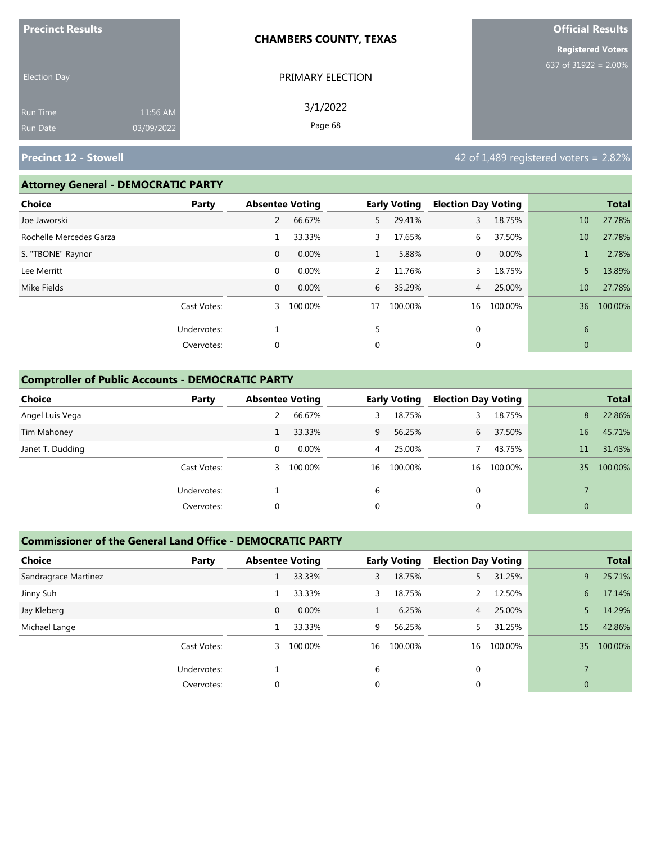| <b>Precinct Results</b> |            | <b>CHAMBERS COUNTY, TEXAS</b> | <b>Official Results</b>  |
|-------------------------|------------|-------------------------------|--------------------------|
|                         |            |                               | <b>Registered Voters</b> |
| <b>Election Day</b>     |            | PRIMARY ELECTION              | 637 of 31922 = $2.00\%$  |
| Run Time                | 11:56 AM   | 3/1/2022                      |                          |
| Run Date                | 03/09/2022 | Page 68                       |                          |

# **Precinct 12 - Stowell Precinct 12 - Stowell All 2008 of 1,489 registered voters = 2.82%**

#### **Attorney General - DEMOCRATIC PARTY**

| Choice                  | Party       | <b>Absentee Voting</b> |         |              | <b>Early Voting</b> | <b>Election Day Voting</b> |         |              | <b>Total</b> |
|-------------------------|-------------|------------------------|---------|--------------|---------------------|----------------------------|---------|--------------|--------------|
| Joe Jaworski            |             | 2                      | 66.67%  | 5            | 29.41%              | 3                          | 18.75%  | 10           | 27.78%       |
| Rochelle Mercedes Garza |             |                        | 33.33%  | 3            | 17.65%              | 6                          | 37.50%  | 10           | 27.78%       |
| S. "TBONE" Raynor       |             | $\mathbf 0$            | 0.00%   | $\mathbf{1}$ | 5.88%               | $\mathbf{0}$               | 0.00%   |              | 2.78%        |
| Lee Merritt             |             | $\mathbf 0$            | 0.00%   | 2            | 11.76%              | 3                          | 18.75%  | 5            | 13.89%       |
| Mike Fields             |             | $\mathbf{0}$           | 0.00%   | 6            | 35.29%              | $\overline{4}$             | 25.00%  | 10           | 27.78%       |
|                         | Cast Votes: | 3                      | 100.00% | 17           | 100.00%             | 16                         | 100.00% | 36           | 100.00%      |
|                         | Undervotes: |                        |         | 5            |                     | $\mathbf 0$                |         | 6            |              |
|                         | Overvotes:  | 0                      |         | 0            |                     | 0                          |         | $\mathbf{0}$ |              |

## **Comptroller of Public Accounts - DEMOCRATIC PARTY**

| <b>Choice</b>    | Party       | <b>Absentee Voting</b> |          |    | <b>Early Voting</b> | <b>Election Day Voting</b> |         |              | <b>Total</b> |
|------------------|-------------|------------------------|----------|----|---------------------|----------------------------|---------|--------------|--------------|
| Angel Luis Vega  |             |                        | 66.67%   | 3. | 18.75%              | 3.                         | 18.75%  | 8            | 22.86%       |
| Tim Mahoney      |             |                        | 33.33%   | 9  | 56.25%              | 6                          | 37.50%  | 16           | 45.71%       |
| Janet T. Dudding |             | 0                      | $0.00\%$ | 4  | 25.00%              |                            | 43.75%  | 11           | 31.43%       |
|                  | Cast Votes: | 3                      | 100.00%  | 16 | 100.00%             | 16                         | 100.00% | 35           | 100.00%      |
|                  | Undervotes: |                        |          | 6  |                     | $\mathbf 0$                |         |              |              |
|                  | Overvotes:  | 0                      |          | 0  |                     | 0                          |         | $\mathbf{0}$ |              |

#### **Commissioner of the General Land Office - DEMOCRATIC PARTY**

| <b>Choice</b><br>Party |              | <b>Absentee Voting</b> |              | <b>Early Voting</b> | <b>Election Day Voting</b> |         |                | <b>Total</b> |
|------------------------|--------------|------------------------|--------------|---------------------|----------------------------|---------|----------------|--------------|
| Sandragrace Martinez   |              | 33.33%                 | 3            | 18.75%              |                            | 31.25%  | 9              | 25.71%       |
| Jinny Suh              |              | 33.33%                 | 3            | 18.75%              | 2                          | 12.50%  | 6              | 17.14%       |
| Jay Kleberg            | $\mathbf{0}$ | 0.00%                  | $\mathbf{1}$ | 6.25%               | $\overline{4}$             | 25.00%  | 5.             | 14.29%       |
| Michael Lange          |              | 33.33%                 | 9            | 56.25%              |                            | 31.25%  | 15             | 42.86%       |
| Cast Votes:            | 3            | 100.00%                | 16           | 100.00%             | 16                         | 100.00% | 35             | 100.00%      |
| Undervotes:            |              |                        | 6            |                     | $\Omega$                   |         |                |              |
| Overvotes:             | 0            |                        | 0            |                     | 0                          |         | $\overline{0}$ |              |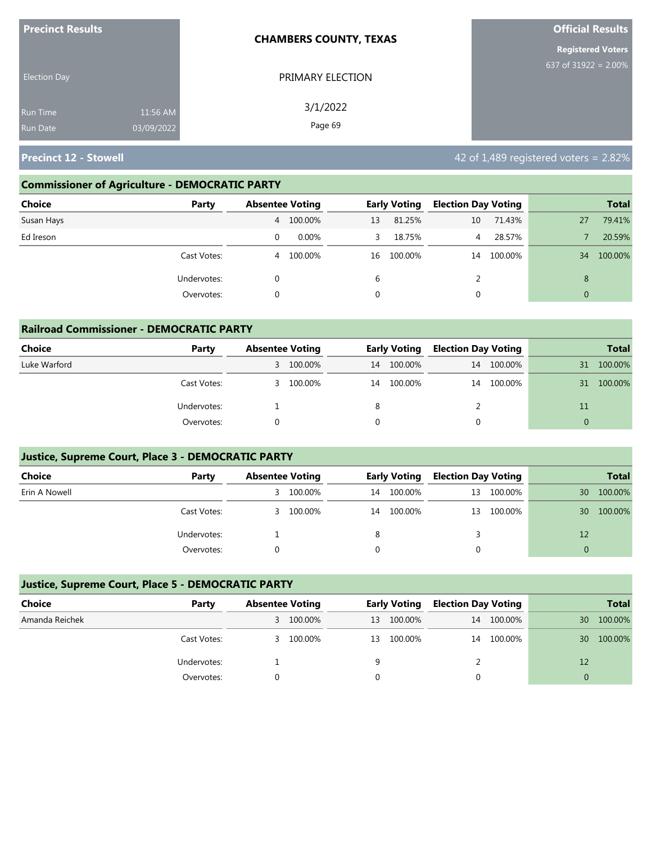| <b>Precinct Results</b>                                      | <b>CHAMBERS COUNTY, TEXAS</b> | <b>Official Results</b>  |
|--------------------------------------------------------------|-------------------------------|--------------------------|
|                                                              |                               | <b>Registered Voters</b> |
| <b>Election Day</b>                                          | PRIMARY ELECTION              | 637 of 31922 = $2.00\%$  |
| 11:56 AM<br><b>Run Time</b><br>03/09/2022<br><b>Run Date</b> | 3/1/2022<br>Page 69           |                          |

**Precinct 12 - Stowell All and Stowell 2008 and Stowe 2.82% 42 of 1,489 registered voters = 2.82%** 

# **Commissioner of Agriculture - DEMOCRATIC PARTY**

**Railroad Commissioner - DEMOCRATIC PARTY**

| <b>Choice</b><br>Party |   | <b>Absentee Voting</b> |             | <b>Early Voting</b> | <b>Election Day Voting</b> |         |                | <b>Total</b> |
|------------------------|---|------------------------|-------------|---------------------|----------------------------|---------|----------------|--------------|
| Susan Hays             |   | 4 100.00%              | 13          | 81.25%              | 10                         | 71.43%  | 27             | 79.41%       |
| Ed Ireson              | 0 | 0.00%                  | 3.          | 18.75%              | $\overline{4}$             | 28.57%  |                | 20.59%       |
| Cast Votes:            | 4 | 100.00%                | 16          | 100.00%             | 14                         | 100.00% | 34             | 100.00%      |
| Undervotes:            | 0 |                        | 6           |                     | 2                          |         | 8              |              |
| Overvotes:             | 0 |                        | $\mathbf 0$ |                     |                            |         | $\overline{0}$ |              |

| Ralifoad Commissioner - DEMOCRATIC PARTY |             |                        |           |    |                     |                            |            |    |              |  |  |
|------------------------------------------|-------------|------------------------|-----------|----|---------------------|----------------------------|------------|----|--------------|--|--|
| <b>Choice</b>                            | Party       | <b>Absentee Voting</b> |           |    | <b>Early Voting</b> | <b>Election Day Voting</b> |            |    | <b>Total</b> |  |  |
| Luke Warford                             |             |                        | 3 100.00% | 14 | 100.00%             |                            | 14 100.00% | 31 | 100.00%      |  |  |
|                                          | Cast Votes: | 3.                     | 100.00%   | 14 | 100.00%             |                            | 14 100.00% | 31 | 100.00%      |  |  |
|                                          | Undervotes: |                        |           |    |                     |                            |            | 11 |              |  |  |
|                                          | Overvotes:  |                        |           |    |                     |                            |            |    |              |  |  |

# **Justice, Supreme Court, Place 3 - DEMOCRATIC PARTY**

| <b>Choice</b> | Party       | <b>Absentee Voting</b> |           | <b>Early Voting</b> |         | <b>Election Day Voting</b> |            |    | <b>Total</b> |
|---------------|-------------|------------------------|-----------|---------------------|---------|----------------------------|------------|----|--------------|
| Erin A Nowell |             | 3                      | 100.00%   | 14                  | 100.00% | 13                         | 100.00%    | 30 | 100.00%      |
|               | Cast Votes: |                        | 3 100.00% | 14                  | 100.00% |                            | 13 100.00% | 30 | 100.00%      |
|               | Undervotes: |                        |           | 8                   |         |                            |            | 12 |              |
|               | Overvotes:  |                        |           |                     |         |                            |            |    |              |

## **Justice, Supreme Court, Place 5 - DEMOCRATIC PARTY**

| Choice         | Party       | <b>Absentee Voting</b> |         | <b>Early Voting</b> |         | <b>Election Day Voting</b> |         |    | <b>Total</b> |
|----------------|-------------|------------------------|---------|---------------------|---------|----------------------------|---------|----|--------------|
| Amanda Reichek |             | 3.                     | 100.00% | 13                  | 100.00% | 14                         | 100.00% | 30 | 100.00%      |
|                | Cast Votes: | 3                      | 100.00% | 13                  | 100.00% | 14                         | 100.00% | 30 | 100.00%      |
|                | Undervotes: |                        |         | 9                   |         |                            |         | 12 |              |
|                | Overvotes:  |                        |         |                     |         |                            |         |    |              |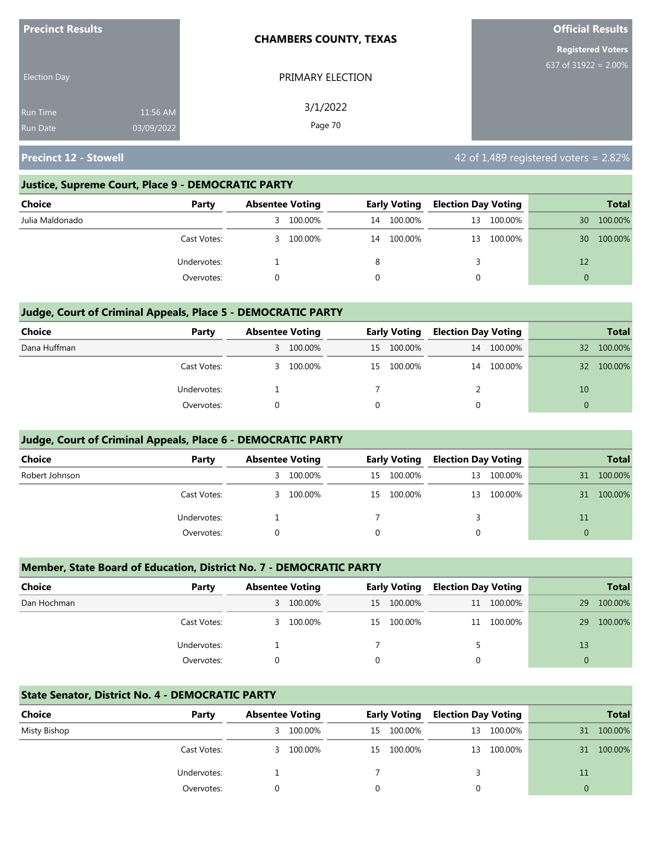| <b>Precinct Results</b> |            | <b>CHAMBERS COUNTY, TEXAS</b> | <b>Official Results</b>  |
|-------------------------|------------|-------------------------------|--------------------------|
|                         |            |                               | <b>Registered Voters</b> |
| <b>Election Day</b>     |            | PRIMARY ELECTION              | 637 of $31922 = 2.00\%$  |
| <b>Run Time</b>         | 11:56 AM   | 3/1/2022                      |                          |
| <b>Run Date</b>         | 03/09/2022 | Page 70                       |                          |

#### **Justice, Supreme Court, Place 9 - DEMOCRATIC PARTY**

| Choice          | Party       |    | <b>Absentee Voting</b> |    | <b>Early Voting</b> | <b>Election Day Voting</b> |            |    | <b>Total</b> |
|-----------------|-------------|----|------------------------|----|---------------------|----------------------------|------------|----|--------------|
| Julia Maldonado |             | 3  | 100.00%                | 14 | 100.00%             | 13                         | 100.00%    | 30 | 100.00%      |
|                 | Cast Votes: | 3. | 100.00%                | 14 | 100.00%             |                            | 13 100.00% | 30 | 100.00%      |
|                 | Undervotes: |    |                        | 8  |                     |                            |            | 12 |              |
|                 | Overvotes:  |    |                        |    |                     |                            |            | 0  |              |

#### **Judge, Court of Criminal Appeals, Place 5 - DEMOCRATIC PARTY**

| <b>Choice</b> | Party       | <b>Absentee Voting</b> |           | <b>Early Voting</b> |            | <b>Election Day Voting</b> |         |                 | <b>Total</b> |
|---------------|-------------|------------------------|-----------|---------------------|------------|----------------------------|---------|-----------------|--------------|
| Dana Huffman  |             |                        | 3 100.00% | 15                  | 100.00%    | 14                         | 100.00% | 32              | 100.00%      |
|               | Cast Votes: |                        | 3 100.00% |                     | 15 100.00% | 14                         | 100.00% | 32 <sup>2</sup> | 100.00%      |
|               | Undervotes: |                        |           |                     |            |                            |         | 10              |              |
|               | Overvotes:  |                        |           |                     |            | 0                          |         | $\Omega$        |              |

#### **Judge, Court of Criminal Appeals, Place 6 - DEMOCRATIC PARTY**

| <b>Choice</b>  | Party       | <b>Absentee Voting</b> |         | <b>Early Voting</b> |            | <b>Election Day Voting</b> |         |              | <b>Total</b> |
|----------------|-------------|------------------------|---------|---------------------|------------|----------------------------|---------|--------------|--------------|
| Robert Johnson |             | 3                      | 100.00% |                     | 15 100.00% | 13                         | 100.00% | 31           | 100.00%      |
|                | Cast Votes: | 3                      | 100.00% | 15                  | 100.00%    | 13                         | 100.00% | 31           | 100.00%      |
|                | Undervotes: |                        |         |                     |            |                            |         | 11           |              |
|                | Overvotes:  |                        |         | 0                   |            | 0                          |         | $\mathbf{0}$ |              |

#### **Member, State Board of Education, District No. 7 - DEMOCRATIC PARTY**

| <b>Choice</b> | Party       | <b>Absentee Voting</b> |         | <b>Early Voting</b> |            | <b>Election Day Voting</b> |            | <b>Total</b> |         |
|---------------|-------------|------------------------|---------|---------------------|------------|----------------------------|------------|--------------|---------|
| Dan Hochman   |             | 3                      | 100.00% | 15                  | 100.00%    |                            | 11 100.00% | 29           | 100.00% |
|               | Cast Votes: | 3.                     | 100.00% |                     | 15 100.00% |                            | 11 100.00% | 29           | 100.00% |
|               | Undervotes: |                        |         |                     |            |                            |            | 13           |         |
|               | Overvotes:  |                        |         | $\Omega$            |            | $\Omega$                   |            | $\Omega$     |         |

#### **State Senator, District No. 4 - DEMOCRATIC PARTY**

| Choice       | Party       | <b>Absentee Voting</b> |         | <b>Early Voting</b> |            | <b>Election Day Voting</b> |            |    | <b>Total</b> |
|--------------|-------------|------------------------|---------|---------------------|------------|----------------------------|------------|----|--------------|
| Misty Bishop |             | 3.                     | 100.00% | 15                  | 100.00%    |                            | 13 100.00% | 31 | 100.00%      |
|              | Cast Votes: | 3.                     | 100.00% |                     | 15 100.00% |                            | 13 100.00% | 31 | 100.00%      |
|              | Undervotes: |                        |         |                     |            |                            |            | 11 |              |
|              | Overvotes:  |                        |         |                     |            |                            |            |    |              |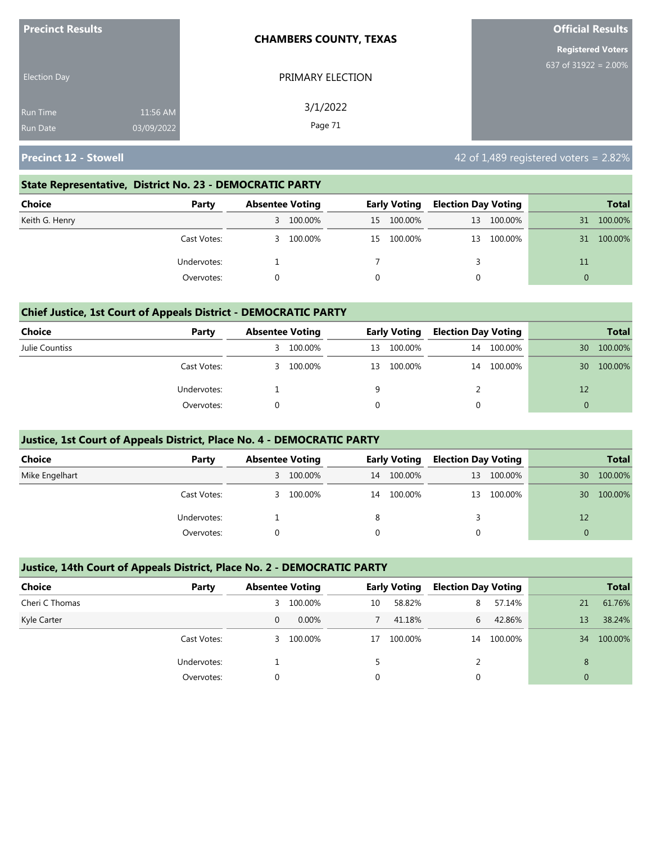| <b>Precinct Results</b> |            | <b>CHAMBERS COUNTY, TEXAS</b> | <b>Official Results</b>  |  |  |
|-------------------------|------------|-------------------------------|--------------------------|--|--|
|                         |            |                               | <b>Registered Voters</b> |  |  |
| <b>Election Day</b>     |            | PRIMARY ELECTION              | 637 of 31922 = $2.00\%$  |  |  |
| <b>Run Time</b>         | 11:56 AM   | 3/1/2022                      |                          |  |  |
| <b>Run Date</b>         | 03/09/2022 | Page 71                       |                          |  |  |

#### **State Representative, District No. 23 - DEMOCRATIC PARTY**

| Choice         | Party       | <b>Absentee Voting</b> |           | <b>Early Voting</b> |         | <b>Election Day Voting</b> |            |          | <b>Total</b> |
|----------------|-------------|------------------------|-----------|---------------------|---------|----------------------------|------------|----------|--------------|
| Keith G. Henry |             |                        | 3 100.00% | 15                  | 100.00% | 13                         | 100.00%    | 31       | 100.00%      |
|                | Cast Votes: | 3.                     | 100.00%   | 15                  | 100.00% |                            | 13 100.00% | 31       | 100.00%      |
|                | Undervotes: |                        |           |                     |         |                            |            | 11       |              |
|                | Overvotes:  |                        |           |                     |         |                            |            | $\Omega$ |              |

#### **Chief Justice, 1st Court of Appeals District - DEMOCRATIC PARTY**

| Choice         | Party       | <b>Absentee Voting</b> |         | <b>Early Voting</b> |         | <b>Election Day Voting</b> |         |    | <b>Total</b> |
|----------------|-------------|------------------------|---------|---------------------|---------|----------------------------|---------|----|--------------|
| Julie Countiss |             | 3.                     | 100.00% | 13                  | 100.00% | 14                         | 100.00% | 30 | 100.00%      |
|                | Cast Votes: | 3.                     | 100.00% | 13                  | 100.00% | 14                         | 100.00% | 30 | 100.00%      |
|                | Undervotes: |                        |         | 9                   |         |                            |         | 12 |              |
|                | Overvotes:  |                        |         |                     |         |                            |         |    |              |

#### **Justice, 1st Court of Appeals District, Place No. 4 - DEMOCRATIC PARTY**

| <b>Choice</b>  | Party       | <b>Absentee Voting</b> |         | Early Voting |         | <b>Election Day Voting</b> |         |          | <b>Total</b> |
|----------------|-------------|------------------------|---------|--------------|---------|----------------------------|---------|----------|--------------|
| Mike Engelhart |             | 3                      | 100.00% | 14           | 100.00% | 13 <sup>13</sup>           | 100.00% | 30       | 100.00%      |
|                | Cast Votes: | 3                      | 100.00% | 14           | 100.00% | 13                         | 100.00% | 30       | 100.00%      |
|                | Undervotes: |                        |         | 8            |         |                            |         | 12       |              |
|                | Overvotes:  |                        |         |              |         |                            |         | $\Omega$ |              |

#### **Justice, 14th Court of Appeals District, Place No. 2 - DEMOCRATIC PARTY**

| <b>Choice</b>  | Party       |          | <b>Absentee Voting</b> |    | <b>Early Voting</b> |    | <b>Election Day Voting</b> |                | <b>Total</b> |
|----------------|-------------|----------|------------------------|----|---------------------|----|----------------------------|----------------|--------------|
| Cheri C Thomas |             | 3.       | 100.00%                | 10 | 58.82%              | 8  | 57.14%                     | 21             | 61.76%       |
| Kyle Carter    |             | 0        | $0.00\%$               |    | 41.18%              | 6  | 42.86%                     | 13             | 38.24%       |
|                | Cast Votes: | 3.       | 100.00%                | 17 | 100.00%             | 14 | 100.00%                    | 34             | 100.00%      |
|                | Undervotes: |          |                        |    |                     | 2  |                            | 8              |              |
|                | Overvotes:  | $\Omega$ |                        | 0  |                     |    |                            | $\overline{0}$ |              |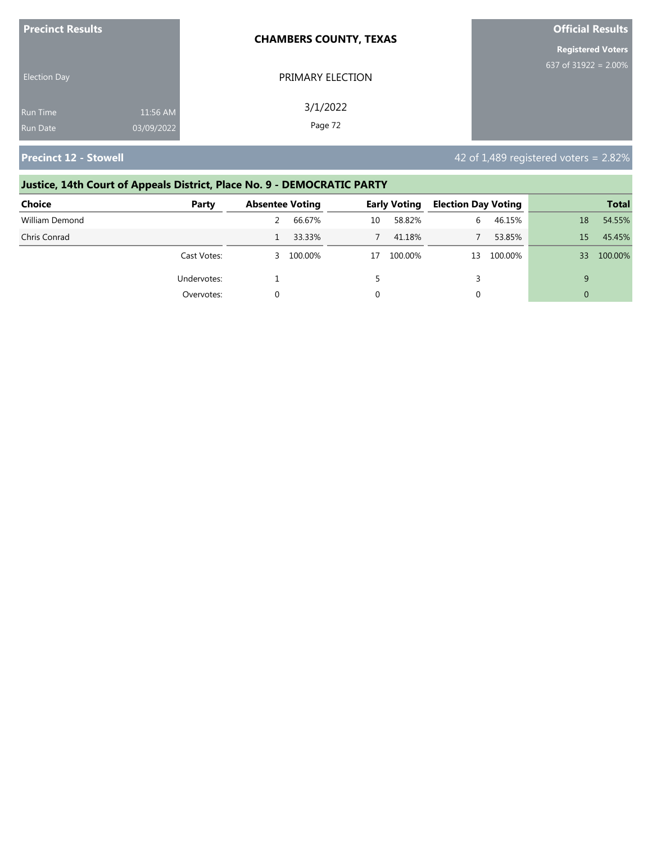| <b>Precinct Results</b> |            | <b>CHAMBERS COUNTY, TEXAS</b> | <b>Official Results</b>  |  |  |
|-------------------------|------------|-------------------------------|--------------------------|--|--|
|                         |            |                               | <b>Registered Voters</b> |  |  |
| <b>Election Day</b>     |            | PRIMARY ELECTION              | 637 of $31922 = 2.00\%$  |  |  |
| Run Time                | 11:56 AM   | 3/1/2022                      |                          |  |  |
| <b>Run Date</b>         | 03/09/2022 | Page 72                       |                          |  |  |

# **Justice, 14th Court of Appeals District, Place No. 9 - DEMOCRATIC PARTY**

| <b>Choice</b>  | Party       | <b>Absentee Voting</b> |           | <b>Early Voting</b> |         | <b>Election Day Voting</b> |         | <b>Total</b> |         |
|----------------|-------------|------------------------|-----------|---------------------|---------|----------------------------|---------|--------------|---------|
| William Demond |             |                        | 66.67%    | 10                  | 58.82%  | 6.                         | 46.15%  | 18           | 54.55%  |
| Chris Conrad   |             |                        | 33.33%    |                     | 41.18%  |                            | 53.85%  | 15           | 45.45%  |
|                | Cast Votes: |                        | 3 100.00% | 17                  | 100.00% | 13                         | 100.00% | 33           | 100.00% |
|                | Undervotes: |                        |           |                     |         |                            |         | 9            |         |
|                | Overvotes:  |                        |           |                     |         |                            |         |              |         |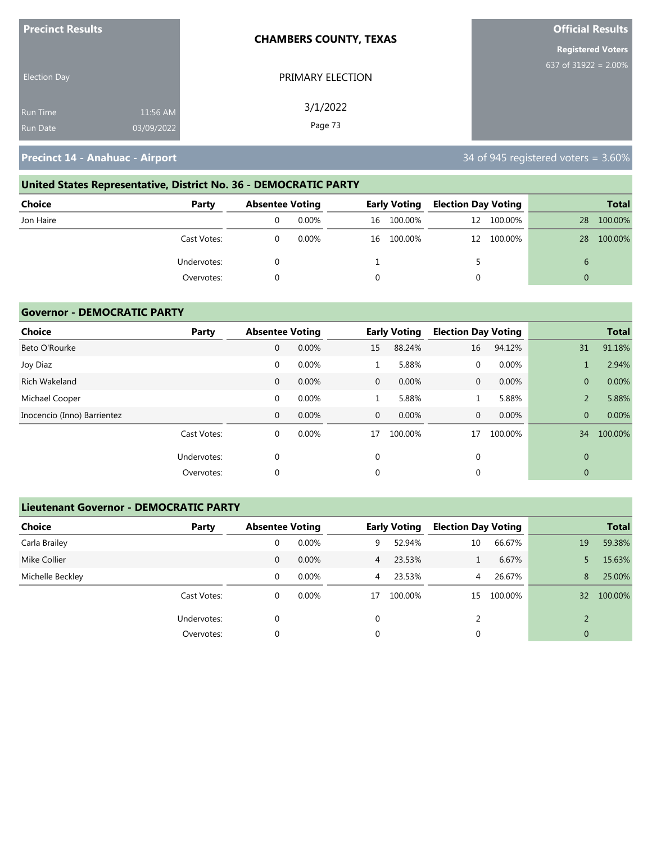| <b>Precinct Results</b> |            | <b>CHAMBERS COUNTY, TEXAS</b> | <b>Official Results</b>  |
|-------------------------|------------|-------------------------------|--------------------------|
|                         |            |                               | <b>Registered Voters</b> |
| <b>Election Day</b>     |            | PRIMARY ELECTION              | 637 of 31922 = $2.00\%$  |
| <b>Run Time</b>         | 11:56 AM   | 3/1/2022                      |                          |
| <b>Run Date</b>         | 03/09/2022 | Page 73                       |                          |

# **United States Representative, District No. 36 - DEMOCRATIC PARTY**

| <b>Choice</b> | Party       | <b>Absentee Voting</b> |          | <b>Early Voting</b> | <b>Election Day Voting</b> |            |    | <b>Total</b> |
|---------------|-------------|------------------------|----------|---------------------|----------------------------|------------|----|--------------|
| Jon Haire     |             |                        | $0.00\%$ | 16 100.00%          |                            | 12 100.00% | 28 | 100.00%      |
|               | Cast Votes: |                        | $0.00\%$ | 16 100.00%          |                            | 12 100.00% | 28 | 100.00%      |
|               | Undervotes: |                        |          |                     |                            |            |    |              |
|               | Overvotes:  |                        |          |                     |                            |            |    |              |

#### **Governor - DEMOCRATIC PARTY**

| <b>Choice</b>               | Party       | <b>Absentee Voting</b> |       |              | <b>Early Voting</b> | <b>Election Day Voting</b> |         |                | <b>Total</b> |
|-----------------------------|-------------|------------------------|-------|--------------|---------------------|----------------------------|---------|----------------|--------------|
| Beto O'Rourke               |             | 0                      | 0.00% | 15           | 88.24%              | 16                         | 94.12%  | 31             | 91.18%       |
| Joy Diaz                    |             | $\mathbf 0$            | 0.00% |              | 5.88%               | 0                          | 0.00%   |                | 2.94%        |
| Rich Wakeland               |             | $\mathbf{0}$           | 0.00% | $\mathbf{0}$ | 0.00%               | $\mathbf{0}$               | 0.00%   | $\overline{0}$ | 0.00%        |
| Michael Cooper              |             | $\mathbf 0$            | 0.00% |              | 5.88%               |                            | 5.88%   | 2              | 5.88%        |
| Inocencio (Inno) Barrientez |             | 0                      | 0.00% | $\mathbf{0}$ | 0.00%               | $\mathbf{0}$               | 0.00%   | $\overline{0}$ | 0.00%        |
|                             | Cast Votes: | 0                      | 0.00% | 17           | 100.00%             | 17                         | 100.00% | 34             | 100.00%      |
|                             | Undervotes: | 0                      |       | 0            |                     | $\mathbf 0$                |         | $\mathbf{0}$   |              |
|                             | Overvotes:  | $\Omega$               |       | 0            |                     | 0                          |         | $\mathbf{0}$   |              |

#### **Lieutenant Governor - DEMOCRATIC PARTY**

| <b>Choice</b>    | Party       | <b>Absentee Voting</b> |          |                | <b>Early Voting</b> | <b>Election Day Voting</b> |         |                | <b>Total</b> |
|------------------|-------------|------------------------|----------|----------------|---------------------|----------------------------|---------|----------------|--------------|
| Carla Brailey    |             | 0                      | 0.00%    | 9              | 52.94%              | 10                         | 66.67%  | 19             | 59.38%       |
| Mike Collier     |             | 0                      | $0.00\%$ | $\overline{4}$ | 23.53%              |                            | 6.67%   |                | 15.63%       |
| Michelle Beckley |             | 0                      | $0.00\%$ | $\overline{4}$ | 23.53%              | 4                          | 26.67%  | 8              | 25.00%       |
|                  | Cast Votes: | 0                      | $0.00\%$ | 17             | 100.00%             | 15                         | 100.00% | 32             | 100.00%      |
|                  | Undervotes: | 0                      |          | $\Omega$       |                     |                            |         | $\mathcal{D}$  |              |
|                  | Overvotes:  | 0                      |          | 0              |                     | 0                          |         | $\overline{0}$ |              |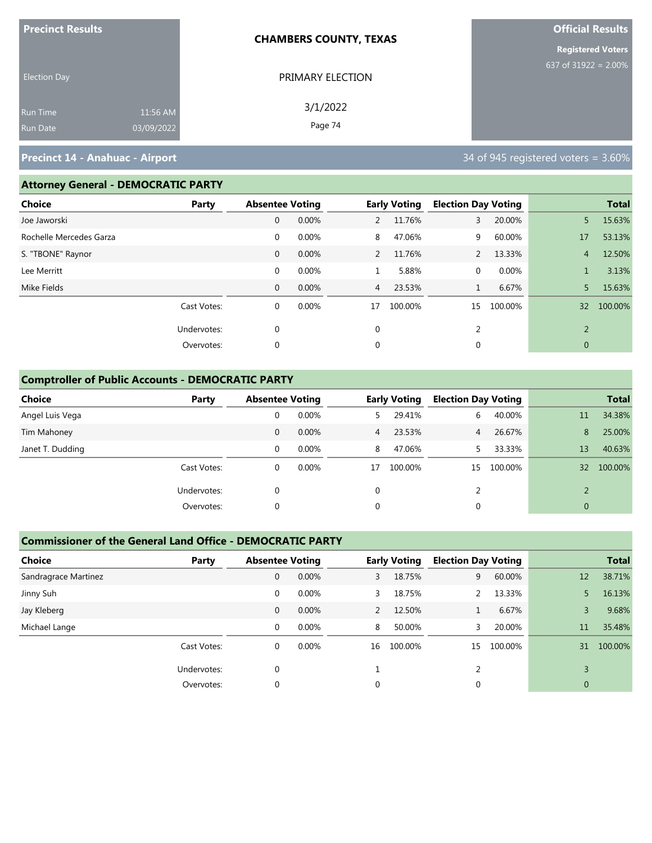| <b>Precinct Results</b> |            | <b>CHAMBERS COUNTY, TEXAS</b> | <b>Official Results</b>            |
|-------------------------|------------|-------------------------------|------------------------------------|
|                         |            |                               | <b>Registered Voters</b>           |
| <b>Election Day</b>     |            | PRIMARY ELECTION              | 637 of $319\overline{22} = 2.00\%$ |
| <b>Run Time</b>         | 11:56 AM   | 3/1/2022                      |                                    |
| <b>Run Date</b>         | 03/09/2022 | Page 74                       |                                    |

#### **Attorney General - DEMOCRATIC PARTY**

| <b>Choice</b>           | Party       | <b>Absentee Voting</b> |       |                | <b>Early Voting</b> | <b>Election Day Voting</b> |         |                | <b>Total</b> |
|-------------------------|-------------|------------------------|-------|----------------|---------------------|----------------------------|---------|----------------|--------------|
| Joe Jaworski            |             | 0                      | 0.00% | $\mathbf{2}$   | 11.76%              | 3                          | 20.00%  | 5              | 15.63%       |
| Rochelle Mercedes Garza |             | $\mathbf 0$            | 0.00% | 8              | 47.06%              | 9                          | 60.00%  | 17             | 53.13%       |
| S. "TBONE" Raynor       |             | $\mathbf{0}$           | 0.00% | 2              | 11.76%              | 2                          | 13.33%  | $\overline{4}$ | 12.50%       |
| Lee Merritt             |             | $\mathbf 0$            | 0.00% | $\perp$        | 5.88%               | $\mathbf{0}$               | 0.00%   |                | 3.13%        |
| Mike Fields             |             | $\mathbf{0}$           | 0.00% | $\overline{4}$ | 23.53%              | $\mathbf{1}$               | 6.67%   | 5.             | 15.63%       |
|                         | Cast Votes: | $\mathbf 0$            | 0.00% | 17             | 100.00%             | 15                         | 100.00% | 32             | 100.00%      |
|                         | Undervotes: | $\Omega$               |       | $\mathbf 0$    |                     | 2                          |         | 2              |              |
|                         | Overvotes:  | $\mathbf 0$            |       | $\mathbf 0$    |                     | 0                          |         | $\mathbf{0}$   |              |

#### **Comptroller of Public Accounts - DEMOCRATIC PARTY**

| Choice           | Party       | <b>Absentee Voting</b> |          |                | <b>Early Voting</b> | <b>Election Day Voting</b> |         |                 | <b>Total</b> |
|------------------|-------------|------------------------|----------|----------------|---------------------|----------------------------|---------|-----------------|--------------|
| Angel Luis Vega  |             | 0                      | 0.00%    | 5.             | 29.41%              | 6                          | 40.00%  | 11              | 34.38%       |
| Tim Mahoney      |             | 0                      | $0.00\%$ | $\overline{4}$ | 23.53%              | $\overline{4}$             | 26.67%  | 8               | 25.00%       |
| Janet T. Dudding |             | 0                      | $0.00\%$ | 8              | 47.06%              |                            | 33.33%  | 13              | 40.63%       |
|                  | Cast Votes: | 0                      | $0.00\%$ | 17             | 100.00%             | 15                         | 100.00% | 32 <sup>2</sup> | 100.00%      |
|                  | Undervotes: | 0                      |          | 0              |                     |                            |         | $\mathcal{D}$   |              |
|                  | Overvotes:  | 0                      |          | 0              |                     | 0                          |         | $\mathbf{0}$    |              |

#### **Commissioner of the General Land Office - DEMOCRATIC PARTY**

| <b>Choice</b>        | Party       | <b>Absentee Voting</b> |       |                | <b>Early Voting</b> | <b>Election Day Voting</b> |         |                | <b>Total</b> |
|----------------------|-------------|------------------------|-------|----------------|---------------------|----------------------------|---------|----------------|--------------|
| Sandragrace Martinez |             | 0                      | 0.00% | 3              | 18.75%              | 9                          | 60.00%  | 12             | 38.71%       |
| Jinny Suh            |             | 0                      | 0.00% | 3              | 18.75%              | 2                          | 13.33%  |                | 16.13%       |
| Jay Kleberg          |             | 0                      | 0.00% | $\overline{2}$ | 12.50%              |                            | 6.67%   | 3              | 9.68%        |
| Michael Lange        |             | 0                      | 0.00% | 8              | 50.00%              | 3                          | 20.00%  | 11             | 35.48%       |
|                      | Cast Votes: | $\mathbf 0$            | 0.00% | 16             | 100.00%             | 15                         | 100.00% | 31             | 100.00%      |
|                      | Undervotes: | $\Omega$               |       |                |                     |                            |         |                |              |
|                      | Overvotes:  | 0                      |       | 0              |                     | 0                          |         | $\overline{0}$ |              |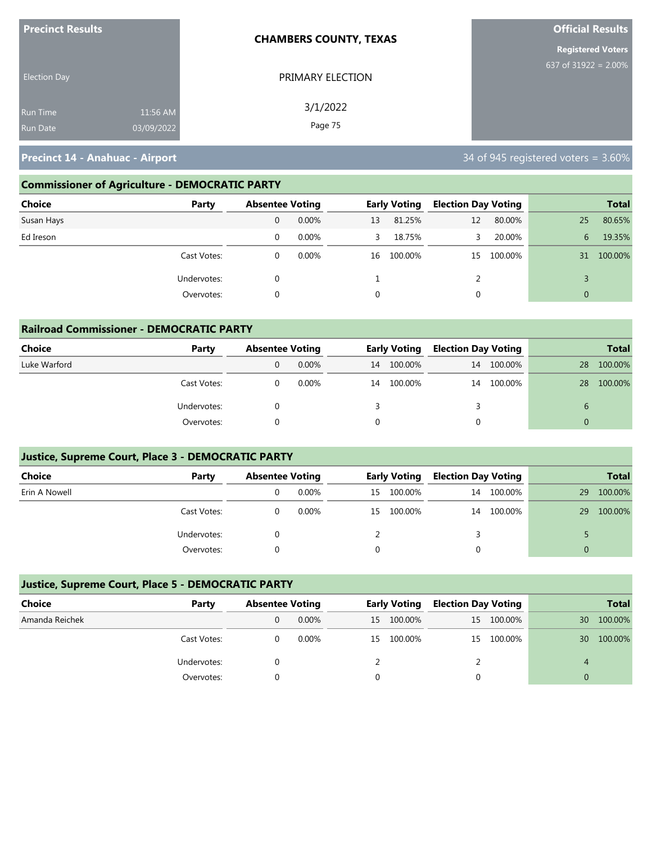| <b>Precinct Results</b> |            | <b>CHAMBERS COUNTY, TEXAS</b> | <b>Official Results</b>  |
|-------------------------|------------|-------------------------------|--------------------------|
|                         |            |                               | <b>Registered Voters</b> |
| <b>Election Day</b>     |            | PRIMARY ELECTION              | 637 of 31922 = $2.00\%$  |
| <b>Run Time</b>         | 11:56 AM   | 3/1/2022<br>Page 75           |                          |
| <b>Run Date</b>         | 03/09/2022 |                               |                          |

### **Commissioner of Agriculture - DEMOCRATIC PARTY**

| <b>Choice</b><br>Party |   | <b>Absentee Voting</b> |    | <b>Early Voting</b> | <b>Election Day Voting</b> |            |                | <b>Total</b> |
|------------------------|---|------------------------|----|---------------------|----------------------------|------------|----------------|--------------|
| Susan Hays             | 0 | $0.00\%$               | 13 | 81.25%              | 12                         | 80.00%     | 25             | 80.65%       |
| Ed Ireson              | 0 | $0.00\%$               | 3  | 18.75%              | 3.                         | 20.00%     | 6              | 19.35%       |
| Cast Votes:            |   | $0.00\%$               | 16 | 100.00%             |                            | 15 100.00% | 31             | 100.00%      |
| Undervotes:            |   |                        |    |                     |                            |            |                |              |
| Overvotes:             |   |                        |    |                     |                            |            | $\overline{0}$ |              |

| <b>Railroad Commissioner - DEMOCRATIC PARTY</b> |             |                        |          |    |                     |                            |            |          |              |  |  |
|-------------------------------------------------|-------------|------------------------|----------|----|---------------------|----------------------------|------------|----------|--------------|--|--|
| <b>Choice</b>                                   | Party       | <b>Absentee Voting</b> |          |    | <b>Early Voting</b> | <b>Election Day Voting</b> |            |          | <b>Total</b> |  |  |
| Luke Warford                                    |             | 0                      | $0.00\%$ | 14 | 100.00%             | 14                         | 100.00%    | 28       | 100.00%      |  |  |
|                                                 | Cast Votes: | 0                      | 0.00%    | 14 | 100.00%             |                            | 14 100.00% | 28       | 100.00%      |  |  |
|                                                 | Undervotes: | 0                      |          |    |                     |                            |            | 6        |              |  |  |
|                                                 | Overvotes:  |                        |          |    |                     |                            |            | $\Omega$ |              |  |  |

#### **Justice, Supreme Court, Place 3 - DEMOCRATIC PARTY**

| <b>Choice</b> | Party       | <b>Absentee Voting</b> |          |    | <b>Early Voting</b> | <b>Election Day Voting</b> |         |    | <b>Total</b> |
|---------------|-------------|------------------------|----------|----|---------------------|----------------------------|---------|----|--------------|
| Erin A Nowell |             |                        | $0.00\%$ | 15 | 100.00%             | 14                         | 100.00% | 29 | 100.00%      |
|               | Cast Votes: |                        | 0.00%    | 15 | 100.00%             | 14                         | 100.00% | 29 | 100.00%      |
|               | Undervotes: |                        |          |    |                     |                            |         |    |              |
|               | Overvotes:  |                        |          |    |                     |                            |         |    |              |

#### **Justice, Supreme Court, Place 5 - DEMOCRATIC PARTY**

| Choice         | Party       |  | <b>Absentee Voting</b> |    |         |  | <b>Early Voting</b> |    |         |  |  |  | <b>Election Day Voting</b> |  | <b>Total</b> |
|----------------|-------------|--|------------------------|----|---------|--|---------------------|----|---------|--|--|--|----------------------------|--|--------------|
| Amanda Reichek |             |  | $0.00\%$               | 15 | 100.00% |  | 15 100.00%          | 30 | 100.00% |  |  |  |                            |  |              |
|                | Cast Votes: |  | $0.00\%$               | 15 | 100.00% |  | 15 100.00%          | 30 | 100.00% |  |  |  |                            |  |              |
|                | Undervotes: |  |                        |    |         |  |                     | 4  |         |  |  |  |                            |  |              |
|                | Overvotes:  |  |                        |    |         |  |                     |    |         |  |  |  |                            |  |              |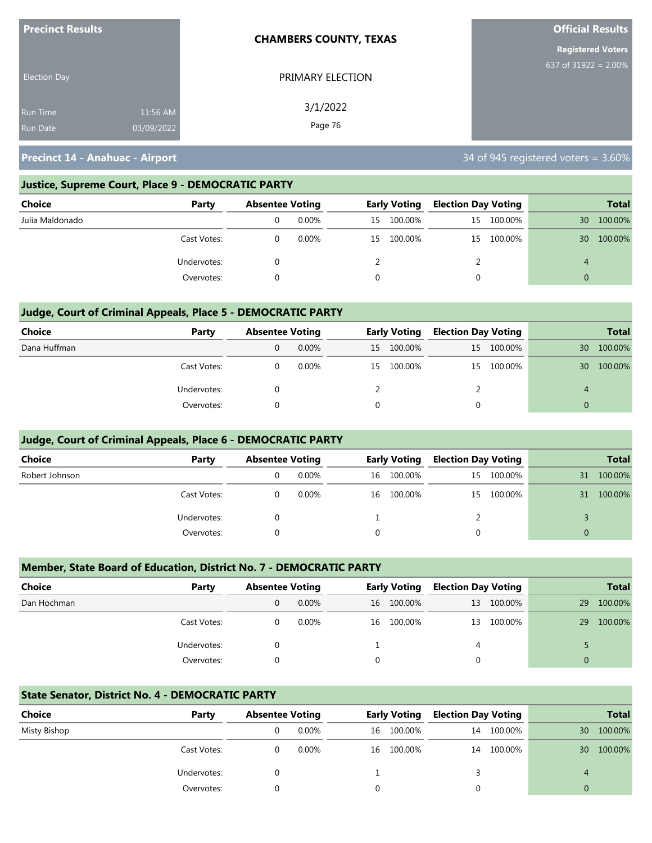| <b>Precinct Results</b> |            | <b>CHAMBERS COUNTY, TEXAS</b> | <b>Official Results</b>  |
|-------------------------|------------|-------------------------------|--------------------------|
|                         |            |                               | <b>Registered Voters</b> |
| <b>Election Day</b>     |            | PRIMARY ELECTION              | 637 of $31922 = 2.00\%$  |
| <b>Run Time</b>         | 11:56 AM   | 3/1/2022                      |                          |
| <b>Run Date</b>         | 03/09/2022 | Page 76                       |                          |

#### **Justice, Supreme Court, Place 9 - DEMOCRATIC PARTY**

| <b>Choice</b>   | Party       | <b>Absentee Voting</b> |          |    | <b>Early Voting</b> | <b>Election Day Voting</b> |            |                | <b>Total</b> |
|-----------------|-------------|------------------------|----------|----|---------------------|----------------------------|------------|----------------|--------------|
| Julia Maldonado |             |                        | $0.00\%$ | 15 | 100.00%             |                            | 15 100.00% | 30             | 100.00%      |
|                 | Cast Votes: |                        | $0.00\%$ | 15 | 100.00%             |                            | 15 100.00% | 30             | 100.00%      |
|                 | Undervotes: |                        |          |    |                     |                            |            | $\overline{A}$ |              |
|                 | Overvotes:  |                        |          |    |                     |                            |            |                |              |

#### **Judge, Court of Criminal Appeals, Place 5 - DEMOCRATIC PARTY**

| Choice       | Party       |   | <b>Absentee Voting</b> |    | <b>Early Voting</b> |    |            |    | <b>Election Day Voting</b> |  | <b>Total</b> |
|--------------|-------------|---|------------------------|----|---------------------|----|------------|----|----------------------------|--|--------------|
| Dana Huffman |             | 0 | 0.00%                  | 15 | 100.00%             |    | 15 100.00% | 30 | 100.00%                    |  |              |
|              | Cast Votes: |   | $0.00\%$               |    | 15 100.00%          | 15 | 100.00%    | 30 | 100.00%                    |  |              |
|              | Undervotes: |   |                        |    |                     |    |            | 4  |                            |  |              |
|              | Overvotes:  |   |                        |    |                     |    |            |    |                            |  |              |

#### **Judge, Court of Criminal Appeals, Place 6 - DEMOCRATIC PARTY**

| <b>Choice</b>  | Party       | <b>Absentee Voting</b> |          |          | <b>Early Voting</b> | <b>Election Day Voting</b> |            |          | <b>Total</b> |
|----------------|-------------|------------------------|----------|----------|---------------------|----------------------------|------------|----------|--------------|
| Robert Johnson |             |                        | 0.00%    | 16       | 100.00%             |                            | 15 100.00% | 31       | 100.00%      |
|                | Cast Votes: |                        | $0.00\%$ | 16       | 100.00%             |                            | 15 100.00% | 31       | 100.00%      |
|                | Undervotes: |                        |          |          |                     |                            |            |          |              |
|                | Overvotes:  |                        |          | $\Omega$ |                     | 0                          |            | $\Omega$ |              |

#### **Member, State Board of Education, District No. 7 - DEMOCRATIC PARTY**

| <b>Choice</b> | Party       |   | <b>Absentee Voting</b> |   | <b>Early Voting</b> |   | <b>Election Day Voting</b> |          | <b>Total</b> |
|---------------|-------------|---|------------------------|---|---------------------|---|----------------------------|----------|--------------|
| Dan Hochman   |             | 0 | 0.00%                  |   | 16 100.00%          |   | 13 100.00%                 | 29       | 100.00%      |
|               | Cast Votes: |   | 0.00%                  |   | 16 100.00%          |   | 13 100.00%                 | 29       | 100.00%      |
|               | Undervotes: |   |                        |   |                     | 4 |                            |          |              |
|               | Overvotes:  |   |                        | 0 |                     | 0 |                            | $\Omega$ |              |

#### **State Senator, District No. 4 - DEMOCRATIC PARTY**

| Choice       | Party       | <b>Absentee Voting</b> |          |    | <b>Early Voting</b> | <b>Election Day Voting</b> |         |                | <b>Total</b> |
|--------------|-------------|------------------------|----------|----|---------------------|----------------------------|---------|----------------|--------------|
| Misty Bishop |             |                        | $0.00\%$ | 16 | 100.00%             | 14                         | 100.00% | 30             | 100.00%      |
|              | Cast Votes: |                        | $0.00\%$ | 16 | 100.00%             | 14                         | 100.00% | 30             | 100.00%      |
|              | Undervotes: |                        |          |    |                     |                            |         | $\overline{A}$ |              |
|              | Overvotes:  |                        |          |    |                     |                            |         |                |              |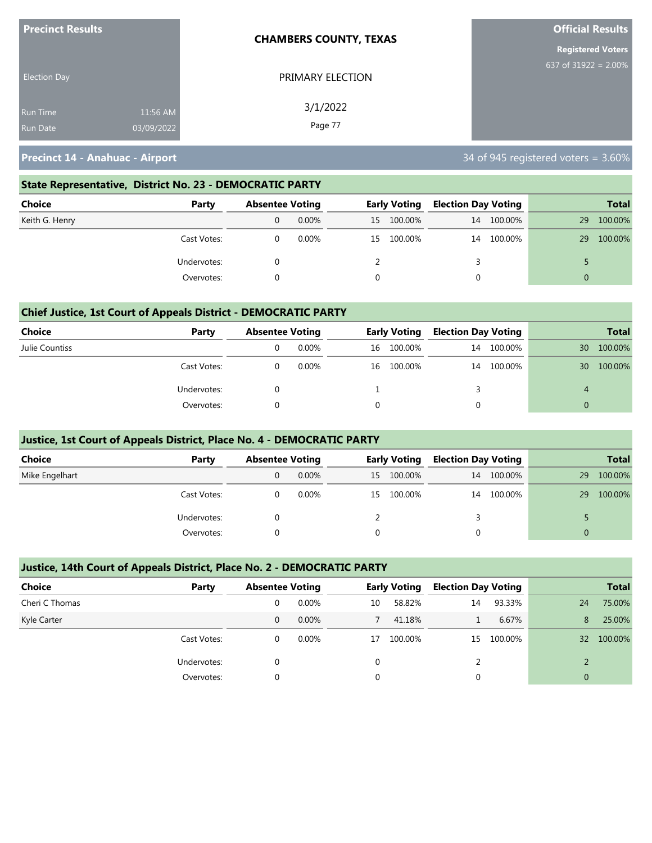| <b>Precinct Results</b> |            | <b>CHAMBERS COUNTY, TEXAS</b> | <b>Official Results</b>  |
|-------------------------|------------|-------------------------------|--------------------------|
|                         |            |                               | <b>Registered Voters</b> |
| <b>Election Day</b>     |            | PRIMARY ELECTION              | 637 of 31922 = $2.00\%$  |
| <b>Run Time</b>         | 11:56 AM   | 3/1/2022                      |                          |
| <b>Run Date</b>         | 03/09/2022 | Page 77                       |                          |

#### **State Representative, District No. 23 - DEMOCRATIC PARTY**

| Choice         | Party       | <b>Absentee Voting</b> |          | <b>Early Voting</b> |         | <b>Election Day Voting</b> |         |          | <b>Total</b> |
|----------------|-------------|------------------------|----------|---------------------|---------|----------------------------|---------|----------|--------------|
| Keith G. Henry |             |                        | $0.00\%$ | 15                  | 100.00% | 14                         | 100.00% | 29       | 100.00%      |
|                | Cast Votes: |                        | $0.00\%$ | 15                  | 100.00% | 14                         | 100.00% | 29       | 100.00%      |
|                | Undervotes: |                        |          |                     |         |                            |         |          |              |
|                | Overvotes:  |                        |          |                     |         |                            |         | $\Omega$ |              |

#### **Chief Justice, 1st Court of Appeals District - DEMOCRATIC PARTY**

| Choice         | Party       | <b>Absentee Voting</b> |          |    | <b>Early Voting</b> | <b>Election Day Voting</b> |         | <b>Total</b> |         |
|----------------|-------------|------------------------|----------|----|---------------------|----------------------------|---------|--------------|---------|
| Julie Countiss |             |                        | 0.00%    | 16 | 100.00%             | 14                         | 100.00% | 30           | 100.00% |
|                | Cast Votes: |                        | $0.00\%$ | 16 | 100.00%             | 14                         | 100.00% | 30           | 100.00% |
|                | Undervotes: |                        |          |    |                     |                            |         | 4            |         |
|                | Overvotes:  |                        |          |    |                     |                            |         |              |         |

#### **Justice, 1st Court of Appeals District, Place No. 4 - DEMOCRATIC PARTY**

| Choice         | Party       | <b>Absentee Voting</b> |          | <b>Early Voting</b> |            | <b>Election Day Voting</b> |         |          | <b>Total</b> |
|----------------|-------------|------------------------|----------|---------------------|------------|----------------------------|---------|----------|--------------|
| Mike Engelhart |             | 0                      | $0.00\%$ |                     | 15 100.00% | 14                         | 100.00% | 29       | 100.00%      |
|                | Cast Votes: |                        | $0.00\%$ | 15                  | 100.00%    | 14                         | 100.00% | 29       | 100.00%      |
|                | Undervotes: |                        |          |                     |            |                            |         |          |              |
|                | Overvotes:  |                        |          |                     |            |                            |         | $\Omega$ |              |

#### **Justice, 14th Court of Appeals District, Place No. 2 - DEMOCRATIC PARTY**

| <b>Choice</b>  | Party       | <b>Absentee Voting</b> |          |    | <b>Early Voting</b> | <b>Election Day Voting</b> |         |                 | <b>Total</b> |
|----------------|-------------|------------------------|----------|----|---------------------|----------------------------|---------|-----------------|--------------|
| Cheri C Thomas |             | 0                      | $0.00\%$ | 10 | 58.82%              | 14                         | 93.33%  | 24              | 75.00%       |
| Kyle Carter    |             | 0                      | $0.00\%$ |    | 41.18%              |                            | 6.67%   | 8               | 25.00%       |
|                | Cast Votes: | 0                      | $0.00\%$ | 17 | 100.00%             | 15                         | 100.00% | 32 <sup>2</sup> | 100.00%      |
|                | Undervotes: | 0                      |          | 0  |                     |                            |         |                 |              |
|                | Overvotes:  | 0                      |          | 0  |                     | 0                          |         | $\mathbf{0}$    |              |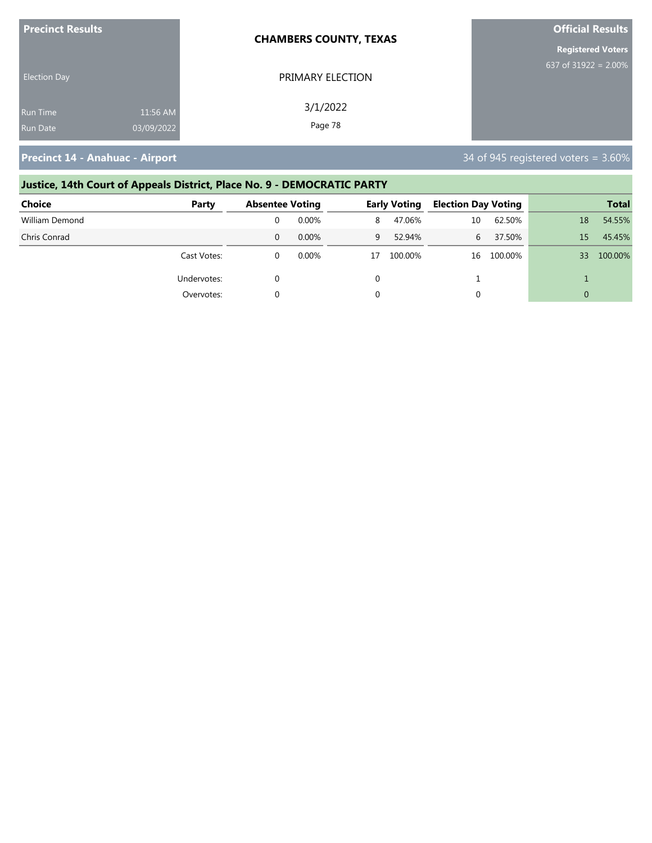| <b>Precinct Results</b> |            | <b>CHAMBERS COUNTY, TEXAS</b> | <b>Official Results</b>  |
|-------------------------|------------|-------------------------------|--------------------------|
|                         |            |                               | <b>Registered Voters</b> |
| <b>Election Day</b>     |            | PRIMARY ELECTION              | 637 of 31922 = $2.00\%$  |
| Run Time                | 11:56 AM   | 3/1/2022                      |                          |
| <b>Run Date</b>         | 03/09/2022 | Page 78                       |                          |

# **Justice, 14th Court of Appeals District, Place No. 9 - DEMOCRATIC PARTY**

| <b>Choice</b>  | Party       | <b>Absentee Voting</b> |       | <b>Early Voting</b> |         | <b>Election Day Voting</b> |         | <b>Total</b> |         |
|----------------|-------------|------------------------|-------|---------------------|---------|----------------------------|---------|--------------|---------|
| William Demond |             |                        | 0.00% | 8                   | 47.06%  | 10                         | 62.50%  | 18           | 54.55%  |
| Chris Conrad   |             |                        | 0.00% | 9                   | 52.94%  | 6                          | 37.50%  | 15           | 45.45%  |
|                | Cast Votes: |                        | 0.00% | 17                  | 100.00% | 16                         | 100.00% | 33           | 100.00% |
|                | Undervotes: |                        |       |                     |         |                            |         |              |         |
|                | Overvotes:  |                        |       |                     |         | 0                          |         | $\Omega$     |         |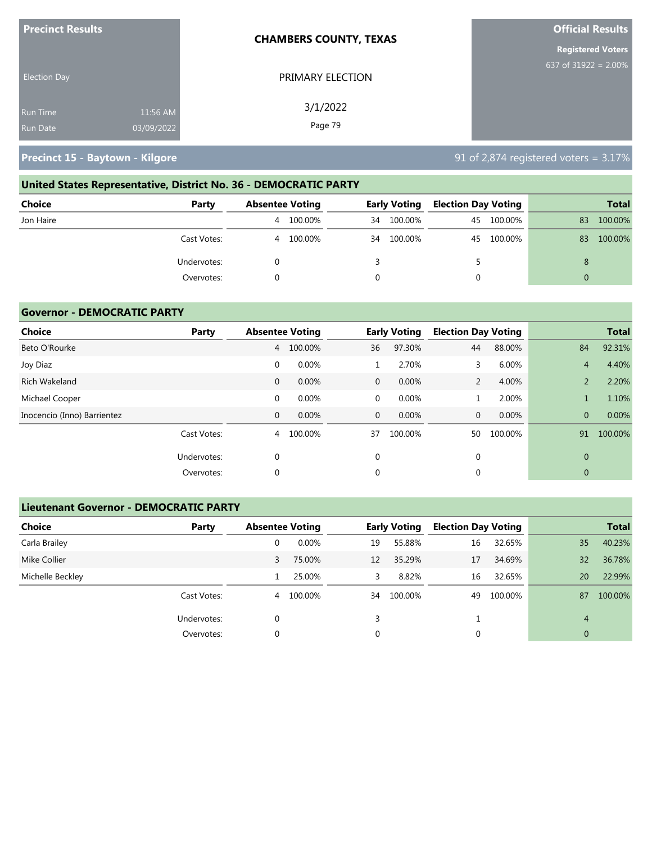| <b>Precinct Results</b> |            | <b>CHAMBERS COUNTY, TEXAS</b> | <b>Official Results</b>  |  |  |
|-------------------------|------------|-------------------------------|--------------------------|--|--|
|                         |            |                               | <b>Registered Voters</b> |  |  |
| <b>Election Day</b>     |            | PRIMARY ELECTION              | 637 of $31922 = 2.00\%$  |  |  |
| <b>Run Time</b>         | 11:56 AM   | 3/1/2022                      |                          |  |  |
| <b>Run Date</b>         | 03/09/2022 | Page 79                       |                          |  |  |

**Precinct 15 - Baytown - Kilgore** 8 and 1990 and 1990 and 1990 and 1990 and 1990 and 1990 and 1990 and 1990 and 1

# **United States Representative, District No. 36 - DEMOCRATIC PARTY Choice Party Absentee Voting Early Voting Election Day Voting Total** Jon Haire 4 100.00% 34 100.00% 45 100.00% 83 100.00%

| Cast Votes: | 100.00%<br>4 | 100.00%<br>34 | 100.00%<br>45 | 100.00%<br>83 |
|-------------|--------------|---------------|---------------|---------------|
| Undervotes: |              |               |               |               |
| Overvotes:  |              |               |               |               |
|             |              |               |               |               |

#### **Governor - DEMOCRATIC PARTY**

| <b>Choice</b>               | Party       |              | <b>Absentee Voting</b> |              | <b>Early Voting</b> | <b>Election Day Voting</b> |         |                | <b>Total</b> |
|-----------------------------|-------------|--------------|------------------------|--------------|---------------------|----------------------------|---------|----------------|--------------|
| Beto O'Rourke               |             | 4            | 100.00%                | 36           | 97.30%              | 44                         | 88.00%  | 84             | 92.31%       |
| Joy Diaz                    |             | $\mathbf 0$  | 0.00%                  |              | 2.70%               | 3                          | 6.00%   | $\overline{4}$ | 4.40%        |
| Rich Wakeland               |             | $\mathbf{0}$ | 0.00%                  | $\mathbf{0}$ | 0.00%               | 2                          | 4.00%   | $\overline{2}$ | 2.20%        |
| Michael Cooper              |             | $\mathbf 0$  | 0.00%                  | 0            | 0.00%               | 1                          | 2.00%   |                | 1.10%        |
| Inocencio (Inno) Barrientez |             | $\mathbf{0}$ | 0.00%                  | $\mathbf{0}$ | $0.00\%$            | $\mathbf{0}$               | 0.00%   | $\overline{0}$ | 0.00%        |
|                             | Cast Votes: | 4            | 100.00%                | 37           | 100.00%             | 50                         | 100.00% | 91             | 100.00%      |
|                             | Undervotes: | 0            |                        | $\mathbf 0$  |                     | $\mathbf{0}$               |         | $\overline{0}$ |              |
|                             | Overvotes:  | 0            |                        | 0            |                     | $\mathbf 0$                |         | 0              |              |

#### **Lieutenant Governor - DEMOCRATIC PARTY**

| <b>Choice</b>    | Party       | <b>Absentee Voting</b> |           |    | <b>Early Voting</b> | <b>Election Day Voting</b> |         |              | <b>Total</b> |
|------------------|-------------|------------------------|-----------|----|---------------------|----------------------------|---------|--------------|--------------|
| Carla Brailey    |             | 0                      | 0.00%     | 19 | 55.88%              | 16                         | 32.65%  | 35           | 40.23%       |
| Mike Collier     |             | 3                      | 75.00%    | 12 | 35.29%              | 17                         | 34.69%  | 32           | 36.78%       |
| Michelle Beckley |             |                        | 25.00%    | 3  | 8.82%               | 16                         | 32.65%  | 20           | 22.99%       |
|                  | Cast Votes: |                        | 4 100.00% | 34 | 100.00%             | 49                         | 100.00% | 87           | 100.00%      |
|                  | Undervotes: | 0                      |           | 3  |                     |                            |         | 4            |              |
|                  | Overvotes:  | 0                      |           | 0  |                     | 0                          |         | $\mathbf{0}$ |              |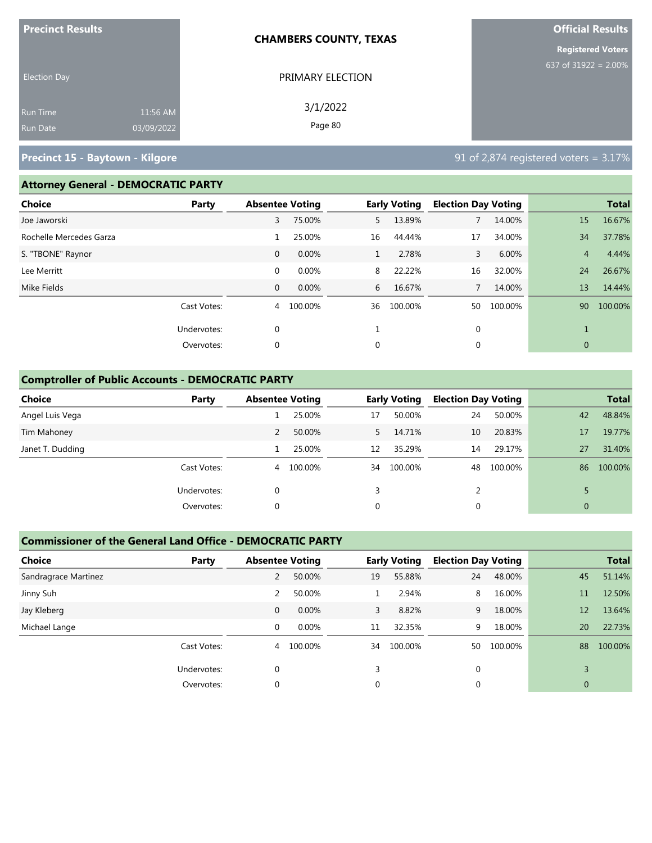| <b>Precinct Results</b> |            | <b>CHAMBERS COUNTY, TEXAS</b> | <b>Official Results</b><br><b>Registered Voters</b> |  |  |
|-------------------------|------------|-------------------------------|-----------------------------------------------------|--|--|
|                         |            |                               |                                                     |  |  |
| <b>Election Day</b>     |            | PRIMARY ELECTION              | 637 of 31922 = 2.00%                                |  |  |
| Run Time                | 11:56 AM   | 3/1/2022                      |                                                     |  |  |
| Run Date                | 03/09/2022 | Page 80                       |                                                     |  |  |

## **Precinct 15 - Baytown - Kilgore** 8 **Precinct 15 - Baytown - Kilgore** 91 of 2,874 registered voters = 3.17%

#### **Attorney General - DEMOCRATIC PARTY**

| . , <u></u> .           |              |                        |         |    |                     |                            |         |                |              |  |  |  |
|-------------------------|--------------|------------------------|---------|----|---------------------|----------------------------|---------|----------------|--------------|--|--|--|
| Choice                  | <b>Party</b> | <b>Absentee Voting</b> |         |    | <b>Early Voting</b> | <b>Election Day Voting</b> |         |                | <b>Total</b> |  |  |  |
| Joe Jaworski            |              | 3                      | 75.00%  | 5. | 13.89%              |                            | 14.00%  | 15             | 16.67%       |  |  |  |
| Rochelle Mercedes Garza |              |                        | 25.00%  | 16 | 44.44%              | 17                         | 34.00%  | 34             | 37.78%       |  |  |  |
| S. "TBONE" Raynor       |              | $\mathbf 0$            | 0.00%   | 1  | 2.78%               | 3                          | 6.00%   | $\overline{4}$ | 4.44%        |  |  |  |
| Lee Merritt             |              | $\mathbf 0$            | 0.00%   | 8  | 22.22%              | 16                         | 32.00%  | 24             | 26.67%       |  |  |  |
| Mike Fields             |              | $\mathbf{0}$           | 0.00%   | 6  | 16.67%              | $7^{\circ}$                | 14.00%  | 13             | 14.44%       |  |  |  |
|                         | Cast Votes:  | 4                      | 100.00% | 36 | 100.00%             | 50                         | 100.00% | 90             | 100.00%      |  |  |  |
|                         | Undervotes:  | $\mathbf 0$            |         |    |                     | $\mathbf 0$                |         |                |              |  |  |  |
|                         | Overvotes:   | $\mathbf 0$            |         | 0  |                     | 0                          |         | $\mathbf{0}$   |              |  |  |  |

### **Comptroller of Public Accounts - DEMOCRATIC PARTY**

| <b>Choice</b>    | Party       |                | <b>Absentee Voting</b> |             | <b>Early Voting</b> | <b>Election Day Voting</b> |         |                | <b>Total</b> |
|------------------|-------------|----------------|------------------------|-------------|---------------------|----------------------------|---------|----------------|--------------|
| Angel Luis Vega  |             |                | 25.00%                 | 17          | 50.00%              | 24                         | 50.00%  | 42             | 48.84%       |
| Tim Mahoney      |             | 2              | 50.00%                 | 5           | 14.71%              | 10                         | 20.83%  | 17             | 19.77%       |
| Janet T. Dudding |             |                | 25.00%                 | 12          | 35.29%              | 14                         | 29.17%  | 27             | 31.40%       |
|                  | Cast Votes: | $\overline{4}$ | 100.00%                | 34          | 100.00%             | 48                         | 100.00% | 86             | 100.00%      |
|                  | Undervotes: | $\mathbf 0$    |                        | 3           |                     | $\mathcal{P}$              |         |                |              |
|                  | Overvotes:  | 0              |                        | $\mathbf 0$ |                     |                            |         | $\overline{0}$ |              |

#### **Commissioner of the General Land Office - DEMOCRATIC PARTY**

| <b>Choice</b>        | Party       | <b>Absentee Voting</b> |         |    | <b>Early Voting</b> |          | <b>Election Day Voting</b> |              | <b>Total</b> |
|----------------------|-------------|------------------------|---------|----|---------------------|----------|----------------------------|--------------|--------------|
| Sandragrace Martinez |             | 2                      | 50.00%  | 19 | 55.88%              | 24       | 48.00%                     | 45           | 51.14%       |
| Jinny Suh            |             | 2                      | 50.00%  |    | 2.94%               | 8        | 16.00%                     | 11           | 12.50%       |
| Jay Kleberg          |             | $\mathbf{0}$           | 0.00%   | 3  | 8.82%               | 9        | 18.00%                     | 12           | 13.64%       |
| Michael Lange        |             | 0                      | 0.00%   | 11 | 32.35%              | 9        | 18.00%                     | 20           | 22.73%       |
|                      | Cast Votes: | $\overline{4}$         | 100.00% | 34 | 100.00%             | 50       | 100.00%                    | 88           | 100.00%      |
|                      | Undervotes: | $\Omega$               |         |    |                     | $\Omega$ |                            | 3            |              |
|                      | Overvotes:  | 0                      |         | 0  |                     | 0        |                            | $\mathbf{0}$ |              |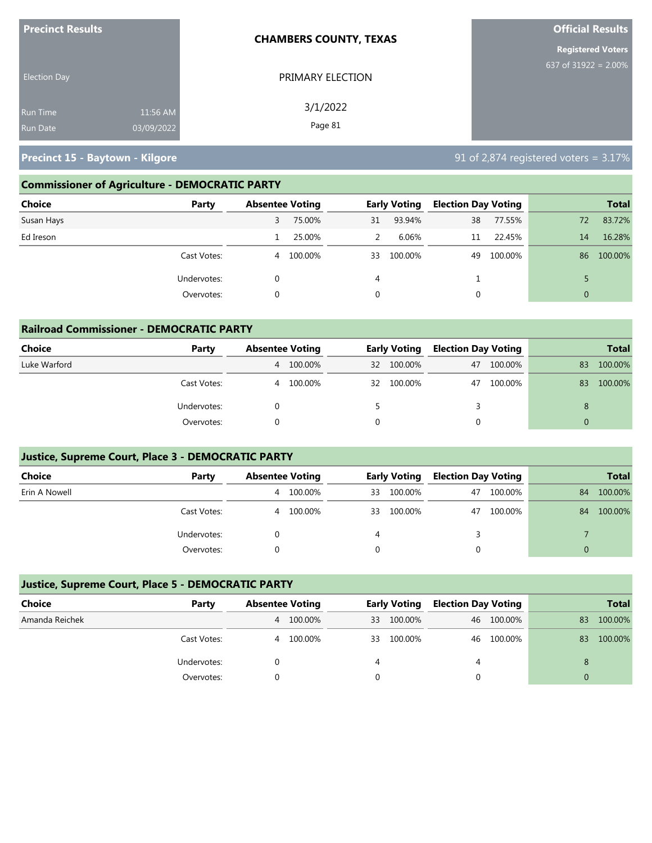| <b>Precinct Results</b> |            | <b>CHAMBERS COUNTY, TEXAS</b> | <b>Official Results</b>  |  |  |
|-------------------------|------------|-------------------------------|--------------------------|--|--|
|                         |            |                               | <b>Registered Voters</b> |  |  |
| <b>Election Day</b>     |            | PRIMARY ELECTION              | 637 of 31922 = $2.00\%$  |  |  |
| <b>Run Time</b>         | 11:56 AM   | 3/1/2022                      |                          |  |  |
| <b>Run Date</b>         | 03/09/2022 | Page 81                       |                          |  |  |

**Precinct 15 - Baytown - Kilgore 15 - Baytown - Kilgore** 1991 **12.874 registered voters = 3.17%** 

### **Commissioner of Agriculture - DEMOCRATIC PARTY**

| <b>Choice</b><br>Party | <b>Absentee Voting</b> |         |    | <b>Early Voting</b> | <b>Election Day Voting</b> |         |                | <b>Total</b> |
|------------------------|------------------------|---------|----|---------------------|----------------------------|---------|----------------|--------------|
| Susan Hays             | 3                      | 75.00%  | 31 | 93.94%              | 38                         | 77.55%  | 72             | 83.72%       |
| Ed Ireson              |                        | 25.00%  | 2  | 6.06%               | 11                         | 22.45%  | 14             | 16.28%       |
| Cast Votes:            | 4                      | 100.00% | 33 | 100.00%             | 49                         | 100.00% | 86             | 100.00%      |
| Undervotes:            |                        |         | 4  |                     |                            |         |                |              |
| Overvotes:             |                        |         |    |                     |                            |         | $\overline{0}$ |              |

| <b>Railroad Commissioner - DEMOCRATIC PARTY</b> |             |                        |         |                 |                     |                            |            |          |              |  |
|-------------------------------------------------|-------------|------------------------|---------|-----------------|---------------------|----------------------------|------------|----------|--------------|--|
| Choice                                          | Party       | <b>Absentee Voting</b> |         |                 | <b>Early Voting</b> | <b>Election Day Voting</b> |            |          | <b>Total</b> |  |
| Luke Warford                                    |             | $\overline{4}$         | 100.00% | 32 <sup>2</sup> | 100.00%             |                            | 47 100.00% | 83       | 100.00%      |  |
|                                                 | Cast Votes: | $\overline{4}$         | 100.00% | 32              | 100.00%             | 47                         | 100.00%    | 83       | 100.00%      |  |
|                                                 | Undervotes: |                        |         |                 |                     | 3                          |            | 8        |              |  |
|                                                 | Overvotes:  |                        |         |                 |                     | $\Omega$                   |            | $\Omega$ |              |  |

#### **Justice, Supreme Court, Place 3 - DEMOCRATIC PARTY**

| <b>Choice</b> | Party       | <b>Absentee Voting</b> |         | <b>Early Voting</b> |         | <b>Election Day Voting</b> |         | <b>Total</b> |         |
|---------------|-------------|------------------------|---------|---------------------|---------|----------------------------|---------|--------------|---------|
| Erin A Nowell |             | 4                      | 100.00% | 33                  | 100.00% | 47                         | 100.00% | 84           | 100.00% |
|               | Cast Votes: | 4                      | 100.00% | 33                  | 100.00% | 47                         | 100.00% | 84           | 100.00% |
|               | Undervotes: |                        |         | 4                   |         |                            |         |              |         |
|               | Overvotes:  |                        |         |                     |         |                            |         | 0            |         |

#### **Justice, Supreme Court, Place 5 - DEMOCRATIC PARTY**

| Choice         | Party       | <b>Absentee Voting</b> |         | <b>Early Voting</b> |         | <b>Election Day Voting</b> |            |    | <b>Total</b> |
|----------------|-------------|------------------------|---------|---------------------|---------|----------------------------|------------|----|--------------|
| Amanda Reichek |             | 4                      | 100.00% | 33                  | 100.00% |                            | 46 100.00% | 83 | 100.00%      |
|                | Cast Votes: | 4                      | 100.00% | 33                  | 100.00% |                            | 46 100.00% | 83 | 100.00%      |
|                | Undervotes: |                        |         |                     |         | 4                          |            | 8  |              |
|                | Overvotes:  |                        |         |                     |         |                            |            |    |              |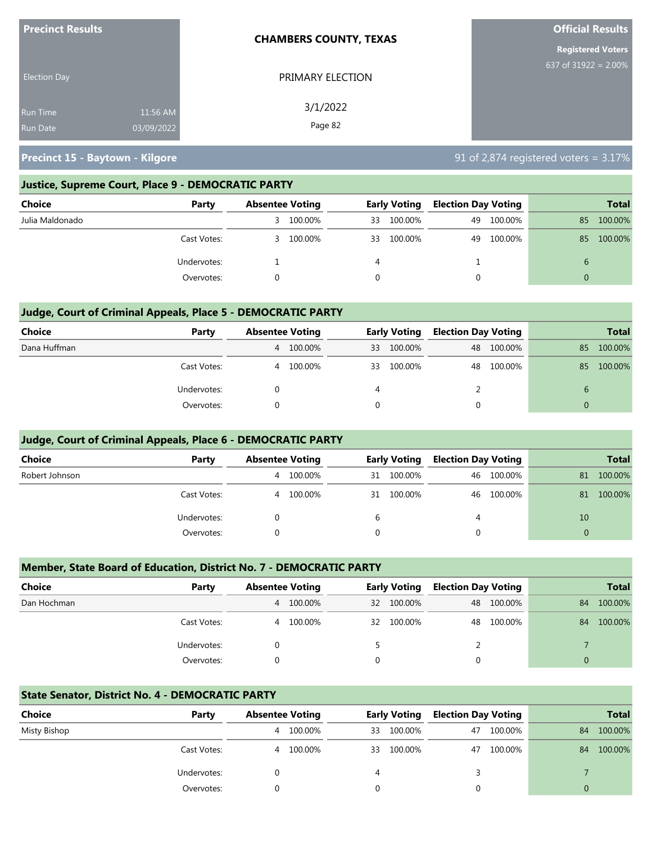| <b>Precinct Results</b> |            | <b>CHAMBERS COUNTY, TEXAS</b> | <b>Official Results</b>  |  |
|-------------------------|------------|-------------------------------|--------------------------|--|
|                         |            |                               | <b>Registered Voters</b> |  |
| <b>Election Day</b>     |            | PRIMARY ELECTION              | 637 of 31922 = $2.00\%$  |  |
| <b>Run Time</b>         | 11:56 AM   | 3/1/2022                      |                          |  |
| <b>Run Date</b>         | 03/09/2022 | Page 82                       |                          |  |

**Precinct 15 - Baytown - Kilgore** 8 and 1990 and 1990 and 1990 and 1990 and 1990 and 1990 and 1990 and 1990 and 1

#### **Justice, Supreme Court, Place 9 - DEMOCRATIC PARTY**

| <b>Choice</b>   | Party       | <b>Absentee Voting</b> |         |    | <b>Early Voting</b> | <b>Election Day Voting</b> |         |    | <b>Total</b> |
|-----------------|-------------|------------------------|---------|----|---------------------|----------------------------|---------|----|--------------|
| Julia Maldonado |             | 3                      | 100.00% | 33 | 100.00%             | 49                         | 100.00% | 85 | 100.00%      |
|                 | Cast Votes: | 3.                     | 100.00% | 33 | 100.00%             | 49                         | 100.00% | 85 | 100.00%      |
|                 | Undervotes: |                        |         | 4  |                     |                            |         | 6  |              |
|                 | Overvotes:  |                        |         | 0  |                     | 0                          |         |    |              |

#### **Judge, Court of Criminal Appeals, Place 5 - DEMOCRATIC PARTY**

| Choice       | Party       | <b>Absentee Voting</b> |         | <b>Early Voting</b> |         | <b>Election Day Voting</b> |            | <b>Total</b>  |         |
|--------------|-------------|------------------------|---------|---------------------|---------|----------------------------|------------|---------------|---------|
| Dana Huffman |             | 4                      | 100.00% | 33                  | 100.00% |                            | 48 100.00% | 85            | 100.00% |
|              | Cast Votes: | 4                      | 100.00% | 33                  | 100.00% | 48                         | 100.00%    | 85            | 100.00% |
|              | Undervotes: |                        |         | 4                   |         |                            |            | $\mathfrak b$ |         |
|              | Overvotes:  |                        |         |                     |         |                            |            |               |         |

#### **Judge, Court of Criminal Appeals, Place 6 - DEMOCRATIC PARTY**

| <b>Choice</b>  | Party       | <b>Absentee Voting</b> |         | <b>Early Voting</b> |            | <b>Election Day Voting</b> |            |          | <b>Total</b> |
|----------------|-------------|------------------------|---------|---------------------|------------|----------------------------|------------|----------|--------------|
| Robert Johnson |             | 4                      | 100.00% |                     | 31 100.00% |                            | 46 100.00% | 81       | 100.00%      |
|                | Cast Votes: | 4                      | 100.00% |                     | 31 100.00% |                            | 46 100.00% | 81       | 100.00%      |
|                | Undervotes: |                        |         | 6                   |            | 4                          |            | 10       |              |
|                | Overvotes:  |                        |         | 0                   |            | 0                          |            | $\Omega$ |              |

#### **Member, State Board of Education, District No. 7 - DEMOCRATIC PARTY**

| <b>Choice</b> | Party       | <b>Absentee Voting</b> |           | <b>Early Voting</b> |            | <b>Election Day Voting</b> |            |          | <b>Total</b> |
|---------------|-------------|------------------------|-----------|---------------------|------------|----------------------------|------------|----------|--------------|
| Dan Hochman   |             |                        | 4 100.00% |                     | 32 100.00% |                            | 48 100.00% | 84       | 100.00%      |
|               | Cast Votes: | 4                      | 100.00%   |                     | 32 100.00% | 48                         | 100.00%    | 84       | 100.00%      |
|               | Undervotes: |                        |           |                     |            |                            |            |          |              |
|               | Overvotes:  |                        |           | 0                   |            | 0                          |            | $\Omega$ |              |

#### **State Senator, District No. 4 - DEMOCRATIC PARTY**

| Choice       | Party       | <b>Absentee Voting</b> |         |    | <b>Early Voting</b> | <b>Election Day Voting</b> |         |    | <b>Total</b> |
|--------------|-------------|------------------------|---------|----|---------------------|----------------------------|---------|----|--------------|
| Misty Bishop |             | 4                      | 100.00% | 33 | 100.00%             | 47                         | 100.00% | 84 | 100.00%      |
|              | Cast Votes: | 4                      | 100.00% | 33 | 100.00%             | 47                         | 100.00% | 84 | 100.00%      |
|              | Undervotes: |                        |         |    |                     |                            |         |    |              |
|              | Overvotes:  |                        |         |    |                     |                            |         |    |              |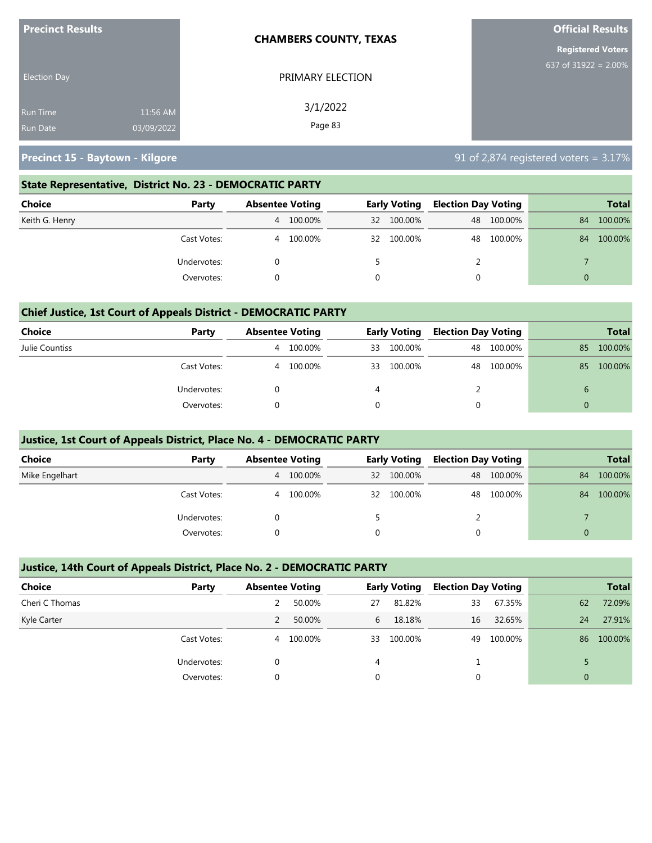| <b>Precinct Results</b> |            | <b>CHAMBERS COUNTY, TEXAS</b> | <b>Official Results</b>  |  |  |  |  |
|-------------------------|------------|-------------------------------|--------------------------|--|--|--|--|
|                         |            |                               | <b>Registered Voters</b> |  |  |  |  |
| <b>Election Day</b>     |            | PRIMARY ELECTION              | 637 of $31922 = 2.00\%$  |  |  |  |  |
| <b>Run Time</b>         | 11:56 AM   | 3/1/2022                      |                          |  |  |  |  |
| <b>Run Date</b>         | 03/09/2022 | Page 83                       |                          |  |  |  |  |

**Precinct 15 - Baytown - Kilgore** 8 and 1990 and 1990 and 1990 and 1990 and 1990 and 1990 and 1990 and 1990 and 1

#### **State Representative, District No. 23 - DEMOCRATIC PARTY**

| Choice         | Party       | <b>Absentee Voting</b> |         | <b>Early Voting</b> |         | <b>Election Day Voting</b> |            |    | Total   |
|----------------|-------------|------------------------|---------|---------------------|---------|----------------------------|------------|----|---------|
| Keith G. Henry |             | 4                      | 100.00% | 32                  | 100.00% |                            | 48 100.00% | 84 | 100.00% |
|                | Cast Votes: | 4                      | 100.00% | 32                  | 100.00% |                            | 48 100.00% | 84 | 100.00% |
|                | Undervotes: |                        |         |                     |         |                            |            |    |         |
|                | Overvotes:  |                        |         |                     |         |                            |            | 0  |         |

#### **Chief Justice, 1st Court of Appeals District - DEMOCRATIC PARTY**

| Choice         | Party       | <b>Absentee Voting</b> |         | <b>Early Voting</b> |         | <b>Election Day Voting</b> |         |               | <b>Total</b> |
|----------------|-------------|------------------------|---------|---------------------|---------|----------------------------|---------|---------------|--------------|
| Julie Countiss |             | 4                      | 100.00% | 33                  | 100.00% | 48                         | 100.00% | 85            | 100.00%      |
|                | Cast Votes: | 4                      | 100.00% | 33                  | 100.00% | 48                         | 100.00% | 85            | 100.00%      |
|                | Undervotes: |                        |         | 4                   |         |                            |         | $\mathfrak b$ |              |
|                | Overvotes:  |                        |         |                     |         |                            |         |               |              |

#### **Justice, 1st Court of Appeals District, Place No. 4 - DEMOCRATIC PARTY**

| Choice         | Party       | <b>Absentee Voting</b> |           | <b>Early Voting</b> | <b>Election Day Voting</b> |            |          | <b>Total</b> |
|----------------|-------------|------------------------|-----------|---------------------|----------------------------|------------|----------|--------------|
| Mike Engelhart |             |                        | 4 100.00% | 32 100.00%          |                            | 48 100.00% | 84       | 100.00%      |
|                | Cast Votes: | 4                      | 100.00%   | 32 100.00%          | 48                         | 100.00%    | 84       | 100.00%      |
|                | Undervotes: |                        |           |                     |                            |            |          |              |
|                | Overvotes:  |                        |           |                     | 0                          |            | $\Omega$ |              |

#### **Justice, 14th Court of Appeals District, Place No. 2 - DEMOCRATIC PARTY**

| <b>Choice</b>  | Party       | <b>Absentee Voting</b> |         |    | <b>Early Voting</b> | <b>Election Day Voting</b> |         |    | <b>Total</b> |
|----------------|-------------|------------------------|---------|----|---------------------|----------------------------|---------|----|--------------|
| Cheri C Thomas |             |                        | 50.00%  | 27 | 81.82%              | 33                         | 67.35%  | 62 | 72.09%       |
| Kyle Carter    |             |                        | 50.00%  | 6  | 18.18%              | 16                         | 32.65%  | 24 | 27.91%       |
|                | Cast Votes: | 4                      | 100.00% | 33 | 100.00%             | 49                         | 100.00% | 86 | 100.00%      |
|                | Undervotes: |                        |         | 4  |                     |                            |         |    |              |
|                | Overvotes:  | $\Omega$               |         | 0  |                     |                            |         | 0  |              |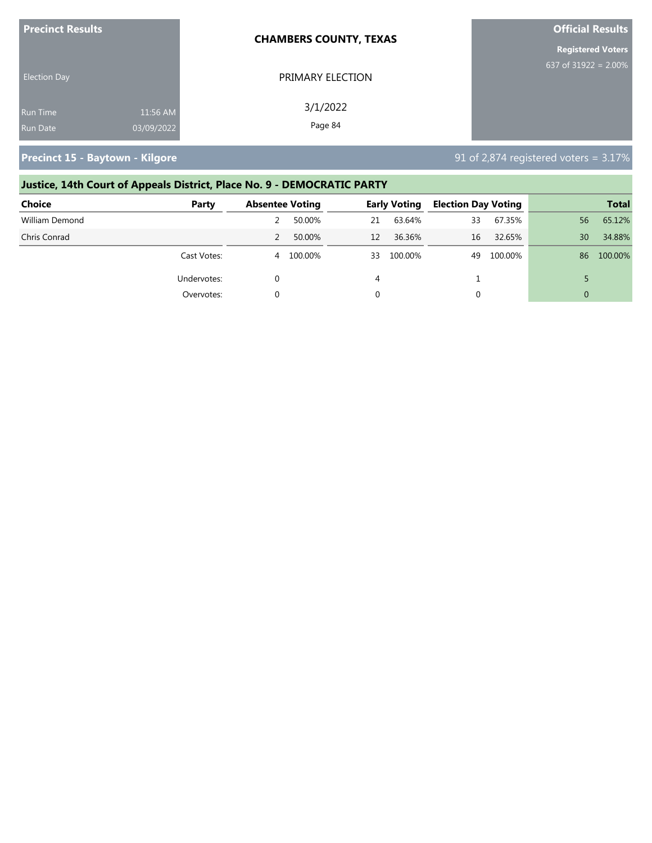| <b>Precinct Results</b> |            | <b>CHAMBERS COUNTY, TEXAS</b> | <b>Official Results</b>  |
|-------------------------|------------|-------------------------------|--------------------------|
|                         |            |                               | <b>Registered Voters</b> |
| <b>Election Day</b>     |            | PRIMARY ELECTION              | 637 of $31922 = 2.00\%$  |
| <b>Run Time</b>         | 11:56 AM   | 3/1/2022                      |                          |
| <b>Run Date</b>         | 03/09/2022 | Page 84                       |                          |

**Precinct 15 - Baytown - Kilgore** 8 **Precinct 15 - Baytown - Kilgore** 91 of 2,874 registered voters = 3.17%

# **Justice, 14th Court of Appeals District, Place No. 9 - DEMOCRATIC PARTY**

| <b>Choice</b>  | Party       | <b>Absentee Voting</b> |         |    | <b>Early Voting</b> | <b>Election Day Voting</b> |         |                 | <b>Total</b> |
|----------------|-------------|------------------------|---------|----|---------------------|----------------------------|---------|-----------------|--------------|
| William Demond |             |                        | 50.00%  | 21 | 63.64%              | 33                         | 67.35%  | 56 <sup>°</sup> | 65.12%       |
| Chris Conrad   |             |                        | 50.00%  | 12 | 36.36%              | 16                         | 32.65%  | 30              | 34.88%       |
|                | Cast Votes: | 4                      | 100.00% | 33 | 100.00%             | 49                         | 100.00% | 86              | 100.00%      |
|                | Undervotes: |                        |         | 4  |                     |                            |         |                 |              |
|                | Overvotes:  |                        |         |    |                     | 0                          |         | $\Omega$        |              |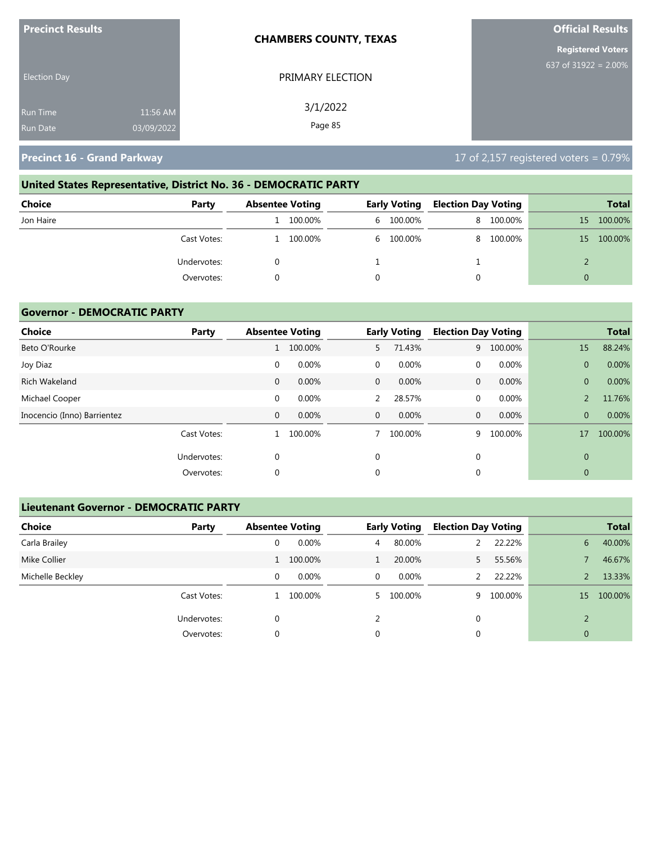| <b>Precinct Results</b> |            | <b>CHAMBERS COUNTY, TEXAS</b> | <b>Official Results</b>  |
|-------------------------|------------|-------------------------------|--------------------------|
|                         |            |                               | <b>Registered Voters</b> |
| <b>Election Day</b>     |            | PRIMARY ELECTION              | 637 of 31922 = $2.00\%$  |
| <b>Run Time</b>         | 11:56 AM   | 3/1/2022                      |                          |
| <b>Run Date</b>         | 03/09/2022 | Page 85                       |                          |

# **United States Representative, District No. 36 - DEMOCRATIC PARTY**

| <b>Choice</b> | Party       | <b>Absentee Voting</b> | <b>Early Voting</b> | Election Day Voting |           |    | <b>Total</b> |
|---------------|-------------|------------------------|---------------------|---------------------|-----------|----|--------------|
| Jon Haire     |             | 100.00%                | 6 100.00%           |                     | 8 100.00% | 15 | 100.00%      |
|               | Cast Votes: | 100.00%                | 6 100.00%           |                     | 8 100.00% | 15 | 100.00%      |
|               | Undervotes: |                        |                     |                     |           |    |              |
|               | Overvotes:  |                        |                     |                     |           | 0  |              |

#### **Governor - DEMOCRATIC PARTY**

| Choice                      | Party       |              | <b>Absentee Voting</b> |              | <b>Early Voting</b> | <b>Election Day Voting</b> |         |                | <b>Total</b> |
|-----------------------------|-------------|--------------|------------------------|--------------|---------------------|----------------------------|---------|----------------|--------------|
| Beto O'Rourke               |             |              | 100.00%                | 5            | 71.43%              | 9                          | 100.00% | 15             | 88.24%       |
| Joy Diaz                    |             | $\mathbf 0$  | 0.00%                  | $\mathbf 0$  | 0.00%               | $\mathbf 0$                | 0.00%   | $\overline{0}$ | 0.00%        |
| Rich Wakeland               |             | 0            | 0.00%                  | $\mathbf{0}$ | 0.00%               | $\mathbf{0}$               | 0.00%   | $\overline{0}$ | 0.00%        |
| Michael Cooper              |             | $\mathbf 0$  | 0.00%                  | 2            | 28.57%              | $\mathbf{0}$               | 0.00%   |                | 11.76%       |
| Inocencio (Inno) Barrientez |             | $\mathbf{0}$ | 0.00%                  | $\mathbf{0}$ | 0.00%               | $\mathbf{0}$               | 0.00%   | $\overline{0}$ | 0.00%        |
|                             | Cast Votes: |              | 100.00%                |              | 100.00%             | 9                          | 100.00% | 17             | 100.00%      |
|                             | Undervotes: | $\mathbf 0$  |                        | $\mathbf 0$  |                     | $\mathbf{0}$               |         | $\overline{0}$ |              |
|                             | Overvotes:  | $\mathbf 0$  |                        | $\mathbf 0$  |                     | 0                          |         | $\overline{0}$ |              |

#### **Lieutenant Governor - DEMOCRATIC PARTY**

| <b>Choice</b>    | Party       | <b>Absentee Voting</b> |          |    | <b>Early Voting</b> | <b>Election Day Voting</b> |         |                | <b>Total</b> |
|------------------|-------------|------------------------|----------|----|---------------------|----------------------------|---------|----------------|--------------|
| Carla Brailey    |             | 0                      | 0.00%    | 4  | 80.00%              |                            | 22.22%  | 6              | 40.00%       |
| Mike Collier     |             |                        | 100.00%  |    | 20.00%              |                            | 55.56%  |                | 46.67%       |
| Michelle Beckley |             | 0                      | $0.00\%$ | 0  | 0.00%               |                            | 22.22%  |                | 13.33%       |
|                  | Cast Votes: |                        | 100.00%  | 5. | 100.00%             | 9                          | 100.00% | 15             | 100.00%      |
|                  | Undervotes: | 0                      |          |    |                     | 0                          |         | $\mathcal{D}$  |              |
|                  | Overvotes:  | 0                      |          | 0  |                     | 0                          |         | $\overline{0}$ |              |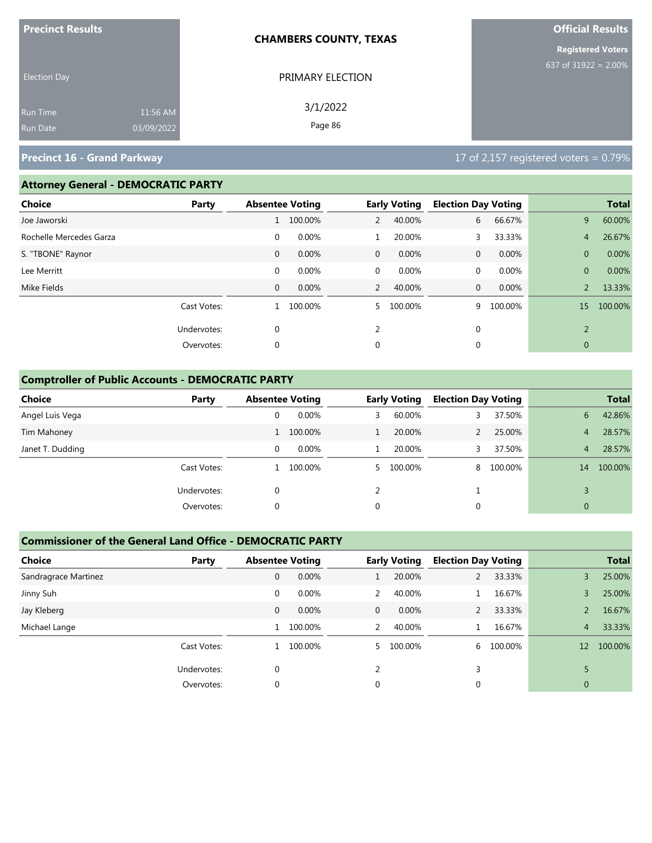| <b>Precinct Results</b> |            | <b>CHAMBERS COUNTY, TEXAS</b> | <b>Official Results</b>  |  |  |
|-------------------------|------------|-------------------------------|--------------------------|--|--|
|                         |            |                               | <b>Registered Voters</b> |  |  |
| <b>Election Day</b>     |            | PRIMARY ELECTION              | 637 of 31922 = $2.00\%$  |  |  |
| Run Time                | 11:56 AM   | 3/1/2022                      |                          |  |  |
| Run Date                | 03/09/2022 | Page 86                       |                          |  |  |

#### **Attorney General - DEMOCRATIC PARTY**

| <b>Choice</b>           | Party       |              | <b>Absentee Voting</b> |                | <b>Early Voting</b> | <b>Election Day Voting</b> |         |                | <b>Total</b> |
|-------------------------|-------------|--------------|------------------------|----------------|---------------------|----------------------------|---------|----------------|--------------|
| Joe Jaworski            |             |              | 100.00%                | 2              | 40.00%              | 6                          | 66.67%  | 9              | 60.00%       |
| Rochelle Mercedes Garza |             | $\mathbf 0$  | 0.00%                  | 1              | 20.00%              | 3                          | 33.33%  | $\overline{4}$ | 26.67%       |
| S. "TBONE" Raynor       |             | $\mathbf{0}$ | $0.00\%$               | $\mathbf{0}$   | $0.00\%$            | $\mathbf{0}$               | 0.00%   | $\mathbf{0}$   | 0.00%        |
| Lee Merritt             |             | $\mathbf 0$  | 0.00%                  | 0              | 0.00%               | $\mathbf{0}$               | 0.00%   | $\mathbf{0}$   | 0.00%        |
| Mike Fields             |             | $\mathbf{0}$ | 0.00%                  | 2              | 40.00%              | $\mathbf{0}$               | 0.00%   | $\overline{2}$ | 13.33%       |
|                         | Cast Votes: | 1            | 100.00%                | 5.             | 100.00%             | 9                          | 100.00% | 15             | 100.00%      |
|                         | Undervotes: | 0            |                        | $\overline{2}$ |                     | $\mathbf{0}$               |         | $\overline{2}$ |              |
|                         | Overvotes:  | 0            |                        | 0              |                     | 0                          |         | $\overline{0}$ |              |
|                         |             |              |                        |                |                     |                            |         |                |              |

#### **Comptroller of Public Accounts - DEMOCRATIC PARTY**

| <b>Choice</b>    | Party       | <b>Absentee Voting</b> |          |   | <b>Early Voting</b> | <b>Election Day Voting</b> |         |              | <b>Total</b> |
|------------------|-------------|------------------------|----------|---|---------------------|----------------------------|---------|--------------|--------------|
| Angel Luis Vega  |             | 0                      | 0.00%    | 3 | 60.00%              |                            | 37.50%  | 6            | 42.86%       |
| Tim Mahoney      |             |                        | 100.00%  |   | 20.00%              |                            | 25.00%  | 4            | 28.57%       |
| Janet T. Dudding |             | 0                      | $0.00\%$ |   | 20.00%              |                            | 37.50%  | 4            | 28.57%       |
|                  | Cast Votes: |                        | 100.00%  |   | 5 100.00%           | 8                          | 100.00% | 14           | 100.00%      |
|                  | Undervotes: | 0                      |          |   |                     |                            |         |              |              |
|                  | Overvotes:  | 0                      |          | 0 |                     | 0                          |         | $\mathbf{0}$ |              |

#### **Commissioner of the General Land Office - DEMOCRATIC PARTY**

| <b>Choice</b>        | Party       | <b>Absentee Voting</b> |         |              | <b>Early Voting</b> | <b>Election Day Voting</b> |         |                | <b>Total</b> |
|----------------------|-------------|------------------------|---------|--------------|---------------------|----------------------------|---------|----------------|--------------|
| Sandragrace Martinez |             | $\mathbf{0}$           | 0.00%   |              | 20.00%              | 2                          | 33.33%  | $\overline{3}$ | 25.00%       |
| Jinny Suh            |             | 0                      | 0.00%   |              | 40.00%              |                            | 16.67%  | 3              | 25.00%       |
| Jay Kleberg          |             | $\mathbf{0}$           | 0.00%   | $\mathbf{0}$ | 0.00%               | $\overline{2}$             | 33.33%  | 2              | 16.67%       |
| Michael Lange        |             | 1                      | 100.00% | 2            | 40.00%              | $\mathbf{1}$               | 16.67%  | 4 <sup>7</sup> | 33.33%       |
|                      | Cast Votes: | 1                      | 100.00% | 5.           | 100.00%             | 6                          | 100.00% | 12             | 100.00%      |
|                      | Undervotes: | $\Omega$               |         |              |                     | 3                          |         |                |              |
|                      | Overvotes:  | $\mathbf 0$            |         | 0            |                     | 0                          |         | $\mathbf{0}$   |              |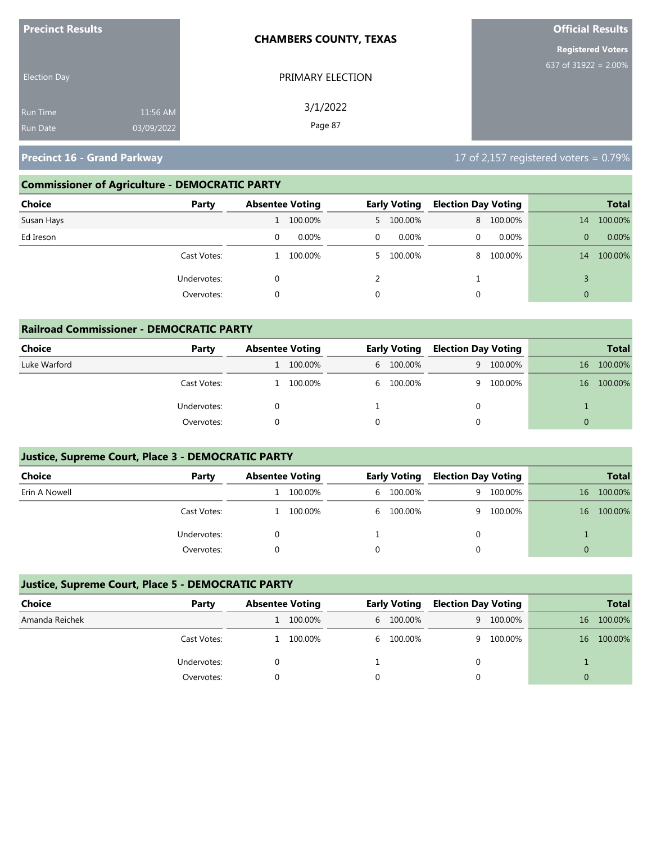| <b>Precinct Results</b>                                      | <b>CHAMBERS COUNTY, TEXAS</b> | <b>Official Results</b>  |
|--------------------------------------------------------------|-------------------------------|--------------------------|
|                                                              |                               | <b>Registered Voters</b> |
| <b>Election Day</b>                                          | PRIMARY ELECTION              | 637 of 31922 = $2.00\%$  |
| 11:56 AM<br><b>Run Time</b><br>03/09/2022<br><b>Run Date</b> | 3/1/2022<br>Page 87           |                          |

### **Commissioner of Agriculture - DEMOCRATIC PARTY**

| Choice<br>Party | <b>Absentee Voting</b> |          |          | <b>Early Voting</b> | <b>Election Day Voting</b> |           |                | <b>Total</b> |
|-----------------|------------------------|----------|----------|---------------------|----------------------------|-----------|----------------|--------------|
| Susan Hays      |                        | 100.00%  |          | 5 100.00%           |                            | 8 100.00% | 14             | 100.00%      |
| Ed Ireson       |                        | $0.00\%$ | $\Omega$ | $0.00\%$            | $\Omega$                   | $0.00\%$  | 0              | 0.00%        |
| Cast Votes:     |                        | 100.00%  |          | 5 100.00%           |                            | 8 100.00% | 14             | 100.00%      |
| Undervotes:     |                        |          |          |                     |                            |           |                |              |
| Overvotes:      |                        |          | 0        |                     | 0                          |           | $\overline{0}$ |              |

| <b>Railroad Commissioner - DEMOCRATIC PARTY</b> |             |                        |         |  |                     |                            |           |          |              |
|-------------------------------------------------|-------------|------------------------|---------|--|---------------------|----------------------------|-----------|----------|--------------|
| Choice                                          | Party       | <b>Absentee Voting</b> |         |  | <b>Early Voting</b> | <b>Election Day Voting</b> |           |          | <b>Total</b> |
| Luke Warford                                    |             |                        | 100.00% |  | 6 100.00%           |                            | 9 100.00% | 16       | 100.00%      |
|                                                 | Cast Votes: |                        | 100.00% |  | 6 100.00%           |                            | 9 100.00% | 16       | 100.00%      |
|                                                 | Undervotes: |                        |         |  |                     | $\Omega$                   |           |          |              |
|                                                 | Overvotes:  |                        |         |  |                     |                            |           | $\Omega$ |              |

### **Justice, Supreme Court, Place 3 - DEMOCRATIC PARTY**

| <b>Choice</b> | Party       | <b>Absentee Voting</b> |         | <b>Early Voting</b> | <b>Election Day Voting</b> |         |    | <b>Total</b> |
|---------------|-------------|------------------------|---------|---------------------|----------------------------|---------|----|--------------|
| Erin A Nowell |             |                        | 100.00% | 6 100.00%           | 9                          | 100.00% | 16 | 100.00%      |
|               | Cast Votes: |                        | 100.00% | 6 100.00%           | Q                          | 100.00% | 16 | 100.00%      |
|               | Undervotes: |                        |         |                     |                            |         |    |              |
|               | Overvotes:  |                        |         |                     |                            |         |    |              |

#### **Justice, Supreme Court, Place 5 - DEMOCRATIC PARTY**

| Choice         | Party       | <b>Absentee Voting</b> |         | <b>Early Voting</b> | <b>Election Day Voting</b> |           |    | <b>Total</b> |
|----------------|-------------|------------------------|---------|---------------------|----------------------------|-----------|----|--------------|
| Amanda Reichek |             |                        | 100.00% | 6 100.00%           |                            | 9 100.00% | 16 | 100.00%      |
|                | Cast Votes: |                        | 100.00% | 6 100.00%           |                            | 9 100.00% | 16 | 100.00%      |
|                | Undervotes: |                        |         |                     |                            |           |    |              |
|                | Overvotes:  |                        |         |                     |                            |           |    |              |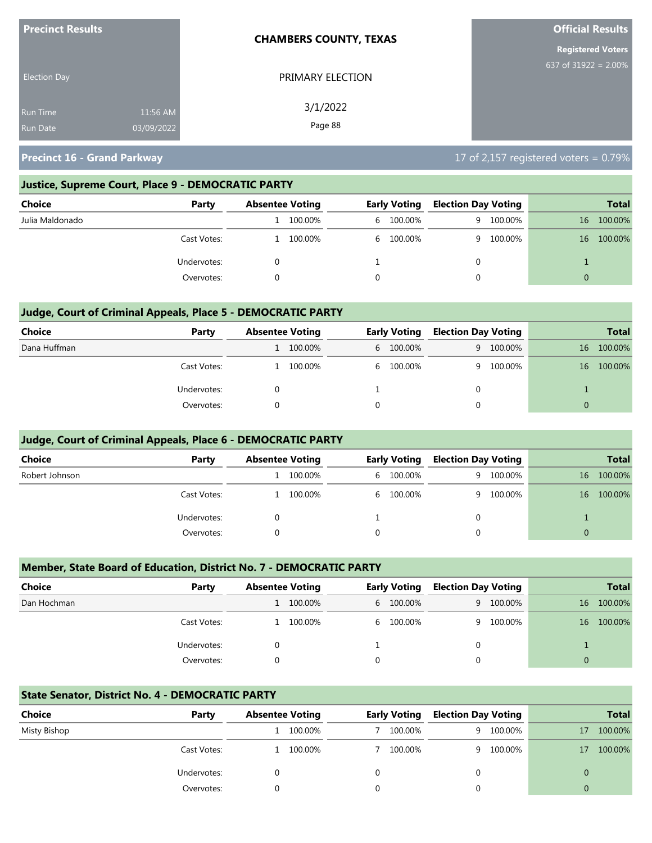| <b>Precinct Results</b> |            | <b>CHAMBERS COUNTY, TEXAS</b> | <b>Official Results</b>  |
|-------------------------|------------|-------------------------------|--------------------------|
|                         |            |                               | <b>Registered Voters</b> |
| <b>Election Day</b>     |            | PRIMARY ELECTION              | 637 of $31922 = 2.00\%$  |
| <b>Run Time</b>         | 11:56 AM   | 3/1/2022                      |                          |
| <b>Run Date</b>         | 03/09/2022 | Page 88                       |                          |

#### **Justice, Supreme Court, Place 9 - DEMOCRATIC PARTY**

| <b>Choice</b>   | Party       | <b>Absentee Voting</b> |         | <b>Early Voting</b> | <b>Election Day Voting</b> |         |    | <b>Total</b> |
|-----------------|-------------|------------------------|---------|---------------------|----------------------------|---------|----|--------------|
| Julia Maldonado |             |                        | 100.00% | 6 100.00%           | - q                        | 100.00% | 16 | 100.00%      |
|                 | Cast Votes: |                        | 100.00% | 6 100.00%           | Q –                        | 100.00% | 16 | 100.00%      |
|                 | Undervotes: |                        |         |                     | 0                          |         |    |              |
|                 | Overvotes:  |                        |         |                     |                            |         |    |              |

#### **Judge, Court of Criminal Appeals, Place 5 - DEMOCRATIC PARTY**

| <b>Choice</b> | Party       | <b>Absentee Voting</b> |         | <b>Early Voting</b> | <b>Election Day Voting</b> |           |    | <b>Total</b> |
|---------------|-------------|------------------------|---------|---------------------|----------------------------|-----------|----|--------------|
| Dana Huffman  |             |                        | 100.00% | 6 100.00%           |                            | 9 100,00% | 16 | 100.00%      |
|               | Cast Votes: |                        | 100.00% | 6 100.00%           | q                          | 100.00%   | 16 | 100.00%      |
|               | Undervotes: |                        |         |                     | 0                          |           |    |              |
|               | Overvotes:  |                        |         |                     | 0                          |           | 0  |              |

#### **Judge, Court of Criminal Appeals, Place 6 - DEMOCRATIC PARTY**

| <b>Choice</b>  | Party       | <b>Absentee Voting</b> |         | <b>Early Voting</b> | <b>Election Day Voting</b> |         |          | <b>Total</b> |
|----------------|-------------|------------------------|---------|---------------------|----------------------------|---------|----------|--------------|
| Robert Johnson |             |                        | 100.00% | 6 100.00%           | 9.                         | 100.00% | 16       | 100.00%      |
|                | Cast Votes: |                        | 100.00% | 6 100.00%           | Q.                         | 100.00% | 16       | 100.00%      |
|                | Undervotes: |                        |         |                     | 0                          |         |          |              |
|                | Overvotes:  |                        |         |                     | 0                          |         | $\Omega$ |              |

#### **Member, State Board of Education, District No. 7 - DEMOCRATIC PARTY**

| <b>Choice</b> | Party       | <b>Absentee Voting</b> |         |   | <b>Early Voting</b> | <b>Election Day Voting</b> |         |          | <b>Total</b> |
|---------------|-------------|------------------------|---------|---|---------------------|----------------------------|---------|----------|--------------|
| Dan Hochman   |             |                        | 100.00% |   | 6 100.00%           | 9                          | 100.00% | 16       | 100.00%      |
|               | Cast Votes: |                        | 100.00% |   | 6 100.00%           | <b>Q</b>                   | 100.00% | 16       | 100.00%      |
|               | Undervotes: |                        |         |   |                     | 0                          |         |          |              |
|               | Overvotes:  |                        |         | 0 |                     |                            |         | $\Omega$ |              |

#### **State Senator, District No. 4 - DEMOCRATIC PARTY**

| Choice       | Party       | <b>Absentee Voting</b> |         | <b>Early Voting</b> | <b>Election Day Voting</b> |           |    | <b>Total</b> |
|--------------|-------------|------------------------|---------|---------------------|----------------------------|-----------|----|--------------|
| Misty Bishop |             |                        | 100.00% | 100.00%             |                            | 9 100.00% | 17 | 100.00%      |
|              | Cast Votes: |                        | 100.00% | 100.00%             |                            | 9 100.00% | 17 | 100.00%      |
|              | Undervotes: |                        |         |                     |                            |           |    |              |
|              | Overvotes:  |                        |         |                     |                            |           |    |              |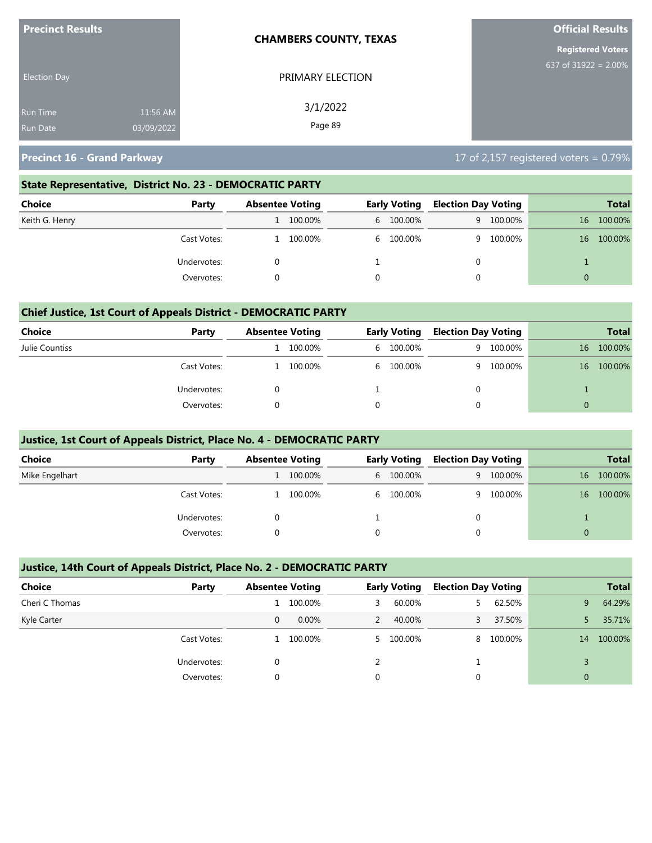| <b>Precinct Results</b> |            | <b>CHAMBERS COUNTY, TEXAS</b> | <b>Official Results</b>  |
|-------------------------|------------|-------------------------------|--------------------------|
|                         |            |                               | <b>Registered Voters</b> |
| <b>Election Day</b>     |            | PRIMARY ELECTION              | 637 of 31922 = $2.00\%$  |
| <b>Run Time</b>         | 11:56 AM   | 3/1/2022                      |                          |
| <b>Run Date</b>         | 03/09/2022 | Page 89                       |                          |

#### **State Representative, District No. 23 - DEMOCRATIC PARTY**

| Choice         | Party       | <b>Absentee Voting</b> |         | <b>Early Voting</b> |           | <b>Election Day Voting</b> |           |          | Total   |
|----------------|-------------|------------------------|---------|---------------------|-----------|----------------------------|-----------|----------|---------|
| Keith G. Henry |             |                        | 100.00% |                     | 6 100.00% |                            | 9 100.00% | 16       | 100.00% |
|                | Cast Votes: |                        | 100.00% |                     | 6 100.00% |                            | 9 100.00% | 16       | 100.00% |
| Undervotes:    |             |                        |         |                     |           | 0                          |           |          |         |
|                | Overvotes:  |                        |         |                     |           |                            |           | $\Omega$ |         |

#### **Chief Justice, 1st Court of Appeals District - DEMOCRATIC PARTY**

| Choice         | Party       | <b>Absentee Voting</b> |         | <b>Early Voting</b> |           | <b>Election Day Voting</b> |         |    | <b>Total</b> |
|----------------|-------------|------------------------|---------|---------------------|-----------|----------------------------|---------|----|--------------|
| Julie Countiss |             |                        | 100.00% |                     | 6 100.00% | 9                          | 100.00% | 16 | 100.00%      |
|                | Cast Votes: |                        | 100.00% |                     | 6 100.00% | <b>q</b>                   | 100.00% | 16 | 100.00%      |
|                | Undervotes: |                        |         |                     |           |                            |         |    |              |
|                | Overvotes:  |                        |         |                     |           |                            |         |    |              |

#### **Justice, 1st Court of Appeals District, Place No. 4 - DEMOCRATIC PARTY**

| <b>Choice</b>  | Party       | <b>Absentee Voting</b> |  | Early Voting |   | <b>Election Day Voting</b> |          | <b>Total</b> |
|----------------|-------------|------------------------|--|--------------|---|----------------------------|----------|--------------|
| Mike Engelhart |             | 100.00%                |  | 6 100.00%    | 9 | 100.00%                    | 16       | 100.00%      |
|                | Cast Votes: | 100.00%                |  | 6 100.00%    | Q | 100.00%                    | 16       | 100.00%      |
|                | Undervotes: |                        |  |              | 0 |                            |          |              |
|                | Overvotes:  |                        |  |              |   |                            | $\Omega$ |              |

#### **Justice, 14th Court of Appeals District, Place No. 2 - DEMOCRATIC PARTY**

| <b>Choice</b>  | Party       | <b>Absentee Voting</b> |          |   | <b>Early Voting</b> | <b>Election Day Voting</b> |         |    | <b>Total</b> |
|----------------|-------------|------------------------|----------|---|---------------------|----------------------------|---------|----|--------------|
| Cheri C Thomas |             |                        | 100.00%  | 3 | 60.00%              | 5.                         | 62.50%  | 9. | 64.29%       |
| Kyle Carter    |             | 0                      | $0.00\%$ |   | 40.00%              |                            | 37.50%  |    | 35.71%       |
|                | Cast Votes: |                        | 100.00%  |   | 5 100.00%           | 8                          | 100.00% | 14 | 100.00%      |
|                | Undervotes: | 0                      |          |   |                     |                            |         |    |              |
|                | Overvotes:  | $\Omega$               |          | 0 |                     |                            |         | 0  |              |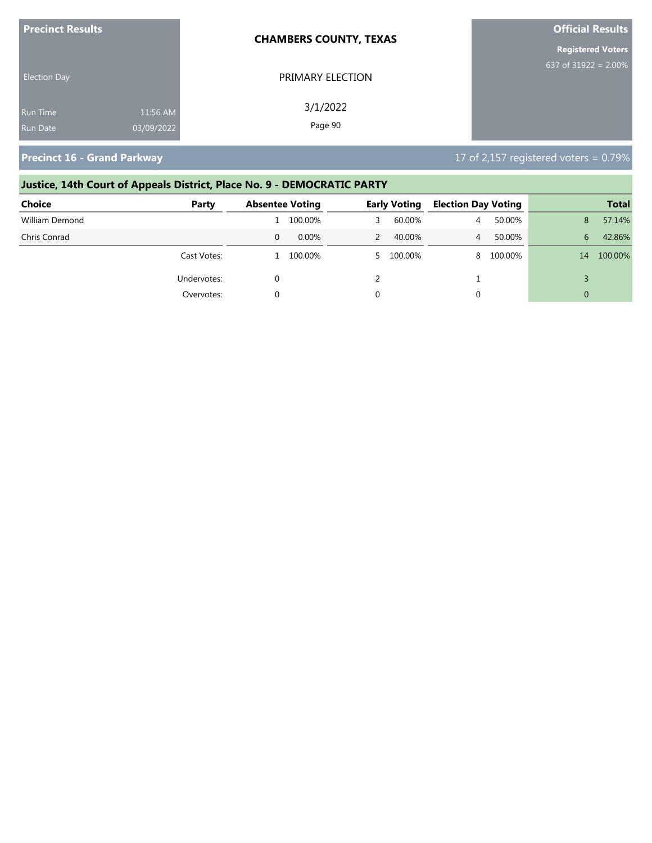| <b>Precinct Results</b> |            | <b>CHAMBERS COUNTY, TEXAS</b> | <b>Official Results</b>  |
|-------------------------|------------|-------------------------------|--------------------------|
|                         |            |                               | <b>Registered Voters</b> |
| <b>Election Day</b>     |            | PRIMARY ELECTION              | 637 of $31922 = 2.00\%$  |
| Run Time                | 11:56 AM   | 3/1/2022                      |                          |
| <b>Run Date</b>         | 03/09/2022 | Page 90                       |                          |

# **Justice, 14th Court of Appeals District, Place No. 9 - DEMOCRATIC PARTY**

| <b>Choice</b>  | Party       | <b>Absentee Voting</b> |           | <b>Early Voting</b> | <b>Election Day Voting</b> |         |          | <b>Total</b> |
|----------------|-------------|------------------------|-----------|---------------------|----------------------------|---------|----------|--------------|
| William Demond |             |                        | 100.00%   | 60.00%              | 4                          | 50.00%  | 8        | 57.14%       |
| Chris Conrad   |             | $\Omega$               | $0.00\%$  | 40.00%              | 4                          | 50.00%  | 6.       | 42.86%       |
|                | Cast Votes: |                        | L 100.00% | 5 100.00%           | 8                          | 100.00% | 14       | 100.00%      |
|                | Undervotes: |                        |           |                     |                            |         |          |              |
|                | Overvotes:  |                        |           |                     | 0                          |         | $\Omega$ |              |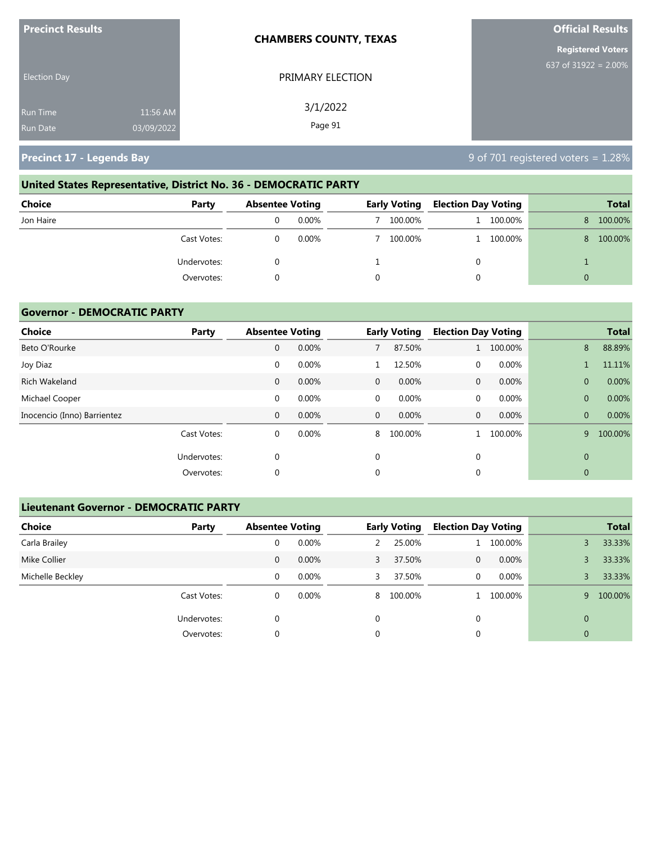| <b>Precinct Results</b>            |                        | <b>CHAMBERS COUNTY, TEXAS</b> | <b>Official Results</b>  |
|------------------------------------|------------------------|-------------------------------|--------------------------|
|                                    |                        |                               | <b>Registered Voters</b> |
| <b>Election Day</b>                |                        | PRIMARY ELECTION              | 637 of $31922 = 2.00\%$  |
| <b>Run Time</b><br><b>Run Date</b> | 11:56 AM<br>03/09/2022 | 3/1/2022<br>Page 91           |                          |
|                                    |                        |                               |                          |

**Precinct 17 - Legends Bay** 8 of 701 registered voters = 1.28%

# **United States Representative, District No. 36 - DEMOCRATIC PARTY**

| Choice<br>Party | <b>Absentee Voting</b> |  | <b>Early Voting</b> |  | <b>Election Day Voting</b> |    | <b>Total</b> |
|-----------------|------------------------|--|---------------------|--|----------------------------|----|--------------|
| Jon Haire       | $0.00\%$               |  | 100.00%             |  | 100.00%                    | 8. | 100.00%      |
| Cast Votes:     | $0.00\%$               |  | 100.00%             |  | 1 100.00%                  | 8. | 100.00%      |
| Undervotes:     |                        |  |                     |  |                            |    |              |
| Overvotes:      |                        |  |                     |  |                            | 0  |              |

#### **Governor - DEMOCRATIC PARTY**

| Choice                      | Party       | <b>Absentee Voting</b> |       |              | <b>Early Voting</b> | <b>Election Day Voting</b> |         |                | <b>Total</b> |
|-----------------------------|-------------|------------------------|-------|--------------|---------------------|----------------------------|---------|----------------|--------------|
| Beto O'Rourke               |             | 0                      | 0.00% |              | 87.50%              | 1                          | 100.00% | 8              | 88.89%       |
| Joy Diaz                    |             | $\mathbf 0$            | 0.00% |              | 12.50%              | 0                          | 0.00%   |                | 11.11%       |
| Rich Wakeland               |             | 0                      | 0.00% | $\mathbf{0}$ | 0.00%               | $\mathbf{0}$               | 0.00%   | $\overline{0}$ | 0.00%        |
| Michael Cooper              |             | 0                      | 0.00% | $\mathbf 0$  | 0.00%               | 0                          | 0.00%   | $\overline{0}$ | 0.00%        |
| Inocencio (Inno) Barrientez |             | 0                      | 0.00% | $\mathbf{0}$ | $0.00\%$            | $\mathbf{0}$               | 0.00%   | $\overline{0}$ | 0.00%        |
|                             | Cast Votes: | 0                      | 0.00% | 8            | 100.00%             |                            | 100.00% | 9              | 100.00%      |
|                             | Undervotes: | 0                      |       | 0            |                     | $\mathbf 0$                |         | $\mathbf{0}$   |              |
|                             | Overvotes:  | $\Omega$               |       | $\Omega$     |                     | $\mathbf 0$                |         | $\mathbf{0}$   |              |

#### **Lieutenant Governor - DEMOCRATIC PARTY**

| <b>Choice</b>    | Party       | <b>Absentee Voting</b> |          |          | <b>Early Voting</b> | <b>Election Day Voting</b> |          |                | <b>Total</b> |
|------------------|-------------|------------------------|----------|----------|---------------------|----------------------------|----------|----------------|--------------|
| Carla Brailey    |             | 0                      | 0.00%    |          | 25.00%              |                            | 100.00%  | 3              | 33.33%       |
| Mike Collier     |             | 0                      | $0.00\%$ | 3        | 37.50%              | $\mathbf{0}$               | $0.00\%$ |                | 33.33%       |
| Michelle Beckley |             | 0                      | $0.00\%$ | 3        | 37.50%              | 0                          | $0.00\%$ |                | 33.33%       |
|                  | Cast Votes: | 0                      | $0.00\%$ | 8        | 100.00%             |                            | 100.00%  | 9              | 100.00%      |
|                  | Undervotes: | 0                      |          | $\Omega$ |                     | 0                          |          | $\Omega$       |              |
|                  | Overvotes:  | 0                      |          | 0        |                     | 0                          |          | $\overline{0}$ |              |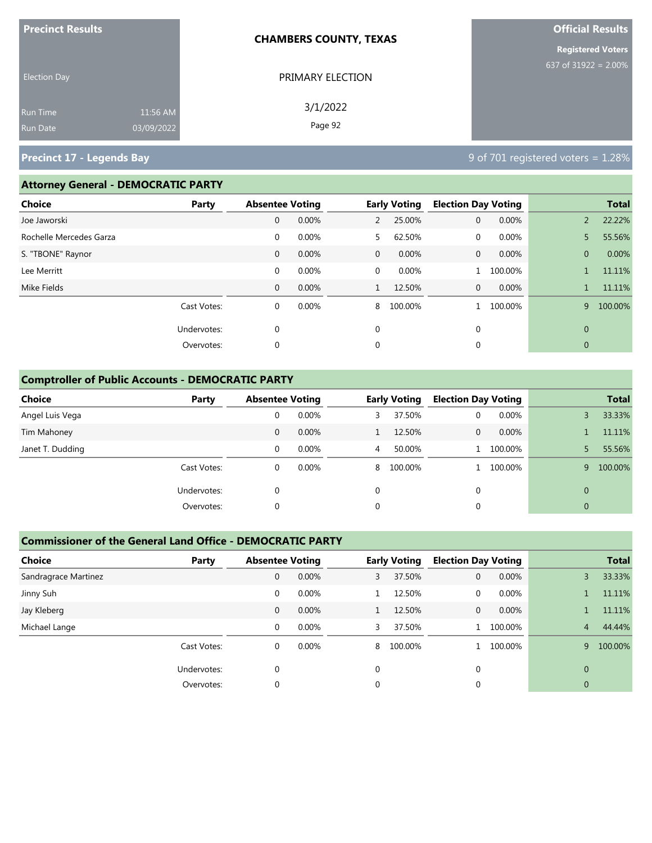| <b>Precinct Results</b><br><b>CHAMBERS COUNTY, TEXAS</b>     |                     | <b>Official Results</b>  |
|--------------------------------------------------------------|---------------------|--------------------------|
|                                                              |                     | <b>Registered Voters</b> |
| <b>Election Day</b>                                          | PRIMARY ELECTION    | 637 of 31922 = $2.00\%$  |
| 11:56 AM<br><b>Run Time</b><br>03/09/2022<br><b>Run Date</b> | 3/1/2022<br>Page 92 |                          |

### **Precinct 17 - Legends Bay** 8 **Precinct 17 - Legends Bay** 9 of 701 registered voters = 1.28%

#### **Attorney General - DEMOCRATIC PARTY**

| <b>Choice</b>           | Party       | <b>Absentee Voting</b> |       |                | <b>Early Voting</b> | <b>Election Day Voting</b> |         |                | <b>Total</b> |
|-------------------------|-------------|------------------------|-------|----------------|---------------------|----------------------------|---------|----------------|--------------|
| Joe Jaworski            |             | 0                      | 0.00% | $\overline{2}$ | 25.00%              | 0                          | 0.00%   | $\overline{2}$ | 22.22%       |
| Rochelle Mercedes Garza |             | 0                      | 0.00% | 5.             | 62.50%              | $\mathbf{0}$               | 0.00%   | 5              | 55.56%       |
| S. "TBONE" Raynor       |             | $\mathbf 0$            | 0.00% | $\overline{0}$ | 0.00%               | 0                          | 0.00%   | $\overline{0}$ | 0.00%        |
| Lee Merritt             |             | $\mathbf{0}$           | 0.00% | $\overline{0}$ | 0.00%               |                            | 100.00% |                | 11.11%       |
| Mike Fields             |             | $\mathbf{0}$           | 0.00% | 1              | 12.50%              | $\overline{0}$             | 0.00%   |                | 11.11%       |
|                         | Cast Votes: | $\mathbf 0$            | 0.00% | 8              | 100.00%             |                            | 100.00% | 9              | 100.00%      |
|                         | Undervotes: | 0                      |       | $\mathbf 0$    |                     | 0                          |         | $\mathbf{0}$   |              |
|                         | Overvotes:  | 0                      |       | $\mathbf{0}$   |                     | 0                          |         | $\mathbf{0}$   |              |
|                         |             |                        |       |                |                     |                            |         |                |              |

#### **Comptroller of Public Accounts - DEMOCRATIC PARTY**

| <b>Choice</b>    | Party       | <b>Absentee Voting</b> |          |          | <b>Early Voting</b> | <b>Election Day Voting</b> |         |              | <b>Total</b> |
|------------------|-------------|------------------------|----------|----------|---------------------|----------------------------|---------|--------------|--------------|
| Angel Luis Vega  |             | 0                      | 0.00%    | 3        | 37.50%              | $\mathbf 0$                | 0.00%   |              | 33.33%       |
| Tim Mahoney      |             | 0                      | 0.00%    |          | 12.50%              | $\mathbf{0}$               | 0.00%   |              | 11.11%       |
| Janet T. Dudding |             | 0                      | 0.00%    | 4        | 50.00%              |                            | 100.00% |              | 55.56%       |
|                  | Cast Votes: | 0                      | $0.00\%$ |          | 8 100.00%           |                            | 100.00% | 9            | 100.00%      |
|                  | Undervotes: | 0                      |          | $\Omega$ |                     | $\mathbf{0}$               |         | $\Omega$     |              |
|                  | Overvotes:  | 0                      |          | 0        |                     | 0                          |         | $\mathbf{0}$ |              |

#### **Commissioner of the General Land Office - DEMOCRATIC PARTY**

| <b>Choice</b><br>Party | <b>Absentee Voting</b> |       |          | <b>Early Voting</b> | <b>Election Day Voting</b> |          |          | <b>Total</b> |
|------------------------|------------------------|-------|----------|---------------------|----------------------------|----------|----------|--------------|
| Sandragrace Martinez   | 0                      | 0.00% | 3        | 37.50%              | 0                          | 0.00%    | 3        | 33.33%       |
| Jinny Suh              | 0                      | 0.00% |          | 12.50%              | 0                          | $0.00\%$ |          | 11.11%       |
| Jay Kleberg            | $\mathbf{0}$           | 0.00% |          | 12.50%              | $\mathbf{0}$               | 0.00%    |          | 11.11%       |
| Michael Lange          | $\Omega$               | 0.00% | 3        | 37.50%              |                            | 100.00%  | 4        | 44.44%       |
| Cast Votes:            | 0                      | 0.00% | 8        | 100.00%             |                            | 100.00%  | 9        | 100.00%      |
| Undervotes:            | $\Omega$               |       | $\Omega$ |                     | $\Omega$                   |          | $\Omega$ |              |
| Overvotes:             |                        |       | 0        |                     | 0                          |          | 0        |              |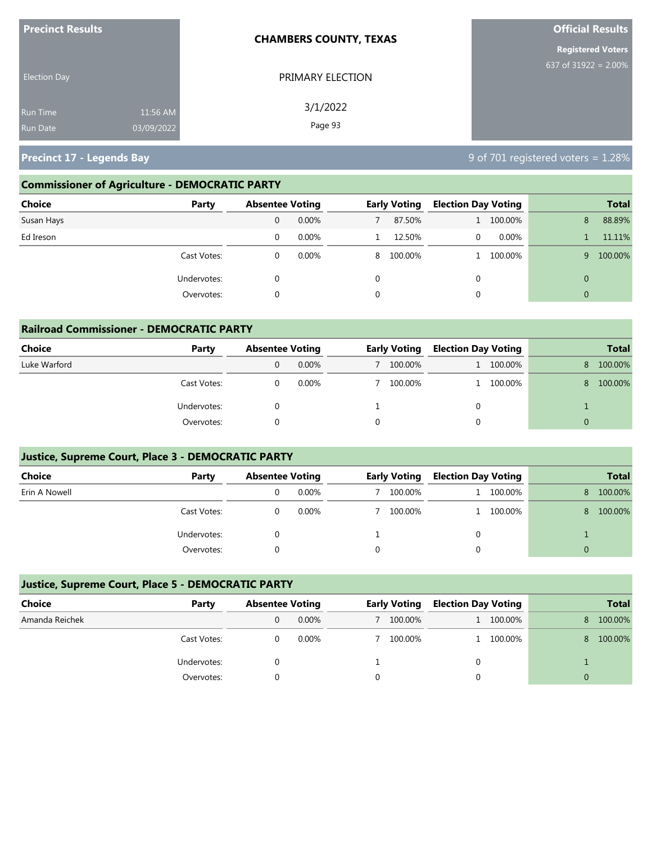| <b>Precinct Results</b>                                      | <b>CHAMBERS COUNTY, TEXAS</b> | <b>Official Results</b>  |
|--------------------------------------------------------------|-------------------------------|--------------------------|
|                                                              |                               | <b>Registered Voters</b> |
| <b>Election Day</b>                                          | PRIMARY ELECTION              | 637 of $31922 = 2.00\%$  |
| 11:56 AM<br><b>Run Time</b><br>03/09/2022<br><b>Run Date</b> | 3/1/2022<br>Page 93           |                          |

**Precinct 17 - Legends Bay** 8 **Precinct 17 - Legends Bay** 9 of 701 registered voters = 1.28%

### **Commissioner of Agriculture - DEMOCRATIC PARTY**

| <b>Choice</b> | Party       | <b>Absentee Voting</b> |          |          | <b>Early Voting</b> | <b>Election Day Voting</b> |         |          | <b>Total</b> |
|---------------|-------------|------------------------|----------|----------|---------------------|----------------------------|---------|----------|--------------|
| Susan Hays    |             | 0                      | 0.00%    |          | 87.50%              |                            | 100.00% | 8        | 88.89%       |
| Ed Ireson     |             | 0                      | 0.00%    |          | 12.50%              | 0                          | 0.00%   |          | 11.11%       |
|               | Cast Votes: | 0                      | $0.00\%$ |          | 8 100.00%           |                            | 100.00% | 9        | 100.00%      |
|               | Undervotes: | 0                      |          | $\Omega$ |                     | 0                          |         | $\Omega$ |              |
|               | Overvotes:  | 0                      |          | 0        |                     | 0                          |         | $\Omega$ |              |

| <b>Railroad Commissioner - DEMOCRATIC PARTY</b> |             |                        |          |  |                     |                            |           |          |              |  |
|-------------------------------------------------|-------------|------------------------|----------|--|---------------------|----------------------------|-----------|----------|--------------|--|
| Choice                                          | Party       | <b>Absentee Voting</b> |          |  | <b>Early Voting</b> | <b>Election Day Voting</b> |           |          | <b>Total</b> |  |
| Luke Warford                                    |             |                        | $0.00\%$ |  | 100.00%             |                            | 1 100.00% | 8        | 100.00%      |  |
|                                                 | Cast Votes: |                        | 0.00%    |  | 100.00%             |                            | 1 100.00% | 8        | 100.00%      |  |
|                                                 | Undervotes: |                        |          |  |                     | $\Omega$                   |           |          |              |  |
|                                                 | Overvotes:  |                        |          |  |                     | $\Omega$                   |           | $\Omega$ |              |  |

#### **Justice, Supreme Court, Place 3 - DEMOCRATIC PARTY**

| <b>Choice</b> | Party       | <b>Absentee Voting</b> |  | <b>Early Voting</b> | <b>Election Day Voting</b> |         |   | <b>Total</b> |
|---------------|-------------|------------------------|--|---------------------|----------------------------|---------|---|--------------|
| Erin A Nowell |             | $0.00\%$               |  | 100.00%             |                            | 100.00% | 8 | 100.00%      |
|               | Cast Votes: | 0.00%                  |  | 100.00%             | 1.                         | 100.00% | 8 | 100.00%      |
|               | Undervotes: |                        |  |                     |                            |         |   |              |
|               | Overvotes:  |                        |  |                     |                            |         |   |              |

#### **Justice, Supreme Court, Place 5 - DEMOCRATIC PARTY**

| Choice         | Party       | <b>Absentee Voting</b> |  | <b>Early Voting</b> |  | <b>Election Day Voting</b> |    | <b>Total</b> |
|----------------|-------------|------------------------|--|---------------------|--|----------------------------|----|--------------|
| Amanda Reichek |             | $0.00\%$               |  | 100.00%             |  | 1 100.00%                  | 8. | 100.00%      |
|                | Cast Votes: | $0.00\%$               |  | 100.00%             |  | 1 100.00%                  | 8. | 100.00%      |
|                | Undervotes: |                        |  |                     |  |                            |    |              |
|                | Overvotes:  |                        |  |                     |  |                            |    |              |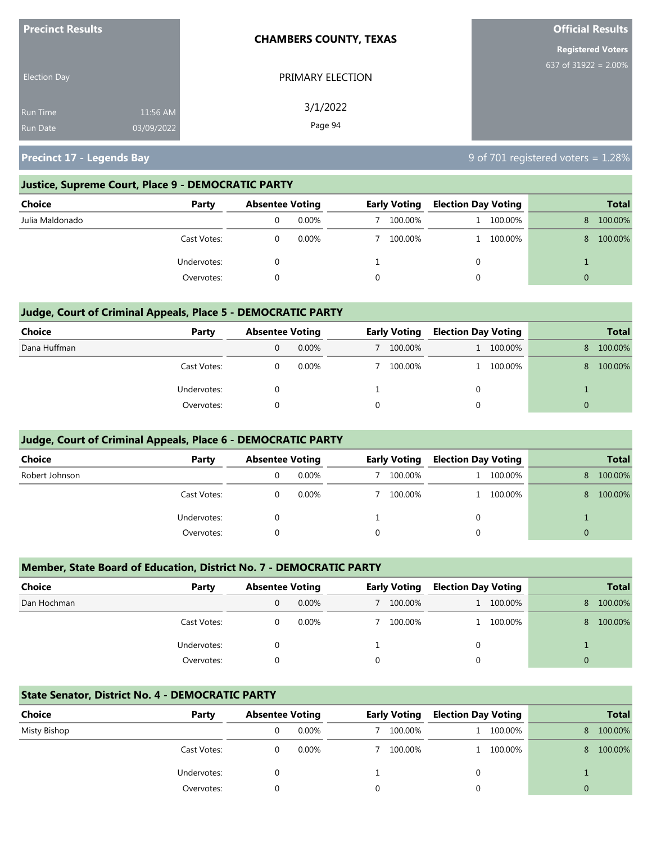| <b>Precinct Results</b>            |                        | <b>CHAMBERS COUNTY, TEXAS</b> | <b>Official Results</b>  |
|------------------------------------|------------------------|-------------------------------|--------------------------|
|                                    |                        |                               | <b>Registered Voters</b> |
| <b>Election Day</b>                |                        | PRIMARY ELECTION              | 637 of $31922 = 2.00\%$  |
| <b>Run Time</b><br><b>Run Date</b> | 11:56 AM<br>03/09/2022 | 3/1/2022<br>Page 94           |                          |
|                                    |                        |                               |                          |

**Precinct 17 - Legends Bay** 8 and 19 of 701 registered voters = 1.28%

#### **Justice, Supreme Court, Place 9 - DEMOCRATIC PARTY**

| <b>Choice</b><br>Party | <b>Absentee Voting</b> |  | <b>Early Voting</b> |   | <b>Election Day Voting</b> |   | <b>Total</b> |
|------------------------|------------------------|--|---------------------|---|----------------------------|---|--------------|
| Julia Maldonado        | $0.00\%$               |  | 100.00%             |   | 100.00%                    | 8 | 100.00%      |
| Cast Votes:            | $0.00\%$               |  | 100.00%             |   | 100.00%                    | 8 | 100.00%      |
| Undervotes:            |                        |  |                     | 0 |                            |   |              |
| Overvotes:             |                        |  |                     |   |                            |   |              |

#### **Judge, Court of Criminal Appeals, Place 5 - DEMOCRATIC PARTY**

| <b>Choice</b> | Party       |   | <b>Absentee Voting</b> |  | <b>Early Voting</b> |              | <b>Election Day Voting</b> |   | <b>Total</b> |
|---------------|-------------|---|------------------------|--|---------------------|--------------|----------------------------|---|--------------|
| Dana Huffman  |             | 0 | $0.00\%$               |  | 100.00%             | $\mathbf{L}$ | 100.00%                    | 8 | 100.00%      |
|               | Cast Votes: |   | $0.00\%$               |  | 100.00%             |              | 100.00%                    | 8 | 100.00%      |
|               | Undervotes: |   |                        |  |                     | 0            |                            |   |              |
|               | Overvotes:  |   |                        |  |                     | 0            |                            | 0 |              |

#### **Judge, Court of Criminal Appeals, Place 6 - DEMOCRATIC PARTY**

| <b>Choice</b>  | Party       | <b>Absentee Voting</b> |  | <b>Early Voting</b> |  | <b>Election Day Voting</b> |   | <b>Total</b> |
|----------------|-------------|------------------------|--|---------------------|--|----------------------------|---|--------------|
| Robert Johnson |             | $0.00\%$               |  | 100.00%             |  | 100.00%                    | 8 | 100.00%      |
|                | Cast Votes: | $0.00\%$               |  | 100.00%             |  | 100.00%                    | 8 | 100.00%      |
|                | Undervotes: |                        |  |                     |  |                            |   |              |
|                | Overvotes:  |                        |  |                     |  |                            |   |              |

#### **Member, State Board of Education, District No. 7 - DEMOCRATIC PARTY**

| <b>Choice</b> | Party       |   | <b>Absentee Voting</b> |   | <b>Early Voting</b> |              | <b>Election Day Voting</b> |          | <b>Total</b> |
|---------------|-------------|---|------------------------|---|---------------------|--------------|----------------------------|----------|--------------|
| Dan Hochman   |             | 0 | 0.00%                  |   | 100.00%             | $\mathbf{1}$ | 100.00%                    | 8.       | 100.00%      |
|               | Cast Votes: |   | $0.00\%$               |   | 100.00%             |              | 100.00%                    | 8        | 100.00%      |
|               | Undervotes: |   |                        |   |                     | 0            |                            |          |              |
|               | Overvotes:  |   |                        | 0 |                     |              |                            | $\Omega$ |              |

#### **State Senator, District No. 4 - DEMOCRATIC PARTY**

| Choice       | Party       | <b>Absentee Voting</b> |       |  | <b>Early Voting</b> |  | <b>Election Day Voting</b> |    | <b>Total</b> |
|--------------|-------------|------------------------|-------|--|---------------------|--|----------------------------|----|--------------|
| Misty Bishop |             |                        | 0.00% |  | 100.00%             |  | 1 100.00%                  | 8. | 100.00%      |
|              | Cast Votes: |                        | 0.00% |  | 100.00%             |  | 1 100,00%                  | 8  | 100.00%      |
|              | Undervotes: |                        |       |  |                     |  |                            |    |              |
|              | Overvotes:  |                        |       |  |                     |  |                            |    |              |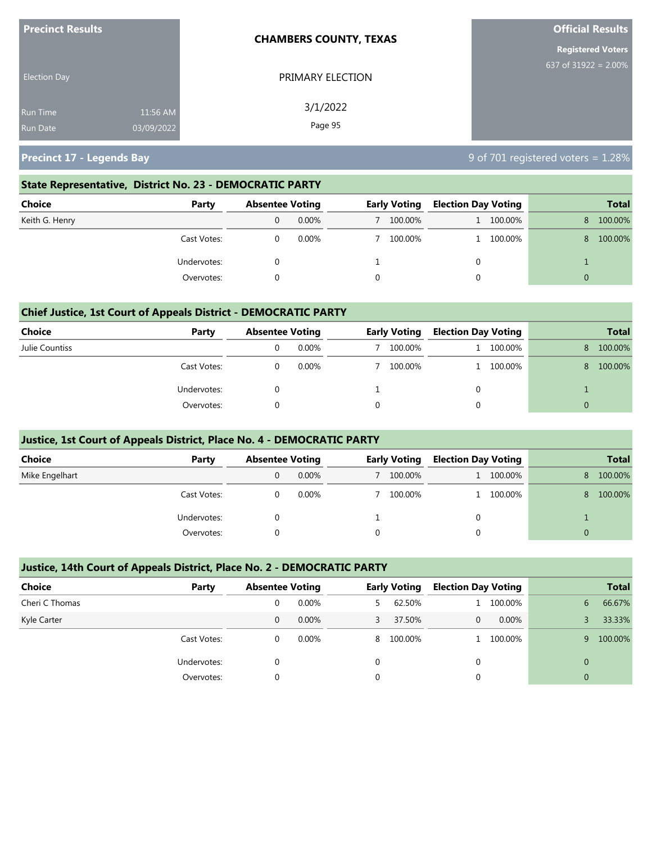| <b>Precinct Results</b>            |                        | <b>CHAMBERS COUNTY, TEXAS</b> | <b>Official Results</b>  |  |  |  |
|------------------------------------|------------------------|-------------------------------|--------------------------|--|--|--|
|                                    |                        |                               | <b>Registered Voters</b> |  |  |  |
| <b>Election Day</b>                |                        | PRIMARY ELECTION              | 637 of $31922 = 2.00\%$  |  |  |  |
| <b>Run Time</b><br><b>Run Date</b> | 11:56 AM<br>03/09/2022 | 3/1/2022<br>Page 95           |                          |  |  |  |

**Precinct 17 - Legends Bay** 8 **Precinct 17 - Legends Bay** 9 of 701 registered voters = 1.28%

#### **State Representative, District No. 23 - DEMOCRATIC PARTY**

| <b>Choice</b><br>Party | <b>Absentee Voting</b> |          | <b>Early Voting</b> |         | <b>Election Day Voting</b> |           |    | <b>Total</b> |
|------------------------|------------------------|----------|---------------------|---------|----------------------------|-----------|----|--------------|
| Keith G. Henry         |                        | $0.00\%$ |                     | 100.00% |                            | 1 100.00% | 8. | 100.00%      |
| Cast Votes:            |                        | $0.00\%$ |                     | 100.00% |                            | 1 100.00% | 8. | 100.00%      |
| Undervotes:            |                        |          |                     |         | 0                          |           |    |              |
| Overvotes:             |                        |          |                     |         |                            |           | 0  |              |

#### **Chief Justice, 1st Court of Appeals District - DEMOCRATIC PARTY**

| Choice         | Party       | <b>Absentee Voting</b> |          | <b>Early Voting</b> |  | <b>Election Day Voting</b> |    | <b>Total</b> |
|----------------|-------------|------------------------|----------|---------------------|--|----------------------------|----|--------------|
| Julie Countiss |             | U                      | $0.00\%$ | 100.00%             |  | 100.00%                    | 8  | 100.00%      |
|                | Cast Votes: |                        | $0.00\%$ | 100.00%             |  | 100.00%                    | 8. | 100.00%      |
|                | Undervotes: |                        |          |                     |  |                            |    |              |
|                | Overvotes:  |                        |          |                     |  |                            |    |              |

#### **Justice, 1st Court of Appeals District, Place No. 4 - DEMOCRATIC PARTY**

| <b>Choice</b>  | Party       | <b>Absentee Voting</b> |          | <b>Early Voting</b> |         | <b>Election Day Voting</b> |         |          | <b>Total</b> |
|----------------|-------------|------------------------|----------|---------------------|---------|----------------------------|---------|----------|--------------|
| Mike Engelhart |             | 0                      | $0.00\%$ |                     | 100.00% |                            | 100.00% | 8.       | 100.00%      |
|                | Cast Votes: |                        | $0.00\%$ |                     | 100.00% |                            | 100.00% | 8        | 100.00%      |
|                | Undervotes: |                        |          |                     |         | 0                          |         |          |              |
|                | Overvotes:  |                        |          |                     |         |                            |         | $\Omega$ |              |

#### **Justice, 14th Court of Appeals District, Place No. 2 - DEMOCRATIC PARTY**

| <b>Choice</b>  | Party       | <b>Absentee Voting</b> |          |    | <b>Early Voting</b> |   | <b>Election Day Voting</b> |          | <b>Total</b> |
|----------------|-------------|------------------------|----------|----|---------------------|---|----------------------------|----------|--------------|
| Cheri C Thomas |             | 0                      | $0.00\%$ | 5. | 62.50%              |   | 100.00%                    | 6        | 66.67%       |
| Kyle Carter    |             | 0                      | $0.00\%$ | 3  | 37.50%              | 0 | 0.00%                      |          | 33.33%       |
|                | Cast Votes: | 0                      | $0.00\%$ |    | 8 100.00%           |   | 100.00%                    |          | 100.00%<br>9 |
|                | Undervotes: |                        |          | 0  |                     | 0 |                            | $\Omega$ |              |
|                | Overvotes:  | $\Omega$               |          |    | 0                   |   |                            |          | $\Omega$     |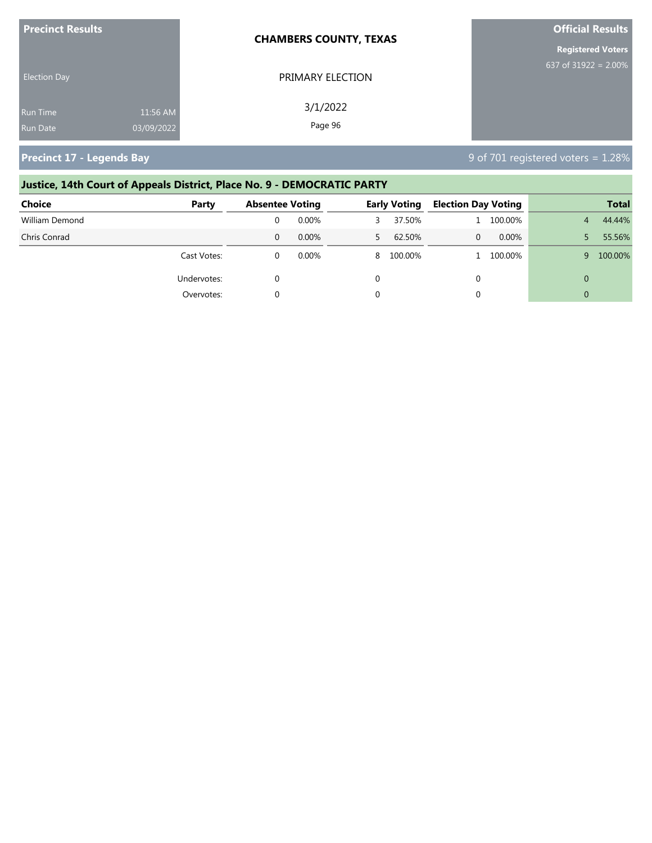| <b>Precinct Results</b>            |                        | <b>CHAMBERS COUNTY, TEXAS</b> | <b>Official Results</b>  |
|------------------------------------|------------------------|-------------------------------|--------------------------|
|                                    |                        |                               | <b>Registered Voters</b> |
| <b>Election Day</b>                |                        | PRIMARY ELECTION              | 637 of $31922 = 2.00\%$  |
| <b>Run Time</b><br><b>Run Date</b> | 11:56 AM<br>03/09/2022 | 3/1/2022<br>Page 96           |                          |

**Precinct 17 - Legends Bay** 8 **Precinct 17 - Legends Bay** 9 of 701 registered voters = 1.28%

# **Justice, 14th Court of Appeals District, Place No. 9 - DEMOCRATIC PARTY Choice Party Absentee Voting Early Voting Election Day Voting Total** William Demond 0 0.00% 3 37.50% 1 100.00% 4 44.44% Chris Conrad 0 0.00% 5 62.50% 0 0.00% 5 55.56% Cast Votes: 0 0.00% 8 100.00% 1 100.00% 9 100.00% Undervotes: 0 0 0 0 Overvotes: 0 0 0 0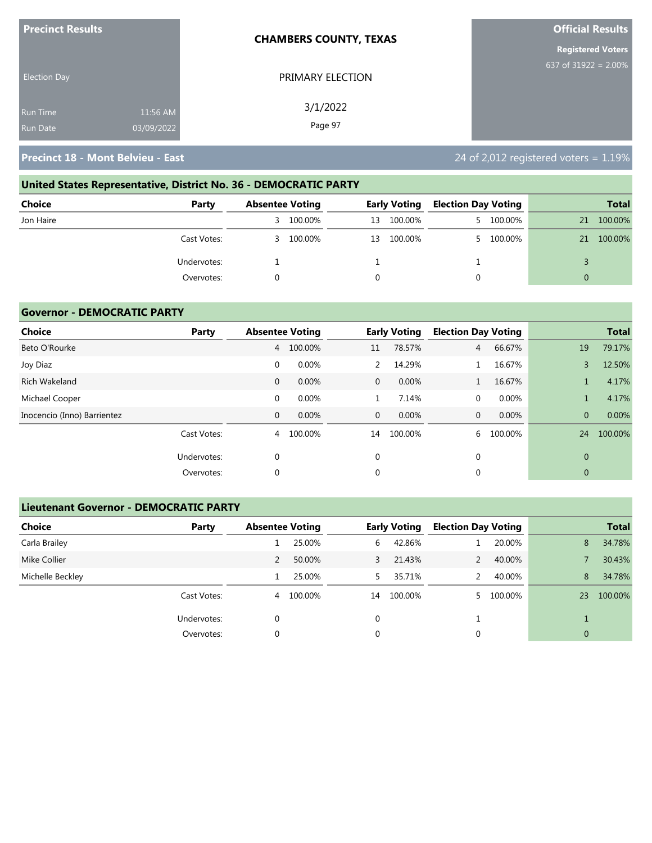| <b>Precinct Results</b> |            | <b>CHAMBERS COUNTY, TEXAS</b> | <b>Official Results</b>  |
|-------------------------|------------|-------------------------------|--------------------------|
|                         |            |                               | <b>Registered Voters</b> |
| <b>Election Day</b>     |            | PRIMARY ELECTION              | 637 of $31922 = 2.00\%$  |
| <b>Run Time</b>         | 11:56 AM   | 3/1/2022                      |                          |
| <b>Run Date</b>         | 03/09/2022 | Page 97                       |                          |

# **United States Representative, District No. 36 - DEMOCRATIC PARTY Choice Party Absentee Voting Early Voting Election Day Voting Total** Jon Haire 3 100.00% 13 100.00% 5 100.00% 21 100.00% Cast Votes: 3 100.00% 13 100.00% 5 100.00% 21 100.00% Undervotes: 1 1 1 3 Overvotes: 0 0 0 0

#### **Governor - DEMOCRATIC PARTY**

| <b>Choice</b>               | Party       |              | <b>Absentee Voting</b> |                | <b>Early Voting</b> |                | <b>Election Day Voting</b> |                | <b>Total</b> |
|-----------------------------|-------------|--------------|------------------------|----------------|---------------------|----------------|----------------------------|----------------|--------------|
| Beto O'Rourke               |             | 4            | 100.00%                | 11             | 78.57%              | $\overline{4}$ | 66.67%                     | 19             | 79.17%       |
| Joy Diaz                    |             | $\mathbf 0$  | 0.00%                  | 2              | 14.29%              |                | 16.67%                     | 3              | 12.50%       |
| <b>Rich Wakeland</b>        |             | 0            | 0.00%                  | $\overline{0}$ | 0.00%               |                | 16.67%                     |                | 4.17%        |
| Michael Cooper              |             | $\mathbf 0$  | 0.00%                  | $\mathbf{1}$   | 7.14%               | $\mathbf 0$    | 0.00%                      |                | 4.17%        |
| Inocencio (Inno) Barrientez |             | $\mathbf{0}$ | 0.00%                  | $\mathbf{0}$   | 0.00%               | $\mathbf{0}$   | 0.00%                      | $\overline{0}$ | 0.00%        |
|                             | Cast Votes: | 4            | 100.00%                | 14             | 100.00%             | 6              | 100.00%                    | 24             | 100.00%      |
|                             | Undervotes: | 0            |                        | $\mathbf 0$    |                     | $\mathbf{0}$   |                            | $\overline{0}$ |              |
|                             | Overvotes:  | 0            |                        | 0              |                     | 0              |                            | 0              |              |

#### **Lieutenant Governor - DEMOCRATIC PARTY**

| <b>Choice</b>    | Party       | <b>Absentee Voting</b> |         |              | <b>Early Voting</b> | <b>Election Day Voting</b> |         |                | <b>Total</b> |
|------------------|-------------|------------------------|---------|--------------|---------------------|----------------------------|---------|----------------|--------------|
| Carla Brailey    |             |                        | 25.00%  | 6            | 42.86%              |                            | 20.00%  | 8              | 34.78%       |
| Mike Collier     |             |                        | 50.00%  | $\mathbf{3}$ | 21.43%              |                            | 40.00%  |                | 30.43%       |
| Michelle Beckley |             |                        | 25.00%  | 5.           | 35.71%              |                            | 40.00%  | 8              | 34.78%       |
|                  | Cast Votes: | 4                      | 100.00% | 14           | 100.00%             |                            | 100.00% | 23             | 100.00%      |
|                  | Undervotes: | 0                      |         | 0            |                     |                            |         |                |              |
|                  | Overvotes:  | 0                      |         | 0            |                     | 0                          |         | $\overline{0}$ |              |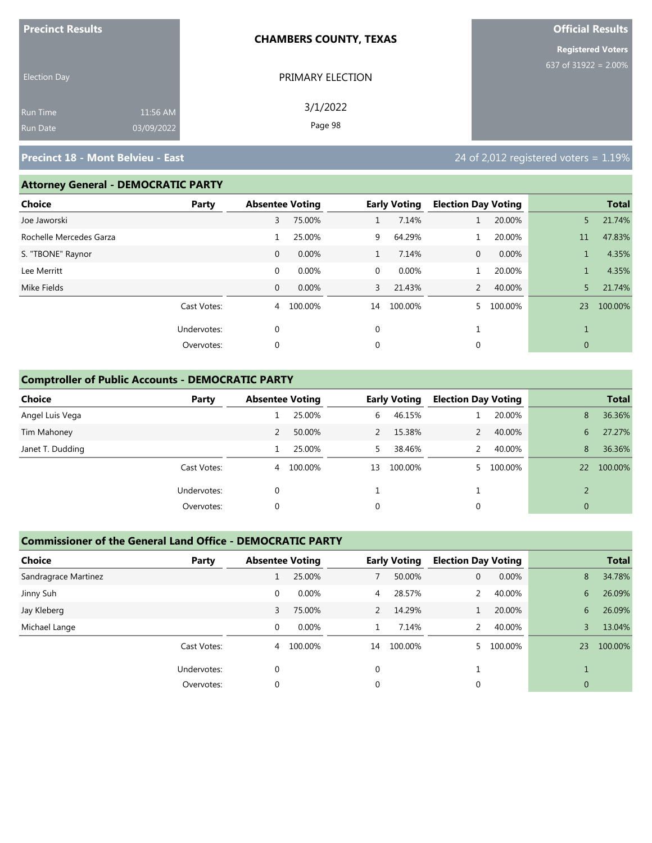| <b>Precinct Results</b> |            | <b>CHAMBERS COUNTY, TEXAS</b> | <b>Official Results</b>  |
|-------------------------|------------|-------------------------------|--------------------------|
|                         |            |                               | <b>Registered Voters</b> |
| <b>Election Day</b>     |            | PRIMARY ELECTION              | 637 of 31922 = $2.00\%$  |
| <b>Run Time</b>         | 11:56 AM   | 3/1/2022                      |                          |
| <b>Run Date</b>         | 03/09/2022 | Page 98                       |                          |

#### **Attorney General - DEMOCRATIC PARTY**

| Choice                  | Party       |              | <b>Absentee Voting</b> |    | <b>Early Voting</b> | <b>Election Day Voting</b> |         |              | <b>Total</b> |
|-------------------------|-------------|--------------|------------------------|----|---------------------|----------------------------|---------|--------------|--------------|
| Joe Jaworski            |             | 3            | 75.00%                 | 1  | 7.14%               | 1                          | 20.00%  | 5.           | 21.74%       |
| Rochelle Mercedes Garza |             |              | 25.00%                 | 9  | 64.29%              |                            | 20.00%  | 11           | 47.83%       |
| S. "TBONE" Raynor       |             | $\mathbf{0}$ | 0.00%                  |    | 7.14%               | $\mathbf{0}$               | 0.00%   |              | 4.35%        |
| Lee Merritt             |             | $\mathbf 0$  | 0.00%                  | 0  | 0.00%               |                            | 20.00%  |              | 4.35%        |
| Mike Fields             |             | $\mathbf{0}$ | 0.00%                  | 3  | 21.43%              | 2                          | 40.00%  | 5.           | 21.74%       |
|                         | Cast Votes: | 4            | 100.00%                | 14 | 100.00%             | 5.                         | 100.00% | 23           | 100.00%      |
|                         | Undervotes: | $\mathbf 0$  |                        | 0  |                     | <b>I</b>                   |         |              |              |
|                         | Overvotes:  | $\mathbf 0$  |                        | 0  |                     | 0                          |         | $\mathbf{0}$ |              |
|                         |             |              |                        |    |                     |                            |         |              |              |

#### **Comptroller of Public Accounts - DEMOCRATIC PARTY**

| <b>Choice</b>    | Party       | <b>Absentee Voting</b> |         |    | <b>Early Voting</b> | <b>Election Day Voting</b> |         |               | <b>Total</b> |
|------------------|-------------|------------------------|---------|----|---------------------|----------------------------|---------|---------------|--------------|
| Angel Luis Vega  |             |                        | 25.00%  | 6  | 46.15%              |                            | 20.00%  | 8             | 36.36%       |
| Tim Mahoney      |             | 2                      | 50.00%  |    | 15.38%              |                            | 40.00%  | 6             | 27.27%       |
| Janet T. Dudding |             |                        | 25.00%  | 5. | 38.46%              |                            | 40.00%  | 8             | 36.36%       |
|                  | Cast Votes: | 4                      | 100.00% | 13 | 100.00%             |                            | 100.00% | 22            | 100.00%      |
|                  | Undervotes: | 0                      |         |    |                     |                            |         | $\mathcal{D}$ |              |
|                  | Overvotes:  | 0                      |         | 0  |                     | 0                          |         | $\mathbf{0}$  |              |

#### **Commissioner of the General Land Office - DEMOCRATIC PARTY**

| <b>Choice</b>        | Party       | <b>Absentee Voting</b> |         |          | <b>Early Voting</b> | <b>Election Day Voting</b> |         |                | <b>Total</b> |
|----------------------|-------------|------------------------|---------|----------|---------------------|----------------------------|---------|----------------|--------------|
| Sandragrace Martinez |             |                        | 25.00%  |          | 50.00%              | 0                          | 0.00%   | 8              | 34.78%       |
| Jinny Suh            |             | 0                      | 0.00%   | 4        | 28.57%              |                            | 40.00%  | 6              | 26.09%       |
| Jay Kleberg          |             | 3                      | 75.00%  | 2        | 14.29%              |                            | 20.00%  | 6              | 26.09%       |
| Michael Lange        |             | $\Omega$               | 0.00%   |          | 7.14%               | $\mathcal{P}$              | 40.00%  | 3              | 13.04%       |
|                      | Cast Votes: | 4                      | 100.00% | 14       | 100.00%             |                            | 100.00% | 23             | 100.00%      |
|                      | Undervotes: | $\Omega$               |         | $\Omega$ |                     |                            |         |                |              |
|                      | Overvotes:  |                        |         | 0        |                     |                            |         | $\overline{0}$ |              |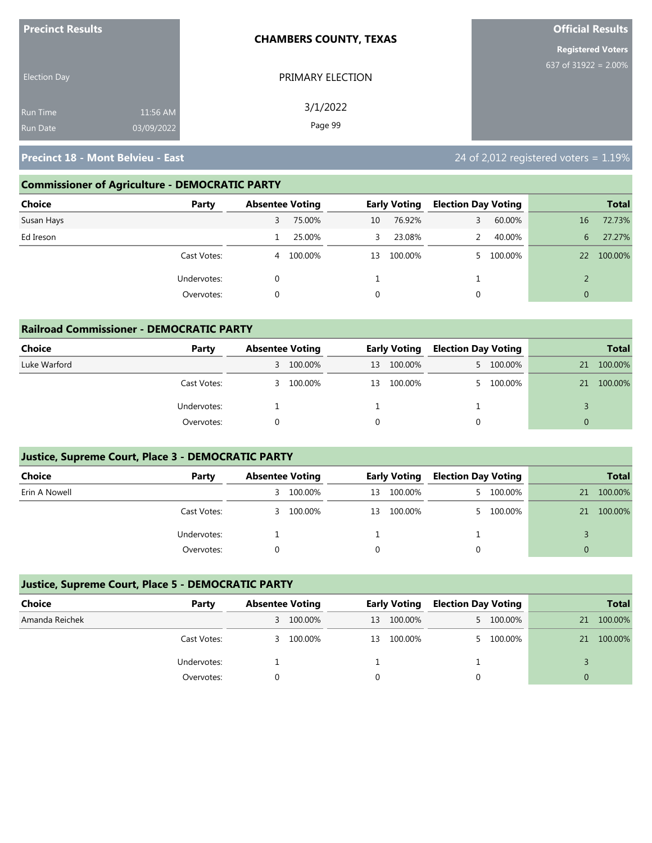| <b>Precinct Results</b>            |                        | <b>CHAMBERS COUNTY, TEXAS</b> | <b>Official Results</b>  |
|------------------------------------|------------------------|-------------------------------|--------------------------|
|                                    |                        |                               | <b>Registered Voters</b> |
| <b>Election Day</b>                |                        | PRIMARY ELECTION              | 637 of 31922 = $2.00\%$  |
| <b>Run Time</b><br><b>Run Date</b> | 11:56 AM<br>03/09/2022 | 3/1/2022<br>Page 99           |                          |

### **Commissioner of Agriculture - DEMOCRATIC PARTY**

| <b>Choice</b><br>Party | <b>Absentee Voting</b> |         |    | <b>Early Voting</b> | <b>Election Day Voting</b> |           |              | <b>Total</b> |
|------------------------|------------------------|---------|----|---------------------|----------------------------|-----------|--------------|--------------|
| Susan Hays             | 3                      | 75.00%  | 10 | 76.92%              | 3                          | 60.00%    | 16           | 72.73%       |
| Ed Ireson              |                        | 25.00%  | 3  | 23.08%              |                            | 40.00%    | 6            | 27.27%       |
| Cast Votes:            | 4                      | 100.00% | 13 | 100.00%             |                            | 5 100.00% | 22           | 100.00%      |
| Undervotes:            |                        |         |    |                     |                            |           |              |              |
| Overvotes:             |                        |         | 0  |                     | 0                          |           | $\mathbf{0}$ |              |

| <b>Railroad Commissioner - DEMOCRATIC PARTY</b> |             |                        |           |    |                     |                            |           |          |              |  |
|-------------------------------------------------|-------------|------------------------|-----------|----|---------------------|----------------------------|-----------|----------|--------------|--|
| Choice                                          | Party       | <b>Absentee Voting</b> |           |    | <b>Early Voting</b> | <b>Election Day Voting</b> |           |          | <b>Total</b> |  |
| Luke Warford                                    |             |                        | 3 100.00% | 13 | 100.00%             |                            | 5 100.00% | 21       | 100.00%      |  |
|                                                 | Cast Votes: |                        | 3 100.00% | 13 | 100.00%             |                            | 5 100.00% | 21       | 100.00%      |  |
|                                                 | Undervotes: |                        |           |    |                     |                            |           |          |              |  |
|                                                 | Overvotes:  |                        |           |    |                     | $\Omega$                   |           | $\Omega$ |              |  |

## **Justice, Supreme Court, Place 3 - DEMOCRATIC PARTY**

| <b>Choice</b> | Party       | <b>Absentee Voting</b> |           |    | <b>Early Voting</b> |    | <b>Election Day Voting</b> |    | <b>Total</b> |
|---------------|-------------|------------------------|-----------|----|---------------------|----|----------------------------|----|--------------|
| Erin A Nowell |             | 3                      | 100.00%   | 13 | 100.00%             | 5. | 100.00%                    | 21 | 100.00%      |
|               | Cast Votes: |                        | 3 100.00% | 13 | 100.00%             |    | 5 100.00%                  | 21 | 100.00%      |
|               | Undervotes: |                        |           |    |                     |    |                            |    |              |
|               | Overvotes:  |                        |           |    |                     |    |                            |    |              |

#### **Justice, Supreme Court, Place 5 - DEMOCRATIC PARTY**

| Choice         | Party       |    | <b>Absentee Voting</b> |    | <b>Early Voting</b> |  | <b>Election Day Voting</b> |    | <b>Total</b> |
|----------------|-------------|----|------------------------|----|---------------------|--|----------------------------|----|--------------|
| Amanda Reichek |             | 3. | 100.00%                | 13 | 100.00%             |  | 5 100.00%                  | 21 | 100.00%      |
|                | Cast Votes: | 3  | 100.00%                | 13 | 100.00%             |  | 5 100.00%                  | 21 | 100.00%      |
|                | Undervotes: |    |                        |    |                     |  |                            |    |              |
|                | Overvotes:  |    |                        |    |                     |  |                            |    |              |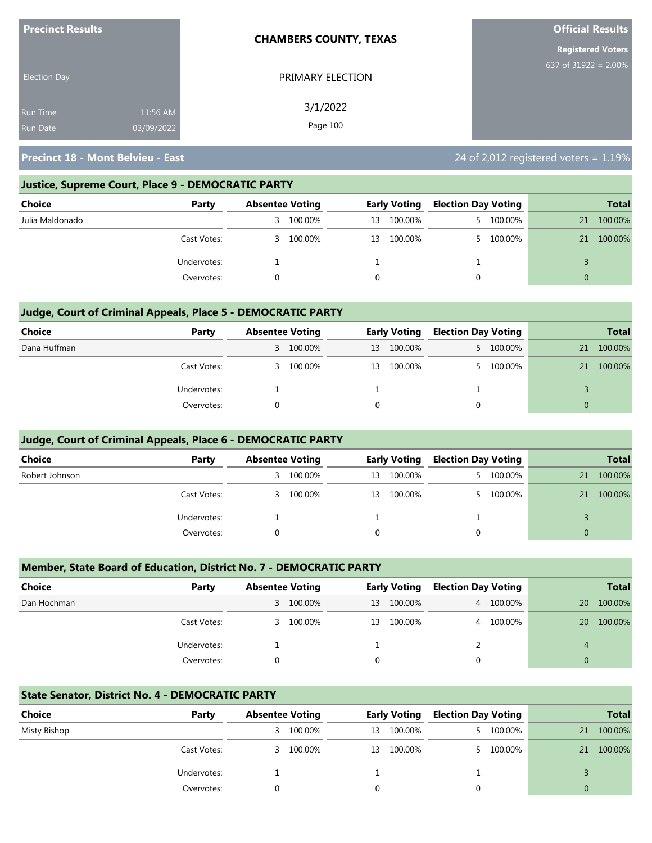| <b>Precinct Results</b> |            | <b>CHAMBERS COUNTY, TEXAS</b> | <b>Official Results</b>  |
|-------------------------|------------|-------------------------------|--------------------------|
|                         |            |                               | <b>Registered Voters</b> |
| <b>Election Day</b>     |            | PRIMARY ELECTION              | 637 of 31922 = 2.00%     |
| <b>Run Time</b>         | 11:56 AM   | 3/1/2022                      |                          |
| <b>Run Date</b>         | 03/09/2022 | Page 100                      |                          |

#### **Justice, Supreme Court, Place 9 - DEMOCRATIC PARTY**

| Choice          | Party       | <b>Absentee Voting</b> |         | <b>Early Voting</b> |         | <b>Election Day Voting</b> |           |    | <b>Total</b> |
|-----------------|-------------|------------------------|---------|---------------------|---------|----------------------------|-----------|----|--------------|
| Julia Maldonado |             | 3                      | 100.00% | 13                  | 100.00% |                            | 5 100.00% | 21 | 100.00%      |
|                 | Cast Votes: | 3                      | 100.00% | 13                  | 100.00% |                            | 5 100.00% | 21 | 100.00%      |
|                 | Undervotes: |                        |         |                     |         |                            |           |    |              |
|                 | Overvotes:  |                        |         |                     |         |                            |           | 0  |              |

#### **Judge, Court of Criminal Appeals, Place 5 - DEMOCRATIC PARTY**

| Choice       | Party       | <b>Absentee Voting</b> |           | <b>Early Voting</b> |            | <b>Election Day Voting</b> |           |          | <b>Total</b> |
|--------------|-------------|------------------------|-----------|---------------------|------------|----------------------------|-----------|----------|--------------|
| Dana Huffman |             |                        | 3 100.00% | 13                  | 100.00%    |                            | 5 100.00% | 21       | 100.00%      |
|              | Cast Votes: |                        | 3 100.00% |                     | 13 100.00% |                            | 100.00%   | 21       | 100.00%      |
|              | Undervotes: |                        |           |                     |            |                            |           |          |              |
|              | Overvotes:  |                        |           |                     |            |                            |           | $\Omega$ |              |

#### **Judge, Court of Criminal Appeals, Place 6 - DEMOCRATIC PARTY**

| <b>Choice</b>  | Party       |   | <b>Absentee Voting</b> |    | <b>Early Voting</b> |    | <b>Election Day Voting</b> |    | <b>Total</b> |
|----------------|-------------|---|------------------------|----|---------------------|----|----------------------------|----|--------------|
| Robert Johnson |             | 3 | 100.00%                | 13 | 100.00%             | 5. | 100.00%                    | 21 | 100.00%      |
|                | Cast Votes: | 3 | 100.00%                | 13 | 100.00%             |    | 100.00%                    | 21 | 100.00%      |
|                | Undervotes: |   |                        |    |                     |    |                            |    |              |
|                | Overvotes:  |   |                        |    |                     | 0  |                            | 0  |              |

#### **Member, State Board of Education, District No. 7 - DEMOCRATIC PARTY**

| <b>Choice</b> | Party       | <b>Absentee Voting</b> |         | <b>Early Voting</b> |         | <b>Election Day Voting</b> |           |    | <b>Total</b> |
|---------------|-------------|------------------------|---------|---------------------|---------|----------------------------|-----------|----|--------------|
| Dan Hochman   |             | 3.                     | 100.00% | 13                  | 100.00% |                            | 4 100.00% | 20 | 100.00%      |
|               | Cast Votes: | 3.                     | 100.00% | 13                  | 100.00% |                            | 4 100.00% | 20 | 100.00%      |
|               | Undervotes: |                        |         |                     |         |                            |           |    |              |
|               | Overvotes:  |                        |         | $\Omega$            |         | $\Omega$                   |           | 0  |              |

#### **State Senator, District No. 4 - DEMOCRATIC PARTY**

| Choice       | Party       | <b>Absentee Voting</b> |         | <b>Early Voting</b> |         | <b>Election Day Voting</b> |           |          | <b>Total</b> |
|--------------|-------------|------------------------|---------|---------------------|---------|----------------------------|-----------|----------|--------------|
| Misty Bishop |             | 3.                     | 100.00% | 13                  | 100.00% |                            | 5 100.00% | 21       | 100.00%      |
|              | Cast Votes: | 3.                     | 100.00% | 13                  | 100.00% |                            | 5 100.00% | 21       | 100.00%      |
|              | Undervotes: |                        |         |                     |         |                            |           |          |              |
|              | Overvotes:  |                        |         |                     |         |                            |           | $\Omega$ |              |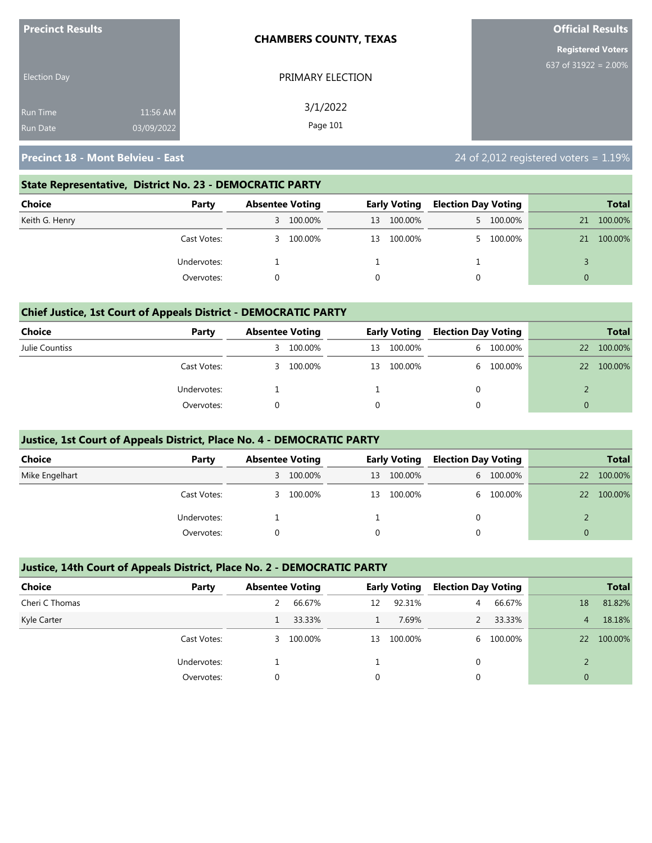| <b>Precinct Results</b> |            | <b>CHAMBERS COUNTY, TEXAS</b> | <b>Official Results</b>  |  |  |  |  |
|-------------------------|------------|-------------------------------|--------------------------|--|--|--|--|
|                         |            |                               | <b>Registered Voters</b> |  |  |  |  |
| <b>Election Day</b>     |            | PRIMARY ELECTION              | 637 of 31922 = $2.00\%$  |  |  |  |  |
| <b>Run Time</b>         | 11:56 AM   | 3/1/2022                      |                          |  |  |  |  |
| <b>Run Date</b>         | 03/09/2022 | Page 101                      |                          |  |  |  |  |

#### **State Representative, District No. 23 - DEMOCRATIC PARTY**

| Choice         | Party       | <b>Absentee Voting</b> |           | <b>Early Voting</b> |         | <b>Election Day Voting</b> |           |    | <b>Total</b> |
|----------------|-------------|------------------------|-----------|---------------------|---------|----------------------------|-----------|----|--------------|
| Keith G. Henry |             |                        | 3 100.00% | 13                  | 100.00% |                            | 5 100.00% | 21 | 100.00%      |
|                | Cast Votes: | 3.                     | 100.00%   | 13                  | 100.00% |                            | 5 100.00% | 21 | 100.00%      |
| Undervotes:    |             |                        |           |                     |         |                            |           |    |              |
|                | Overvotes:  |                        |           |                     |         |                            |           | 0  |              |

#### **Chief Justice, 1st Court of Appeals District - DEMOCRATIC PARTY**

| Choice         | Party       | <b>Absentee Voting</b> |         | <b>Early Voting</b> |         | <b>Election Day Voting</b> |         |    | <b>Total</b> |
|----------------|-------------|------------------------|---------|---------------------|---------|----------------------------|---------|----|--------------|
| Julie Countiss |             | 3.                     | 100.00% | 13                  | 100.00% | 6                          | 100.00% | 22 | 100.00%      |
|                | Cast Votes: | 3                      | 100.00% | 13                  | 100.00% | 6.                         | 100.00% | 22 | 100.00%      |
|                | Undervotes: |                        |         |                     |         |                            |         |    |              |
|                | Overvotes:  |                        |         |                     |         |                            |         |    |              |

#### **Justice, 1st Court of Appeals District, Place No. 4 - DEMOCRATIC PARTY**

| Choice         | Party       | <b>Absentee Voting</b> |         | <b>Early Voting</b> |         | <b>Election Day Voting</b> |           |    | <b>Total</b> |
|----------------|-------------|------------------------|---------|---------------------|---------|----------------------------|-----------|----|--------------|
| Mike Engelhart |             | 3                      | 100.00% | 13                  | 100.00% |                            | 6 100.00% | 22 | 100.00%      |
|                | Cast Votes: | 3.                     | 100.00% | 13                  | 100.00% |                            | 6 100.00% | 22 | 100.00%      |
|                | Undervotes: |                        |         |                     |         |                            |           |    |              |
|                | Overvotes:  |                        |         |                     |         |                            |           |    |              |

#### **Justice, 14th Court of Appeals District, Place No. 2 - DEMOCRATIC PARTY**

| <b>Choice</b>  | Party       | <b>Absentee Voting</b> |         |          | <b>Early Voting</b> | <b>Election Day Voting</b> |           |                | <b>Total</b> |
|----------------|-------------|------------------------|---------|----------|---------------------|----------------------------|-----------|----------------|--------------|
| Cheri C Thomas |             |                        | 66.67%  | 12       | 92.31%              | 4                          | 66.67%    | 18             | 81.82%       |
| Kyle Carter    |             |                        | 33.33%  |          | 7.69%               |                            | 33.33%    | 4              | 18.18%       |
|                | Cast Votes: | 3.                     | 100.00% | 13       | 100.00%             |                            | 6 100.00% | 22             | 100.00%      |
|                | Undervotes: |                        |         |          |                     |                            |           |                |              |
|                | Overvotes:  | $\Omega$               |         | $\Omega$ |                     |                            |           | $\overline{0}$ |              |